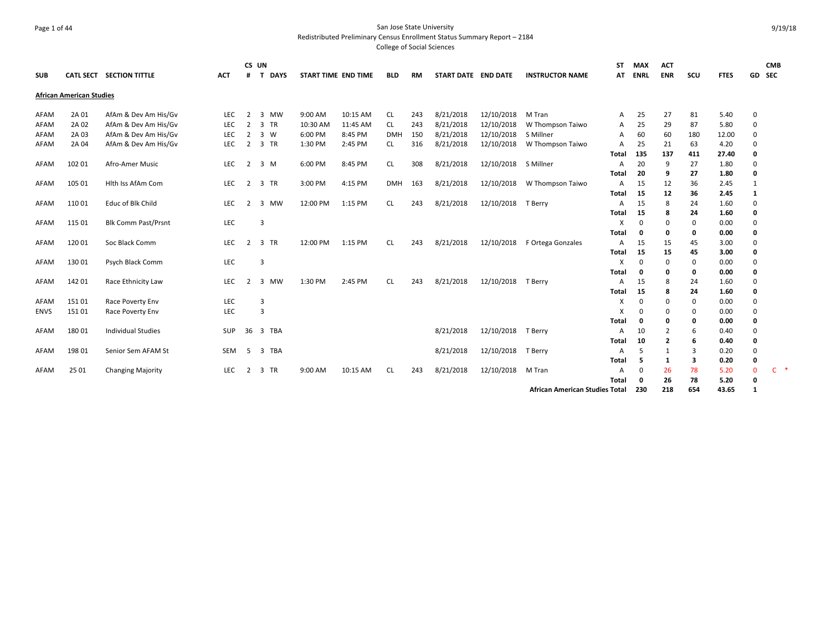# Page 1 of 44 San Jose State University Redistributed Preliminary Census Enrollment Status Summary Report – 2184

| <b>SUB</b>  |                                 | CATL SECT SECTION TITTLE   | <b>ACT</b> | CS UN<br>#     | T<br><b>DAYS</b>        |          | START TIME END TIME | <b>BLD</b> | RM  | START DATE END DATE |            | <b>INSTRUCTOR NAME</b>                | <b>ST</b><br>AT | <b>MAX</b><br><b>ENRL</b> | <b>ACT</b><br><b>ENR</b> | scu      | <b>FTES</b>  |               | <b>CMB</b><br>GD SEC |
|-------------|---------------------------------|----------------------------|------------|----------------|-------------------------|----------|---------------------|------------|-----|---------------------|------------|---------------------------------------|-----------------|---------------------------|--------------------------|----------|--------------|---------------|----------------------|
|             | <b>African American Studies</b> |                            |            |                |                         |          |                     |            |     |                     |            |                                       |                 |                           |                          |          |              |               |                      |
| AFAM        | 2A 01                           | AfAm & Dev Am His/Gv       | LEC        | $\overline{2}$ | 3<br><b>MW</b>          | 9:00 AM  | 10:15 AM            | CL         | 243 | 8/21/2018           | 12/10/2018 | M Tran                                | A               | 25                        | 27                       | 81       | 5.40         | $\mathbf 0$   |                      |
| AFAM        | 2A 02                           | AfAm & Dev Am His/Gv       | <b>LEC</b> | 2              | 3 TR                    | 10:30 AM | 11:45 AM            | CL.        | 243 | 8/21/2018           | 12/10/2018 | W Thompson Taiwo                      | A               | 25                        | 29                       | 87       | 5.80         | $\Omega$      |                      |
| AFAM        | 2A 03                           | AfAm & Dev Am His/Gv       | LEC        | $\overline{2}$ | $3 \ W$                 | 6:00 PM  | 8:45 PM             | <b>DMH</b> | 150 | 8/21/2018           | 12/10/2018 | S Millner                             | A               | 60                        | 60                       | 180      | 12.00        | $\Omega$      |                      |
| AFAM        | 2A 04                           | AfAm & Dev Am His/Gv       | LEC        | $\overline{2}$ | 3 TR                    | 1:30 PM  | 2:45 PM             | CL.        | 316 | 8/21/2018           | 12/10/2018 | W Thompson Taiwo                      | A               | 25                        | 21                       | 63       | 4.20         | $\Omega$      |                      |
|             |                                 |                            |            |                |                         |          |                     |            |     |                     |            |                                       | Total           | 135                       | 137                      | 411      | 27.40        | 0             |                      |
| AFAM        | 102 01                          | Afro-Amer Music            | LEC        | 2              | 3 M                     | 6:00 PM  | 8:45 PM             | <b>CL</b>  | 308 | 8/21/2018           | 12/10/2018 | S Millner                             | A               | 20                        | 9                        | 27       | 1.80         | $\mathbf 0$   |                      |
|             |                                 |                            |            |                |                         |          |                     |            |     |                     |            |                                       | Total           | 20                        | 9                        | 27       | 1.80         | 0             |                      |
| AFAM        | 105 01                          | Hith iss AfAm Com          | LEC        | $\overline{2}$ | 3 TR                    | 3:00 PM  | 4:15 PM             | <b>DMH</b> | 163 | 8/21/2018           | 12/10/2018 | W Thompson Taiwo                      | A               | 15                        | 12                       | 36       | 2.45         | 1             |                      |
|             |                                 |                            |            |                |                         |          |                     |            |     |                     |            |                                       | Total           | 15                        | 12                       | 36       | 2.45         | 1             |                      |
| AFAM        | 11001                           | Educ of Blk Child          | <b>LEC</b> | 2              | 3 MW                    | 12:00 PM | 1:15 PM             | CL.        | 243 | 8/21/2018           | 12/10/2018 | T Berry                               | A               | 15                        | 8                        | 24       | 1.60         | $\mathbf 0$   |                      |
|             |                                 |                            |            |                |                         |          |                     |            |     |                     |            |                                       | Total           | 15                        | 8                        | 24       | 1.60         | 0             |                      |
| AFAM        | 115 01                          | <b>Blk Comm Past/Prsnt</b> | LEC        |                | $\overline{\mathbf{3}}$ |          |                     |            |     |                     |            |                                       | X               | 0                         | 0                        | 0        | 0.00         | $\mathbf 0$   |                      |
|             |                                 |                            |            |                |                         |          |                     |            |     |                     |            |                                       | Total           | $\Omega$                  | 0                        | 0        | 0.00         | 0             |                      |
| AFAM        | 12001                           | Soc Black Comm             | LEC        | 2              | 3 TR                    | 12:00 PM | 1:15 PM             | CL.        | 243 | 8/21/2018           | 12/10/2018 | F Ortega Gonzales                     | A               | 15                        | 15                       | 45       | 3.00         | $\Omega$      |                      |
|             |                                 |                            |            |                |                         |          |                     |            |     |                     |            |                                       | Total           | 15                        | 15                       | 45       | 3.00         | 0             |                      |
| AFAM        | 13001                           | Psych Black Comm           | LEC        |                | 3                       |          |                     |            |     |                     |            |                                       | X               | $\Omega$                  | $\Omega$                 | 0        | 0.00         | $\Omega$      |                      |
|             |                                 |                            |            |                |                         |          |                     |            |     |                     |            |                                       | Total           | $\mathbf{0}$              | 0                        | 0        | 0.00         | 0             |                      |
| AFAM        | 142 01                          | Race Ethnicity Law         | LEC        | 2              | 3<br>MW                 | 1:30 PM  | 2:45 PM             | <b>CL</b>  | 243 | 8/21/2018           | 12/10/2018 | T Berry                               | A               | 15<br>15                  | 8<br>8                   | 24<br>24 | 1.60<br>1.60 | $\Omega$<br>0 |                      |
| AFAM        | 15101                           | Race Poverty Env           | LEC        |                | 3                       |          |                     |            |     |                     |            |                                       | Total<br>х      | $\Omega$                  | $\Omega$                 | 0        | 0.00         | $\mathbf 0$   |                      |
| <b>ENVS</b> | 15101                           | Race Poverty Env           | LEC        |                | $\overline{3}$          |          |                     |            |     |                     |            |                                       | X               | $\Omega$                  | $\Omega$                 | $\Omega$ | 0.00         | $\mathbf 0$   |                      |
|             |                                 |                            |            |                |                         |          |                     |            |     |                     |            |                                       | Total           | 0                         | 0                        | 0        | 0.00         | 0             |                      |
| AFAM        | 18001                           | <b>Individual Studies</b>  | <b>SUP</b> | 36             | 3 TBA                   |          |                     |            |     | 8/21/2018           | 12/10/2018 | T Berry                               | A               | 10                        | 2                        | 6        | 0.40         | $\mathbf 0$   |                      |
|             |                                 |                            |            |                |                         |          |                     |            |     |                     |            |                                       | Total           | 10                        | $\overline{2}$           | 6        | 0.40         | 0             |                      |
| AFAM        | 198 01                          | Senior Sem AFAM St         | <b>SEM</b> | -5             | 3 TBA                   |          |                     |            |     | 8/21/2018           | 12/10/2018 | T Berry                               | A               | 5                         | 1                        | 3        | 0.20         | $\mathbf 0$   |                      |
|             |                                 |                            |            |                |                         |          |                     |            |     |                     |            |                                       | Total           | 5                         | 1                        | 3        | 0.20         | 0             |                      |
| AFAM        | 25 01                           | <b>Changing Majority</b>   | <b>LEC</b> | 2              | 3 TR                    | 9:00 AM  | 10:15 AM            | <b>CL</b>  | 243 | 8/21/2018           | 12/10/2018 | M Tran                                | A               | $\Omega$                  | 26                       | 78       | 5.20         | $\mathbf{0}$  | 一味<br>C.             |
|             |                                 |                            |            |                |                         |          |                     |            |     |                     |            |                                       | Total           | $\mathbf{0}$              | 26                       | 78       | 5.20         | 0             |                      |
|             |                                 |                            |            |                |                         |          |                     |            |     |                     |            | <b>African American Studies Total</b> |                 | 230                       | 218                      | 654      | 43.65        | -1            |                      |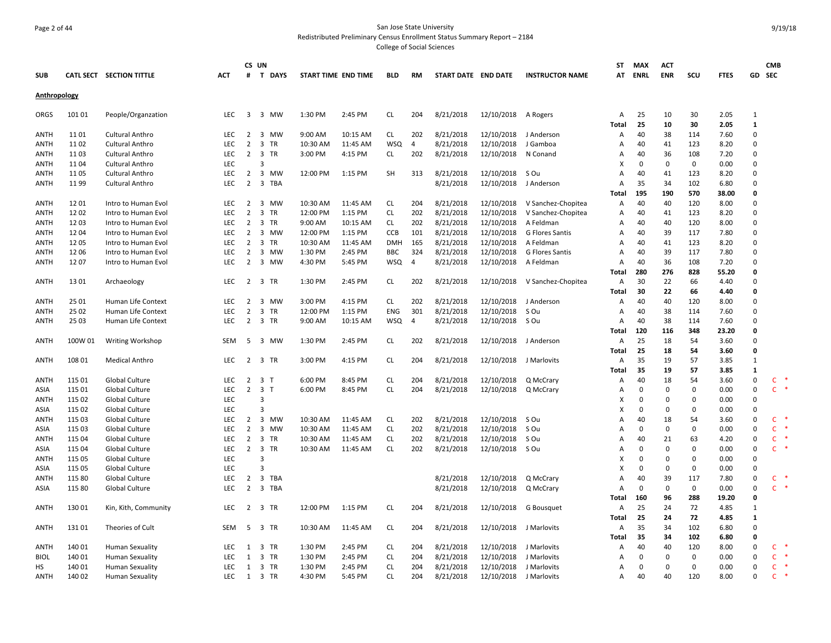## Page 2 of 44 San Jose State University Redistributed Preliminary Census Enrollment Status Summary Report – 2184

|                     |               |                                            |                          |                                  | CS UN                                   |                     |                     |                        |                |                        |                          |                                 | ST           | <b>MAX</b>  | <b>ACT</b>  |             |              |                      | <b>CMB</b>             |  |
|---------------------|---------------|--------------------------------------------|--------------------------|----------------------------------|-----------------------------------------|---------------------|---------------------|------------------------|----------------|------------------------|--------------------------|---------------------------------|--------------|-------------|-------------|-------------|--------------|----------------------|------------------------|--|
| <b>SUB</b>          |               | CATL SECT SECTION TITTLE                   | <b>ACT</b>               | #                                | T DAYS                                  | START TIME END TIME |                     | <b>BLD</b>             | <b>RM</b>      | START DATE END DATE    |                          | <b>INSTRUCTOR NAME</b>          | AT           | ENRL        | ENR         | scu         | <b>FTES</b>  | GD SEC               |                        |  |
| Anthropology        |               |                                            |                          |                                  |                                         |                     |                     |                        |                |                        |                          |                                 |              |             |             |             |              |                      |                        |  |
| ORGS                | 101 01        | People/Organzation                         | LEC                      | 3                                | 3 MW                                    | 1:30 PM             | 2:45 PM             | CL                     | 204            | 8/21/2018              | 12/10/2018               | A Rogers                        | Α            | 25          | 10          | 30          | 2.05         | 1                    |                        |  |
|                     |               |                                            |                          |                                  |                                         |                     |                     |                        |                |                        |                          |                                 | <b>Total</b> | 25          | 10          | 30          | 2.05         | 1                    |                        |  |
| <b>ANTH</b>         | 11 01         | Cultural Anthro                            | <b>LEC</b>               | 2                                | 3 MW                                    | 9:00 AM             | 10:15 AM            | <b>CL</b>              | 202            | 8/21/2018              | 12/10/2018               | J Anderson                      | А            | 40          | 38          | 114         | 7.60         | $\Omega$             |                        |  |
| <b>ANTH</b>         | 11 02         | Cultural Anthro                            | LEC                      | $\overline{2}$                   | 3 TR                                    | 10:30 AM            | 11:45 AM            | <b>WSQ</b>             | 4              | 8/21/2018              | 12/10/2018               | J Gamboa                        | А            | 40          | 41          | 123         | 8.20         | $\Omega$             |                        |  |
| ANTH                | 11 03         | Cultural Anthro                            | <b>LEC</b>               | $\overline{2}$                   | 3 TR                                    | 3:00 PM             | 4:15 PM             | CL                     | 202            | 8/21/2018              | 12/10/2018               | N Conand                        | А            | 40          | 36          | 108         | 7.20         | $\Omega$             |                        |  |
| <b>ANTH</b>         | 1104          | Cultural Anthro                            | LEC                      |                                  | 3                                       |                     |                     |                        |                |                        |                          |                                 | X            | 0           | 0           | 0           | 0.00         | $\Omega$             |                        |  |
| ANTH                | 11 05         | Cultural Anthro                            | <b>LEC</b>               | $\overline{2}$                   | 3 MW                                    | 12:00 PM            | 1:15 PM             | <b>SH</b>              | 313            | 8/21/2018              | 12/10/2018               | S Ou                            | A            | 40          | 41          | 123         | 8.20         | $\Omega$             |                        |  |
| <b>ANTH</b>         | 1199          | Cultural Anthro                            | <b>LEC</b>               | $\overline{2}$                   | $\overline{\mathbf{3}}$<br>TBA          |                     |                     |                        |                | 8/21/2018              | 12/10/2018               | J Anderson                      | A            | 35          | 34          | 102         | 6.80         | $\Omega$<br>$\Omega$ |                        |  |
|                     |               |                                            |                          |                                  |                                         |                     |                     |                        |                |                        |                          |                                 | Total        | 195         | 190         | 570         | 38.00        |                      |                        |  |
| <b>ANTH</b>         | 12 01         | Intro to Human Evol                        | LEC                      | $\overline{2}$                   | 3 MW                                    | 10:30 AM            | 11:45 AM            | <b>CL</b>              | 204            | 8/21/2018              | 12/10/2018               | V Sanchez-Chopitea              | Α            | 40          | 40          | 120         | 8.00         | $\Omega$<br>$\Omega$ |                        |  |
| ANTH                | 1202<br>12 03 | Intro to Human Evol                        | <b>LEC</b><br><b>LEC</b> | $\overline{2}$<br>$\overline{2}$ | 3 TR<br>3 TR                            | 12:00 PM<br>9:00 AM | 1:15 PM<br>10:15 AM | <b>CL</b><br><b>CL</b> | 202<br>202     | 8/21/2018              | 12/10/2018<br>12/10/2018 | V Sanchez-Chopitea<br>A Feldman | A<br>А       | 40<br>40    | 41<br>40    | 123<br>120  | 8.20<br>8.00 | $\Omega$             |                        |  |
| <b>ANTH</b><br>ANTH | 1204          | Intro to Human Evol<br>Intro to Human Evol | <b>LEC</b>               | $\overline{2}$                   | 3 MW                                    | 12:00 PM            | 1:15 PM             | <b>CCB</b>             | 101            | 8/21/2018<br>8/21/2018 | 12/10/2018               | <b>G Flores Santis</b>          | A            | 40          | 39          | 117         | 7.80         | $\Omega$             |                        |  |
| <b>ANTH</b>         | 12 05         |                                            | LEC                      | $\overline{2}$                   | 3 TR                                    | 10:30 AM            | 11:45 AM            | <b>DMH</b>             | 165            | 8/21/2018              | 12/10/2018               | A Feldman                       | A            | 40          | 41          | 123         | 8.20         | $\Omega$             |                        |  |
| <b>ANTH</b>         | 12 06         | Intro to Human Evol<br>Intro to Human Evol | LEC                      | $\overline{2}$                   | 3 MW                                    | 1:30 PM             | 2:45 PM             | <b>BBC</b>             | 324            | 8/21/2018              | 12/10/2018               | <b>G Flores Santis</b>          | А            | 40          | 39          | 117         | 7.80         | $\Omega$             |                        |  |
| <b>ANTH</b>         | 1207          | Intro to Human Evol                        | LEC                      | $\overline{2}$                   | 3 MW                                    | 4:30 PM             | 5:45 PM             | <b>WSQ</b>             | $\overline{4}$ | 8/21/2018              | 12/10/2018               | A Feldman                       | A            | 40          | 36          | 108         | 7.20         | $\Omega$             |                        |  |
|                     |               |                                            |                          |                                  |                                         |                     |                     |                        |                |                        |                          |                                 | Total        | 280         | 276         | 828         | 55.20        | $\Omega$             |                        |  |
| ANTH                | 13 01         | Archaeology                                | <b>LEC</b>               | $\overline{2}$                   | 3<br>TR                                 | 1:30 PM             | 2:45 PM             | <b>CL</b>              | 202            | 8/21/2018              | 12/10/2018               | V Sanchez-Chopitea              | А            | 30          | 22          | 66          | 4.40         | $\Omega$             |                        |  |
|                     |               |                                            |                          |                                  |                                         |                     |                     |                        |                |                        |                          |                                 | Total        | 30          | 22          | 66          | 4.40         | $\Omega$             |                        |  |
| <b>ANTH</b>         | 25 01         | Human Life Context                         | LEC                      | $\overline{2}$                   | 3 MW                                    | 3:00 PM             | 4:15 PM             | CL                     | 202            | 8/21/2018              | 12/10/2018               | J Anderson                      | Α            | 40          | 40          | 120         | 8.00         | $\Omega$             |                        |  |
| ANTH                | 25 02         | <b>Human Life Context</b>                  | LEC                      | $\overline{2}$                   | 3 TR                                    | 12:00 PM            | 1:15 PM             | <b>ENG</b>             | 301            | 8/21/2018              | 12/10/2018               | S Ou                            | A            | 40          | 38          | 114         | 7.60         | $\Omega$             |                        |  |
| ANTH                | 25 03         | Human Life Context                         | <b>LEC</b>               | $\overline{2}$                   | 3 TR                                    | 9:00 AM             | 10:15 AM            | <b>WSQ</b>             | $\overline{4}$ | 8/21/2018              | 12/10/2018               | S Ou                            | A            | 40          | 38          | 114         | 7.60         | $\Omega$             |                        |  |
|                     |               |                                            |                          |                                  |                                         |                     |                     |                        |                |                        |                          |                                 | <b>Total</b> | 120         | 116         | 348         | 23.20        | $\Omega$             |                        |  |
| ANTH                | 100W 01       | <b>Writing Workshop</b>                    | <b>SEM</b>               | 5                                | 3 MW                                    | 1:30 PM             | 2:45 PM             | CL                     | 202            | 8/21/2018              | 12/10/2018               | J Anderson                      | А            | 25          | 18          | 54          | 3.60         | $\Omega$             |                        |  |
|                     |               |                                            |                          |                                  |                                         |                     |                     |                        |                |                        |                          |                                 | <b>Total</b> | 25          | 18          | 54          | 3.60         | $\Omega$             |                        |  |
| <b>ANTH</b>         | 108 01        | <b>Medical Anthro</b>                      | <b>LEC</b>               | 2                                | 3 TR                                    | 3:00 PM             | 4:15 PM             | CL.                    | 204            | 8/21/2018              | 12/10/2018 J Marlovits   |                                 | Α            | 35          | 19          | 57          | 3.85         | $\mathbf{1}$         |                        |  |
|                     |               |                                            |                          |                                  |                                         |                     |                     |                        |                |                        |                          |                                 | <b>Total</b> | 35          | 19          | 57          | 3.85         | $\mathbf{1}$         |                        |  |
| <b>ANTH</b>         | 115 01        | <b>Global Culture</b>                      | <b>LEC</b>               | 2                                | $\overline{\mathbf{3}}$<br>$\mathsf{T}$ | 6:00 PM             | 8:45 PM             | <b>CL</b>              | 204            | 8/21/2018              | 12/10/2018               | Q McCrary                       | A            | 40          | 18          | 54          | 3.60         | $\Omega$             | C                      |  |
| ASIA                | 115 01        | Global Culture                             | LEC                      | $\overline{2}$                   | 3 <sub>T</sub>                          | 6:00 PM             | 8:45 PM             | <b>CL</b>              | 204            | 8/21/2018              | 12/10/2018               | Q McCrary                       | А            | $\Omega$    | $\mathbf 0$ | $\mathbf 0$ | 0.00         | $\Omega$             | $\mathsf{C}$<br>$\ast$ |  |
| ANTH                | 115 02        | Global Culture                             | <b>LEC</b>               |                                  | 3                                       |                     |                     |                        |                |                        |                          |                                 | X            | $\Omega$    | 0           | $\Omega$    | 0.00         | $\Omega$             |                        |  |
| ASIA                | 115 02        | <b>Global Culture</b>                      | LEC                      |                                  | 3                                       |                     |                     |                        |                |                        |                          |                                 | X            | $\Omega$    | $\Omega$    | $\mathbf 0$ | 0.00         | $\Omega$             |                        |  |
| ANTH                | 115 03        | Global Culture                             | <b>LEC</b>               | 2                                | 3 MW                                    | 10:30 AM            | 11:45 AM            | <b>CL</b>              | 202            | 8/21/2018              | 12/10/2018               | S Ou                            | А            | 40          | 18          | 54          | 3.60         | $\Omega$             | C                      |  |
| ASIA                | 115 03        | <b>Global Culture</b>                      | LEC                      | $\overline{2}$                   | 3 MW                                    | 10:30 AM            | 11:45 AM            | <b>CL</b>              | 202            | 8/21/2018              | 12/10/2018               | S Ou                            | A            | $\mathbf 0$ | $\mathbf 0$ | $\mathbf 0$ | 0.00         | $\Omega$             | $\mathsf{C}$           |  |
| ANTH                | 115 04        | <b>Global Culture</b>                      | <b>LEC</b>               | 2                                | 3 TR                                    | 10:30 AM            | 11:45 AM            | <b>CL</b>              | 202            | 8/21/2018              | 12/10/2018               | S Ou                            | A            | 40          | 21          | 63          | 4.20         | $\Omega$             | C                      |  |
| ASIA                | 115 04        | Global Culture                             | LEC                      | $\overline{2}$                   | 3 TR                                    | 10:30 AM            | 11:45 AM            | CL                     | 202            | 8/21/2018              | 12/10/2018               | S Ou                            | А            | $\Omega$    | 0           | $\Omega$    | 0.00         | $\Omega$             | $\mathsf{C}$           |  |
| <b>ANTH</b>         | 115 05        | <b>Global Culture</b>                      | <b>LEC</b>               |                                  | 3                                       |                     |                     |                        |                |                        |                          |                                 | x            | $\Omega$    | $\Omega$    | $\Omega$    | 0.00         | $\Omega$             |                        |  |
| <b>ASIA</b>         | 115 05        | <b>Global Culture</b>                      | LEC                      |                                  | 3                                       |                     |                     |                        |                |                        |                          |                                 | X            | $\mathbf 0$ | 0           | $\Omega$    | 0.00         | $\Omega$             |                        |  |
| ANTH                | 115 80        | <b>Global Culture</b>                      | <b>LEC</b>               | 2                                | $\overline{\mathbf{3}}$<br>TBA          |                     |                     |                        |                | 8/21/2018              | 12/10/2018               | Q McCrary                       | A            | 40          | 39          | 117         | 7.80         | $\Omega$             | C                      |  |
| ASIA                | 115 80        | Global Culture                             | <b>LEC</b>               | $\overline{2}$                   | 3 TBA                                   |                     |                     |                        |                | 8/21/2018              | 12/10/2018               | Q McCrary                       | А            | $\mathbf 0$ | 0           | $\mathbf 0$ | 0.00         | $\Omega$             | $\mathsf{C}$<br>$\ast$ |  |
|                     |               |                                            |                          |                                  |                                         |                     |                     |                        |                |                        |                          |                                 | Total        | 160         | 96          | 288         | 19.20        | $\Omega$             |                        |  |
| ANTH                | 13001         | Kin, Kith, Community                       | <b>LEC</b>               | $\overline{2}$                   | 3 TR                                    | 12:00 PM            | 1:15 PM             | CL.                    | 204            | 8/21/2018              | 12/10/2018               | G Bousquet                      | А            | 25          | 24          | 72          | 4.85         | 1                    |                        |  |
|                     |               |                                            |                          |                                  |                                         |                     |                     |                        |                |                        |                          |                                 | Total        | 25          | 24          | 72          | 4.85         | 1                    |                        |  |
| ANTH                | 13101         | Theories of Cult                           | <b>SEM</b>               | 5                                | 3 TR                                    | 10:30 AM            | 11:45 AM            | CL                     | 204            | 8/21/2018              | 12/10/2018               | J Marlovits                     | А            | 35          | 34          | 102         | 6.80         | $\Omega$             |                        |  |
|                     |               |                                            |                          |                                  |                                         |                     |                     |                        |                |                        |                          |                                 | Total        | 35          | 34          | 102         | 6.80         | $\Omega$             |                        |  |
| ANTH                | 140 01        | Human Sexuality                            | LEC                      | 1                                | 3 TR                                    | 1:30 PM             | 2:45 PM             | CL                     | 204            | 8/21/2018              | 12/10/2018               | J Marlovits                     | Α            | 40          | 40          | 120         | 8.00         | $\Omega$             | c                      |  |
| <b>BIOL</b>         | 140 01        | <b>Human Sexuality</b>                     | <b>LEC</b>               | 1                                | 3 TR                                    | 1:30 PM             | 2:45 PM             | CL                     | 204            | 8/21/2018              | 12/10/2018               | J Marlovits                     | A            | $\Omega$    | 0           | 0           | 0.00         | $\Omega$             | $\mathsf{C}$           |  |
| НS                  | 140 01        | Human Sexuality                            | LEC                      | 1                                | 3 TR                                    | 1:30 PM             | 2:45 PM             | <b>CL</b>              | 204            | 8/21/2018              | 12/10/2018               | J Marlovits                     | А            | $\Omega$    | 0           | $\Omega$    | 0.00         | $\Omega$             | C                      |  |
| <b>ANTH</b>         | 140 02        | <b>Human Sexuality</b>                     | LEC                      | 1                                | 3 TR                                    | 4:30 PM             | 5:45 PM             | <b>CL</b>              | 204            | 8/21/2018              | 12/10/2018               | J Marlovits                     | Α            | 40          | 40          | 120         | 8.00         | $\Omega$             | C                      |  |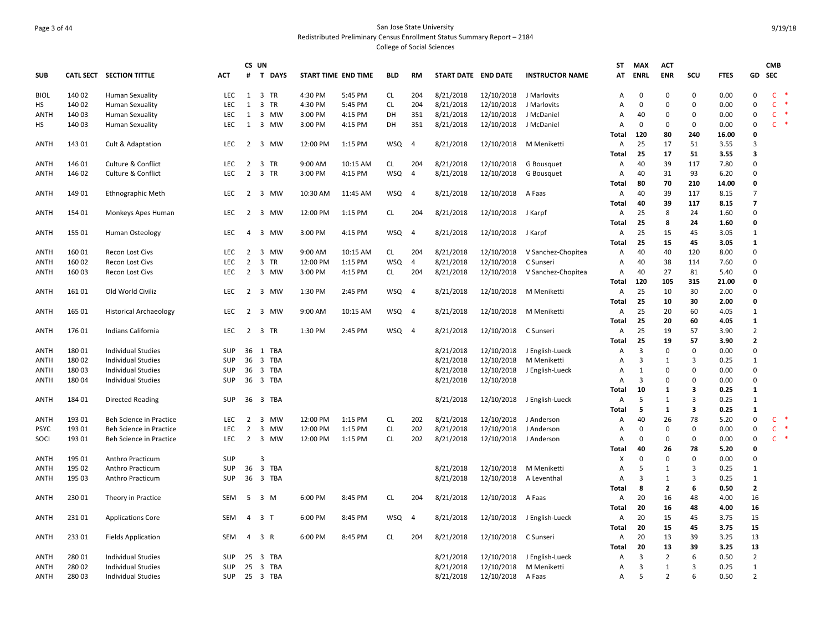## Page 3 of 44 San Jose State University Redistributed Preliminary Census Enrollment Status Summary Report – 2184 College of Social Sciences

|             |                  |                                |            |                     | CS UN        |                     |          |            |                |                     |                        |                        | ST             | MAX            | <b>ACT</b>     |                         |             |                | <b>CMB</b>   |        |
|-------------|------------------|--------------------------------|------------|---------------------|--------------|---------------------|----------|------------|----------------|---------------------|------------------------|------------------------|----------------|----------------|----------------|-------------------------|-------------|----------------|--------------|--------|
| <b>SUB</b>  | <b>CATL SECT</b> | <b>SECTION TITTLE</b>          | <b>ACT</b> | #                   | T DAYS       | START TIME END TIME |          | <b>BLD</b> | RM             | START DATE END DATE |                        | <b>INSTRUCTOR NAME</b> | AT             | <b>ENRL</b>    | <b>ENR</b>     | SCU                     | <b>FTES</b> | GD             | SEC          |        |
| <b>BIOL</b> | 140 02           | <b>Human Sexuality</b>         | <b>LEC</b> |                     | 1 3 TR       | 4:30 PM             | 5:45 PM  | CL.        | 204            | 8/21/2018           | 12/10/2018 J Marlovits |                        | A              | 0              | 0              | 0                       | 0.00        | $\Omega$       | $\mathsf{C}$ |        |
| HS          | 140 02           | <b>Human Sexuality</b>         | <b>LEC</b> | 1                   | 3 TR         | 4:30 PM             | 5:45 PM  | <b>CL</b>  | 204            | 8/21/2018           | 12/10/2018             | J Marlovits            | Α              | $\Omega$       | $\Omega$       | 0                       | 0.00        | $\Omega$       | $\mathsf{C}$ |        |
| ANTH        | 140 03           | <b>Human Sexuality</b>         | <b>LEC</b> | 1                   | 3 MW         | 3:00 PM             | 4:15 PM  | DH         | 351            | 8/21/2018           | 12/10/2018             | J McDaniel             | Α              | 40             | $\mathbf 0$    | 0                       | 0.00        | 0              | $\mathsf{C}$ |        |
| HS          | 140 03           | <b>Human Sexuality</b>         | LEC.       | 1                   | 3 MW         | 3:00 PM             | 4:15 PM  | DH         | 351            | 8/21/2018           | 12/10/2018             | J McDaniel             | $\overline{A}$ | $\Omega$       | $\Omega$       | $\Omega$                | 0.00        | $\Omega$       | $\mathsf{C}$ |        |
|             |                  |                                |            |                     |              |                     |          |            |                |                     |                        |                        | Total          | 120            | 80             | 240                     | 16.00       | O              |              |        |
| <b>ANTH</b> | 143 01           | Cult & Adaptation              | <b>LEC</b> | 2                   | 3 MW         | 12:00 PM            | 1:15 PM  | <b>WSQ</b> | $\overline{4}$ | 8/21/2018           | 12/10/2018             | M Meniketti            | A              | 25             | 17             | 51                      | 3.55        | 3              |              |        |
|             |                  |                                |            |                     |              |                     |          |            |                |                     |                        |                        | <b>Total</b>   | 25             | 17             | 51                      | 3.55        | 3              |              |        |
| <b>ANTH</b> | 146 01           | Culture & Conflict             | LEC        | $\overline{2}$      | 3 TR         | 9:00 AM             | 10:15 AM | <b>CL</b>  | 204            | 8/21/2018           | 12/10/2018             | G Bousquet             | Α              | 40             | 39             | 117                     | 7.80        | $\Omega$       |              |        |
| ANTH        | 146 02           | <b>Culture &amp; Conflict</b>  | <b>LEC</b> | 2                   | 3 TR         | 3:00 PM             | 4:15 PM  | <b>WSQ</b> | $\overline{4}$ | 8/21/2018           | 12/10/2018             | G Bousquet             | Α              | 40             | 31             | 93                      | 6.20        | $\Omega$       |              |        |
|             |                  |                                |            |                     |              |                     |          |            |                |                     |                        |                        | Total          | 80             | 70             | 210                     | 14.00       | 0              |              |        |
| <b>ANTH</b> | 149 01           | <b>Ethnographic Meth</b>       | LEC        |                     | 2 3 MW       | 10:30 AM            | 11:45 AM | <b>WSQ</b> | $\overline{4}$ | 8/21/2018           | 12/10/2018 A Faas      |                        | Α              | 40             | 39             | 117                     | 8.15        | $\overline{7}$ |              |        |
|             |                  |                                |            |                     |              |                     |          |            |                |                     |                        |                        | Total          | 40             | 39             | 117                     | 8.15        | $\overline{7}$ |              |        |
| ANTH        | 154 01           |                                | LEC.       | 2                   | 3 MW         | 12:00 PM            | 1:15 PM  | CL         | 204            | 8/21/2018           | 12/10/2018             | J Karpf                | Α              | 25             | 8              | 24                      | 1.60        | $\Omega$       |              |        |
|             |                  | Monkeys Apes Human             |            |                     |              |                     |          |            |                |                     |                        |                        | Total          | 25             | 8              | 24                      | 1.60        | $\Omega$       |              |        |
| <b>ANTH</b> | 155 01           | Human Osteology                | LEC.       | $\overline{4}$      | 3 MW         | 3:00 PM             | 4:15 PM  | WSQ        | $\overline{4}$ | 8/21/2018           | 12/10/2018 J Karpf     |                        | Α              | 25             | 15             | 45                      | 3.05        | 1              |              |        |
|             |                  |                                |            |                     |              |                     |          |            |                |                     |                        |                        | Total          | 25             | 15             | 45                      | 3.05        | $\mathbf{1}$   |              |        |
|             |                  |                                | LEC.       |                     |              |                     |          |            |                |                     |                        |                        |                |                | 40             | 120                     |             | $\Omega$       |              |        |
| ANTH        | 16001            | Recon Lost Civs                |            | 2<br>$\overline{2}$ | 3 MW<br>3 TR | 9:00 AM             | 10:15 AM | CL         | 204            | 8/21/2018           | 12/10/2018             | V Sanchez-Chopitea     | Α              | 40             |                |                         | 8.00        | $\Omega$       |              |        |
| <b>ANTH</b> | 160 02           | Recon Lost Civs                | LEC        |                     |              | 12:00 PM            | 1:15 PM  | <b>WSQ</b> | 4              | 8/21/2018           | 12/10/2018             | C Sunseri              | Α              | 40             | 38             | 114                     | 7.60        | $\Omega$       |              |        |
| ANTH        | 160 03           | Recon Lost Civs                | <b>LEC</b> | 2                   | 3 MW         | 3:00 PM             | 4:15 PM  | CL.        | 204            | 8/21/2018           | 12/10/2018             | V Sanchez-Chopitea     | Α              | 40             | 27             | 81                      | 5.40        |                |              |        |
|             |                  |                                |            |                     |              |                     |          |            |                |                     |                        |                        | Total          | 120            | 105            | 315                     | 21.00       | 0              |              |        |
| ANTH        | 16101            | Old World Civiliz              | <b>LEC</b> |                     | 2 3 MW       | 1:30 PM             | 2:45 PM  | <b>WSQ</b> | $\overline{4}$ | 8/21/2018           | 12/10/2018             | M Meniketti            | Α              | 25             | 10             | 30                      | 2.00        | $\Omega$       |              |        |
|             |                  |                                |            |                     |              |                     |          |            |                |                     |                        |                        | Total          | 25             | 10             | 30                      | 2.00        | 0              |              |        |
| ANTH        | 165 01           | <b>Historical Archaeology</b>  | <b>LEC</b> | $\overline{2}$      | 3 MW         | 9:00 AM             | 10:15 AM | WSQ        | -4             | 8/21/2018           | 12/10/2018             | M Meniketti            | $\overline{A}$ | 25             | 20             | 60                      | 4.05        | $\mathbf{1}$   |              |        |
|             |                  |                                |            |                     |              |                     |          |            |                |                     |                        |                        | Total          | 25             | 20             | 60                      | 4.05        | $\mathbf{1}$   |              |        |
| ANTH        | 176 01           | Indians California             | LEC.       | 2                   | 3 TR         | 1:30 PM             | 2:45 PM  | <b>WSQ</b> | -4             | 8/21/2018           | 12/10/2018             | C Sunseri              | A              | 25             | 19             | 57                      | 3.90        | $\overline{2}$ |              |        |
|             |                  |                                |            |                     |              |                     |          |            |                |                     |                        |                        | Total          | 25             | 19             | 57                      | 3.90        | $\overline{2}$ |              |        |
| <b>ANTH</b> | 18001            | <b>Individual Studies</b>      | SUP        |                     | 36 1 TBA     |                     |          |            |                | 8/21/2018           | 12/10/2018             | J English-Lueck        | A              | $\overline{3}$ | $\mathbf 0$    | $\mathbf 0$             | 0.00        | $\Omega$       |              |        |
| ANTH        | 18002            | <b>Individual Studies</b>      | SUP        | 36                  | 3 TBA        |                     |          |            |                | 8/21/2018           | 12/10/2018             | M Meniketti            | Α              | 3              | 1              | 3                       | 0.25        | $\mathbf{1}$   |              |        |
| ANTH        | 18003            | Individual Studies             | <b>SUP</b> | 36                  | 3 TBA        |                     |          |            |                | 8/21/2018           | 12/10/2018             | J English-Lueck        | A              | 1              | $\Omega$       | $\Omega$                | 0.00        | $\Omega$       |              |        |
| ANTH        | 18004            | <b>Individual Studies</b>      | SUP        | 36                  | 3 TBA        |                     |          |            |                | 8/21/2018           | 12/10/2018             |                        | $\overline{A}$ | 3              | $\Omega$       | $\mathbf 0$             | 0.00        | $\Omega$       |              |        |
|             |                  |                                |            |                     |              |                     |          |            |                |                     |                        |                        | Total          | 10             | 1              | $\overline{\mathbf{3}}$ | 0.25        | $\mathbf{1}$   |              |        |
| ANTH        | 18401            | Directed Reading               | <b>SUP</b> |                     | 36 3 TBA     |                     |          |            |                | 8/21/2018           | 12/10/2018             | J English-Lueck        | $\overline{A}$ | 5              | $\mathbf{1}$   | $\overline{3}$          | 0.25        | $\mathbf{1}$   |              |        |
|             |                  |                                |            |                     |              |                     |          |            |                |                     |                        |                        | Total          | -5             | 1              | 3                       | 0.25        | 1              |              |        |
| <b>ANTH</b> | 193 01           | <b>Beh Science in Practice</b> | <b>LEC</b> | 2                   | 3 MW         | 12:00 PM            | 1:15 PM  | <b>CL</b>  | 202            | 8/21/2018           | 12/10/2018             | J Anderson             | A              | 40             | 26             | 78                      | 5.20        | 0              | $\mathsf{C}$ | $\ast$ |
| <b>PSYC</b> | 193 01           | Beh Science in Practice        | <b>LEC</b> | $\overline{2}$      | 3 MW         | 12:00 PM            | 1:15 PM  | CL         | 202            | 8/21/2018           | 12/10/2018             | J Anderson             | Α              | 0              | $\Omega$       | $\Omega$                | 0.00        | $\Omega$       | $\mathsf{C}$ |        |
| SOCI        | 193 01           | Beh Science in Practice        | LEC.       | 2                   | 3 MW         | 12:00 PM            | 1:15 PM  | <b>CL</b>  | 202            | 8/21/2018           | 12/10/2018             | J Anderson             | $\overline{A}$ | $\Omega$       | $\Omega$       | $\Omega$                | 0.00        | $\Omega$       | $\mathsf{C}$ |        |
|             |                  |                                |            |                     |              |                     |          |            |                |                     |                        |                        | Total          | 40             | 26             | 78                      | 5.20        | $\Omega$       |              |        |
| <b>ANTH</b> | 195 01           | Anthro Practicum               | SUP        |                     | 3            |                     |          |            |                |                     |                        |                        | X              | $\mathbf 0$    | $\mathbf 0$    | $\mathbf 0$             | 0.00        | $\Omega$       |              |        |
| ANTH        | 195 02           | Anthro Practicum               | <b>SUP</b> | 36                  | 3 TBA        |                     |          |            |                | 8/21/2018           | 12/10/2018             | M Meniketti            | $\overline{A}$ | 5              | $\mathbf{1}$   | $\overline{3}$          | 0.25        | $\mathbf{1}$   |              |        |
| ANTH        | 195 03           | Anthro Practicum               | <b>SUP</b> |                     | 36 3 TBA     |                     |          |            |                | 8/21/2018           | 12/10/2018             | A Leventhal            | $\overline{A}$ | 3              | 1              | 3                       | 0.25        | 1              |              |        |
|             |                  |                                |            |                     |              |                     |          |            |                |                     |                        |                        | Total          | 8              | $\overline{2}$ | 6                       | 0.50        | $\overline{2}$ |              |        |
| <b>ANTH</b> | 230 01           | Theory in Practice             | SEM        |                     | 5 3 M        | 6:00 PM             | 8:45 PM  | <b>CL</b>  | 204            | 8/21/2018           | 12/10/2018 A Faas      |                        | Α              | 20             | 16             | 48                      | 4.00        | 16             |              |        |
|             |                  |                                |            |                     |              |                     |          |            |                |                     |                        |                        | Total          | 20             | 16             | 48                      | 4.00        | 16             |              |        |
| ANTH        | 23101            | <b>Applications Core</b>       | <b>SEM</b> | 4                   | 3 T          | 6:00 PM             | 8:45 PM  | <b>WSQ</b> | $\overline{4}$ | 8/21/2018           | 12/10/2018             | J English-Lueck        | А              | 20             | 15             | 45                      | 3.75        | 15             |              |        |
|             |                  |                                |            |                     |              |                     |          |            |                |                     |                        |                        | Total          | 20             | 15             | 45                      | 3.75        | 15             |              |        |
| ANTH        | 23301            | <b>Fields Application</b>      | SEM        | 4                   | 3 R          | 6:00 PM             | 8:45 PM  | CL         | 204            | 8/21/2018           | 12/10/2018             | C Sunseri              | А              | 20             | 13             | 39                      | 3.25        | 13             |              |        |
|             |                  |                                |            |                     |              |                     |          |            |                |                     |                        |                        | Total          | 20             | 13             | 39                      | 3.25        | 13             |              |        |
| ANTH        | 280 01           | <b>Individual Studies</b>      | SUP        | 25                  | 3 TBA        |                     |          |            |                | 8/21/2018           | 12/10/2018             | J English-Lueck        | Α              | 3              | $\overline{2}$ | 6                       | 0.50        | $\overline{2}$ |              |        |
| <b>ANTH</b> | 280 02           | <b>Individual Studies</b>      | SUP        | 25                  | 3 TBA        |                     |          |            |                | 8/21/2018           | 12/10/2018             | M Meniketti            | $\overline{A}$ | 3              | $\mathbf{1}$   | 3                       | 0.25        | $\mathbf{1}$   |              |        |
| <b>ANTH</b> | 28003            | <b>Individual Studies</b>      | SUP        |                     | 25 3 TBA     |                     |          |            |                | 8/21/2018           | 12/10/2018             | A Faas                 | A              | 5              | $\overline{2}$ | 6                       | 0.50        | $\overline{2}$ |              |        |
|             |                  |                                |            |                     |              |                     |          |            |                |                     |                        |                        |                |                |                |                         |             |                |              |        |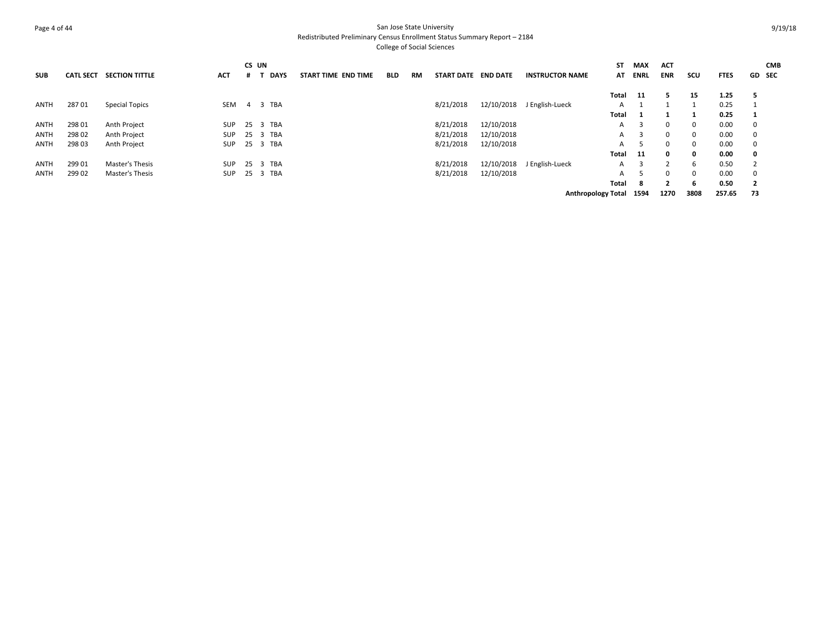## Page 4 of 44 San Jose State University Redistributed Preliminary Census Enrollment Status Summary Report – 2184 College of Social Sciences

**SUB CATL SECT SECTION TITTLE ACT CS UN# T DAYS START TIME END TIME BLD RM START DATE END DATE INSTRUCTOR NAME STMAX ACT ATENRLENR SCU FTES GD CMB SECTotal 11 5 15 1.25 5** ANTH 287 01 Special Topics SEM 4 3 TBA 8/21/2018 12/10/2018 J English‐Lueck A 1 1 1 0.25 1 **Total 1 1 1 0.25 1** ANTH 298 01 Anth Project SUP 25 3 TBA 8/21/2018 12/10/2018 A 3 0 0 0.00 0 ANTH 298 02 Anth Project SUP 25 3 TBA 8/21/2018 12/10/2018 A 3 0 0 0.00 0 ANTH 298 03 Anth Project SUP 25 3 TBA 8/21/2018 12/10/2018 A 5 0 0 0.00 0 **Total 11 0 0 0.00 0** ANTH 299 01 Master's Thesis SUP 25 3 TBA 8/21/2018 12/10/2018 J English‐Lueck A 3 2 6 0.50 2 ANTH 299 02 Master's Thesis SUP 25 3 TBA 8/21/2018 12/10/2018 A 5 0 0 0.00 0 **Total 8 2 6 0.50 2 Anthropology Total 1594 1270 3808 257.65 73**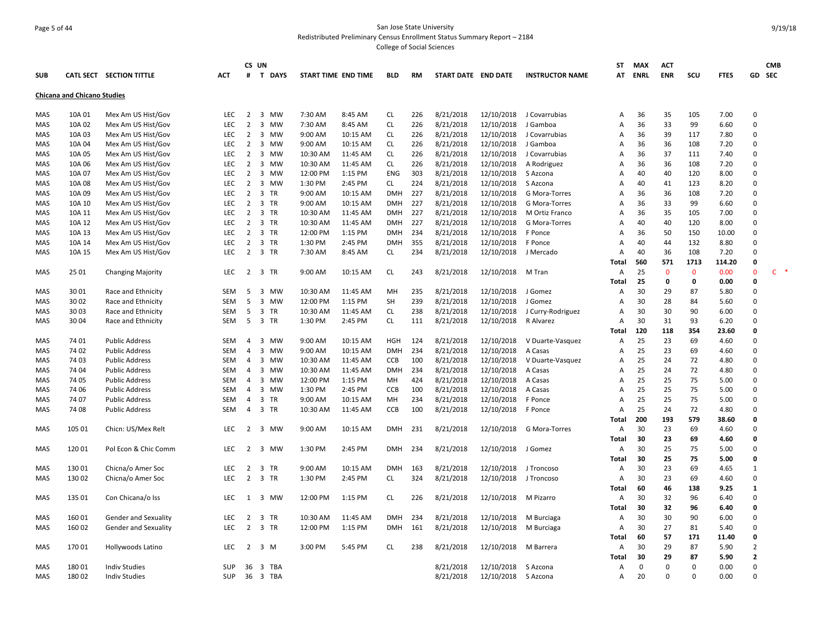## Page 5 of 44 San Jose State University Redistributed Preliminary Census Enrollment Status Summary Report – 2184

|            |                                    |                          |            |                | CS UN                          |                     |          |            |           |                     |            |                        | ST             | <b>MAX</b>  | <b>ACT</b> |              |             |                | <b>CMB</b> |
|------------|------------------------------------|--------------------------|------------|----------------|--------------------------------|---------------------|----------|------------|-----------|---------------------|------------|------------------------|----------------|-------------|------------|--------------|-------------|----------------|------------|
| <b>SUB</b> |                                    | CATL SECT SECTION TITTLE | <b>ACT</b> | #              | <b>T DAYS</b>                  | START TIME END TIME |          | <b>BLD</b> | <b>RM</b> | START DATE END DATE |            | <b>INSTRUCTOR NAME</b> | AT             | <b>ENRL</b> | <b>ENR</b> | SCU          | <b>FTES</b> | GD             | <b>SEC</b> |
|            | <b>Chicana and Chicano Studies</b> |                          |            |                |                                |                     |          |            |           |                     |            |                        |                |             |            |              |             |                |            |
| <b>MAS</b> | 10A 01                             | Mex Am US Hist/Gov       | <b>LEC</b> | 2              | 3 MW                           | 7:30 AM             | 8:45 AM  | <b>CL</b>  | 226       | 8/21/2018           | 12/10/2018 | J Covarrubias          | A              | 36          | 35         | 105          | 7.00        | $\mathbf 0$    |            |
| MAS        | 10A 02                             | Mex Am US Hist/Gov       | LEC        | $\overline{2}$ | 3 MW                           | 7:30 AM             | 8:45 AM  | <b>CL</b>  | 226       | 8/21/2018           | 12/10/2018 | J Gamboa               | A              | 36          | 33         | 99           | 6.60        | $\mathbf 0$    |            |
| MAS        | 10A 03                             | Mex Am US Hist/Gov       | <b>LEC</b> | 2              | 3 MW                           | 9:00 AM             | 10:15 AM | <b>CL</b>  | 226       | 8/21/2018           | 12/10/2018 | J Covarrubias          | A              | 36          | 39         | 117          | 7.80        | $\mathbf 0$    |            |
| MAS        | 10A 04                             | Mex Am US Hist/Gov       | LEC.       | 2              | 3 MW                           | 9:00 AM             | 10:15 AM | <b>CL</b>  | 226       | 8/21/2018           | 12/10/2018 | J Gamboa               | A              | 36          | 36         | 108          | 7.20        | $\Omega$       |            |
| MAS        | 10A 05                             | Mex Am US Hist/Gov       | <b>LEC</b> | 2              | 3 MW                           | 10:30 AM            | 11:45 AM | <b>CL</b>  | 226       | 8/21/2018           | 12/10/2018 | J Covarrubias          | A              | 36          | 37         | 111          | 7.40        | $\Omega$       |            |
| MAS        | 10A 06                             | Mex Am US Hist/Gov       | <b>LEC</b> | 2              | 3 MW                           | 10:30 AM            | 11:45 AM | <b>CL</b>  | 226       | 8/21/2018           | 12/10/2018 | A Rodriguez            | A              | 36          | 36         | 108          | 7.20        | $\Omega$       |            |
| MAS        | 10A 07                             | Mex Am US Hist/Gov       | <b>LEC</b> | $\overline{2}$ | 3 MW                           | 12:00 PM            | 1:15 PM  | <b>ENG</b> | 303       | 8/21/2018           | 12/10/2018 | S Azcona               | A              | 40          | 40         | 120          | 8.00        | $\Omega$       |            |
| MAS        | 10A 08                             | Mex Am US Hist/Gov       | <b>LEC</b> | $\overline{2}$ | 3 MW                           | 1:30 PM             | 2:45 PM  | <b>CL</b>  | 224       | 8/21/2018           | 12/10/2018 | S Azcona               | A              | 40          | 41         | 123          | 8.20        | $\Omega$       |            |
| MAS        | 10A 09                             | Mex Am US Hist/Gov       | LEC        | $\overline{2}$ | 3 TR                           | 9:00 AM             | 10:15 AM | <b>DMH</b> | 227       | 8/21/2018           | 12/10/2018 | G Mora-Torres          | A              | 36          | 36         | 108          | 7.20        | $\mathbf 0$    |            |
| MAS        | 10A 10                             | Mex Am US Hist/Gov       | <b>LEC</b> | $\overline{2}$ | 3 TR                           | 9:00 AM             | 10:15 AM | <b>DMH</b> | 227       | 8/21/2018           | 12/10/2018 | G Mora-Torres          | A              | 36          | 33         | 99           | 6.60        | $\Omega$       |            |
| MAS        | 10A 11                             | Mex Am US Hist/Gov       | LEC        | $\overline{2}$ | 3 TR                           | 10:30 AM            | 11:45 AM | <b>DMH</b> | 227       | 8/21/2018           | 12/10/2018 | M Ortiz Franco         | A              | 36          | 35         | 105          | 7.00        | $\mathbf 0$    |            |
| MAS        | 10A 12                             | Mex Am US Hist/Gov       | <b>LEC</b> | $\overline{2}$ | 3 TR                           | 10:30 AM            | 11:45 AM | <b>DMH</b> | 227       | 8/21/2018           | 12/10/2018 | G Mora-Torres          | A              | 40          | 40         | 120          | 8.00        | $\Omega$       |            |
| MAS        | 10A 13                             | Mex Am US Hist/Gov       | <b>LEC</b> | 2              | 3 TR                           | 12:00 PM            | 1:15 PM  | <b>DMH</b> | 234       | 8/21/2018           | 12/10/2018 | F Ponce                | A              | 36          | 50         | 150          | 10.00       | $\Omega$       |            |
| MAS        | 10A 14                             | Mex Am US Hist/Gov       | LEC        | $\overline{2}$ | 3 TR                           | 1:30 PM             | 2:45 PM  | <b>DMH</b> | 355       | 8/21/2018           | 12/10/2018 | F Ponce                | A              | 40          | 44         | 132          | 8.80        | $\mathbf 0$    |            |
| MAS        | 10A 15                             | Mex Am US Hist/Gov       | <b>LEC</b> | 2              | 3 TR                           | 7:30 AM             | 8:45 AM  | CL.        | 234       | 8/21/2018           | 12/10/2018 | J Mercado              | A              | 40          | 36         | 108          | 7.20        | $\Omega$       |            |
|            |                                    |                          |            |                |                                |                     |          |            |           |                     |            |                        | Total          | 560         | 571        | 1713         | 114.20      | $\mathbf 0$    |            |
| MAS        | 25 01                              | <b>Changing Majority</b> | <b>LEC</b> |                | 2 3 TR                         | 9:00 AM             | 10:15 AM | <b>CL</b>  | 243       | 8/21/2018           | 12/10/2018 | M Tran                 | A              | 25          | $\Omega$   | $\mathbf{0}$ | 0.00        | $\Omega$       | $C$ *      |
|            |                                    |                          |            |                |                                |                     |          |            |           |                     |            |                        | Total          | 25          | 0          | 0            | 0.00        | $\mathbf 0$    |            |
| MAS        | 30 01                              | Race and Ethnicity       | SEM        | 5              | 3 MW                           | 10:30 AM            | 11:45 AM | MH         | 235       | 8/21/2018           | 12/10/2018 | J Gomez                | A              | 30          | 29         | 87           | 5.80        | $\mathbf 0$    |            |
| MAS        | 30 02                              | Race and Ethnicity       | <b>SEM</b> | 5              | 3 MW                           | 12:00 PM            | 1:15 PM  | <b>SH</b>  | 239       | 8/21/2018           | 12/10/2018 | J Gomez                | $\overline{A}$ | 30          | 28         | 84           | 5.60        | $\Omega$       |            |
| MAS        | 30 03                              | Race and Ethnicity       | SEM        | 5              | 3 TR                           | 10:30 AM            | 11:45 AM | <b>CL</b>  | 238       | 8/21/2018           | 12/10/2018 | J Curry-Rodriguez      | A              | 30          | 30         | 90           | 6.00        | $\Omega$       |            |
| MAS        | 30 04                              | Race and Ethnicity       | SEM        | 5              | 3 TR                           | 1:30 PM             | 2:45 PM  | <b>CL</b>  | 111       | 8/21/2018           | 12/10/2018 | R Alvarez              | A              | 30          | 31         | 93           | 6.20        | $\Omega$       |            |
|            |                                    |                          |            |                |                                |                     |          |            |           |                     |            |                        | Total          | 120         | 118        | 354          | 23.60       | $\mathbf{0}$   |            |
| MAS        | 74 01                              | <b>Public Address</b>    | <b>SEM</b> | $\overline{4}$ | 3 MW                           | 9:00 AM             | 10:15 AM | <b>HGH</b> | 124       | 8/21/2018           | 12/10/2018 | V Duarte-Vasquez       | A              | 25          | 23         | 69           | 4.60        | $\Omega$       |            |
|            | 74 02                              |                          | SEM        | $\overline{4}$ | 3 MW                           | 9:00 AM             | 10:15 AM | <b>DMH</b> | 234       | 8/21/2018           | 12/10/2018 |                        | A              | 25          | 23         | 69           |             | $\mathbf 0$    |            |
| MAS        | 74 03                              | <b>Public Address</b>    | <b>SEM</b> | $\overline{4}$ |                                |                     |          |            | 100       |                     |            | A Casas                |                | 25          | 24         | 72           | 4.60        | $\Omega$       |            |
| MAS        |                                    | <b>Public Address</b>    |            |                | 3 MW                           | 10:30 AM            | 11:45 AM | <b>CCB</b> |           | 8/21/2018           | 12/10/2018 | V Duarte-Vasquez       | A<br>A         | 25          |            | 72           | 4.80        | $\mathbf 0$    |            |
| MAS        | 74 04                              | <b>Public Address</b>    | SEM        | 4              | 3 MW                           | 10:30 AM            | 11:45 AM | <b>DMH</b> | 234       | 8/21/2018           | 12/10/2018 | A Casas                |                |             | 24         |              | 4.80        |                |            |
| MAS        | 74 05                              | <b>Public Address</b>    | <b>SEM</b> | $\overline{4}$ | 3 MW                           | 12:00 PM            | 1:15 PM  | MH         | 424       | 8/21/2018           | 12/10/2018 | A Casas                | A              | 25          | 25         | 75           | 5.00        | $\Omega$       |            |
| MAS        | 74 06                              | <b>Public Address</b>    | <b>SEM</b> | $\overline{4}$ | 3 MW                           | 1:30 PM             | 2:45 PM  | <b>CCB</b> | 100       | 8/21/2018           | 12/10/2018 | A Casas                | A              | 25          | 25         | 75           | 5.00        | $\Omega$       |            |
| MAS        | 74 07                              | <b>Public Address</b>    | <b>SEM</b> | 4              | 3 TR                           | 9:00 AM             | 10:15 AM | MH         | 234       | 8/21/2018           | 12/10/2018 | F Ponce                | A              | 25          | 25         | 75           | 5.00        | $\mathbf 0$    |            |
| MAS        | 74 08                              | <b>Public Address</b>    | <b>SEM</b> | $\overline{4}$ | 3 TR                           | 10:30 AM            | 11:45 AM | <b>CCB</b> | 100       | 8/21/2018           | 12/10/2018 | F Ponce                | $\overline{A}$ | 25          | 24         | 72           | 4.80        | $\Omega$       |            |
|            |                                    |                          |            |                |                                |                     |          |            |           |                     |            |                        | Total          | 200         | 193        | 579          | 38.60       | $\mathbf 0$    |            |
| MAS        | 105 01                             | Chicn: US/Mex Relt       | <b>LEC</b> | 2              | 3 MW                           | 9:00 AM             | 10:15 AM | <b>DMH</b> | 231       | 8/21/2018           | 12/10/2018 | G Mora-Torres          | A              | 30          | 23         | 69           | 4.60        | $\Omega$       |            |
|            |                                    |                          |            |                |                                |                     |          |            |           |                     |            |                        | Total          | 30          | 23         | 69           | 4.60        | $\mathbf{0}$   |            |
| MAS        | 12001                              | Pol Econ & Chic Comm     | <b>LEC</b> | 2              | 3 MW                           | 1:30 PM             | 2:45 PM  | <b>DMH</b> | 234       | 8/21/2018           | 12/10/2018 | J Gomez                | A              | 30          | 25         | 75           | 5.00        | $\Omega$       |            |
|            |                                    |                          |            |                |                                |                     |          |            |           |                     |            |                        | Total          | 30          | 25         | 75           | 5.00        | $\mathbf{0}$   |            |
| MAS        | 13001                              | Chicna/o Amer Soc        | LEC        | 2              | 3 TR                           | 9:00 AM             | 10:15 AM | <b>DMH</b> | 163       | 8/21/2018           | 12/10/2018 | J Troncoso             | A              | 30          | 23         | 69           | 4.65        | 1              |            |
| MAS        | 130 02                             | Chicna/o Amer Soc        | <b>LEC</b> | 2              | 3 TR                           | 1:30 PM             | 2:45 PM  | <b>CL</b>  | 324       | 8/21/2018           | 12/10/2018 | J Troncoso             | A              | 30          | 23         | 69           | 4.60        | $\Omega$       |            |
|            |                                    |                          |            |                |                                |                     |          |            |           |                     |            |                        | Total          | 60          | 46         | 138          | 9.25        | 1              |            |
| MAS        | 135 01                             | Con Chicana/o Iss        | <b>LEC</b> | 1              | 3 MW                           | 12:00 PM            | 1:15 PM  | <b>CL</b>  | 226       | 8/21/2018           | 12/10/2018 | M Pizarro              | A              | 30          | 32         | 96           | 6.40        | $\Omega$       |            |
|            |                                    |                          |            |                |                                |                     |          |            |           |                     |            |                        | Total          | 30          | 32         | 96           | 6.40        | $\mathbf 0$    |            |
| MAS        | 16001                              | Gender and Sexuality     | <b>LEC</b> | 2              | 3<br>TR                        | 10:30 AM            | 11:45 AM | <b>DMH</b> | 234       | 8/21/2018           | 12/10/2018 | M Burciaga             | A              | 30          | 30         | 90           | 6.00        | $\Omega$       |            |
| MAS        | 160 02                             | Gender and Sexuality     | <b>LEC</b> | $\overline{2}$ | 3 TR                           | 12:00 PM            | 1:15 PM  | <b>DMH</b> | 161       | 8/21/2018           | 12/10/2018 | M Burciaga             | Α              | 30          | 27         | 81           | 5.40        | $\mathbf 0$    |            |
|            |                                    |                          |            |                |                                |                     |          |            |           |                     |            |                        | Total          | 60          | 57         | 171          | 11.40       | 0              |            |
| MAS        | 17001                              | Hollywoods Latino        | <b>LEC</b> | $\overline{2}$ | 3 M                            | 3:00 PM             | 5:45 PM  | CL.        | 238       | 8/21/2018           | 12/10/2018 | M Barrera              | A              | 30          | 29         | 87           | 5.90        | $\overline{2}$ |            |
|            |                                    |                          |            |                |                                |                     |          |            |           |                     |            |                        | Total          | 30          | 29         | 87           | 5.90        | $\overline{2}$ |            |
| <b>MAS</b> | 18001                              | <b>Indiv Studies</b>     | <b>SUP</b> | 36             | $\overline{\mathbf{3}}$<br>TBA |                     |          |            |           | 8/21/2018           | 12/10/2018 | S Azcona               | A              | $\Omega$    | $\Omega$   | $\Omega$     | 0.00        | $\Omega$       |            |
| MAS        | 18002                              | <b>Indiv Studies</b>     | <b>SUP</b> |                | 36 3 TBA                       |                     |          |            |           | 8/21/2018           | 12/10/2018 | S Azcona               | $\mathsf{A}$   | 20          | $\Omega$   | $\Omega$     | 0.00        | $\Omega$       |            |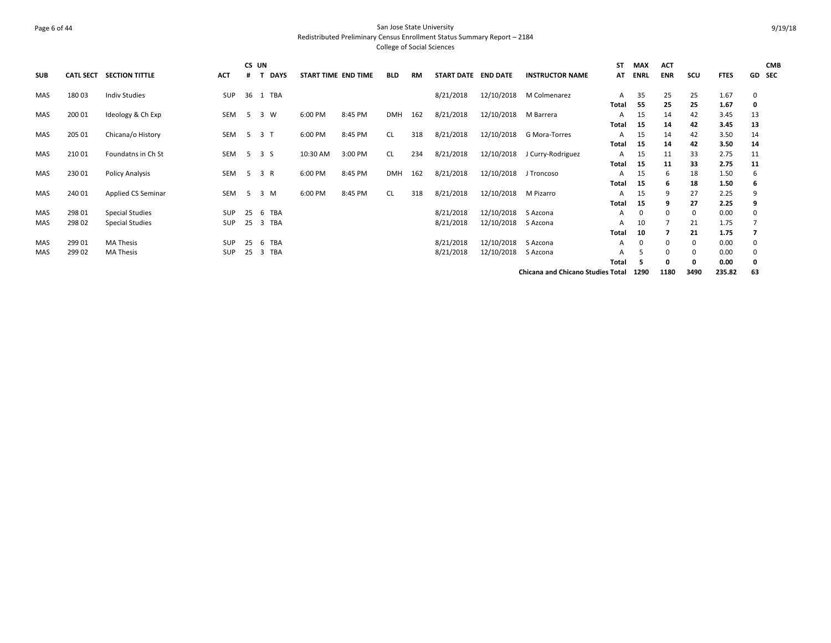## Page 6 of 44 San Jose State University Redistributed Preliminary Census Enrollment Status Summary Report – 2184 College of Social Sciences

| <b>SUB</b> | <b>CATL SECT</b> | <b>SECTION TITTLE</b>  | ACT        | CS UN<br># | <b>DAYS</b>    | START TIME END TIME |         | <b>BLD</b> | RM  | START DATE END DATE |                       | <b>INSTRUCTOR NAME</b>                   | ST<br>AT | <b>MAX</b><br><b>ENRL</b> | <b>ACT</b><br><b>ENR</b> | scu  | <b>FTES</b> |    | <b>CMB</b><br>GD SEC |
|------------|------------------|------------------------|------------|------------|----------------|---------------------|---------|------------|-----|---------------------|-----------------------|------------------------------------------|----------|---------------------------|--------------------------|------|-------------|----|----------------------|
| MAS        | 18003            | <b>Indiv Studies</b>   | SUP        | 36         | 1 TBA          |                     |         |            |     | 8/21/2018           | 12/10/2018            | M Colmenarez                             | A        | 35                        | 25                       | 25   | 1.67        | 0  |                      |
|            |                  |                        |            |            |                |                     |         |            |     |                     |                       |                                          | Total    | 55                        | 25                       | 25   | 1.67        | 0  |                      |
| MAS        | 200 01           | Ideology & Ch Exp      | SEM        | 5          | 3 W            | 6:00 PM             | 8:45 PM | <b>DMH</b> | 162 | 8/21/2018           | 12/10/2018            | M Barrera                                | A        | 15                        | 14                       | 42   | 3.45        | 13 |                      |
|            |                  |                        |            |            |                |                     |         |            |     |                     |                       |                                          | Total    | 15                        | 14                       | 42   | 3.45        | 13 |                      |
| MAS        | 205 01           | Chicana/o History      | SEM        | - 5        | 3 <sub>1</sub> | 6:00 PM             | 8:45 PM | <b>CL</b>  | 318 | 8/21/2018           | 12/10/2018            | G Mora-Torres                            | A        | 15                        | 14                       | 42   | 3.50        | 14 |                      |
|            |                  |                        |            |            |                |                     |         |            |     |                     |                       |                                          | Total    | 15                        | 14                       | 42   | 3.50        | 14 |                      |
| MAS        | 210 01           | Foundatns in Ch St     | SEM        |            | 5 3 S          | 10:30 AM            | 3:00 PM | <b>CL</b>  | 234 | 8/21/2018           | 12/10/2018            | J Curry-Rodriguez                        | A        | 15                        | 11                       | 33   | 2.75        | 11 |                      |
|            |                  |                        |            |            |                |                     |         |            |     |                     |                       |                                          | Total    | -15                       | 11                       | 33   | 2.75        | 11 |                      |
| MAS        | 230 01           | Policy Analysis        | SEM        | 5          | 3 R            | 6:00 PM             | 8:45 PM | <b>DMH</b> | 162 | 8/21/2018           | 12/10/2018 J Troncoso |                                          | A        | 15                        | 6                        | 18   | 1.50        | 6  |                      |
|            |                  |                        |            |            |                |                     |         |            |     |                     |                       |                                          | Total    | 15                        | -6                       | 18   | 1.50        | 6  |                      |
| MAS        | 240 01           | Applied CS Seminar     | SEM        | -5         | 3 M            | 6:00 PM             | 8:45 PM | CL         | 318 | 8/21/2018           | 12/10/2018            | M Pizarro                                | A        | 15                        | 9                        | 27   | 2.25        | 9  |                      |
|            |                  |                        |            |            |                |                     |         |            |     |                     |                       |                                          | Total    | 15                        |                          | 27   | 2.25        | 9  |                      |
| <b>MAS</b> | 298 01           | <b>Special Studies</b> | <b>SUP</b> | 25         | 6 TBA          |                     |         |            |     | 8/21/2018           | 12/10/2018            | S Azcona                                 | A        | 0                         | $\Omega$                 | 0    | 0.00        | 0  |                      |
| <b>MAS</b> | 298 02           | <b>Special Studies</b> | <b>SUP</b> | 25         | 3 TBA          |                     |         |            |     | 8/21/2018           | 12/10/2018            | S Azcona                                 | A        | 10                        |                          | 21   | 1.75        |    |                      |
|            |                  |                        |            |            |                |                     |         |            |     |                     |                       |                                          | Total    | 10                        |                          | 21   | 1.75        | 7  |                      |
| <b>MAS</b> | 299 01           | <b>MA Thesis</b>       | <b>SUP</b> | 25         | 6 TBA          |                     |         |            |     | 8/21/2018           | 12/10/2018            | S Azcona                                 | A        | 0                         | $\Omega$                 | 0    | 0.00        | 0  |                      |
| <b>MAS</b> | 299 02           | <b>MA Thesis</b>       | <b>SUP</b> | 25         | 3 TBA          |                     |         |            |     | 8/21/2018           | 12/10/2018            | S Azcona                                 | А        | 5                         | $\Omega$                 | 0    | 0.00        | 0  |                      |
|            |                  |                        |            |            |                |                     |         |            |     |                     |                       |                                          | Total    |                           | o                        | 0    | 0.00        | 0  |                      |
|            |                  |                        |            |            |                |                     |         |            |     |                     |                       | <b>Chicana and Chicano Studies Total</b> |          | 1290                      | 1180                     | 3490 | 235.82      | 63 |                      |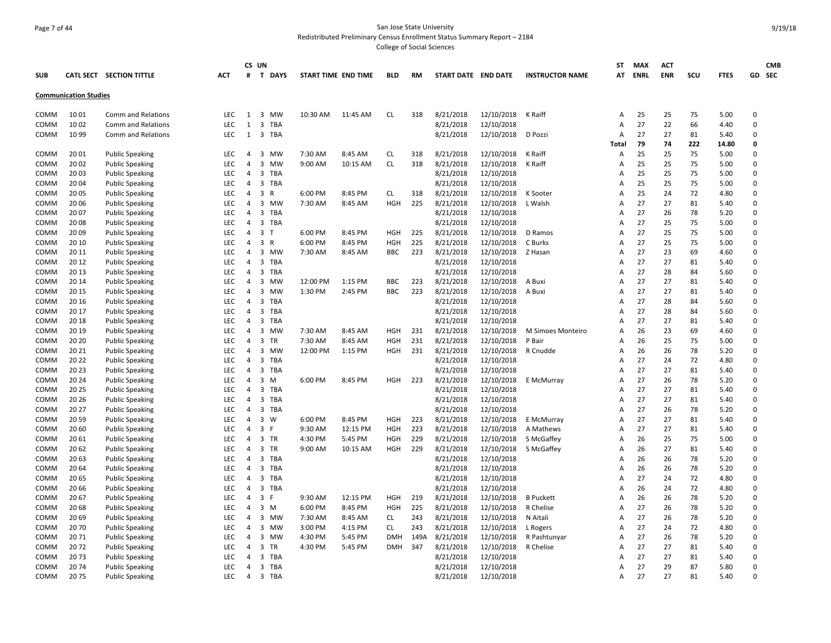## Page 7 of 44 San Jose State University Redistributed Preliminary Census Enrollment Status Summary Report – 2184

|                     |                              |                           |                   |                     | CS UN                 |                     |          |                          |      |                        |                          |                        | <b>ST</b>           | MAX      | <b>ACT</b> |          |              |                         | <b>CMB</b> |
|---------------------|------------------------------|---------------------------|-------------------|---------------------|-----------------------|---------------------|----------|--------------------------|------|------------------------|--------------------------|------------------------|---------------------|----------|------------|----------|--------------|-------------------------|------------|
| <b>SUB</b>          |                              | CATL SECT SECTION TITTLE  | <b>ACT</b>        | #                   | <b>T DAYS</b>         | START TIME END TIME |          | <b>BLD</b>               | RM   | START DATE END DATE    |                          | <b>INSTRUCTOR NAME</b> |                     | AT ENRL  | <b>ENR</b> | scu      | <b>FTES</b>  |                         | GD SEC     |
|                     | <b>Communication Studies</b> |                           |                   |                     |                       |                     |          |                          |      |                        |                          |                        |                     |          |            |          |              |                         |            |
| COMM                | 10 01                        | Comm and Relations        | LEC               | 1                   | 3 MW                  | 10:30 AM            | 11:45 AM | <b>CL</b>                | 318  | 8/21/2018              | 12/10/2018               | K Raiff                | Α                   | 25       | 25         | 75       | 5.00         | $\Omega$                |            |
| COMM                | 10 02                        | Comm and Relations        | LEC               | 1                   | 3 TBA                 |                     |          |                          |      | 8/21/2018              | 12/10/2018               |                        | Α                   | 27       | 22         | 66       | 4.40         | 0                       |            |
| COMM                | 10 99                        | <b>Comm and Relations</b> | <b>LEC</b>        | 1                   | 3 TBA                 |                     |          |                          |      | 8/21/2018              | 12/10/2018               | D Pozzi                | $\overline{A}$      | 27       | 27         | 81       | 5.40         | $\Omega$                |            |
|                     |                              |                           |                   |                     |                       |                     |          |                          |      |                        |                          |                        | Total               | 79       | 74         | 222      | 14.80        | 0                       |            |
| COMM                | 20 01                        | <b>Public Speaking</b>    | <b>LEC</b>        | $\overline{4}$      | 3 MW                  | 7:30 AM             | 8:45 AM  | <b>CL</b>                | 318  | 8/21/2018              | 12/10/2018               | K Raiff                | A                   | 25       | 25         | 75       | 5.00         | $\Omega$                |            |
| COMM                | 20 02                        | <b>Public Speaking</b>    | LEC               | $\overline{4}$      | 3 MW                  | 9:00 AM             | 10:15 AM | <b>CL</b>                | 318  | 8/21/2018              | 12/10/2018               | K Raiff                | Α                   | 25       | 25         | 75       | 5.00         | $\Omega$                |            |
| COMM                | 20 03                        | <b>Public Speaking</b>    | LEC               | 4                   | 3 TBA                 |                     |          |                          |      | 8/21/2018              | 12/10/2018               |                        | Α                   | 25       | 25         | 75       | 5.00         | $\Omega$                |            |
| <b>COMM</b>         | 20 04                        | <b>Public Speaking</b>    | <b>LEC</b>        | 4                   | 3 TBA                 |                     |          |                          |      | 8/21/2018              | 12/10/2018               |                        | A                   | 25       | 25         | 75       | 5.00         | $\Omega$                |            |
| COMM                | 20 05                        | <b>Public Speaking</b>    | <b>LEC</b>        | 4                   | 3<br>R                | 6:00 PM             | 8:45 PM  | <b>CL</b>                | 318  | 8/21/2018              | 12/10/2018               | K Sooter               | A                   | 25       | 24         | 72       | 4.80         | 0                       |            |
| COMM                | 20 06                        | <b>Public Speaking</b>    | <b>LEC</b>        | $\overline{4}$      | 3 MW                  | 7:30 AM             | 8:45 AM  | <b>HGH</b>               | 225  | 8/21/2018              | 12/10/2018               | L Walsh                | Α                   | 27       | 27         | 81       | 5.40         | $\Omega$                |            |
| <b>COMM</b>         | 20 07                        | <b>Public Speaking</b>    | LEC.              | $\overline{a}$      | 3<br>TBA              |                     |          |                          |      | 8/21/2018              | 12/10/2018               |                        | A                   | 27       | 26         | 78       | 5.20         | $\Omega$                |            |
| COMM                | 20 08                        | <b>Public Speaking</b>    | LEC               | $\overline{4}$      | 3 TBA                 |                     |          |                          |      | 8/21/2018              | 12/10/2018               |                        | A                   | 27       | 25         | 75       | 5.00         | 0                       |            |
| COMM                | 20 09                        | <b>Public Speaking</b>    | <b>LEC</b>        | $\overline{4}$      | 3 <sub>1</sub>        | 6:00 PM             | 8:45 PM  | <b>HGH</b>               | 225  | 8/21/2018              | 12/10/2018               | D Ramos                | A                   | 27       | 25         | 75       | 5.00         | 0                       |            |
| COMM                | 20 10                        | <b>Public Speaking</b>    | <b>LEC</b>        | 4                   | 3 R                   | 6:00 PM             | 8:45 PM  | <b>HGH</b>               | 225  | 8/21/2018              | 12/10/2018               | C Burks                | A                   | 27       | 25         | 75       | 5.00         | $\Omega$                |            |
| COMM                | 20 11                        | <b>Public Speaking</b>    | LEC               | $\overline{4}$      | 3 MW                  | 7:30 AM             | 8:45 AM  | BBC                      | 223  | 8/21/2018              | 12/10/2018               | Z Hasan                | A                   | 27       | 23         | 69       | 4.60         | $\Omega$                |            |
| <b>COMM</b>         | 20 12                        | <b>Public Speaking</b>    | <b>LEC</b>        | $\overline{a}$      | $\overline{3}$<br>TBA |                     |          |                          |      | 8/21/2018              | 12/10/2018               |                        | A                   | 27       | 27         | 81       | 5.40         | $\Omega$                |            |
| COMM                | 20 13                        | <b>Public Speaking</b>    | LEC               | 4                   | 3 TBA                 |                     |          |                          |      | 8/21/2018              | 12/10/2018               |                        | A                   | 27       | 28         | 84       | 5.60         | $\Omega$                |            |
| COMM                | 20 14                        | <b>Public Speaking</b>    | <b>LEC</b>        | 4                   | 3 MW                  | 12:00 PM            | 1:15 PM  | <b>BBC</b>               | 223  | 8/21/2018              | 12/10/2018               | A Buxi                 | A                   | 27       | 27         | 81       | 5.40         | 0                       |            |
| COMM                | 20 15                        | <b>Public Speaking</b>    | LEC.              | 4                   | 3 MW                  | 1:30 PM             | 2:45 PM  | BBC                      | 223  | 8/21/2018              | 12/10/2018               | A Buxi                 | A                   | 27       | 27         | 81       | 5.40         | $\Omega$                |            |
| COMM                | 20 16                        | <b>Public Speaking</b>    | <b>LEC</b>        | 4                   | 3 TBA                 |                     |          |                          |      | 8/21/2018              | 12/10/2018               |                        | A                   | 27       | 28         | 84       | 5.60         | $\Omega$                |            |
| COMM                | 20 17                        | <b>Public Speaking</b>    | <b>LEC</b>        | $\overline{4}$      | 3<br>TBA              |                     |          |                          |      | 8/21/2018              | 12/10/2018               |                        | Α                   | 27       | 28         | 84       | 5.60         | $\Omega$                |            |
| COMM                | 20 18                        | <b>Public Speaking</b>    | LEC               | $\overline{4}$      | 3 TBA                 |                     |          |                          |      | 8/21/2018              | 12/10/2018               |                        | Α                   | 27       | 27         | 81       | 5.40         | $\Omega$                |            |
| COMM                | 20 19                        | <b>Public Speaking</b>    | <b>LEC</b>        | 4                   | 3 MW                  | 7:30 AM             | 8:45 AM  | HGH                      | 231  | 8/21/2018              | 12/10/2018               | M Simoes Monteiro      | Α                   | 26       | 23         | 69       | 4.60         | $\Omega$                |            |
| COMM                | 20 20                        | <b>Public Speaking</b>    | LEC               | 4                   | $\mathbf{3}$<br>TR    | 7:30 AM             | 8:45 AM  | <b>HGH</b>               | 231  | 8/21/2018              | 12/10/2018               | P Bair                 | Α                   | 26       | 25         | 75       | 5.00         | $\Omega$                |            |
| COMM                | 20 21                        | <b>Public Speaking</b>    | <b>LEC</b>        | 4                   | 3 MW                  | 12:00 PM            | 1:15 PM  | HGH                      | 231  | 8/21/2018              | 12/10/2018               | R Cnudde               | A                   | 26       | 26         | 78       | 5.20         | $\Omega$                |            |
| COMM                | 20 22                        | <b>Public Speaking</b>    | <b>LEC</b>        | 4                   | 3 TBA                 |                     |          |                          |      | 8/21/2018              | 12/10/2018               |                        | $\overline{A}$      | 27       | 24         | 72       | 4.80         | $\Omega$                |            |
| COMM                | 20 23                        | <b>Public Speaking</b>    | LEC               | $\overline{4}$      | 3 TBA                 |                     |          |                          |      | 8/21/2018              | 12/10/2018               |                        | $\overline{A}$      | 27       | 27         | 81       | 5.40         | $\Omega$                |            |
| COMM                | 20 24                        | <b>Public Speaking</b>    | <b>LEC</b>        | $\overline{4}$      | 3<br>M                | 6:00 PM             | 8:45 PM  | <b>HGH</b>               | 223  | 8/21/2018              | 12/10/2018               | E McMurray             | Α                   | 27       | 26         | 78       | 5.20         | $\Omega$                |            |
| COMM                | 20 25                        | <b>Public Speaking</b>    | <b>LEC</b>        | $\overline{4}$      | 3 TBA                 |                     |          |                          |      | 8/21/2018              | 12/10/2018               |                        | $\overline{A}$      | 27       | 27         | 81       | 5.40         | $\Omega$                |            |
| COMM                | 20 26                        | <b>Public Speaking</b>    | LEC               | 4                   | 3 TBA                 |                     |          |                          |      | 8/21/2018              | 12/10/2018               |                        | A                   | 27       | 27         | 81       | 5.40         | 0                       |            |
| COMM                | 20 27                        | <b>Public Speaking</b>    | <b>LEC</b>        | $\overline{4}$      | 3 TBA                 |                     |          |                          |      | 8/21/2018              | 12/10/2018               |                        | $\overline{A}$      | 27       | 26         | 78       | 5.20         | $\Omega$                |            |
| COMM                | 20 59                        | <b>Public Speaking</b>    | LEC               | $\overline{4}$      | 3 W                   | 6:00 PM             | 8:45 PM  | <b>HGH</b>               | 223  | 8/21/2018              | 12/10/2018               | E McMurray             | $\overline{A}$      | 27       | 27         | 81       | 5.40         | $\Omega$                |            |
| COMM                | 20 60                        | <b>Public Speaking</b>    | <b>LEC</b>        | $\overline{4}$      | 3 F                   | 9:30 AM             | 12:15 PM | <b>HGH</b>               | 223  | 8/21/2018              | 12/10/2018               | A Mathews              | A                   | 27       | 27         | 81       | 5.40         | $\Omega$                |            |
| COMM                | 20 61                        | <b>Public Speaking</b>    | <b>LEC</b>        | $\overline{4}$      | 3 TR                  | 4:30 PM             | 5:45 PM  | <b>HGH</b>               | 229  | 8/21/2018              | 12/10/2018               | S McGaffey             | $\overline{A}$      | 26       | 25         | 75       | 5.00         | $\Omega$                |            |
| COMM                | 20 62                        | <b>Public Speaking</b>    | LEC               | 4                   | 3 TR                  | 9:00 AM             | 10:15 AM | <b>HGH</b>               | 229  | 8/21/2018              | 12/10/2018               | S McGaffey             | Α                   | 26       | 27         | 81       | 5.40         | 0                       |            |
| <b>COMM</b>         | 20 63                        | <b>Public Speaking</b>    | <b>LEC</b>        | $\overline{4}$      | 3 TBA                 |                     |          |                          |      | 8/21/2018              | 12/10/2018               |                        | Α                   | 26       | 26         | 78       | 5.20         | $\Omega$                |            |
| COMM                | 20 64                        | <b>Public Speaking</b>    | LEC               | 4                   | 3 TBA                 |                     |          |                          |      | 8/21/2018              | 12/10/2018               |                        | $\overline{A}$      | 26       | 26         | 78       | 5.20         | $\Omega$                |            |
| COMM                | 20 65                        | <b>Public Speaking</b>    | <b>LEC</b>        | $\overline{4}$      | 3 TBA                 |                     |          |                          |      | 8/21/2018              | 12/10/2018               |                        | $\overline{A}$      | 27       | 24         | 72       | 4.80         | $\Omega$                |            |
| COMM                | 20 66                        | <b>Public Speaking</b>    | LEC               | $\overline{4}$      | 3 TBA                 |                     |          |                          |      | 8/21/2018              | 12/10/2018               |                        | A                   | 26       | 24         | 72       | 4.80         | $\Omega$                |            |
| COMM                | 20 67                        | <b>Public Speaking</b>    | LEC               | 4                   | 3 F                   | 9:30 AM             | 12:15 PM | <b>HGH</b>               | 219  | 8/21/2018              | 12/10/2018               | <b>B</b> Puckett       | A                   | 26       | 26         | 78       | 5.20         | 0                       |            |
| COMM                | 20 68                        | <b>Public Speaking</b>    | <b>LEC</b>        | $\overline{4}$      | 3 M                   | 6:00 PM             | 8:45 PM  | <b>HGH</b>               | 225  | 8/21/2018              | 12/10/2018               | R Chelise              | Α                   | 27       | 26         | 78       | 5.20         | $\Omega$                |            |
| <b>COMM</b>         | 20 69                        | <b>Public Speaking</b>    | <b>LEC</b>        | 4                   | 3 MW                  | 7:30 AM             | 8:45 AM  | CL.                      | 243  | 8/21/2018              | 12/10/2018               | N Aitali               | $\overline{A}$      | 27<br>27 | 26         | 78<br>72 | 5.20         | $\Omega$<br>$\mathbf 0$ |            |
| COMM                | 2070                         | <b>Public Speaking</b>    | LEC<br><b>LEC</b> | 4<br>4              | 3 MW                  | 3:00 PM             | 4:15 PM  | <b>CL</b>                | 243  | 8/21/2018              | 12/10/2018               | L Rogers               | A                   |          | 24<br>26   |          | 4.80         | $\Omega$                |            |
| COMM                | 2071<br>2072                 | <b>Public Speaking</b>    | LEC               |                     | 3 MW<br>TR            | 4:30 PM<br>4:30 PM  | 5:45 PM  | <b>DMH</b><br><b>DMH</b> | 149A | 8/21/2018<br>8/21/2018 | 12/10/2018<br>12/10/2018 | R Pashtunyar           | $\overline{A}$      | 27<br>27 | 27         | 78       | 5.20         | 0                       |            |
| COMM                | 2073                         | <b>Public Speaking</b>    | LEC               | 4                   | 3<br>3 TBA            |                     | 5:45 PM  |                          | 347  | 8/21/2018              | 12/10/2018               | R Chelise              | A<br>$\overline{A}$ | 27       | 27         | 81<br>81 | 5.40<br>5.40 | 0                       |            |
| COMM<br><b>COMM</b> | 2074                         | <b>Public Speaking</b>    | LEC.              | 4<br>$\overline{4}$ | 3 TBA                 |                     |          |                          |      |                        | 12/10/2018               |                        | A                   | 27       | 29         | 87       | 5.80         | $\Omega$                |            |
| COMM                | 2075                         | <b>Public Speaking</b>    | <b>LEC</b>        | $\overline{4}$      | 3 TBA                 |                     |          |                          |      | 8/21/2018<br>8/21/2018 | 12/10/2018               |                        | $\overline{A}$      | 27       | 27         | 81       | 5.40         | $\Omega$                |            |
|                     |                              | <b>Public Speaking</b>    |                   |                     |                       |                     |          |                          |      |                        |                          |                        |                     |          |            |          |              |                         |            |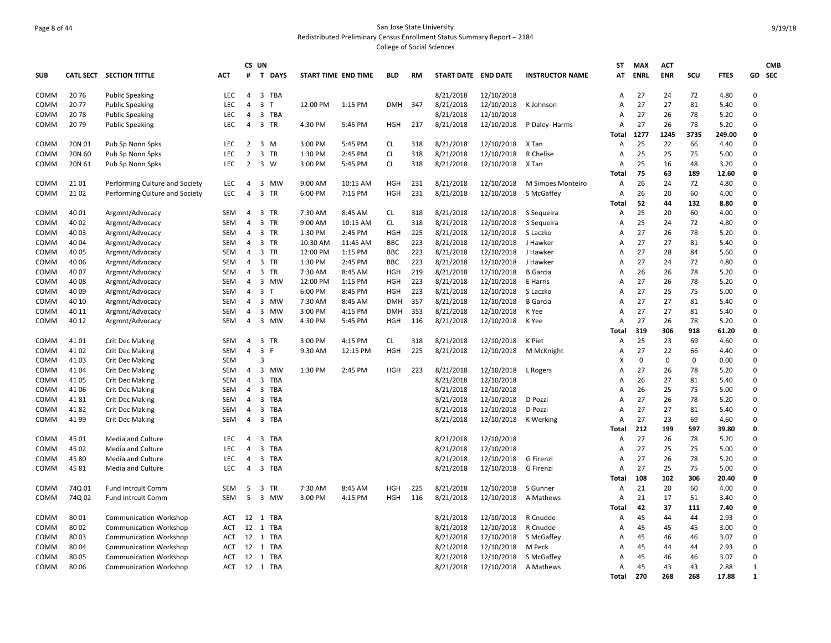#### Page 8 of 44 San Jose State University Redistributed Preliminary Census Enrollment Status Summary Report – 2184 College of Social Sciences

**SUB CATL SECT SECTION TITTLE ACT CS UN#T DAYS START TIME END TIME BLD RM START DATE END DATE INSTRUCTOR NAME STATMAX ENRLACT ENR SCU FTES GD CMB SEC**COMM 20 76 Public Speaking LEC 4 3 TBA 8/21/2018 12/10/2018 A 27 24 72 4.80 0 COMM 20 77 Public Speaking LEC 4 3 T 12:00 PM 1:15 PM DMH 347 8/21/2018 12/10/2018 K Johnson A 27 27 81 5.40 0 COMM 20 78 Public Speaking LEC 4 3 TBA 8/21/2018 12/10/2018 A 27 26 78 5.20 0 COMM 20 79 Public Speaking LEC 4 3 TR 4:30 PM 5:45 PM HGH 217 8/21/2018 12/10/2018 P Daley‐ Harms A 27 26 78 5.20 0 **Total 1277 1245 3735 249.00 0** COMM 20N 01 Pub Sp Nonn Spks LEC 2 3 M 3:00 PM 5:45 PM CL 318 8/21/2018 12/10/2018 X Tan A 25 22 66 4.40 0 COMM 20N 60 Pub Sp Nonn Spks LEC 2 3 TR 1:30 PM 2:45 PM CL 318 8/21/2018 12/10/2018 R Chelise A 25 25 75 5.00 0 COMM 20N 61 Pub Sp Nonn Spks LEC 2 3 W 3:00 PM 5:45 PM CL 318 8/21/2018 12/10/2018 X Tan A 25 16 48 3.20 0 **Total 75 63 189 12.60 0** COMM 21 01 Performing Culture and Society LEC 4 3 MW 9:00 AM 10:15 AM HGH 231 8/21/2018 12/10/2018 M Simoes Monteiro A 26 24 72 4.80 0 COMM 21 02 Performing Culture and Society LEC 4 3 TR 6:00 PM 7:15 PM HGH 231 8/21/2018 12/10/2018 S McGaffey A 26 20 60 4.00 0 **Total 52 44 132 8.80 0** COMM 40 01 Argmnt/Advocacy SEM 4 3 TR 7:30 AM 8:45 AM CL 318 8/21/2018 12/10/2018 S Sequeira A 25 20 60 4.00 0 COMM 40 02 Argmnt/Advocacy SEM 4 3 TR 9:00 AM 10:15 AM CL 318 8/21/2018 12/10/2018 S Sequeira A 25 24 72 4.80 0 COMM 40 03 Argmnt/Advocacy SEM 4 3 TR 1:30 PM 2:45 PM HGH 225 8/21/2018 12/10/2018 S Laczko A 27 26 78 5.20 0 COMM 40 04 Argmnt/Advocacy SEM 4 3 TR 10:30 AM 11:45 AM BBC 223 8/21/2018 12/10/2018 J Hawker A 27 27 81 5.40 0 COMM 40 05 Argmnt/Advocacy SEM 4 3 TR 12:00 PM 1:15 PM BBC 223 8/21/2018 12/10/2018 J Hawker A 27 28 84 5.60 0 COMM 40 06 Argmnt/Advocacy SEM 4 3 TR 1:30 PM 2:45 PM BBC 223 8/21/2018 12/10/2018 J Hawker A 27 24 72 4.80 0 COMM 40 07 Argmnt/Advocacy SEM 4 3 TR 7:30 AM 8:45 AM HGH 219 8/21/2018 12/10/2018 B Garcia A 26 26 78 5.20 0 COMM 40 08 Argmnt/Advocacy SEM 4 3 MW 12:00 PM 1:15 PM HGH 223 8/21/2018 12/10/2018 E Harris A 27 26 78 5.20 0 COMM 40 09 Argmnt/Advocacy SEM 4 3 T 6:00 PM 8:45 PM HGH 223 8/21/2018 12/10/2018 S Laczko A 27 25 75 5.00 0 COMM 40 10 Argmnt/Advocacy SEM 4 3 MW 7:30 AM 8:45 AM DMH 357 8/21/2018 12/10/2018 B Garcia A 27 27 81 5.40 0 COMM 40 11 Argmnt/Advocacy SEM 4 3 MW 3:00 PM 4:15 PM DMH 353 8/21/2018 12/10/2018 K Yee A 27 27 81 5.40 0 COMM 40 12 Argmnt/Advocacy SEM 4 3 MW 4:30 PM 5:45 PM HGH 116 8/21/2018 12/10/2018 K Yee A 27 26 78 5.20 0 **Total 319 306 918 61.20 0** COMM 41 01 Crit Dec Making SEM 4 3 TR 3:00 PM 4:15 PM CL 318 8/21/2018 12/10/2018 K Piet A 25 23 69 4.60 0 COMM 41 02 Crit Dec Making SEM 4 3 F 9:30 AM 12:15 PM HGH 225 8/21/2018 12/10/2018 M McKnight A 27 22 66 4.40 0 COMM 41 03 Crit Dec Making SEM 3 3 SEM 3 SEM 3 SEM SEM 3 SEM 3 SEM 3 SEM 3 SEM 3 SEM 3 SEM 5 SEM 5 SEM 5 SEM 5 SEM 5 SEM 5 SEM 5 SE COMM 41 04 Crit Dec Making SEM 4 3 MW 1:30 PM 2:45 PM HGH 223 8/21/2018 12/10/2018 L Rogers A 27 26 78 5.20 0 COMM 41 05 Crit Dec Making SEM 4 3 TBA 8/21/2018 12/10/2018 A 26 27 81 5.40 0 COMM 41 06 Crit Dec Making SEM 4 3 TBA 8/21/2018 12/10/2018 A 26 25 75 5.00 0 COMM 41 81 Crit Dec Making SEM 4 3 TBA 8/21/2018 12/10/2018 D Pozzi A 27 26 78 5.20 0 COMM 41 82 Crit Dec Making SEM 4 3 TBA 8/21/2018 12/10/2018 D Pozzi A 27 27 81 5.40 0 COMM 41 99 Crit Dec Making SEM 4 3 TBA 8/21/2018 12/10/2018 K Werking A 27 23 69 4.60 0 **Total 212 199 597 39.80 0** COMM 45 01 Media and Culture LEC 4 3 TBA 8/21/2018 12/10/2018 A 27 26 78 5.20 0 COMM 45 02 Media and Culture LEC 4 3 TBA 8/21/2018 12/10/2018 A 27 25 75 5.00 0 COMM 45 80 Media and Culture LEC 4 3 TBA 8/21/2018 12/10/2018 G Firenzi A 27 26 78 5.20 0 COMM 45 81 Media and Culture LEC 4 3 TBA 8/21/2018 12/10/2018 G Firenzi A 27 25 75 5.00 0 **Total 108 102 306 20.40 0** COMM 74Q 01 Fund Intrcult Comm SEM 5 3 TR 7:30 AM 8:45 AM HGH 225 8/21/2018 12/10/2018 S Gunner A 21 20 60 4.00 0 COMM 74Q 02 Fund Intrcult Comm SEM 5 3 MW 3:00 PM 4:15 PM HGH 116 8/21/2018 12/10/2018 A Mathews A 21 17 51 3.40 0 **Total 42 37 111 7.40 0** COMM 80 01 Communication Workshop ACT 12 1 TBA 8/21/2018 12/10/2018 R Cnudde A 45 44 44 2.93 0 COMM 80 02 Communication Workshop ACT 12 1 TBA 8/21/2018 12/10/2018 R Cnudde A 45 45 45 3.00 0 COMM 80 03 Communication Workshop ACT 12 1 TBA 8/21/2018 12/10/2018 S McGaffey A 45 46 46 3.07 0 COMM 80 04 Communication Workshop ACT 12 1 TBA 8/21/2018 12/10/2018 M Peck A 45 44 44 2.93 0 COMM 80 05 Communication Workshop ACT 12 1 TBA 8/21/2018 12/10/2018 S McGaffey A 45 46 46 3.07 0 COMM 80 06 Communication Workshop ACT 12 1 TBA 8/21/2018 12/10/2018 A Mathews A 45 43 43 2.88 1 **Total 270 268 268 17.88 1**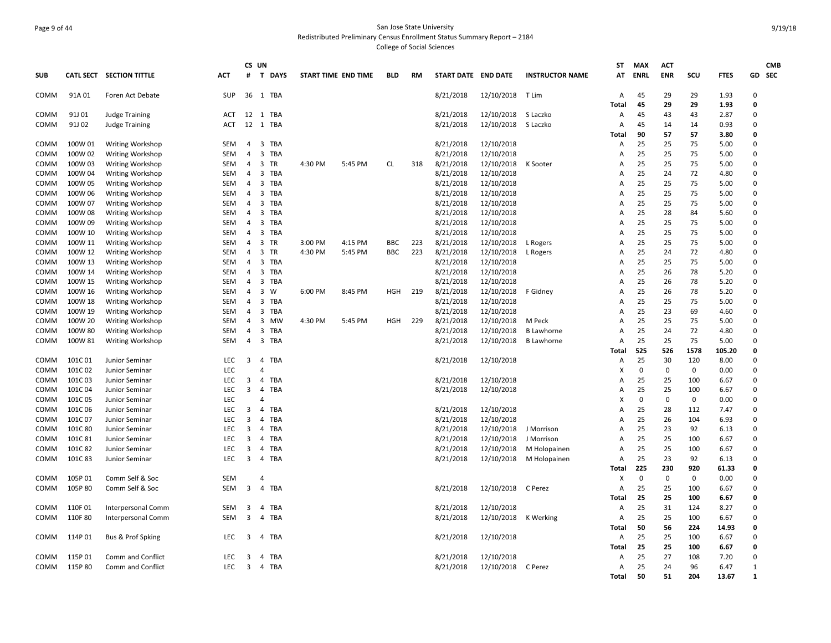## Page 9 of 44 San Jose State University Redistributed Preliminary Census Enrollment Status Summary Report – 2184 College of Social Sciences

|             |         |                          |            |                         | CS UN                 |         |                     |            |     |                     |                    |                        | <b>ST</b>      | <b>MAX</b>  | <b>ACT</b>  |             |               |              | <b>CMB</b> |
|-------------|---------|--------------------------|------------|-------------------------|-----------------------|---------|---------------------|------------|-----|---------------------|--------------------|------------------------|----------------|-------------|-------------|-------------|---------------|--------------|------------|
| <b>SUB</b>  |         | CATL SECT SECTION TITTLE | <b>ACT</b> | #                       | T DAYS                |         | START TIME END TIME | <b>BLD</b> | RM  | START DATE END DATE |                    | <b>INSTRUCTOR NAME</b> | AT             | <b>ENRL</b> | <b>ENR</b>  | SCU         | <b>FTES</b>   |              | GD SEC     |
| COMM        | 91A01   | Foren Act Debate         | <b>SUP</b> |                         | 36 1 TBA              |         |                     |            |     | 8/21/2018           | 12/10/2018 T Lim   |                        | Α              | 45          | 29          | 29          | 1.93          | $\Omega$     |            |
|             |         |                          |            |                         |                       |         |                     |            |     |                     |                    |                        | Total          | 45          | 29          | 29          | 1.93          | 0            |            |
| COMM        | 91J 01  | <b>Judge Training</b>    | ACT        |                         | 12 1 TBA              |         |                     |            |     | 8/21/2018           | 12/10/2018         | S Laczko               | Α              | 45          | 43          | 43          | 2.87          | 0            |            |
| <b>COMM</b> | 91J 02  | Judge Training           | <b>ACT</b> | 12                      | 1 TBA                 |         |                     |            |     | 8/21/2018           | 12/10/2018         | S Laczko               | $\overline{A}$ | 45          | 14          | 14          | 0.93          | $\Omega$     |            |
|             |         |                          |            |                         |                       |         |                     |            |     |                     |                    |                        | Total          | 90          | 57          | 57          | 3.80          | $\mathbf{0}$ |            |
| <b>COMM</b> | 100W 01 | <b>Writing Workshop</b>  | <b>SEM</b> | $\overline{4}$          | 3 TBA                 |         |                     |            |     | 8/21/2018           | 12/10/2018         |                        | A              | 25          | 25          | 75          | 5.00          | $\Omega$     |            |
| COMM        | 100W 02 | <b>Writing Workshop</b>  | SEM        | -4                      | 3<br>TBA              |         |                     |            |     | 8/21/2018           | 12/10/2018         |                        | А              | 25          | 25          | 75          | 5.00          | $\Omega$     |            |
| COMM        | 100W 03 | <b>Writing Workshop</b>  | SEM        | 4                       | 3<br>TR               | 4:30 PM | 5:45 PM             | <b>CL</b>  | 318 | 8/21/2018           | 12/10/2018         | K Sooter               | Α              | 25          | 25          | 75          | 5.00          | 0            |            |
| COMM        | 100W 04 | <b>Writing Workshop</b>  | <b>SEM</b> | $\overline{4}$          | 3<br>TBA              |         |                     |            |     | 8/21/2018           | 12/10/2018         |                        | A              | 25          | 24          | 72          | 4.80          | $\Omega$     |            |
| COMM        | 100W 05 | <b>Writing Workshop</b>  | SEM        | -4                      | 3 TBA                 |         |                     |            |     | 8/21/2018           | 12/10/2018         |                        | А              | 25          | 25          | 75          | 5.00          | $\Omega$     |            |
| COMM        | 100W 06 | <b>Writing Workshop</b>  | <b>SEM</b> | $\overline{4}$          | 3 TBA                 |         |                     |            |     | 8/21/2018           | 12/10/2018         |                        | A              | 25          | 25          | 75          | 5.00          | $\Omega$     |            |
| COMM        | 100W 07 | <b>Writing Workshop</b>  | SEM        | -4                      | 3<br>TBA              |         |                     |            |     | 8/21/2018           | 12/10/2018         |                        | Α              | 25          | 25          | 75          | 5.00          | $\Omega$     |            |
| COMM        | 100W 08 | <b>Writing Workshop</b>  | SEM        | $\overline{4}$          | 3<br>TBA              |         |                     |            |     | 8/21/2018           | 12/10/2018         |                        | Α              | 25          | 28          | 84          | 5.60          | 0            |            |
| COMM        | 100W 09 | <b>Writing Workshop</b>  | <b>SEM</b> | $\overline{4}$          | 3 TBA                 |         |                     |            |     | 8/21/2018           | 12/10/2018         |                        | A              | 25          | 25          | 75          | 5.00          | $\Omega$     |            |
| COMM        | 100W 10 | <b>Writing Workshop</b>  | SEM        | $\overline{4}$          | 3 TBA                 |         |                     |            |     | 8/21/2018           | 12/10/2018         |                        | Α              | 25          | 25          | 75          | 5.00          | $\Omega$     |            |
| <b>COMM</b> | 100W 11 | <b>Writing Workshop</b>  | <b>SEM</b> | $\overline{4}$          | 3 TR                  | 3:00 PM | 4:15 PM             | <b>BBC</b> | 223 | 8/21/2018           | 12/10/2018         | L Rogers               | A              | 25          | 25          | 75          | 5.00          | $\Omega$     |            |
| COMM        | 100W 12 | <b>Writing Workshop</b>  | SEM        | -4                      | 3<br>TR               | 4:30 PM | 5:45 PM             | <b>BBC</b> | 223 | 8/21/2018           | 12/10/2018         | L Rogers               | А              | 25          | 24          | 72          | 4.80          | $\mathbf 0$  |            |
| COMM        | 100W 13 | <b>Writing Workshop</b>  | SEM        | $\overline{4}$          | 3 TBA                 |         |                     |            |     | 8/21/2018           | 12/10/2018         |                        | A              | 25          | 25          | 75          | 5.00          | $\Omega$     |            |
| COMM        | 100W 14 | <b>Writing Workshop</b>  | <b>SEM</b> | 4                       | 3 TBA                 |         |                     |            |     | 8/21/2018           | 12/10/2018         |                        | А              | 25          | 26          | 78          | 5.20          | $\Omega$     |            |
| COMM        | 100W 15 | <b>Writing Workshop</b>  | SEM        | $\overline{4}$          | 3<br>TBA              |         |                     |            |     | 8/21/2018           | 12/10/2018         |                        | Α              | 25          | 26          | 78          | 5.20          | $\Omega$     |            |
| COMM        | 100W 16 | Writing Workshop         | <b>SEM</b> | $\overline{4}$          | 3<br>W                | 6:00 PM | 8:45 PM             | HGH        | 219 | 8/21/2018           | 12/10/2018         | F Gidney               | A              | 25          | 26          | 78          | 5.20          | $\Omega$     |            |
| COMM        | 100W 18 | <b>Writing Workshop</b>  | SEM        | -4                      | 3<br>TBA              |         |                     |            |     | 8/21/2018           | 12/10/2018         |                        | А              | 25          | 25          | 75          | 5.00          | 0            |            |
| COMM        | 100W 19 | <b>Writing Workshop</b>  | <b>SEM</b> | $\overline{4}$          | 3 TBA                 |         |                     |            |     | 8/21/2018           | 12/10/2018         |                        | $\overline{A}$ | 25          | 23          | 69          | 4.60          | $\Omega$     |            |
| COMM        | 100W 20 | <b>Writing Workshop</b>  | <b>SEM</b> | 4                       | 3<br>MW               | 4:30 PM | 5:45 PM             | HGH        | 229 | 8/21/2018           | 12/10/2018         | M Peck                 | A              | 25          | 25          | 75          | 5.00          | $\Omega$     |            |
| COMM        | 100W 80 | <b>Writing Workshop</b>  | SEM        | $\overline{4}$          | 3 TBA                 |         |                     |            |     | 8/21/2018           | 12/10/2018         | <b>B</b> Lawhorne      | Α              | 25          | 24          | 72          | 4.80          | $\Omega$     |            |
| COMM        | 100W 81 | <b>Writing Workshop</b>  | <b>SEM</b> | $\overline{4}$          | 3 TBA                 |         |                     |            |     | 8/21/2018           | 12/10/2018         | <b>B</b> Lawhorne      | A              | 25          | 25          | 75          | 5.00          | $\Omega$     |            |
|             |         |                          |            |                         |                       |         |                     |            |     |                     |                    |                        | Total          | 525         | 526         | 1578        | 105.20        | 0            |            |
| COMM        | 101C01  | Junior Seminar           | LEC        | $\overline{\mathbf{3}}$ | 4 TBA                 |         |                     |            |     | 8/21/2018           | 12/10/2018         |                        | Α              | 25          | 30          | 120         | 8.00          | $\Omega$     |            |
| COMM        | 101C02  | Junior Seminar           | <b>LEC</b> |                         | 4                     |         |                     |            |     |                     |                    |                        | Χ              | $\mathbf 0$ | $\Omega$    | $\mathbf 0$ | 0.00          | $\Omega$     |            |
| COMM        | 101C03  | Junior Seminar           | LEC        | 3                       | $\overline{4}$<br>TBA |         |                     |            |     | 8/21/2018           | 12/10/2018         |                        | Α              | 25          | 25          | 100         | 6.67          | $\Omega$     |            |
| COMM        | 101C04  | Junior Seminar           | <b>LEC</b> | 3                       | 4 TBA                 |         |                     |            |     | 8/21/2018           | 12/10/2018         |                        | A              | 25          | 25          | 100         | 6.67          | $\Omega$     |            |
| COMM        | 101C05  | Junior Seminar           | LEC        |                         | 4                     |         |                     |            |     |                     |                    |                        | X              | $\mathbf 0$ | $\mathbf 0$ | $\mathbf 0$ | 0.00          | 0            |            |
| COMM        | 101C06  | Junior Seminar           | LEC.       | $\overline{\mathbf{3}}$ | $\overline{4}$<br>TBA |         |                     |            |     | 8/21/2018           | 12/10/2018         |                        | A              | 25          | 28          | 112         | 7.47          | $\Omega$     |            |
| COMM        | 101C 07 | Junior Seminar           | <b>LEC</b> | $\overline{3}$          | TBA<br>4              |         |                     |            |     | 8/21/2018           | 12/10/2018         |                        | Α              | 25          | 26          | 104         | 6.93          | $\Omega$     |            |
| COMM        | 101C 80 | Junior Seminar           | LEC        | 3                       | TBA<br>4              |         |                     |            |     | 8/21/2018           | 12/10/2018         | J Morrison             | Α              | 25          | 23          | 92          | 6.13          | 0            |            |
| COMM        | 101C 81 | Junior Seminar           | <b>LEC</b> | 3                       | 4<br>TBA              |         |                     |            |     | 8/21/2018           | 12/10/2018         | J Morrison             | A              | 25          | 25          | 100         | 6.67          | $\Omega$     |            |
| COMM        | 101C82  | Junior Seminar           | LEC        | 3                       | TBA<br>4              |         |                     |            |     | 8/21/2018           | 12/10/2018         | M Holopainen           | Α              | 25          | 25          | 100         | 6.67          | 0            |            |
| COMM        | 101C 83 | Junior Seminar           | LEC.       | $\overline{3}$          | 4 TBA                 |         |                     |            |     | 8/21/2018           | 12/10/2018         | M Holopainen           | Α              | 25          | 23          | 92          | 6.13          | $\Omega$     |            |
|             |         |                          |            |                         |                       |         |                     |            |     |                     |                    |                        | Total          | 225         | 230         | 920         | 61.33         | $\mathbf{0}$ |            |
| COMM        | 105P01  | Comm Self & Soc          | <b>SEM</b> |                         | $\Delta$              |         |                     |            |     |                     |                    |                        | х              | $\Omega$    | $\Omega$    | $\Omega$    | 0.00          | $\Omega$     |            |
| COMM        | 105P80  | Comm Self & Soc          | SEM        | 3                       | 4 TBA                 |         |                     |            |     | 8/21/2018           | 12/10/2018 C Perez |                        | Α              | 25          | 25          | 100         | 6.67          | $\Omega$     |            |
|             |         |                          |            |                         |                       |         |                     |            |     |                     |                    |                        | Total          | 25          | 25          | 100         | 6.67          | 0            |            |
| <b>COMM</b> | 110F 01 | Interpersonal Comm       | <b>SEM</b> | 3                       | 4<br>TBA              |         |                     |            |     | 8/21/2018           | 12/10/2018         |                        | Α              | 25          | 31          | 124         | 8.27          | $\Omega$     |            |
|             | 110F 80 |                          | SEM        | $\overline{\mathbf{3}}$ | $\overline{4}$<br>TBA |         |                     |            |     | 8/21/2018           | 12/10/2018         |                        |                | 25          | 25          | 100         |               | $\Omega$     |            |
| COMM        |         | Interpersonal Comm       |            |                         |                       |         |                     |            |     |                     |                    | K Werking              | Α<br>Total     | 50          | 56          | 224         | 6.67<br>14.93 | 0            |            |
|             |         |                          |            |                         |                       |         |                     |            |     |                     |                    |                        |                |             |             |             |               | $\Omega$     |            |
| COMM        | 114P 01 | Bus & Prof Spking        | <b>LEC</b> | 3                       | 4 TBA                 |         |                     |            |     | 8/21/2018           | 12/10/2018         |                        | Α              | 25          | 25          | 100         | 6.67          |              |            |
|             |         |                          |            |                         |                       |         |                     |            |     |                     |                    |                        | Total          | 25          | 25          | 100         | 6.67          | 0            |            |
| <b>COMM</b> | 115P 01 | <b>Comm and Conflict</b> | <b>LEC</b> | 3                       | TBA<br>4              |         |                     |            |     | 8/21/2018           | 12/10/2018         |                        | А              | 25          | 27          | 108         | 7.20          | $\Omega$     |            |
| COMM        | 115P80  | Comm and Conflict        | <b>LEC</b> | $\overline{\mathbf{3}}$ | 4 TBA                 |         |                     |            |     | 8/21/2018           | 12/10/2018         | C Perez                | А              | 25          | 24          | 96          | 6.47          | 1            |            |
|             |         |                          |            |                         |                       |         |                     |            |     |                     |                    |                        | Total          | 50          | 51          | 204         | 13.67         | 1            |            |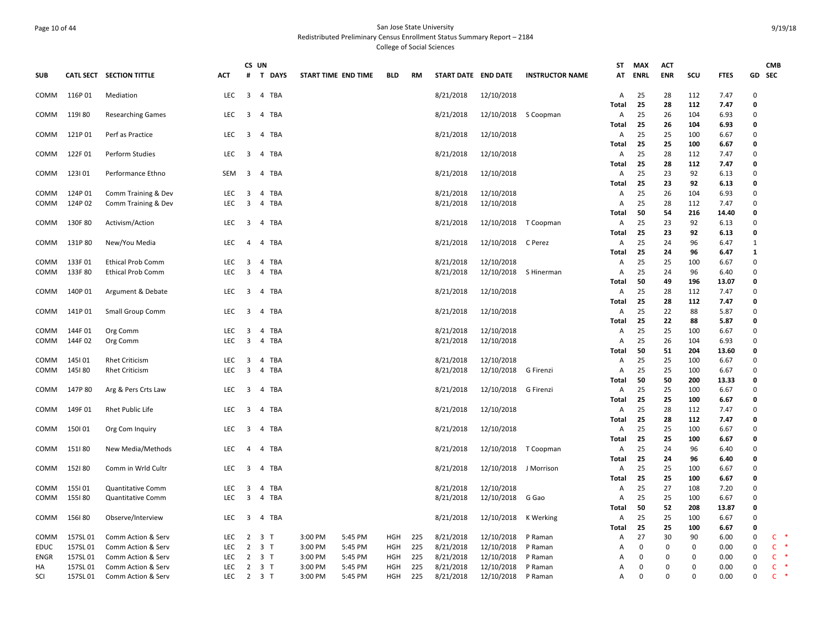## Page 10 of 44 San Jose State University Redistributed Preliminary Census Enrollment Status Summary Report – 2184 College of Social Sciences

| <b>SUB</b>   |                  | CATL SECT SECTION TITTLE                             | <b>ACT</b>         | CS UN<br>#              | <b>T DAYS</b>  | START TIME END TIME |         | <b>BLD</b> | RM  | START DATE END DATE    |                          | <b>INSTRUCTOR NAME</b> | <b>ST</b><br>AT | <b>MAX</b><br><b>ENRL</b> | <b>ACT</b><br><b>ENR</b> | SCU         | <b>FTES</b>  | GD                          | <b>CMB</b><br><b>SEC</b> |
|--------------|------------------|------------------------------------------------------|--------------------|-------------------------|----------------|---------------------|---------|------------|-----|------------------------|--------------------------|------------------------|-----------------|---------------------------|--------------------------|-------------|--------------|-----------------------------|--------------------------|
| COMM         | 116P01           | Mediation                                            | <b>LEC</b>         | $\overline{\mathbf{3}}$ | 4 TBA          |                     |         |            |     | 8/21/2018              | 12/10/2018               |                        | A               | 25                        | 28                       | 112         | 7.47         | $\Omega$                    |                          |
| COMM         | 119180           | <b>Researching Games</b>                             | LEC                | $\overline{\mathbf{3}}$ | 4 TBA          |                     |         |            |     | 8/21/2018              | 12/10/2018               | S Coopman              | Total<br>Α      | 25<br>25                  | 28<br>26                 | 112<br>104  | 7.47<br>6.93 | $\mathbf{0}$<br>$\mathbf 0$ |                          |
|              |                  |                                                      |                    |                         |                |                     |         |            |     |                        |                          |                        | Total           | 25                        | 26                       | 104         | 6.93         | 0                           |                          |
| COMM         | 121P01           | Perf as Practice                                     | LEC.               | 3                       | 4 TBA          |                     |         |            |     | 8/21/2018              | 12/10/2018               |                        | A               | 25                        | 25                       | 100         | 6.67         | $\Omega$                    |                          |
| COMM         | 122F01           | <b>Perform Studies</b>                               | <b>LEC</b>         | 3                       | 4<br>TBA       |                     |         |            |     | 8/21/2018              | 12/10/2018               |                        | Total<br>Α      | 25<br>25                  | 25<br>28                 | 100<br>112  | 6.67<br>7.47 | 0<br>$\mathbf 0$            |                          |
|              |                  |                                                      |                    |                         |                |                     |         |            |     |                        |                          |                        | Total           | 25                        | 28                       | 112         | 7.47         | 0                           |                          |
| COMM         | 123101           | Performance Ethno                                    | <b>SEM</b>         | 3                       | 4 TBA          |                     |         |            |     | 8/21/2018              | 12/10/2018               |                        | Α               | 25                        | 23                       | 92          | 6.13         | $\Omega$                    |                          |
|              |                  |                                                      |                    |                         |                |                     |         |            |     |                        |                          |                        | Total           | 25                        | 23                       | 92          | 6.13         | $\mathbf 0$                 |                          |
| COMM         | 124P 01          | Comm Training & Dev                                  | <b>LEC</b>         | $\overline{\mathbf{3}}$ | 4 TBA          |                     |         |            |     | 8/21/2018              | 12/10/2018               |                        | Α               | 25                        | 26                       | 104         | 6.93         | $\Omega$                    |                          |
| COMM         | 124P 02          | Comm Training & Dev                                  | LEC                | 3                       | 4 TBA          |                     |         |            |     | 8/21/2018              | 12/10/2018               |                        | Α               | 25                        | 28                       | 112         | 7.47         | $\mathbf 0$                 |                          |
|              |                  |                                                      | LEC.               |                         |                |                     |         |            |     |                        |                          |                        | Total           | 50                        | 54                       | 216<br>92   | 14.40        | $\mathbf{0}$<br>$\Omega$    |                          |
| COMM         | 130F 80          | Activism/Action                                      |                    | 3                       | 4 TBA          |                     |         |            |     | 8/21/2018              | 12/10/2018               | T Coopman              | А<br>Total      | 25<br>25                  | 23<br>23                 | 92          | 6.13<br>6.13 | $\mathbf 0$                 |                          |
| COMM         | 131P80           | New/You Media                                        | LEC.               | $\overline{4}$          | 4 TBA          |                     |         |            |     | 8/21/2018              | 12/10/2018               | C Perez                | $\mathsf{A}$    | 25                        | 24                       | 96          | 6.47         | $\mathbf{1}$                |                          |
|              |                  |                                                      |                    |                         |                |                     |         |            |     |                        |                          |                        | Total           | 25                        | 24                       | 96          | 6.47         | 1                           |                          |
| COMM         | 133F01           | <b>Ethical Prob Comm</b>                             | LEC                | 3                       | 4 TBA          |                     |         |            |     | 8/21/2018              | 12/10/2018               |                        | Α               | 25                        | 25                       | 100         | 6.67         | $\mathbf 0$                 |                          |
| COMM         | 133F80           | <b>Ethical Prob Comm</b>                             | LEC.               | $\overline{\mathbf{3}}$ | 4 TBA          |                     |         |            |     | 8/21/2018              | 12/10/2018               | S Hinerman             | A               | 25                        | 24                       | 96          | 6.40         | $\Omega$                    |                          |
|              |                  |                                                      |                    |                         |                |                     |         |            |     |                        |                          |                        | Total           | 50                        | 49                       | 196         | 13.07        | $\mathbf{0}$                |                          |
| COMM         | 140P 01          | Argument & Debate                                    | <b>LEC</b>         | $\overline{\mathbf{3}}$ | 4 TBA          |                     |         |            |     | 8/21/2018              | 12/10/2018               |                        | Α               | 25                        | 28                       | 112         | 7.47         | $\mathbf 0$                 |                          |
|              |                  |                                                      |                    |                         |                |                     |         |            |     |                        |                          |                        | Total           | 25                        | 28                       | 112         | 7.47         | 0                           |                          |
| COMM         | 141P01           | Small Group Comm                                     | LEC                | 3                       | 4 TBA          |                     |         |            |     | 8/21/2018              | 12/10/2018               |                        | Α               | 25                        | 22                       | 88          | 5.87         | $\Omega$                    |                          |
|              |                  |                                                      |                    |                         |                |                     |         |            |     |                        |                          |                        | Total           | 25                        | 22                       | 88          | 5.87         | $\mathbf{0}$                |                          |
| COMM         | 144F 01          | Org Comm                                             | LEC.               | 3                       | 4 TBA          |                     |         |            |     | 8/21/2018              | 12/10/2018               |                        | A               | 25                        | 25                       | 100         | 6.67         | $\Omega$                    |                          |
| COMM         | 144F02           | Org Comm                                             | <b>LEC</b>         | 3                       | 4 TBA          |                     |         |            |     | 8/21/2018              | 12/10/2018               |                        | A               | 25                        | 26                       | 104         | 6.93         | $\mathbf 0$                 |                          |
|              |                  |                                                      |                    |                         |                |                     |         |            |     |                        |                          |                        | Total           | 50                        | 51                       | 204         | 13.60        | $\mathbf{0}$<br>$\Omega$    |                          |
| COMM<br>COMM | 145101<br>145180 | <b>Rhet Criticism</b><br><b>Rhet Criticism</b>       | LEC.<br><b>LEC</b> | 3<br>$\overline{3}$     | 4 TBA<br>4 TBA |                     |         |            |     | 8/21/2018<br>8/21/2018 | 12/10/2018<br>12/10/2018 | G Firenzi              | Α<br>Α          | 25<br>25                  | 25<br>25                 | 100<br>100  | 6.67<br>6.67 | $\mathbf 0$                 |                          |
|              |                  |                                                      |                    |                         |                |                     |         |            |     |                        |                          |                        | Total           | 50                        | 50                       | 200         | 13.33        | 0                           |                          |
| COMM         | 147P 80          | Arg & Pers Crts Law                                  | <b>LEC</b>         | $\overline{\mathbf{3}}$ | 4 TBA          |                     |         |            |     | 8/21/2018              | 12/10/2018               | G Firenzi              | A               | 25                        | 25                       | 100         | 6.67         | $\mathbf 0$                 |                          |
|              |                  |                                                      |                    |                         |                |                     |         |            |     |                        |                          |                        | Total           | 25                        | 25                       | 100         | 6.67         | 0                           |                          |
| COMM         | 149F 01          | <b>Rhet Public Life</b>                              | <b>LEC</b>         | 3                       | 4 TBA          |                     |         |            |     | 8/21/2018              | 12/10/2018               |                        | Α               | 25                        | 28                       | 112         | 7.47         | $\Omega$                    |                          |
|              |                  |                                                      |                    |                         |                |                     |         |            |     |                        |                          |                        | Total           | 25                        | 28                       | 112         | 7.47         | 0                           |                          |
| COMM         | 150101           | Org Com Inquiry                                      | LEC                | 3                       | 4 TBA          |                     |         |            |     | 8/21/2018              | 12/10/2018               |                        | Α               | 25                        | 25                       | 100         | 6.67         | $\mathbf 0$                 |                          |
|              |                  |                                                      |                    |                         |                |                     |         |            |     |                        |                          |                        | Total           | 25                        | 25                       | 100         | 6.67         | 0                           |                          |
| COMM         | 151180           | New Media/Methods                                    | LEC                | $\overline{4}$          | 4 TBA          |                     |         |            |     | 8/21/2018              | 12/10/2018               | T Coopman              | Α               | 25                        | 24                       | 96          | 6.40         | $\mathbf 0$                 |                          |
|              |                  |                                                      |                    |                         |                |                     |         |            |     |                        |                          |                        | Total           | 25                        | 24                       | 96          | 6.40         | 0                           |                          |
| COMM         | 152180           | Comm in Wrld Cultr                                   | <b>LEC</b>         | $\overline{\mathbf{3}}$ | 4 TBA          |                     |         |            |     | 8/21/2018              | 12/10/2018 J Morrison    |                        | A               | 25                        | 25                       | 100         | 6.67         | $\Omega$                    |                          |
|              | 155101           |                                                      | LEC                | $\overline{3}$          | 4 TBA          |                     |         |            |     |                        |                          |                        | Total           | 25<br>25                  | 25<br>27                 | 100<br>108  | 6.67<br>7.20 | 0<br>$\mathbf 0$            |                          |
| COMM<br>COMM | 155180           | <b>Quantitative Comm</b><br><b>Quantitative Comm</b> | <b>LEC</b>         | $\overline{\mathbf{3}}$ | 4 TBA          |                     |         |            |     | 8/21/2018<br>8/21/2018 | 12/10/2018<br>12/10/2018 | G Gao                  | Α<br>Α          | 25                        | 25                       | 100         | 6.67         | $\Omega$                    |                          |
|              |                  |                                                      |                    |                         |                |                     |         |            |     |                        |                          |                        | Total           | 50                        | 52                       | 208         | 13.87        | $\mathbf 0$                 |                          |
| COMM         | 156180           | Observe/Interview                                    | <b>LEC</b>         | $\overline{3}$          | 4 TBA          |                     |         |            |     | 8/21/2018              | 12/10/2018               | K Werking              | A               | 25                        | 25                       | 100         | 6.67         | $\Omega$                    |                          |
|              |                  |                                                      |                    |                         |                |                     |         |            |     |                        |                          |                        | Total           | 25                        | 25                       | 100         | 6.67         | 0                           |                          |
| COMM         | 157SL 01         | Comm Action & Serv                                   | LEC                | $\overline{2}$          | 3 <sub>1</sub> | 3:00 PM             | 5:45 PM | <b>HGH</b> | 225 | 8/21/2018              | 12/10/2018               | P Raman                | Α               | 27                        | 30                       | 90          | 6.00         | $\mathbf 0$                 | C                        |
| EDUC         | 157SL 01         | Comm Action & Serv                                   | <b>LEC</b>         | $\overline{2}$          | 3 <sub>1</sub> | 3:00 PM             | 5:45 PM | <b>HGH</b> | 225 | 8/21/2018              | 12/10/2018               | P Raman                | A               | $\Omega$                  | 0                        | $\Omega$    | 0.00         | $\Omega$                    | $\mathsf{C}$             |
| ENGR         | 157SL 01         | Comm Action & Serv                                   | LEC                | $\overline{2}$          | 3 <sub>7</sub> | 3:00 PM             | 5:45 PM | HGH        | 225 | 8/21/2018              | 12/10/2018               | P Raman                | A               | 0                         | $\mathbf 0$              | 0           | 0.00         | $\mathbf 0$                 | $\mathsf{C}$             |
| НA           | 157SL 01         | Comm Action & Serv                                   | <b>LEC</b>         | $\overline{2}$          | 3 <sub>1</sub> | 3:00 PM             | 5:45 PM | <b>HGH</b> | 225 | 8/21/2018              | 12/10/2018               | P Raman                | А               | $\Omega$                  | $\Omega$                 | $\Omega$    | 0.00         | $\Omega$                    | $\mathsf{C}$             |
| SCI          | 157SL 01         | Comm Action & Serv                                   | LEC.               |                         | 2 3 T          | 3:00 PM             | 5:45 PM | HGH        | 225 | 8/21/2018              | 12/10/2018               | P Raman                | А               | $\Omega$                  | $\Omega$                 | $\mathbf 0$ | 0.00         | $\Omega$                    | C.                       |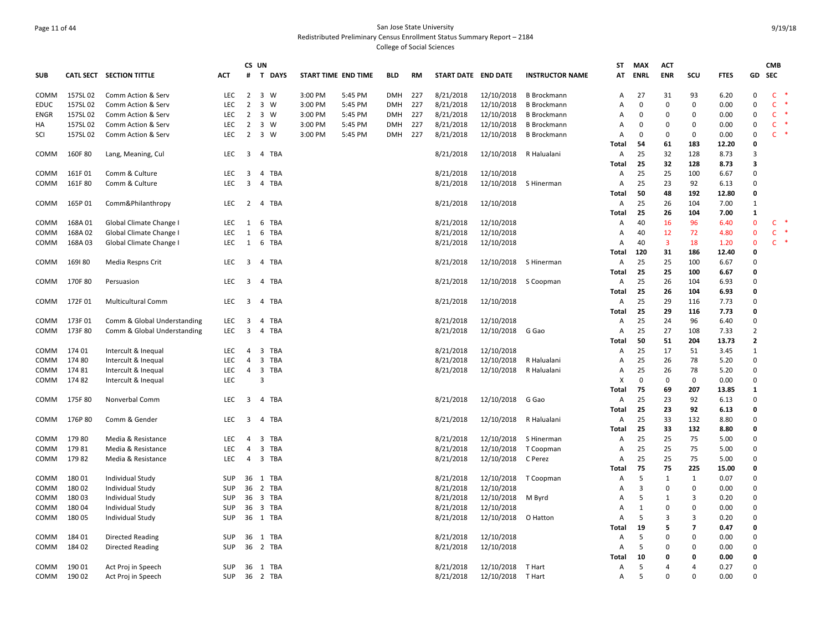## Page 11 of 44 San Jose State University Redistributed Preliminary Census Enrollment Status Summary Report – 2184 College of Social Sciences

| <b>SUB</b>  |          | CATL SECT SECTION TITTLE    | <b>ACT</b> | #                       | CS UN<br><b>T DAYS</b> |         | START TIME END TIME | <b>BLD</b> | RM   | START DATE END DATE |                        | <b>INSTRUCTOR NAME</b> | ST<br>AT       | <b>MAX</b><br><b>ENRL</b> | <b>ACT</b><br><b>ENR</b> | SCU            | <b>FTES</b> | GD             | <b>CMB</b><br>SEC |        |
|-------------|----------|-----------------------------|------------|-------------------------|------------------------|---------|---------------------|------------|------|---------------------|------------------------|------------------------|----------------|---------------------------|--------------------------|----------------|-------------|----------------|-------------------|--------|
| COMM        | 157SL 02 | Comm Action & Serv          | <b>LEC</b> |                         | 2 3 W                  | 3:00 PM | 5:45 PM             | <b>DMH</b> | 227  | 8/21/2018           | 12/10/2018             | <b>B</b> Brockmann     | Α              | 27                        | 31                       | 93             | 6.20        | 0              | $\mathsf{C}$      |        |
| EDUC        | 157SL 02 | Comm Action & Serv          | <b>LEC</b> | 2                       | 3 W                    | 3:00 PM | 5:45 PM             | <b>DMH</b> | 227  | 8/21/2018           | 12/10/2018             | <b>B</b> Brockmann     | Α              | 0                         | 0                        | 0              | 0.00        | $\Omega$       | $\mathsf{C}$      |        |
| <b>ENGR</b> | 157SL 02 | Comm Action & Serv          | <b>LEC</b> | $\overline{2}$          | 3 W                    | 3:00 PM | 5:45 PM             | <b>DMH</b> | 227  | 8/21/2018           | 12/10/2018             | <b>B</b> Brockmann     | Α              | $\Omega$                  | $\mathbf 0$              | $\Omega$       | 0.00        | $\Omega$       | $\mathsf{C}$      |        |
| НA          | 157SL 02 | Comm Action & Serv          | LEC        | $\overline{2}$          | 3 W                    | 3:00 PM | 5:45 PM             | <b>DMH</b> | 227  | 8/21/2018           | 12/10/2018             | <b>B</b> Brockmann     | Α              | 0                         | $\Omega$                 | $\Omega$       | 0.00        | $\Omega$       | $\mathsf{C}$      |        |
| SCI         | 157SL 02 | Comm Action & Serv          | <b>LEC</b> | 2                       | 3 W                    | 3:00 PM | 5:45 PM             | <b>DMH</b> | -227 | 8/21/2018           | 12/10/2018             | <b>B</b> Brockmann     | A              | $\Omega$                  | $\Omega$                 | 0              | 0.00        | $\Omega$       | $\mathsf{C}$      |        |
|             |          |                             |            |                         |                        |         |                     |            |      |                     |                        |                        | Total          | 54                        | 61                       | 183            | 12.20       | $\Omega$       |                   |        |
| COMM        | 160F 80  | Lang, Meaning, Cul          | <b>LEC</b> | $\overline{\mathbf{3}}$ | 4 TBA                  |         |                     |            |      | 8/21/2018           | 12/10/2018             | R Halualani            | Α              | 25                        | 32                       | 128            | 8.73        | 3              |                   |        |
|             |          |                             |            |                         |                        |         |                     |            |      |                     |                        |                        | Total          | 25                        | 32                       | 128            | 8.73        | 3              |                   |        |
| COMM        | 161F01   | Comm & Culture              | LEC        | 3                       | 4 TBA                  |         |                     |            |      | 8/21/2018           | 12/10/2018             |                        | Α              | 25                        | 25                       | 100            | 6.67        | $\Omega$       |                   |        |
| COMM        | 161F 80  | Comm & Culture              | LEC        | $\overline{\mathbf{3}}$ | 4 TBA                  |         |                     |            |      | 8/21/2018           | 12/10/2018             | S Hinerman             | Α              | 25                        | 23                       | 92             | 6.13        | $\Omega$       |                   |        |
|             |          |                             |            |                         |                        |         |                     |            |      |                     |                        |                        | Total          | 50                        | 48                       | 192            | 12.80       | $\Omega$       |                   |        |
| <b>COMM</b> | 165P 01  | Comm&Philanthropy           | LEC        | 2                       | 4 TBA                  |         |                     |            |      | 8/21/2018           | 12/10/2018             |                        | A              | 25                        | 26                       | 104            | 7.00        | 1              |                   |        |
|             |          |                             |            |                         |                        |         |                     |            |      |                     |                        |                        | Total          | 25                        | 26                       | 104            | 7.00        | $\mathbf{1}$   |                   |        |
| COMM        | 168A01   | Global Climate Change I     | LEC.       | 1                       | 6 TBA                  |         |                     |            |      | 8/21/2018           | 12/10/2018             |                        | Α              | 40                        | 16                       | 96             | 6.40        | $\Omega$       | <b>C</b>          |        |
| COMM        | 168A02   | Global Climate Change I     | LEC        | 1                       | 6 TBA                  |         |                     |            |      | 8/21/2018           | 12/10/2018             |                        | Α              | 40                        | 12                       | 72             | 4.80        | $\mathbf{0}$   | $\mathsf{C}$      |        |
| COMM        | 168A03   | Global Climate Change I     | LEC        | 1                       | 6 TBA                  |         |                     |            |      | 8/21/2018           | 12/10/2018             |                        | Α              | 40                        | $\overline{\mathbf{3}}$  | 18             | 1.20        | $\mathbf{0}$   | $\mathsf{C}$      | $\ast$ |
|             |          |                             |            |                         |                        |         |                     |            |      |                     |                        |                        | Total          | 120                       | 31                       | 186            | 12.40       | $\Omega$       |                   |        |
| COMM        | 169180   | Media Respns Crit           | LEC.       | $\overline{\mathbf{3}}$ | 4 TBA                  |         |                     |            |      | 8/21/2018           |                        | 12/10/2018 S Hinerman  | Α              | 25                        | 25                       | 100            | 6.67        | $\Omega$       |                   |        |
|             |          |                             |            |                         |                        |         |                     |            |      |                     |                        |                        | Total          | 25                        | 25                       | 100            | 6.67        | 0              |                   |        |
| COMM        | 170F 80  | Persuasion                  | LEC        | 3                       | 4 TBA                  |         |                     |            |      | 8/21/2018           | 12/10/2018             | S Coopman              | Α              | 25                        | 26                       | 104            | 6.93        | $\Omega$       |                   |        |
|             |          |                             |            |                         |                        |         |                     |            |      |                     |                        |                        | Total          | 25                        | 26                       | 104            | 6.93        | O              |                   |        |
| COMM        | 172F01   | <b>Multicultural Comm</b>   | LEC        | $\overline{\mathbf{3}}$ | 4 TBA                  |         |                     |            |      | 8/21/2018           | 12/10/2018             |                        | Α              | 25                        | 29                       | 116            | 7.73        | $\Omega$       |                   |        |
|             |          |                             |            |                         |                        |         |                     |            |      |                     |                        |                        | Total          | 25                        | 29                       | 116            | 7.73        | 0              |                   |        |
| COMM        | 173F01   | Comm & Global Understanding | LEC        | $\overline{\mathbf{3}}$ | 4 TBA                  |         |                     |            |      | 8/21/2018           | 12/10/2018             |                        | Α              | 25                        | 24                       | 96             | 6.40        | $\Omega$       |                   |        |
| COMM        | 173F 80  | Comm & Global Understanding | LEC.       | $\overline{3}$          | 4 TBA                  |         |                     |            |      | 8/21/2018           | 12/10/2018             | G Gao                  | Α              | 25                        | 27                       | 108            | 7.33        | $\overline{2}$ |                   |        |
|             |          |                             |            |                         |                        |         |                     |            |      |                     |                        |                        | Total          | 50                        | 51                       | 204            | 13.73       | $\overline{2}$ |                   |        |
| COMM        | 174 01   | Intercult & Inequal         | LEC        | 4                       | 3 TBA                  |         |                     |            |      | 8/21/2018           | 12/10/2018             |                        | Α              | 25                        | 17                       | 51             | 3.45        | $\mathbf{1}$   |                   |        |
| COMM        | 17480    | Intercult & Inequal         | <b>LEC</b> | 4                       | 3 TBA                  |         |                     |            |      | 8/21/2018           | 12/10/2018             | R Halualani            | Α              | 25                        | 26                       | 78             | 5.20        | $\Omega$       |                   |        |
| COMM        | 17481    | Intercult & Inequal         | <b>LEC</b> | 4                       | 3 TBA                  |         |                     |            |      | 8/21/2018           | 12/10/2018             | R Halualani            | Α              | 25                        | 26                       | 78             | 5.20        | $\Omega$       |                   |        |
| COMM        | 17482    | Intercult & Inequal         | <b>LEC</b> |                         | 3                      |         |                     |            |      |                     |                        |                        | X              | 0                         | $\mathbf 0$              | 0              | 0.00        | $\Omega$       |                   |        |
|             |          |                             |            |                         |                        |         |                     |            |      |                     |                        |                        | Total          | 75                        | 69                       | 207            | 13.85       | $\mathbf{1}$   |                   |        |
| COMM        | 175F 80  | Nonverbal Comm              | LEC.       | $\overline{3}$          | 4 TBA                  |         |                     |            |      | 8/21/2018           | 12/10/2018             | G Gao                  | Α              | 25                        | 23                       | 92             | 6.13        | $\Omega$       |                   |        |
|             |          |                             |            |                         |                        |         |                     |            |      |                     |                        |                        | Total          | 25                        | 23                       | 92             | 6.13        | 0              |                   |        |
| COMM        | 176P80   | Comm & Gender               | LEC        | $\overline{\mathbf{3}}$ | 4 TBA                  |         |                     |            |      | 8/21/2018           | 12/10/2018 R Halualani |                        | Α              | 25                        | 33                       | 132            | 8.80        | $\Omega$       |                   |        |
|             |          |                             |            |                         |                        |         |                     |            |      |                     |                        |                        | Total          | 25                        | 33                       | 132            | 8.80        | $\Omega$       |                   |        |
| COMM        | 17980    | Media & Resistance          | LEC        | 4                       | 3 TBA                  |         |                     |            |      | 8/21/2018           | 12/10/2018             | S Hinerman             | Α              | 25                        | 25                       | 75             | 5.00        | $\Omega$       |                   |        |
| COMM        | 17981    | Media & Resistance          | LEC        | 4                       | 3 TBA                  |         |                     |            |      | 8/21/2018           | 12/10/2018             | T Coopman              | Α              | 25                        | 25                       | 75             | 5.00        | $\Omega$       |                   |        |
| COMM        | 17982    | Media & Resistance          | LEC        | 4                       | 3 TBA                  |         |                     |            |      | 8/21/2018           | 12/10/2018             | C Perez                | Α              | 25                        | 25                       | 75             | 5.00        | $\Omega$       |                   |        |
|             |          |                             |            |                         |                        |         |                     |            |      |                     |                        |                        | Total          | 75                        | 75                       | 225            | 15.00       | 0              |                   |        |
| COMM        | 18001    | Individual Study            | SUP        | 36                      | 1 TBA                  |         |                     |            |      | 8/21/2018           | 12/10/2018             | T Coopman              | $\overline{A}$ | 5                         | 1                        | 1              | 0.07        | $\Omega$       |                   |        |
| COMM        | 18002    | Individual Study            | SUP        | 36                      | 2 TBA                  |         |                     |            |      | 8/21/2018           | 12/10/2018             |                        | Α              | 3                         | $\Omega$                 | $\Omega$       | 0.00        | $\Omega$       |                   |        |
| COMM        | 18003    | Individual Study            | <b>SUP</b> | 36                      | 3 TBA                  |         |                     |            |      | 8/21/2018           | 12/10/2018             | M Byrd                 | A              | 5                         | 1                        | 3              | 0.20        | $\Omega$       |                   |        |
| COMM        | 18004    | Individual Study            | SUP        | 36                      | 3 TBA                  |         |                     |            |      | 8/21/2018           | 12/10/2018             |                        | $\overline{A}$ | $\mathbf{1}$              | $\mathbf 0$              | $\Omega$       | 0.00        | $\Omega$       |                   |        |
| COMM        | 18005    | Individual Study            | SUP        |                         | 36 1 TBA               |         |                     |            |      | 8/21/2018           | 12/10/2018             | O Hatton               | $\overline{A}$ | 5                         | 3                        | 3              | 0.20        | $\Omega$       |                   |        |
|             |          |                             |            |                         |                        |         |                     |            |      |                     |                        |                        | Total          | 19                        | 5                        | $\overline{7}$ | 0.47        | $\Omega$       |                   |        |
| <b>COMM</b> | 18401    | <b>Directed Reading</b>     | <b>SUP</b> | 36                      | 1 TBA                  |         |                     |            |      | 8/21/2018           | 12/10/2018             |                        | A              | 5                         | $\Omega$                 | $\Omega$       | 0.00        | $\Omega$       |                   |        |
| COMM        | 184 02   | <b>Directed Reading</b>     | SUP        |                         | 36 2 TBA               |         |                     |            |      | 8/21/2018           | 12/10/2018             |                        | $\overline{A}$ | 5                         | $\mathbf 0$              | $\Omega$       | 0.00        | $\Omega$       |                   |        |
|             |          |                             |            |                         |                        |         |                     |            |      |                     |                        |                        | Total          | 10                        | 0                        | $\Omega$       | 0.00        | $\Omega$       |                   |        |
| COMM        | 190 01   | Act Proj in Speech          | SUP        |                         | 36 1 TBA               |         |                     |            |      | 8/21/2018           | 12/10/2018             | T Hart                 | A              | 5                         | 4                        | 4              | 0.27        | $\Omega$       |                   |        |
| COMM        | 190 02   | Act Proj in Speech          | SUP        |                         | 36 2 TBA               |         |                     |            |      | 8/21/2018           | 12/10/2018 T Hart      |                        | Α              | 5                         | $\Omega$                 | $\Omega$       | 0.00        | $\Omega$       |                   |        |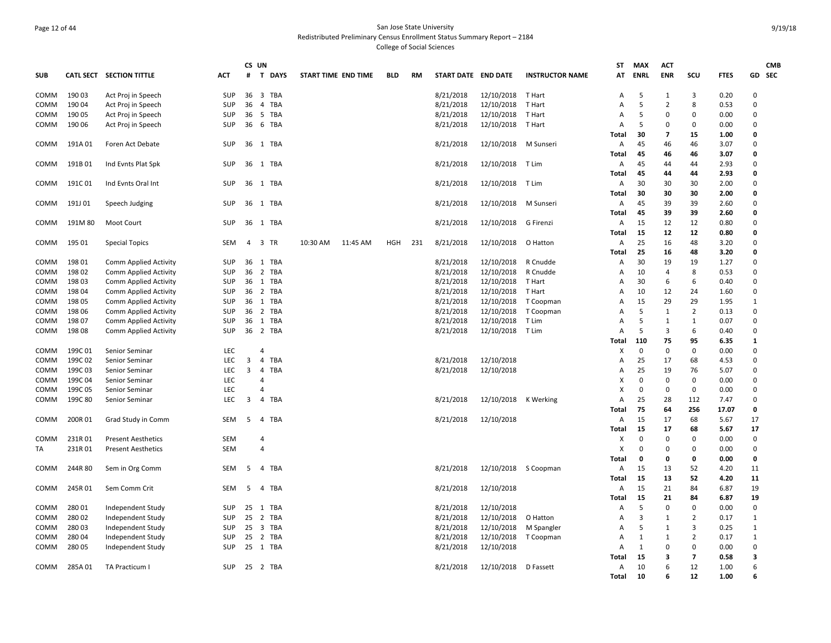## Page 12 of 44 San Jose State University Redistributed Preliminary Census Enrollment Status Summary Report – 2184 College of Social Sciences

|             |         |                              |            | CS UN                   |                |          |                     |            |     |                     |                      |                        | <b>ST</b>      | MAX          | <b>ACT</b>     |                |              |                         | <b>CMB</b> |
|-------------|---------|------------------------------|------------|-------------------------|----------------|----------|---------------------|------------|-----|---------------------|----------------------|------------------------|----------------|--------------|----------------|----------------|--------------|-------------------------|------------|
| <b>SUB</b>  |         | CATL SECT SECTION TITTLE     | <b>ACT</b> | #                       | T DAYS         |          | START TIME END TIME | <b>BLD</b> | RM  | START DATE END DATE |                      | <b>INSTRUCTOR NAME</b> | AT             | <b>ENRL</b>  | <b>ENR</b>     | SCU            | <b>FTES</b>  | GD SEC                  |            |
| COMM        | 190 03  | Act Proj in Speech           | <b>SUP</b> | 36                      | 3 TBA          |          |                     |            |     | 8/21/2018           | 12/10/2018 T Hart    |                        | A              | -5           | 1              | 3              | 0.20         | $\Omega$                |            |
| COMM        | 190 04  | Act Proj in Speech           | <b>SUP</b> | 36                      | TBA<br>4       |          |                     |            |     | 8/21/2018           | 12/10/2018           | T Hart                 | Α              | 5            | $\overline{2}$ | 8              | 0.53         | $\Omega$                |            |
| COMM        | 190 05  | Act Proj in Speech           | <b>SUP</b> | 36                      | 5 TBA          |          |                     |            |     | 8/21/2018           | 12/10/2018           | T Hart                 | Α              | 5            | $\Omega$       | 0              | 0.00         | 0                       |            |
| COMM        | 190 06  | Act Proj in Speech           | <b>SUP</b> | 36                      | 6 TBA          |          |                     |            |     | 8/21/2018           | 12/10/2018           | T Hart                 | $\mathsf{A}$   | .5           | $\Omega$       | $\Omega$       | 0.00         | $\Omega$                |            |
|             |         |                              |            |                         |                |          |                     |            |     |                     |                      |                        | Total          | 30           | 7              | 15             | 1.00         | $\mathbf{0}$            |            |
| <b>COMM</b> | 191A 01 | Foren Act Debate             | <b>SUP</b> |                         | 36 1 TBA       |          |                     |            |     | 8/21/2018           | 12/10/2018 M Sunseri |                        | Α              | 45           | 46             | 46             | 3.07         | $\Omega$                |            |
|             |         |                              |            |                         |                |          |                     |            |     |                     |                      |                        | Total          | 45           | 46             | 46             | 3.07         | 0                       |            |
| COMM        | 191B01  | Ind Evnts Plat Spk           | SUP        |                         | 36 1 TBA       |          |                     |            |     | 8/21/2018           | 12/10/2018 T Lim     |                        | Α              | 45           | 44             | 44             | 2.93         | 0                       |            |
|             |         |                              |            |                         |                |          |                     |            |     |                     |                      |                        | Total          | 45           | 44             | 44             | 2.93         | 0                       |            |
| COMM        | 191C01  | Ind Evnts Oral Int           | SUP        | 36                      | 1 TBA          |          |                     |            |     | 8/21/2018           | 12/10/2018 T Lim     |                        | Α              | 30           | 30             | 30             | 2.00         | $\Omega$                |            |
|             |         |                              |            |                         |                |          |                     |            |     |                     |                      |                        | Total          | 30           | 30             | 30             | 2.00         | $\Omega$                |            |
| COMM        | 191J 01 | Speech Judging               | SUP        | 36                      | 1 TBA          |          |                     |            |     | 8/21/2018           | 12/10/2018           | M Sunseri              | A              | 45           | 39             | 39             | 2.60         | $\Omega$                |            |
|             |         |                              |            |                         |                |          |                     |            |     |                     |                      |                        | Total          | 45           | 39             | 39             | 2.60         | 0                       |            |
| COMM        | 191M 80 | Moot Court                   | <b>SUP</b> | 36                      | 1 TBA          |          |                     |            |     | 8/21/2018           | 12/10/2018 G Firenzi |                        | A              | 15           | 12             | 12             | 0.80         | $\Omega$                |            |
|             |         |                              |            |                         |                |          |                     |            |     |                     |                      |                        | Total          | 15           | 12             | 12             | 0.80         | $\mathbf{0}$            |            |
| COMM        | 195 01  | <b>Special Topics</b>        | SEM        |                         | 4 3 TR         | 10:30 AM | 11:45 AM            | <b>HGH</b> | 231 | 8/21/2018           | 12/10/2018           | O Hatton               | Α              | 25           | 16             | 48             | 3.20         | $\Omega$                |            |
|             |         |                              |            |                         |                |          |                     |            |     |                     |                      |                        | <b>Total</b>   | 25           | 16             | 48             | 3.20         | 0                       |            |
| COMM        | 198 01  | Comm Applied Activity        | <b>SUP</b> | 36                      | 1 TBA          |          |                     |            |     | 8/21/2018           | 12/10/2018 R Cnudde  |                        | Α              | 30           | 19             | 19             | 1.27         | $\Omega$                |            |
| COMM        | 198 02  | <b>Comm Applied Activity</b> | <b>SUP</b> | 36                      | 2 TBA          |          |                     |            |     | 8/21/2018           | 12/10/2018           | R Cnudde               | Α              | 10           | 4              | 8              | 0.53         | $\Omega$                |            |
| COMM        | 198 03  | <b>Comm Applied Activity</b> | SUP        | 36                      | 1 TBA          |          |                     |            |     | 8/21/2018           | 12/10/2018           | T Hart                 | Α              | 30           | 6              | 6              | 0.40         | $\Omega$                |            |
| COMM        | 198 04  | Comm Applied Activity        | <b>SUP</b> |                         | 36 2 TBA       |          |                     |            |     | 8/21/2018           | 12/10/2018           | T Hart                 | $\mathsf{A}$   | 10           | 12             | 24             | 1.60         | $\Omega$                |            |
| COMM        | 198 05  | <b>Comm Applied Activity</b> | SUP        | 36                      | 1 TBA          |          |                     |            |     | 8/21/2018           | 12/10/2018           | T Coopman              | A              | 15           | 29             | 29             | 1.95         | $\mathbf{1}$            |            |
| COMM        | 198 06  | Comm Applied Activity        | <b>SUP</b> | 36                      | 2 TBA          |          |                     |            |     | 8/21/2018           | 12/10/2018           | T Coopman              | $\mathsf{A}$   | 5            | 1              | $\overline{2}$ | 0.13         | $\Omega$                |            |
| COMM        | 198 07  | Comm Applied Activity        | <b>SUP</b> | 36                      | 1 TBA          |          |                     |            |     | 8/21/2018           | 12/10/2018           | T Lim                  | А              | 5            | 1              | $\mathbf{1}$   | 0.07         | $\Omega$                |            |
| <b>COMM</b> | 19808   | Comm Applied Activity        | SUP        |                         | 36 2 TBA       |          |                     |            |     | 8/21/2018           | 12/10/2018 T Lim     |                        | Α              | 5            | 3              | 6              | 0.40         | $\Omega$                |            |
|             |         |                              |            |                         |                |          |                     |            |     |                     |                      |                        | Total          | 110          | 75             | 95             | 6.35         | 1                       |            |
| COMM        | 199C01  | Senior Seminar               | LEC        |                         | 4              |          |                     |            |     |                     |                      |                        | X              | $\mathbf 0$  | $\mathbf 0$    | 0              | 0.00         | 0                       |            |
| COMM        | 199C02  | Senior Seminar               | <b>LEC</b> | $\overline{3}$          | 4 TBA          |          |                     |            |     | 8/21/2018           | 12/10/2018           |                        | $\overline{A}$ | 25           | 17             | 68             | 4.53         | $\Omega$                |            |
| COMM        | 199C03  | Senior Seminar               | <b>LEC</b> | 3                       | TBA<br>4       |          |                     |            |     | 8/21/2018           | 12/10/2018           |                        | Α              | 25           | 19             | 76             | 5.07         | $\Omega$                |            |
| COMM        | 199C04  | Senior Seminar               | LEC        |                         | $\overline{4}$ |          |                     |            |     |                     |                      |                        | X              | $\mathbf 0$  | 0              | 0              | 0.00         | $\Omega$                |            |
| COMM        | 199C 05 | Senior Seminar               | <b>LEC</b> |                         | $\overline{4}$ |          |                     |            |     |                     |                      |                        | X              | $\mathbf 0$  | 0              | 0              | 0.00         | $\Omega$<br>$\mathbf 0$ |            |
| COMM        | 199C 80 | Senior Seminar               | LEC        | $\overline{\mathbf{3}}$ | TBA<br>4       |          |                     |            |     | 8/21/2018           | 12/10/2018 K Werking |                        | Α              | 25<br>75     | 28             | 112<br>256     | 7.47         | $\mathbf{0}$            |            |
|             |         |                              |            |                         |                |          |                     |            |     | 8/21/2018           | 12/10/2018           |                        | Total          |              | 64<br>17       |                | 17.07        | 17                      |            |
| COMM        | 200R 01 | Grad Study in Comm           | SEM        | 5                       | 4 TBA          |          |                     |            |     |                     |                      |                        | Α<br>Total     | 15<br>15     | 17             | 68<br>68       | 5.67<br>5.67 | 17                      |            |
| COMM        | 231R01  | <b>Present Aesthetics</b>    | SEM        |                         | 4              |          |                     |            |     |                     |                      |                        | Χ              | $\mathbf{0}$ | $\Omega$       | $\Omega$       | 0.00         | $\Omega$                |            |
| TA          | 231R01  | <b>Present Aesthetics</b>    | <b>SEM</b> |                         | $\overline{4}$ |          |                     |            |     |                     |                      |                        | X              | $\mathbf 0$  | $\Omega$       | 0              | 0.00         | 0                       |            |
|             |         |                              |            |                         |                |          |                     |            |     |                     |                      |                        | Total          | 0            | 0              | 0              | 0.00         | $\mathbf{0}$            |            |
| COMM        | 244R80  | Sem in Org Comm              | SEM        | 5                       | 4 TBA          |          |                     |            |     | 8/21/2018           | 12/10/2018 S Coopman |                        | А              | 15           | 13             | 52             | 4.20         | 11                      |            |
|             |         |                              |            |                         |                |          |                     |            |     |                     |                      |                        | Total          | 15           | 13             | 52             | 4.20         | 11                      |            |
| COMM        | 245R 01 | Sem Comm Crit                | SEM        | 5                       | 4 TBA          |          |                     |            |     | 8/21/2018           | 12/10/2018           |                        | Α              | 15           | 21             | 84             | 6.87         | 19                      |            |
|             |         |                              |            |                         |                |          |                     |            |     |                     |                      |                        | Total          | 15           | 21             | 84             | 6.87         | 19                      |            |
| COMM        | 28001   | Independent Study            | <b>SUP</b> | 25                      | 1 TBA          |          |                     |            |     | 8/21/2018           | 12/10/2018           |                        | Α              | -5           | $\Omega$       | 0              | 0.00         | $\Omega$                |            |
| COMM        | 280 02  | Independent Study            | SUP        | 25                      | 2 TBA          |          |                     |            |     | 8/21/2018           | 12/10/2018           | O Hatton               | Α              | 3            | 1              | $\overline{2}$ | 0.17         | $\mathbf{1}$            |            |
| <b>COMM</b> | 28003   | Independent Study            | <b>SUP</b> | 25                      | 3 TBA          |          |                     |            |     | 8/21/2018           | 12/10/2018           | M Spangler             | $\overline{A}$ | 5            | 1              | 3              | 0.25         | $\mathbf{1}$            |            |
| COMM        | 280 04  | Independent Study            | <b>SUP</b> | 25                      | 2 TBA          |          |                     |            |     | 8/21/2018           | 12/10/2018           | T Coopman              | Α              | 1            | 1              | $\overline{2}$ | 0.17         | 1                       |            |
| COMM        | 280 05  | Independent Study            | SUP        | 25                      | 1 TBA          |          |                     |            |     | 8/21/2018           | 12/10/2018           |                        | Α              | 1            | $\Omega$       | 0              | 0.00         | 0                       |            |
|             |         |                              |            |                         |                |          |                     |            |     |                     |                      |                        | Total          | 15           | 3              | $\overline{7}$ | 0.58         | 3                       |            |
| COMM        | 285A01  | TA Practicum I               | SUP        |                         | 25 2 TBA       |          |                     |            |     | 8/21/2018           | 12/10/2018           | D Fassett              | Α              | 10           | 6              | 12             | 1.00         | 6                       |            |
|             |         |                              |            |                         |                |          |                     |            |     |                     |                      |                        | Total          | 10           | 6              | 12             | 1.00         | 6                       |            |
|             |         |                              |            |                         |                |          |                     |            |     |                     |                      |                        |                |              |                |                |              |                         |            |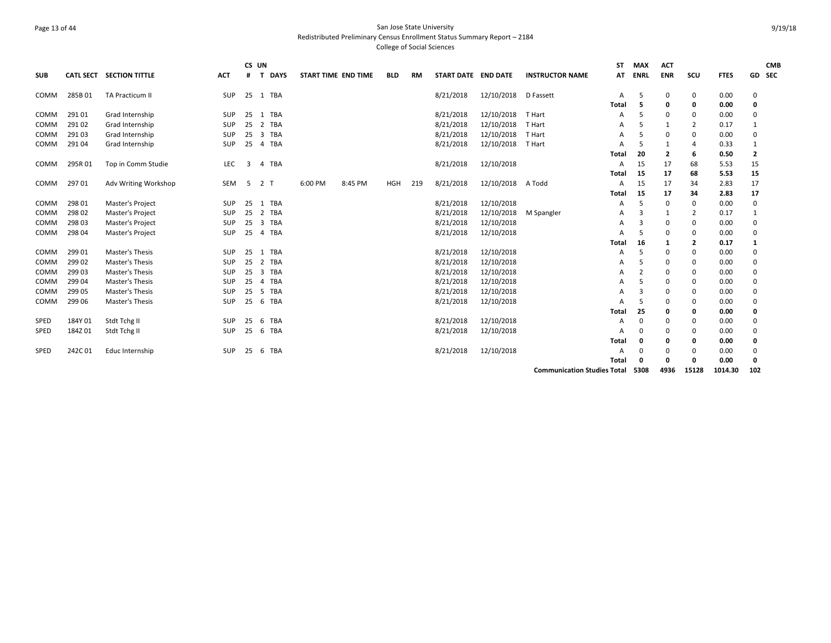## Page 13 of 44 San Jose State University Redistributed Preliminary Census Enrollment Status Summary Report – 2184 College of Social Sciences

| <b>SUB</b> | <b>CATL SECT</b> | <b>SECTION TITTLE</b> | <b>ACT</b> | #  | CS UN<br>$\mathbf{T}$ | <b>DAYS</b> | START TIME END TIME |         | <b>BLD</b> | <b>RM</b> | START DATE END DATE |            | <b>INSTRUCTOR NAME</b>             | <b>ST</b><br>AT | <b>MAX</b><br>ENRL | <b>ACT</b><br><b>ENR</b> | scu      | <b>FTES</b> |              | <b>CMB</b><br>GD SEC |
|------------|------------------|-----------------------|------------|----|-----------------------|-------------|---------------------|---------|------------|-----------|---------------------|------------|------------------------------------|-----------------|--------------------|--------------------------|----------|-------------|--------------|----------------------|
| COMM       | 285B01           | TA Practicum II       | SUP        |    |                       | 25 1 TBA    |                     |         |            |           | 8/21/2018           | 12/10/2018 | D Fassett                          | A               | -5                 | 0                        | 0        | 0.00        | 0            |                      |
|            |                  |                       |            |    |                       |             |                     |         |            |           |                     |            |                                    | <b>Total</b>    | 5                  | 0                        | 0        | 0.00        | 0            |                      |
| COMM       | 29101            | Grad Internship       | <b>SUP</b> | 25 | 1                     | TBA         |                     |         |            |           | 8/21/2018           | 12/10/2018 | T Hart                             | А               | -5                 | 0                        | 0        | 0.00        | 0            |                      |
| COMM       | 291 02           | Grad Internship       | SUP        | 25 |                       | 2 TBA       |                     |         |            |           | 8/21/2018           | 12/10/2018 | T Hart                             | A               | -5                 | 1                        | 2        | 0.17        | 1            |                      |
| COMM       | 29103            | Grad Internship       | SUP        | 25 | $\overline{3}$        | TBA         |                     |         |            |           | 8/21/2018           | 12/10/2018 | T Hart                             | А               | .5                 | 0                        | 0        | 0.00        | 0            |                      |
| COMM       | 29104            | Grad Internship       | SUP        | 25 |                       | 4 TBA       |                     |         |            |           | 8/21/2018           | 12/10/2018 | T Hart                             | А               | -5                 | 1                        | 4        | 0.33        | 1            |                      |
|            |                  |                       |            |    |                       |             |                     |         |            |           |                     |            |                                    | <b>Total</b>    | 20                 | 2                        | 6        | 0.50        | $\mathbf{2}$ |                      |
| COMM       | 295R01           | Top in Comm Studie    | LEC        | 3  |                       | 4 TBA       |                     |         |            |           | 8/21/2018           | 12/10/2018 |                                    | A               | 15                 | 17                       | 68       | 5.53        | 15           |                      |
|            |                  |                       |            |    |                       |             |                     |         |            |           |                     |            |                                    | <b>Total</b>    | 15                 | 17                       | 68       | 5.53        | 15           |                      |
| COMM       | 29701            | Adv Writing Workshop  | SEM        | 5  | 2 <sub>T</sub>        |             | 6:00 PM             | 8:45 PM | <b>HGH</b> | 219       | 8/21/2018           | 12/10/2018 | A Todd                             | A               | 15                 | 17                       | 34       | 2.83        | 17           |                      |
|            |                  |                       |            |    |                       |             |                     |         |            |           |                     |            |                                    | <b>Total</b>    | 15                 | 17                       | 34       | 2.83        | 17           |                      |
| COMM       | 298 01           | Master's Project      | SUP        | 25 |                       | 1 TBA       |                     |         |            |           | 8/21/2018           | 12/10/2018 |                                    | A               | .5                 | 0                        | 0        | 0.00        | 0            |                      |
| COMM       | 298 02           | Master's Project      | <b>SUP</b> | 25 | 2                     | TBA         |                     |         |            |           | 8/21/2018           | 12/10/2018 | M Spangler                         | A               | 3                  | 1                        | 2        | 0.17        | 1            |                      |
| COMM       | 298 03           | Master's Project      | SUP        | 25 |                       | 3 TBA       |                     |         |            |           | 8/21/2018           | 12/10/2018 |                                    | A               | 3                  | 0                        | 0        | 0.00        | 0            |                      |
| COMM       | 298 04           | Master's Project      | <b>SUP</b> |    |                       | 25 4 TBA    |                     |         |            |           | 8/21/2018           | 12/10/2018 |                                    | А               | -5                 | 0                        | 0        | 0.00        | 0            |                      |
|            |                  |                       |            |    |                       |             |                     |         |            |           |                     |            |                                    | <b>Total</b>    | 16                 | 1                        | 2        | 0.17        | $\mathbf{1}$ |                      |
| COMM       | 299 01           | Master's Thesis       | SUP        | 25 |                       | 1 TBA       |                     |         |            |           | 8/21/2018           | 12/10/2018 |                                    | A               | .5                 | 0                        | 0        | 0.00        | 0            |                      |
| COMM       | 299 02           | Master's Thesis       | SUP        | 25 | 2                     | TBA         |                     |         |            |           | 8/21/2018           | 12/10/2018 |                                    | А               | -5                 | 0                        | 0        | 0.00        | $\Omega$     |                      |
| COMM       | 299 03           | Master's Thesis       | <b>SUP</b> | 25 | $\overline{3}$        | TBA         |                     |         |            |           | 8/21/2018           | 12/10/2018 |                                    |                 | $\overline{2}$     | 0                        | 0        | 0.00        | 0            |                      |
| COMM       | 299 04           | Master's Thesis       | SUP        | 25 |                       | 4 TBA       |                     |         |            |           | 8/21/2018           | 12/10/2018 |                                    | A               | .5                 | 0                        | 0        | 0.00        | 0            |                      |
| COMM       | 299 05           | Master's Thesis       | <b>SUP</b> | 25 | 5                     | TBA         |                     |         |            |           | 8/21/2018           | 12/10/2018 |                                    | А               | 3                  | 0                        | 0        | 0.00        | 0            |                      |
| COMM       | 299 06           | Master's Thesis       | SUP        | 25 | - 6                   | TBA         |                     |         |            |           | 8/21/2018           | 12/10/2018 |                                    | А               | .5                 | 0                        | 0        | 0.00        | 0            |                      |
|            |                  |                       |            |    |                       |             |                     |         |            |           |                     |            |                                    | <b>Total</b>    | 25                 | 0                        | 0        | 0.00        | 0            |                      |
| SPED       | 184Y 01          | Stdt Tchg II          | SUP        | 25 | 6                     | TBA         |                     |         |            |           | 8/21/2018           | 12/10/2018 |                                    | A               | 0                  | 0                        | 0        | 0.00        | 0            |                      |
| SPED       | 184Z01           | Stdt Tchg II          | <b>SUP</b> | 25 | - 6                   | <b>TBA</b>  |                     |         |            |           | 8/21/2018           | 12/10/2018 |                                    | A               | $\Omega$           | 0                        | $\Omega$ | 0.00        | $\Omega$     |                      |
|            |                  |                       |            |    |                       |             |                     |         |            |           |                     |            |                                    | Total           | 0                  | 0                        | 0        | 0.00        | 0            |                      |
| SPED       | 242C01           | Educ Internship       | SUP        | 25 | 6                     | TBA         |                     |         |            |           | 8/21/2018           | 12/10/2018 |                                    | A               | 0                  | 0                        | 0        | 0.00        | 0            |                      |
|            |                  |                       |            |    |                       |             |                     |         |            |           |                     |            |                                    | Total           | 0                  | 0                        | 0        | 0.00        | 0            |                      |
|            |                  |                       |            |    |                       |             |                     |         |            |           |                     |            | <b>Communication Studies Total</b> |                 | 5308               | 4936                     | 15128    | 1014.30     | 102          |                      |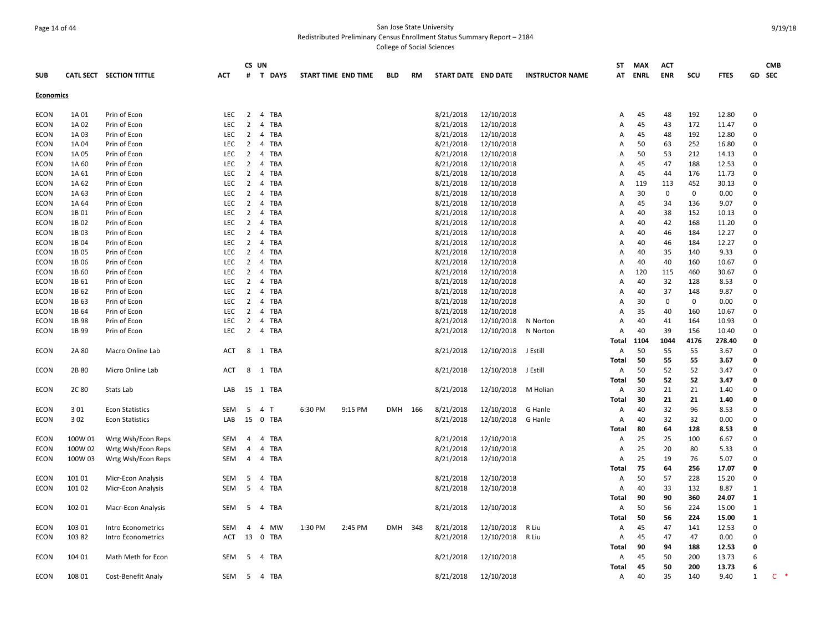## Page 14 of 44 San Jose State University Redistributed Preliminary Census Enrollment Status Summary Report – 2184

|                            |                |                              |                          | CS UN               |                                |                     |         |            |     |                        |                          |                        | ST     | MAX       | <b>ACT</b>         |             |              |                         | <b>CMB</b>     |
|----------------------------|----------------|------------------------------|--------------------------|---------------------|--------------------------------|---------------------|---------|------------|-----|------------------------|--------------------------|------------------------|--------|-----------|--------------------|-------------|--------------|-------------------------|----------------|
| <b>SUB</b>                 |                | CATL SECT SECTION TITTLE     | <b>ACT</b>               |                     | # T DAYS                       | START TIME END TIME |         | <b>BLD</b> | RM  | START DATE END DATE    |                          | <b>INSTRUCTOR NAME</b> | AT     | ENRL      | <b>ENR</b>         | scu         | <b>FTES</b>  | GD SEC                  |                |
| <b>Economics</b>           |                |                              |                          |                     |                                |                     |         |            |     |                        |                          |                        |        |           |                    |             |              |                         |                |
|                            |                |                              |                          |                     |                                |                     |         |            |     |                        |                          |                        |        |           |                    |             |              |                         |                |
| <b>ECON</b>                | 1A 01          | Prin of Econ                 | <b>LEC</b>               | $\overline{2}$      | 4 TBA                          |                     |         |            |     | 8/21/2018              | 12/10/2018               |                        | A      | 45        | 48                 | 192         | 12.80        | $\mathbf 0$             |                |
| <b>ECON</b>                | 1A 02          | Prin of Econ                 | LEC                      | $\overline{2}$      | <b>TBA</b><br>$\overline{4}$   |                     |         |            |     | 8/21/2018              | 12/10/2018               |                        | A      | 45        | 43                 | 172         | 11.47        | $\mathbf 0$             |                |
| <b>ECON</b>                | 1A 03          | Prin of Econ                 | <b>LEC</b>               | $\overline{2}$      | 4 TBA                          |                     |         |            |     | 8/21/2018              | 12/10/2018               |                        | A      | 45        | 48                 | 192         | 12.80        | $\mathbf 0$             |                |
| <b>ECON</b>                | 1A 04          | Prin of Econ                 | LEC                      | $\overline{2}$      | 4 TBA                          |                     |         |            |     | 8/21/2018              | 12/10/2018               |                        | A      | 50        | 63                 | 252         | 16.80        | $\mathbf 0$             |                |
| <b>ECON</b>                | 1A 05          | Prin of Econ                 | LEC                      | $\overline{2}$      | TBA<br>4                       |                     |         |            |     | 8/21/2018              | 12/10/2018               |                        | A      | 50        | 53                 | 212         | 14.13        | $\mathbf 0$             |                |
| ECON                       | 1A 60          | Prin of Econ                 | <b>LEC</b>               | $\overline{2}$      | 4 TBA                          |                     |         |            |     | 8/21/2018              | 12/10/2018               |                        | A      | 45        | 47                 | 188         | 12.53        | $\mathbf 0$             |                |
| <b>ECON</b>                | 1A 61          | Prin of Econ                 | <b>LEC</b>               | $\overline{2}$      | 4 TBA                          |                     |         |            |     | 8/21/2018              | 12/10/2018               |                        | A      | 45        | 44                 | 176         | 11.73        | $\Omega$                |                |
| <b>ECON</b>                | 1A 62          | Prin of Econ                 | <b>LEC</b>               | 2<br>$\overline{2}$ | $\overline{4}$<br>TBA<br>4 TBA |                     |         |            |     | 8/21/2018              | 12/10/2018               |                        | A      | 119<br>30 | 113<br>$\mathbf 0$ | 452<br>0    | 30.13        | $\mathbf 0$<br>$\Omega$ |                |
| <b>ECON</b><br><b>ECON</b> | 1A 63<br>1A 64 | Prin of Econ                 | <b>LEC</b><br><b>LEC</b> | $\overline{2}$      | 4 TBA                          |                     |         |            |     | 8/21/2018<br>8/21/2018 | 12/10/2018<br>12/10/2018 |                        | Α<br>А | 45        | 34                 | 136         | 0.00<br>9.07 | $\mathbf 0$             |                |
| <b>ECON</b>                | 1B 01          | Prin of Econ                 | <b>LEC</b>               | $\overline{2}$      | 4 TBA                          |                     |         |            |     | 8/21/2018              | 12/10/2018               |                        | A      | 40        | 38                 | 152         | 10.13        | $\mathbf 0$             |                |
| ECON                       | 1B 02          | Prin of Econ<br>Prin of Econ | <b>LEC</b>               | 2                   | 4 TBA                          |                     |         |            |     | 8/21/2018              | 12/10/2018               |                        | А      | 40        | 42                 | 168         | 11.20        | $\mathbf 0$             |                |
| <b>ECON</b>                | 1B03           | Prin of Econ                 | <b>LEC</b>               | $\overline{2}$      | 4 TBA                          |                     |         |            |     | 8/21/2018              | 12/10/2018               |                        | A      | 40        | 46                 | 184         | 12.27        | $\mathbf 0$             |                |
| ECON                       | 1B 04          | Prin of Econ                 | <b>LEC</b>               | 2                   | 4 TBA                          |                     |         |            |     | 8/21/2018              | 12/10/2018               |                        | A      | 40        | 46                 | 184         | 12.27        | $\Omega$                |                |
| <b>ECON</b>                | 1B 05          | Prin of Econ                 | LEC                      | $\overline{2}$      | 4 TBA                          |                     |         |            |     | 8/21/2018              | 12/10/2018               |                        | A      | 40        | 35                 | 140         | 9.33         | $\mathbf 0$             |                |
| <b>ECON</b>                | 1B 06          | Prin of Econ                 | <b>LEC</b>               | $\overline{2}$      | 4 TBA                          |                     |         |            |     | 8/21/2018              | 12/10/2018               |                        | A      | 40        | 40                 | 160         | 10.67        | $\Omega$                |                |
| <b>ECON</b>                | 1B 60          | Prin of Econ                 | LEC                      | $\overline{2}$      | 4 TBA                          |                     |         |            |     | 8/21/2018              | 12/10/2018               |                        | А      | 120       | 115                | 460         | 30.67        | $\mathbf 0$             |                |
| <b>ECON</b>                | 1B 61          | Prin of Econ                 | <b>LEC</b>               | $\overline{2}$      | $\overline{4}$<br>TBA          |                     |         |            |     | 8/21/2018              | 12/10/2018               |                        | A      | 40        | 32                 | 128         | 8.53         | $\Omega$                |                |
| ECON                       | 1B 62          | Prin of Econ                 | LEC                      | 2                   | 4 TBA                          |                     |         |            |     | 8/21/2018              | 12/10/2018               |                        | A      | 40        | 37                 | 148         | 9.87         | $\mathbf 0$             |                |
| <b>ECON</b>                | 1B 63          | Prin of Econ                 | <b>LEC</b>               | $\overline{2}$      | 4 TBA                          |                     |         |            |     | 8/21/2018              | 12/10/2018               |                        | A      | 30        | $\mathbf 0$        | $\mathbf 0$ | 0.00         | $\mathbf 0$             |                |
| ECON                       | 1B 64          | Prin of Econ                 | <b>LEC</b>               | $\overline{2}$      | 4 TBA                          |                     |         |            |     | 8/21/2018              | 12/10/2018               |                        | A      | 35        | 40                 | 160         | 10.67        | $\Omega$                |                |
| <b>ECON</b>                | 1B 98          | Prin of Econ                 | <b>LEC</b>               | $\overline{2}$      | 4 TBA                          |                     |         |            |     | 8/21/2018              | 12/10/2018               | N Norton               | Α      | 40        | 41                 | 164         | 10.93        | $\Omega$                |                |
| <b>ECON</b>                | 1B 99          | Prin of Econ                 | <b>LEC</b>               | $\overline{2}$      | 4 TBA                          |                     |         |            |     | 8/21/2018              | 12/10/2018               | N Norton               | A      | 40        | 39                 | 156         | 10.40        | $\Omega$                |                |
|                            |                |                              |                          |                     |                                |                     |         |            |     |                        |                          |                        | Total  | 1104      | 1044               | 4176        | 278.40       | $\mathbf 0$             |                |
| <b>ECON</b>                | 2A 80          | Macro Online Lab             | <b>ACT</b>               | 8                   | 1 TBA                          |                     |         |            |     | 8/21/2018              | 12/10/2018               | J Estill               | Α      | 50        | 55                 | 55          | 3.67         | $\mathbf 0$             |                |
|                            |                |                              |                          |                     |                                |                     |         |            |     |                        |                          |                        | Total  | 50        | 55                 | 55          | 3.67         | $\mathbf 0$             |                |
| <b>ECON</b>                | 2B 80          | Micro Online Lab             | <b>ACT</b>               |                     | 8 1 TBA                        |                     |         |            |     | 8/21/2018              | 12/10/2018               | J Estill               | Α      | 50        | 52                 | 52          | 3.47         | $\Omega$                |                |
|                            |                |                              |                          |                     |                                |                     |         |            |     |                        |                          |                        | Total  | 50        | 52                 | 52          | 3.47         | $\mathbf 0$             |                |
| <b>ECON</b>                | 2C 80          | Stats Lab                    | LAB                      |                     | 15 1 TBA                       |                     |         |            |     | 8/21/2018              | 12/10/2018               | M Holian               | A      | 30        | 21                 | 21          | 1.40         | $\Omega$                |                |
|                            |                |                              |                          |                     |                                |                     |         |            |     |                        |                          |                        | Total  | 30        | 21                 | 21          | 1.40         | $\mathbf 0$             |                |
| <b>ECON</b>                | 301            | <b>Econ Statistics</b>       | SEM                      | 5                   | 4 T                            | 6:30 PM             | 9:15 PM | <b>DMH</b> | 166 | 8/21/2018              | 12/10/2018               | G Hanle                | A      | 40        | 32                 | 96          | 8.53         | $\Omega$                |                |
| ECON                       | 302            | <b>Econ Statistics</b>       | LAB                      |                     | 15 0 TBA                       |                     |         |            |     | 8/21/2018              | 12/10/2018               | G Hanle                | Α      | 40        | 32                 | 32          | 0.00         | $\Omega$                |                |
|                            |                |                              |                          |                     |                                |                     |         |            |     |                        |                          |                        | Total  | 80        | 64                 | 128         | 8.53         | 0                       |                |
| <b>ECON</b>                | 100W 01        | Wrtg Wsh/Econ Reps           | SEM                      | $\overline{4}$      | 4 TBA                          |                     |         |            |     | 8/21/2018              | 12/10/2018               |                        | A      | 25        | 25                 | 100         | 6.67         | $\Omega$                |                |
| ECON                       | 100W 02        | Wrtg Wsh/Econ Reps           | SEM                      | 4                   | TBA<br>4                       |                     |         |            |     | 8/21/2018              | 12/10/2018               |                        | Α      | 25        | 20                 | 80          | 5.33         | $\mathbf 0$             |                |
| <b>ECON</b>                | 100W 03        | Wrtg Wsh/Econ Reps           | SEM                      | $\overline{4}$      | 4 TBA                          |                     |         |            |     | 8/21/2018              | 12/10/2018               |                        | A      | 25        | 19                 | 76          | 5.07         | $\Omega$                |                |
|                            |                |                              |                          |                     |                                |                     |         |            |     |                        |                          |                        | Total  | 75        | 64                 | 256         | 17.07        | $\mathbf{0}$            |                |
| ECON                       | 101 01         | Micr-Econ Analysis           | <b>SEM</b>               | -5                  | 4<br>TBA                       |                     |         |            |     | 8/21/2018              | 12/10/2018               |                        | Α      | 50        | 57                 | 228         | 15.20        | $\mathbf 0$             |                |
| <b>ECON</b>                | 101 02         | Micr-Econ Analysis           | SEM                      | 5                   | 4 TBA                          |                     |         |            |     | 8/21/2018              | 12/10/2018               |                        | Α      | 40        | 33                 | 132         | 8.87         | 1                       |                |
|                            |                |                              |                          |                     |                                |                     |         |            |     |                        |                          |                        | Total  | 90        | 90                 | 360         | 24.07        | 1                       |                |
| <b>ECON</b>                | 102 01         | <b>Macr-Econ Analysis</b>    | SEM                      | 5                   | 4 TBA                          |                     |         |            |     | 8/21/2018              | 12/10/2018               |                        | Α      | 50        | 56                 | 224         | 15.00        | 1                       |                |
|                            |                |                              |                          |                     |                                |                     |         |            |     |                        |                          |                        | Total  | 50        | 56                 | 224         | 15.00        | 1                       |                |
| <b>ECON</b>                | 103 01         | Intro Econometrics           | SEM                      | 4                   | 4 MW                           | 1:30 PM             | 2:45 PM | <b>DMH</b> | 348 | 8/21/2018              | 12/10/2018               | R Liu                  | Α      | 45        | 47                 | 141         | 12.53        | $\mathbf 0$             |                |
| ECON                       | 103 82         | Intro Econometrics           | <b>ACT</b>               |                     | 13 0 TBA                       |                     |         |            |     | 8/21/2018              | 12/10/2018               | R Liu                  | A      | 45        | 47                 | 47          | 0.00         | $\Omega$                |                |
|                            |                |                              |                          |                     |                                |                     |         |            |     |                        |                          |                        | Total  | 90        | 94                 | 188         | 12.53        | $\mathbf 0$             |                |
| <b>ECON</b>                | 104 01         | Math Meth for Econ           | SEM                      | -5                  | 4 TBA                          |                     |         |            |     | 8/21/2018              | 12/10/2018               |                        | A      | 45        | 50                 | 200         | 13.73        | 6                       |                |
|                            |                |                              |                          |                     |                                |                     |         |            |     |                        |                          |                        | Total  | 45        | 50                 | 200         | 13.73        | 6                       |                |
| <b>ECON</b>                | 108 01         | Cost-Benefit Analy           |                          |                     | SEM 5 4 TBA                    |                     |         |            |     | 8/21/2018              | 12/10/2018               |                        | Α      | 40        | 35                 | 140         | 9.40         | $\mathbf{1}$            | $\mathsf{C}^-$ |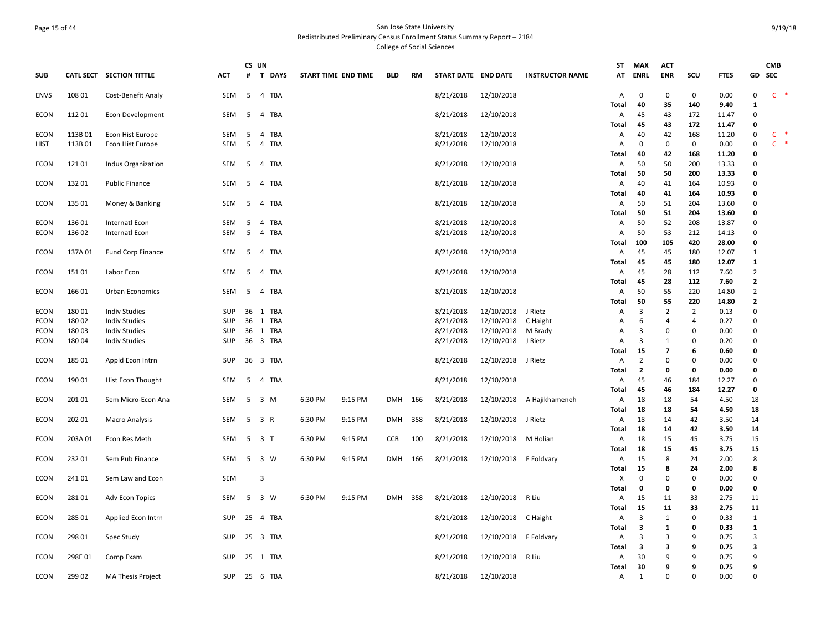## Page 15 of 44 San Jose State University Redistributed Preliminary Census Enrollment Status Summary Report – 2184 College of Social Sciences

|                     |                |                                              |                          | CS UN |                             |                     |         |            |     |                        |                          |                        | ST             | <b>MAX</b>              | <b>ACT</b>       |                |                |                            | СМВ   |        |
|---------------------|----------------|----------------------------------------------|--------------------------|-------|-----------------------------|---------------------|---------|------------|-----|------------------------|--------------------------|------------------------|----------------|-------------------------|------------------|----------------|----------------|----------------------------|-------|--------|
| <b>SUB</b>          |                | CATL SECT SECTION TITTLE                     | <b>ACT</b>               | #     | <b>DAYS</b><br>$\mathbf{T}$ | START TIME END TIME |         | <b>BLD</b> | RM  | START DATE END DATE    |                          | <b>INSTRUCTOR NAME</b> | AT             | ENRL                    | <b>ENR</b>       | scu            | <b>FTES</b>    | GD                         | SEC   |        |
| <b>ENVS</b>         | 108 01         | Cost-Benefit Analy                           | SEM                      | - 5   | 4 TBA                       |                     |         |            |     | 8/21/2018              | 12/10/2018               |                        | Α              | 0                       | 0                | 0              | 0.00           | $\mathsf 0$                | $C$ * |        |
| <b>ECON</b>         | 11201          | Econ Development                             | SEM                      | - 5   | 4 TBA                       |                     |         |            |     | 8/21/2018              | 12/10/2018               |                        | Total<br>A     | 40<br>45                | 35<br>43         | 140<br>172     | 9.40<br>11.47  | 1<br>$\mathbf 0$           |       |        |
|                     |                |                                              |                          |       |                             |                     |         |            |     |                        |                          |                        | Total          | 45                      | 43               | 172            | 11.47          | 0                          |       |        |
| <b>ECON</b>         | 113B01         | Econ Hist Europe                             | SEM                      | 5     | 4 TBA                       |                     |         |            |     | 8/21/2018              | 12/10/2018               |                        | A              | 40                      | 42               | 168            | 11.20          | $\mathbf 0$                | C     | $\ast$ |
| HIST                | 113B 01        | Econ Hist Europe                             | SEM                      | 5     | 4 TBA                       |                     |         |            |     | 8/21/2018              | 12/10/2018               |                        | A              | $\Omega$                | 0                | $\mathbf 0$    | 0.00           | 0                          | $C$ * |        |
|                     |                |                                              |                          |       |                             |                     |         |            |     |                        |                          |                        | Total          | 40                      | 42               | 168            | 11.20          | $\mathbf 0$                |       |        |
| ECON                | 12101          | Indus Organization                           | SEM                      | - 5   | 4 TBA                       |                     |         |            |     | 8/21/2018              | 12/10/2018               |                        | Α              | 50                      | 50               | 200            | 13.33          | $\mathbf 0$                |       |        |
|                     |                |                                              |                          |       |                             |                     |         |            |     |                        |                          |                        | Total          | 50                      | 50               | 200            | 13.33          | 0                          |       |        |
| ECON                | 13201          | <b>Public Finance</b>                        | SEM                      | -5    | 4 TBA                       |                     |         |            |     | 8/21/2018              | 12/10/2018               |                        | A              | 40                      | 41               | 164            | 10.93          | $\Omega$                   |       |        |
|                     |                |                                              |                          |       |                             |                     |         |            |     |                        |                          |                        | Total          | 40                      | 41               | 164            | 10.93          | $\Omega$                   |       |        |
| <b>ECON</b>         | 135 01         | Money & Banking                              | <b>SEM</b>               | -5    | 4 TBA                       |                     |         |            |     | 8/21/2018              | 12/10/2018               |                        | $\overline{A}$ | 50                      | 51               | 204            | 13.60          | $\Omega$<br>$\mathbf{0}$   |       |        |
| <b>ECON</b>         | 13601          | Internatl Econ                               | <b>SEM</b>               | -5    | 4 TBA                       |                     |         |            |     | 8/21/2018              | 12/10/2018               |                        | Total<br>A     | 50<br>50                | 51<br>52         | 204<br>208     | 13.60<br>13.87 | $\Omega$                   |       |        |
| ECON                | 136 02         | Internatl Econ                               | SEM                      | -5    | 4 TBA                       |                     |         |            |     | 8/21/2018              | 12/10/2018               |                        | $\overline{A}$ | 50                      | 53               | 212            | 14.13          | $\Omega$                   |       |        |
|                     |                |                                              |                          |       |                             |                     |         |            |     |                        |                          |                        | Total          | 100                     | 105              | 420            | 28.00          | $\mathbf{0}$               |       |        |
| ECON                | 137A 01        | <b>Fund Corp Finance</b>                     | <b>SEM</b>               | -5    | 4 TBA                       |                     |         |            |     | 8/21/2018              | 12/10/2018               |                        | Α              | 45                      | 45               | 180            | 12.07          | $\mathbf{1}$               |       |        |
|                     |                |                                              |                          |       |                             |                     |         |            |     |                        |                          |                        | Total          | 45                      | 45               | 180            | 12.07          | 1                          |       |        |
| <b>ECON</b>         | 15101          | Labor Econ                                   | SEM                      | - 5   | 4 TBA                       |                     |         |            |     | 8/21/2018              | 12/10/2018               |                        | A              | 45                      | 28               | 112            | 7.60           | $\overline{2}$             |       |        |
|                     |                |                                              |                          |       |                             |                     |         |            |     |                        |                          |                        | Total          | 45                      | 28               | 112            | 7.60           | $\overline{\mathbf{2}}$    |       |        |
| <b>ECON</b>         | 166 01         | Urban Economics                              | <b>SEM</b>               | -5    | 4 TBA                       |                     |         |            |     | 8/21/2018              | 12/10/2018               |                        | A              | 50                      | 55               | 220            | 14.80          | 2                          |       |        |
|                     |                |                                              |                          |       |                             |                     |         |            |     |                        |                          |                        | Total          | 50                      | 55               | 220            | 14.80          | $\overline{2}$             |       |        |
| <b>ECON</b>         | 18001          | <b>Indiv Studies</b>                         | <b>SUP</b>               |       | 36 1 TBA                    |                     |         |            |     | 8/21/2018              | 12/10/2018               | J Rietz                | Α              | 3<br>6                  | $\overline{2}$   | $\overline{2}$ | 0.13           | $\pmb{0}$                  |       |        |
| ECON<br><b>ECON</b> | 18002<br>18003 | <b>Indiv Studies</b><br><b>Indiv Studies</b> | <b>SUP</b><br><b>SUP</b> | 36    | 1 TBA<br>36 1 TBA           |                     |         |            |     | 8/21/2018<br>8/21/2018 | 12/10/2018<br>12/10/2018 | C Haight<br>M Brady    | A<br>A         | 3                       | 4<br>$\mathbf 0$ | 4<br>0         | 0.27<br>0.00   | $\mathbf 0$<br>$\mathbf 0$ |       |        |
| ECON                | 18004          | <b>Indiv Studies</b>                         | <b>SUP</b>               |       | 36 3 TBA                    |                     |         |            |     | 8/21/2018              | 12/10/2018               | J Rietz                | $\overline{A}$ | 3                       | 1                | 0              | 0.20           | $\Omega$                   |       |        |
|                     |                |                                              |                          |       |                             |                     |         |            |     |                        |                          |                        | Total          | 15                      | $\overline{7}$   | 6              | 0.60           | $\mathbf 0$                |       |        |
| <b>ECON</b>         | 185 01         | Appld Econ Intrn                             | SUP                      |       | 36 3 TBA                    |                     |         |            |     | 8/21/2018              | 12/10/2018 J Rietz       |                        | Α              | $\overline{2}$          | 0                | 0              | 0.00           | $\mathbf 0$                |       |        |
|                     |                |                                              |                          |       |                             |                     |         |            |     |                        |                          |                        | Total          | $\overline{2}$          | 0                | 0              | 0.00           | $\mathbf 0$                |       |        |
| <b>ECON</b>         | 190 01         | Hist Econ Thought                            | SEM                      | - 5   | 4 TBA                       |                     |         |            |     | 8/21/2018              | 12/10/2018               |                        | A              | 45                      | 46               | 184            | 12.27          | $\mathbf 0$                |       |        |
|                     |                |                                              |                          |       |                             |                     |         |            |     |                        |                          |                        | Total          | 45                      | 46               | 184            | 12.27          | 0                          |       |        |
| ECON                | 201 01         | Sem Micro-Econ Ana                           | SEM                      | 5     | 3 M                         | 6:30 PM             | 9:15 PM | <b>DMH</b> | 166 | 8/21/2018              | 12/10/2018               | A Hajikhameneh         | A              | 18                      | 18               | 54             | 4.50           | 18                         |       |        |
|                     |                |                                              |                          |       |                             |                     |         |            |     |                        |                          |                        | Total          | 18                      | 18               | 54             | 4.50           | 18                         |       |        |
| ECON                | 202 01         | <b>Macro Analysis</b>                        | SEM                      | 5     | 3 R                         | 6:30 PM             | 9:15 PM | <b>DMH</b> | 358 | 8/21/2018              | 12/10/2018 J Rietz       |                        | Α              | 18                      | 14               | 42             | 3.50           | 14                         |       |        |
| ECON                | 203A 01        | Econ Res Meth                                | SEM                      | 5     | 3 T                         | 6:30 PM             | 9:15 PM | CCB        | 100 | 8/21/2018              | 12/10/2018               | M Holian               | Total<br>Α     | 18<br>18                | 14<br>15         | 42<br>45       | 3.50<br>3.75   | 14<br>15                   |       |        |
|                     |                |                                              |                          |       |                             |                     |         |            |     |                        |                          |                        | Total          | 18                      | 15               | 45             | 3.75           | 15                         |       |        |
| <b>ECON</b>         | 23201          | Sem Pub Finance                              | <b>SEM</b>               | - 5   | 3 W                         | 6:30 PM             | 9:15 PM | <b>DMH</b> | 166 | 8/21/2018              | 12/10/2018 F Foldvary    |                        | A              | 15                      | 8                | 24             | 2.00           | 8                          |       |        |
|                     |                |                                              |                          |       |                             |                     |         |            |     |                        |                          |                        | Total          | 15                      | 8                | 24             | 2.00           | 8                          |       |        |
| <b>ECON</b>         | 241 01         | Sem Law and Econ                             | SEM                      |       | $\overline{3}$              |                     |         |            |     |                        |                          |                        | Χ              | $\Omega$                | $\Omega$         | $\Omega$       | 0.00           | $\Omega$                   |       |        |
|                     |                |                                              |                          |       |                             |                     |         |            |     |                        |                          |                        | Total          | $\mathbf 0$             | 0                | 0              | 0.00           | $\mathbf 0$                |       |        |
| ECON                | 28101          | Adv Econ Topics                              | SEM                      | 5     | 3 W                         | 6:30 PM             | 9:15 PM | <b>DMH</b> | 358 | 8/21/2018              | 12/10/2018               | R Liu                  | A              | 15                      | 11               | 33             | 2.75           | 11                         |       |        |
|                     |                |                                              |                          |       |                             |                     |         |            |     |                        |                          |                        | <b>Total</b>   | 15                      | 11               | 33             | 2.75           | 11                         |       |        |
| <b>ECON</b>         | 285 01         | Applied Econ Intrn                           | SUP                      |       | 25 4 TBA                    |                     |         |            |     | 8/21/2018              | 12/10/2018 C Haight      |                        | A              | 3                       | 1                | $\Omega$       | 0.33           | 1                          |       |        |
|                     |                |                                              |                          |       |                             |                     |         |            |     |                        |                          |                        | Total          | 3<br>3                  | $\mathbf{1}$     | 0<br>q         | 0.33           | $\mathbf{1}$               |       |        |
| ECON                | 298 01         | Spec Study                                   | SUP                      |       | 25 3 TBA                    |                     |         |            |     | 8/21/2018              | 12/10/2018               | F Foldvary             | Α<br>Total     | $\overline{\mathbf{3}}$ | 3<br>3           | q              | 0.75<br>0.75   | 3<br>3                     |       |        |
| ECON                | 298E01         | Comp Exam                                    | SUP                      |       | 25 1 TBA                    |                     |         |            |     | 8/21/2018              | 12/10/2018               | R Liu                  | A              | 30                      | 9                | 9              | 0.75           | 9                          |       |        |
|                     |                |                                              |                          |       |                             |                     |         |            |     |                        |                          |                        | Total          | 30                      | q                | q              | 0.75           | q                          |       |        |
| <b>ECON</b>         | 299 02         | <b>MA Thesis Project</b>                     | SUP                      |       | 25 6 TBA                    |                     |         |            |     | 8/21/2018              | 12/10/2018               |                        | A              | 1                       | 0                | $\Omega$       | 0.00           | $\Omega$                   |       |        |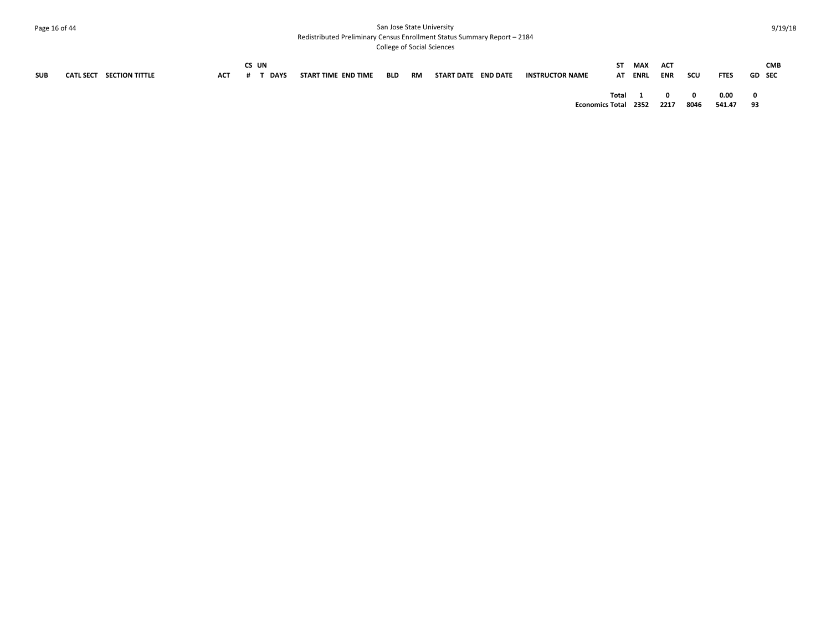## Page 16 of 44 San Jose State University Redistributed Preliminary Census Enrollment Status Summary Report – 2184

|            |                          |            | CS UN |      |                     |        |                     |                        | ST MAX  | ACT          |                         |             |               | <b>CMB</b> |
|------------|--------------------------|------------|-------|------|---------------------|--------|---------------------|------------------------|---------|--------------|-------------------------|-------------|---------------|------------|
| <b>SUB</b> | CATL SECT SECTION TITTLE | <b>ACT</b> | # 1   | DAYS | START TIME END TIME | BLD RM | START DATE END DATE | <b>INSTRUCTOR NAME</b> | AT ENRL | ENR          | scu                     | <b>FTES</b> | <b>GD</b> SEC |            |
|            |                          |            |       |      |                     |        |                     | Total 1                |         | $\mathbf{0}$ | $\overline{\mathbf{0}}$ | 0.00        | - 0           |            |
|            |                          |            |       |      |                     |        |                     | Economics Total 2352   |         | 2217         | 8046                    | 541.47      | 93            |            |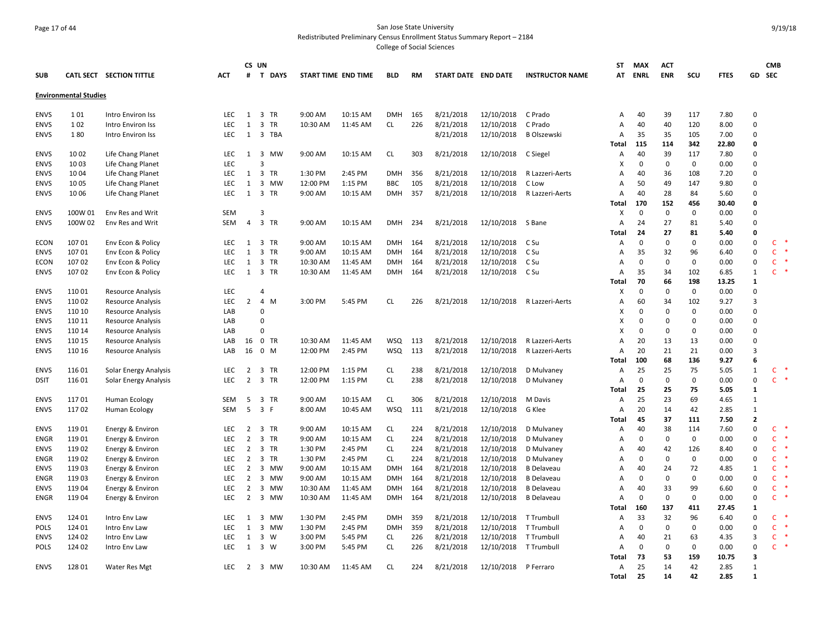## Page 17 of 44 San Jose State University Redistributed Preliminary Census Enrollment Status Summary Report – 2184

|             |                              |                              |            | CS UN          |          |                     |          |            |     |                     |                   |                        | <b>ST</b>    | <b>MAX</b>  | <b>ACT</b>  |             |             |                | <b>CMB</b>   |       |
|-------------|------------------------------|------------------------------|------------|----------------|----------|---------------------|----------|------------|-----|---------------------|-------------------|------------------------|--------------|-------------|-------------|-------------|-------------|----------------|--------------|-------|
| <b>SUB</b>  |                              | CATL SECT SECTION TITTLE     | <b>ACT</b> | #              | T DAYS   | START TIME END TIME |          | <b>BLD</b> | RM  | START DATE END DATE |                   | <b>INSTRUCTOR NAME</b> | AT           | ENRL        | <b>ENR</b>  | scu         | <b>FTES</b> | GD             | SEC          |       |
|             | <b>Environmental Studies</b> |                              |            |                |          |                     |          |            |     |                     |                   |                        |              |             |             |             |             |                |              |       |
| <b>ENVS</b> | 101                          | <b>Intro Environ Iss</b>     | LEC.       | 1              | 3 TR     | 9:00 AM             | 10:15 AM | <b>DMH</b> | 165 | 8/21/2018           | 12/10/2018        | C Prado                | А            | 40          | 39          | 117         | 7.80        | $\Omega$       |              |       |
| <b>ENVS</b> | 102                          | Intro Environ Iss            | <b>LEC</b> | $\mathbf{1}$   | 3 TR     | 10:30 AM            | 11:45 AM | CL         | 226 | 8/21/2018           | 12/10/2018        | C Prado                | А            | 40          | 40          | 120         | 8.00        | $\Omega$       |              |       |
| <b>ENVS</b> | 180                          | Intro Environ Iss            | <b>LEC</b> | 1              | 3 TBA    |                     |          |            |     | 8/21/2018           | 12/10/2018        | <b>B Olszewski</b>     | A            | 35          | 35          | 105         | 7.00        | $\Omega$       |              |       |
|             |                              |                              |            |                |          |                     |          |            |     |                     |                   |                        | Total        | 115         | 114         | 342         | 22.80       | $\Omega$       |              |       |
| <b>ENVS</b> | 10 02                        | Life Chang Planet            | <b>LEC</b> | 1              | 3 MW     | 9:00 AM             | 10:15 AM | <b>CL</b>  | 303 | 8/21/2018           | 12/10/2018        | C Siegel               | А            | 40          | 39          | 117         | 7.80        | $\Omega$       |              |       |
| <b>ENVS</b> | 10 03                        | Life Chang Planet            | <b>LEC</b> |                | 3        |                     |          |            |     |                     |                   |                        | X            | 0           | 0           | 0           | 0.00        | $\Omega$       |              |       |
| <b>ENVS</b> | 10 04                        | Life Chang Planet            | <b>LEC</b> | 1              | 3 TR     | 1:30 PM             | 2:45 PM  | <b>DMH</b> | 356 | 8/21/2018           | 12/10/2018        | R Lazzeri-Aerts        | A            | 40          | 36          | 108         | 7.20        | $\Omega$       |              |       |
| <b>ENVS</b> | 10 05                        | Life Chang Planet            | LEC.       | 1              | 3 MW     | 12:00 PM            | 1:15 PM  | <b>BBC</b> | 105 | 8/21/2018           | 12/10/2018        | C Low                  | A            | 50          | 49          | 147         | 9.80        | $\Omega$       |              |       |
| <b>ENVS</b> | 10 06                        | Life Chang Planet            | <b>LEC</b> | 1              | 3 TR     | 9:00 AM             | 10:15 AM | <b>DMH</b> | 357 | 8/21/2018           | 12/10/2018        | R Lazzeri-Aerts        | А            | 40          | 28          | 84          | 5.60        | $\Omega$       |              |       |
|             |                              |                              |            |                |          |                     |          |            |     |                     |                   |                        | Total        | 170         | 152         | 456         | 30.40       | $\Omega$       |              |       |
| <b>ENVS</b> | 100W 01                      | Env Res and Writ             | <b>SEM</b> |                | 3        |                     |          |            |     |                     |                   |                        | X            | $\mathbf 0$ | $\mathbf 0$ | $\mathbf 0$ | 0.00        | $\Omega$       |              |       |
| <b>ENVS</b> | 100W 02                      | Env Res and Writ             | <b>SEM</b> | $\overline{4}$ | 3 TR     | 9:00 AM             | 10:15 AM | <b>DMH</b> | 234 | 8/21/2018           | 12/10/2018 S Bane |                        | A            | 24          | 27          | 81          | 5.40        | $\Omega$       |              |       |
|             |                              |                              |            |                |          |                     |          |            |     |                     |                   |                        | Total        | 24          | 27          | 81          | 5.40        | $\Omega$       |              |       |
| <b>ECON</b> | 10701                        | Env Econ & Policy            | LEC        | 1              | 3 TR     | 9:00 AM             | 10:15 AM | <b>DMH</b> | 164 | 8/21/2018           | 12/10/2018        | C Su                   | А            | 0           | 0           | $\mathbf 0$ | 0.00        | $\Omega$       | $\mathsf{C}$ |       |
| <b>ENVS</b> | 10701                        | Env Econ & Policy            | LEC        | 1              | 3 TR     | 9:00 AM             | 10:15 AM | <b>DMH</b> | 164 | 8/21/2018           | 12/10/2018        | C Su                   | А            | 35          | 32          | 96          | 6.40        | $\Omega$       | $\mathsf{C}$ |       |
| ECON        | 10702                        | Env Econ & Policy            | <b>LEC</b> | 1              | 3 TR     | 10:30 AM            | 11:45 AM | <b>DMH</b> | 164 | 8/21/2018           | 12/10/2018        | C Su                   | A            | 0           | 0           | 0           | 0.00        | $\Omega$       | $\mathsf{C}$ |       |
| <b>ENVS</b> | 107 02                       | Env Econ & Policy            | <b>LEC</b> | 1              | 3 TR     | 10:30 AM            | 11:45 AM | <b>DMH</b> | 164 | 8/21/2018           | 12/10/2018        | C Su                   | A            | 35          | 34          | 102         | 6.85        | $\mathbf{1}$   | C.           |       |
|             |                              |                              |            |                |          |                     |          |            |     |                     |                   |                        | Total        | 70          | 66          | 198         | 13.25       | 1              |              |       |
| <b>ENVS</b> | 11001                        | <b>Resource Analysis</b>     | LEC        |                | 4        |                     |          |            |     |                     |                   |                        | x            | 0           | 0           | 0           | 0.00        | $\Omega$       |              |       |
| <b>ENVS</b> | 110 02                       | <b>Resource Analysis</b>     | LEC        | $\overline{2}$ | 4 M      | 3:00 PM             | 5:45 PM  | <b>CL</b>  | 226 | 8/21/2018           | 12/10/2018        | R Lazzeri-Aerts        | А            | 60          | 34          | 102         | 9.27        | $\overline{3}$ |              |       |
| <b>ENVS</b> | 110 10                       | <b>Resource Analysis</b>     | LAB        |                | $\Omega$ |                     |          |            |     |                     |                   |                        | X            | $\Omega$    | 0           | 0           | 0.00        | $\Omega$       |              |       |
| <b>ENVS</b> | 110 11                       | <b>Resource Analysis</b>     | LAB        |                | $\Omega$ |                     |          |            |     |                     |                   |                        | X            | $\Omega$    | 0           | $\Omega$    | 0.00        | $\Omega$       |              |       |
| <b>ENVS</b> | 110 14                       | <b>Resource Analysis</b>     | LAB        |                | $\Omega$ |                     |          |            |     |                     |                   |                        | X            | 0           | 0           | $\Omega$    | 0.00        | $\Omega$       |              |       |
| <b>ENVS</b> | 110 15                       | <b>Resource Analysis</b>     | LAB        | 16             | 0 TR     | 10:30 AM            | 11:45 AM | <b>WSQ</b> | 113 | 8/21/2018           | 12/10/2018        | R Lazzeri-Aerts        | A            | 20          | 13          | 13          | 0.00        | $\Omega$       |              |       |
| <b>ENVS</b> | 110 16                       | <b>Resource Analysis</b>     | LAB        | 16             | $0 \, M$ | 12:00 PM            | 2:45 PM  | <b>WSQ</b> | 113 | 8/21/2018           | 12/10/2018        | R Lazzeri-Aerts        | А            | 20          | 21          | 21          | 0.00        | $\overline{3}$ |              |       |
|             |                              |                              |            |                |          |                     |          |            |     |                     |                   |                        | <b>Total</b> | 100         | 68          | 136         | 9.27        | 6              |              |       |
| <b>ENVS</b> | 116 01                       | Solar Energy Analysis        | LEC        | $\overline{2}$ | 3 TR     | 12:00 PM            | 1:15 PM  | <b>CL</b>  | 238 | 8/21/2018           | 12/10/2018        | D Mulvaney             | Α            | 25          | 25          | 75          | 5.05        | $\mathbf{1}$   | c            |       |
| <b>DSIT</b> | 116 01                       | <b>Solar Energy Analysis</b> | <b>LEC</b> | $\overline{2}$ | 3 TR     | 12:00 PM            | 1:15 PM  | CL         | 238 | 8/21/2018           | 12/10/2018        | D Mulvaney             | A            | $\mathbf 0$ | 0           | $\Omega$    | 0.00        | $\Omega$       |              | $C$ * |
|             |                              |                              |            |                |          |                     |          |            |     |                     |                   |                        | <b>Total</b> | 25          | 25          | 75          | 5.05        | $\mathbf{1}$   |              |       |
| <b>ENVS</b> | 11701                        | Human Ecology                | <b>SEM</b> | -5             | 3 TR     | 9:00 AM             | 10:15 AM | <b>CL</b>  | 306 | 8/21/2018           | 12/10/2018        | M Davis                | A            | 25          | 23          | 69          | 4.65        | $\mathbf{1}$   |              |       |
| <b>ENVS</b> | 11702                        | Human Ecology                | SEM        | 5              | 3 F      | 8:00 AM             | 10:45 AM | <b>WSQ</b> | 111 | 8/21/2018           | 12/10/2018        | G Klee                 | А            | 20          | 14          | 42          | 2.85        | $\mathbf{1}$   |              |       |
|             |                              |                              |            |                |          |                     |          |            |     |                     |                   |                        | Total        | 45          | 37          | 111         | 7.50        | $\overline{2}$ |              |       |
| <b>ENVS</b> | 11901                        | Energy & Environ             | <b>LEC</b> | $\overline{2}$ | 3 TR     | 9:00 AM             | 10:15 AM | <b>CL</b>  | 224 | 8/21/2018           | 12/10/2018        | D Mulvaney             | A            | 40          | 38          | 114         | 7.60        | $\Omega$       | C.           |       |
| ENGR        | 119 01                       | Energy & Environ             | <b>LEC</b> | $\overline{2}$ | 3 TR     | 9:00 AM             | 10:15 AM | CL         | 224 | 8/21/2018           | 12/10/2018        | D Mulvaney             | Α            | 0           | $\mathbf 0$ | 0           | 0.00        | $\Omega$       | $\mathsf{C}$ |       |
| <b>ENVS</b> | 119 02                       | Energy & Environ             | LEC.       | $\overline{2}$ | 3 TR     | 1:30 PM             | 2:45 PM  | <b>CL</b>  | 224 | 8/21/2018           | 12/10/2018        | D Mulvaney             | A            | 40          | 42          | 126         | 8.40        | $\Omega$       | $\mathsf{C}$ |       |
| ENGR        | 119 02                       | Energy & Environ             | LEC        | $\overline{2}$ | 3 TR     | 1:30 PM             | 2:45 PM  | CL         | 224 | 8/21/2018           | 12/10/2018        | D Mulvaney             | А            | $\mathbf 0$ | 0           | $\mathbf 0$ | 0.00        | $\Omega$       | $\mathsf{C}$ |       |
| <b>ENVS</b> | 11903                        | Energy & Environ             | <b>LEC</b> | 2              | 3 MW     | 9:00 AM             | 10:15 AM | <b>DMH</b> | 164 | 8/21/2018           | 12/10/2018        | <b>B</b> Delaveau      | А            | 40          | 24          | 72          | 4.85        | $\mathbf{1}$   | $\mathsf{C}$ |       |
| <b>ENGR</b> | 119 03                       | Energy & Environ             | LEC        | $\overline{2}$ | 3 MW     | 9:00 AM             | 10:15 AM | <b>DMH</b> | 164 | 8/21/2018           | 12/10/2018        | <b>B</b> Delaveau      | А            | 0           | 0           | $\Omega$    | 0.00        | $\Omega$       | $\mathsf{C}$ |       |
| <b>ENVS</b> | 11904                        | Energy & Environ             | <b>LEC</b> | $\overline{2}$ | 3 MW     | 10:30 AM            | 11:45 AM | <b>DMH</b> | 164 | 8/21/2018           | 12/10/2018        | <b>B</b> Delaveau      | А            | 40          | 33          | 99          | 6.60        | $\Omega$       | $\mathsf{C}$ |       |
| <b>ENGR</b> | 119 04                       | Energy & Environ             | <b>LEC</b> | $\overline{2}$ | 3 MW     | 10:30 AM            | 11:45 AM | <b>DMH</b> | 164 | 8/21/2018           | 12/10/2018        | <b>B</b> Delaveau      | A            | $\mathbf 0$ | $\Omega$    | $\Omega$    | 0.00        | $\Omega$       | $\mathsf{C}$ |       |
|             |                              |                              |            |                |          |                     |          |            |     |                     |                   |                        | Total        | 160         | 137         | 411         | 27.45       | 1              |              |       |
| <b>ENVS</b> | 124 01                       | Intro Env Law                | <b>LEC</b> | 1              | 3<br>MW  | 1:30 PM             | 2:45 PM  | <b>DMH</b> | 359 | 8/21/2018           | 12/10/2018        | T Trumbull             | А            | 33          | 32          | 96          | 6.40        | $\Omega$       | C            |       |
| <b>POLS</b> | 124 01                       | Intro Env Law                | <b>LEC</b> | $\mathbf{1}$   | 3 MW     | 1:30 PM             | 2:45 PM  | <b>DMH</b> | 359 | 8/21/2018           | 12/10/2018        | T Trumbull             | Α            | $\mathbf 0$ | 0           | $\mathbf 0$ | 0.00        | $\Omega$       | $\mathsf{C}$ |       |
| <b>ENVS</b> | 124 02                       | Intro Env Law                | LEC        | 1              | 3 W      | 3:00 PM             | 5:45 PM  | <b>CL</b>  | 226 | 8/21/2018           | 12/10/2018        | T Trumbull             | А            | 40          | 21          | 63          | 4.35        | 3              | $\mathsf{C}$ |       |
| <b>POLS</b> | 124 02                       | Intro Env Law                | LEC        | 1              | 3 W      | 3:00 PM             | 5:45 PM  | <b>CL</b>  | 226 | 8/21/2018           | 12/10/2018        | T Trumbull             | A            | $\mathbf 0$ | 0           | $\mathbf 0$ | 0.00        | $\Omega$       | $\mathsf{C}$ |       |
|             |                              |                              |            |                |          |                     |          |            |     |                     |                   |                        | Total        | 73          | 53          | 159         | 10.75       | 3              |              |       |
| <b>ENVS</b> | 128 01                       | Water Res Mgt                | <b>LEC</b> | 2              | 3 MW     | 10:30 AM            | 11:45 AM | <b>CL</b>  | 224 | 8/21/2018           | 12/10/2018        | P Ferraro              | А            | 25          | 14          | 42          | 2.85        | $\mathbf{1}$   |              |       |
|             |                              |                              |            |                |          |                     |          |            |     |                     |                   |                        | <b>Total</b> | 25          | 14          | 42          | 2.85        | $\mathbf{1}$   |              |       |
|             |                              |                              |            |                |          |                     |          |            |     |                     |                   |                        |              |             |             |             |             |                |              |       |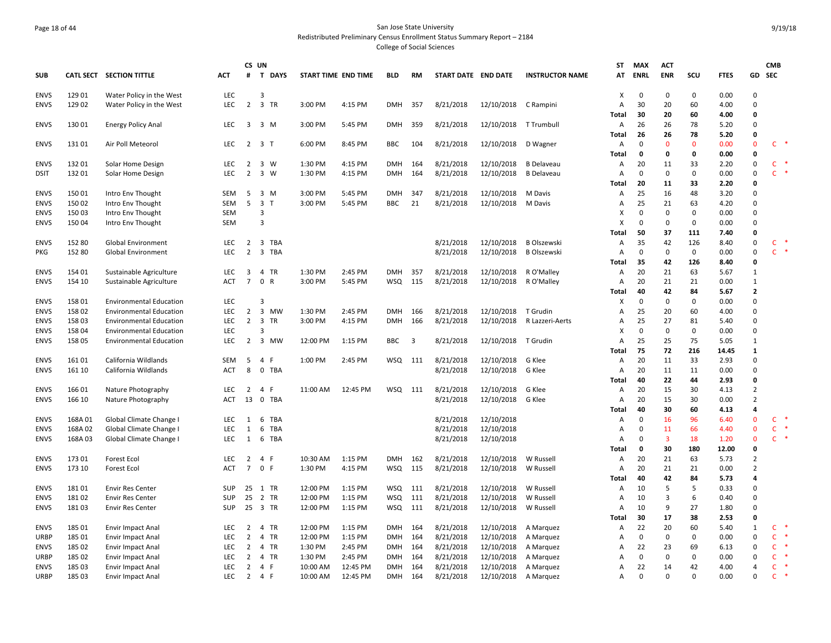## Page 18 of 44 San Jose State University Redistributed Preliminary Census Enrollment Status Summary Report – 2184 College of Social Sciences

|             |         |                                |                   |                                  | CS UN                                   |                     |          |            |                         |                     |            |                        | <b>ST</b>      | MAX                     | <b>ACT</b>                    |                    |               |                          | <b>CMB</b>                   |           |
|-------------|---------|--------------------------------|-------------------|----------------------------------|-----------------------------------------|---------------------|----------|------------|-------------------------|---------------------|------------|------------------------|----------------|-------------------------|-------------------------------|--------------------|---------------|--------------------------|------------------------------|-----------|
| <b>SUB</b>  |         | CATL SECT SECTION TITTLE       | <b>ACT</b>        | #                                | $\mathbf{T}$<br><b>DAYS</b>             | START TIME END TIME |          | BLD        | RM                      | START DATE END DATE |            | <b>INSTRUCTOR NAME</b> | AT             | ENRL                    | <b>ENR</b>                    | scu                | <b>FTES</b>   | GD                       | <b>SEC</b>                   |           |
| <b>ENVS</b> | 129 01  | Water Policy in the West       | <b>LEC</b>        |                                  | 3                                       |                     |          |            |                         |                     |            |                        | х              | $\mathbf 0$             | $\mathbf 0$                   | $\mathbf 0$        | 0.00          | $\Omega$                 |                              |           |
| <b>ENVS</b> | 129 02  | Water Policy in the West       | LEC               | $\overline{2}$                   | 3 TR                                    | 3:00 PM             | 4:15 PM  | <b>DMH</b> | 357                     | 8/21/2018           | 12/10/2018 | C Rampini              | Α<br>Total     | 30<br>30                | 20<br>20                      | 60<br>60           | 4.00<br>4.00  | $\Omega$<br>$\Omega$     |                              |           |
| <b>ENVS</b> | 13001   | <b>Energy Policy Anal</b>      | <b>LEC</b>        | $\overline{3}$                   | 3 M                                     | 3:00 PM             | 5:45 PM  | DMH        | 359                     | 8/21/2018           | 12/10/2018 | T Trumbull             | Α              | 26                      | 26                            | 78                 | 5.20          | $\Omega$                 |                              |           |
|             |         |                                |                   |                                  |                                         |                     |          |            |                         |                     |            |                        | <b>Total</b>   | 26                      | 26                            | 78                 | 5.20          | $\Omega$                 |                              |           |
| <b>ENVS</b> | 13101   | Air Poll Meteorol              | <b>LEC</b>        | 2                                | 3 T                                     | 6:00 PM             | 8:45 PM  | <b>BBC</b> | 104                     | 8/21/2018           | 12/10/2018 | D Wagner               | A<br>Total     | $\Omega$<br>0           | $\mathbf{0}$<br>$\mathbf 0$   | $\mathbf{0}$<br>0  | 0.00<br>0.00  | $\Omega$<br>$\Omega$     | C                            | $\ast$    |
| <b>ENVS</b> | 13201   | Solar Home Design              | <b>LEC</b>        | $\overline{2}$                   | 3 W                                     | 1:30 PM             | 4:15 PM  | <b>DMH</b> | 164                     | 8/21/2018           | 12/10/2018 | <b>B</b> Delaveau      | Α              | 20                      | 11                            | 33                 | 2.20          | $\mathbf 0$              | $\mathsf{C}$                 |           |
| dsit        | 132 01  | Solar Home Design              | <b>LEC</b>        | $\overline{2}$                   | 3 W                                     | 1:30 PM             | 4:15 PM  | <b>DMH</b> | 164                     | 8/21/2018           | 12/10/2018 | <b>B</b> Delaveau      | $\overline{A}$ | $\mathbf 0$             | $\mathbf 0$                   | 0                  | 0.00          | $\Omega$                 | Ċ                            |           |
|             |         |                                |                   |                                  |                                         |                     |          |            |                         |                     |            |                        | <b>Total</b>   | 20                      | 11                            | 33                 | 2.20          | $\Omega$                 |                              |           |
| <b>ENVS</b> | 15001   | Intro Env Thought              | SEM               | 5                                | 3 M                                     | 3:00 PM             | 5:45 PM  | <b>DMH</b> | 347                     | 8/21/2018           | 12/10/2018 | M Davis                | Α              | 25                      | 16                            | 48                 | 3.20          | $\Omega$                 |                              |           |
| <b>ENVS</b> | 150 02  | Intro Env Thought              | <b>SEM</b>        | 5                                | $\overline{\mathbf{3}}$<br>$\mathsf{T}$ | 3:00 PM             | 5:45 PM  | <b>BBC</b> | 21                      | 8/21/2018           | 12/10/2018 | M Davis                | Α              | 25                      | 21                            | 63                 | 4.20          | $\Omega$                 |                              |           |
| <b>ENVS</b> | 150 03  | Intro Env Thought              | <b>SEM</b>        |                                  | 3                                       |                     |          |            |                         |                     |            |                        | X              | $\Omega$                | $\mathbf 0$                   | 0                  | 0.00          | $\Omega$                 |                              |           |
| <b>ENVS</b> | 15004   | Intro Env Thought              | SEM               |                                  | 3                                       |                     |          |            |                         |                     |            |                        | X              | $\Omega$                | $\Omega$                      | $\Omega$           | 0.00          | $\Omega$                 |                              |           |
|             |         |                                |                   |                                  |                                         |                     |          |            |                         |                     |            |                        | Total          | 50                      | 37                            | 111                | 7.40          | 0                        |                              |           |
| <b>ENVS</b> | 152 80  | <b>Global Environment</b>      | LEC<br><b>LEC</b> | $\overline{2}$<br>$\overline{2}$ | 3 TBA                                   |                     |          |            |                         | 8/21/2018           | 12/10/2018 | <b>B Olszewski</b>     | Α              | 35                      | 42                            | 126                | 8.40          | $\pmb{0}$<br>$\Omega$    | $\mathsf{C}$<br>$\mathsf{C}$ | $\;$ $\;$ |
| PKG         | 152 80  | <b>Global Environment</b>      |                   |                                  | $\overline{\mathbf{3}}$<br>TBA          |                     |          |            |                         | 8/21/2018           | 12/10/2018 | <b>B Olszewski</b>     | Α              | 0<br>35                 | $\mathbf 0$<br>42             | $\mathbf 0$<br>126 | 0.00          | 0                        |                              |           |
| <b>ENVS</b> | 154 01  | Sustainable Agriculture        | <b>LEC</b>        | 3                                | 4 TR                                    | 1:30 PM             | 2:45 PM  | <b>DMH</b> | 357                     | 8/21/2018           | 12/10/2018 | R O'Malley             | Total<br>Α     | 20                      | 21                            | 63                 | 8.40<br>5.67  | 1                        |                              |           |
| <b>ENVS</b> | 154 10  | Sustainable Agriculture        | <b>ACT</b>        | $\overline{7}$                   | 0 R                                     | 3:00 PM             | 5:45 PM  | <b>WSQ</b> | 115                     | 8/21/2018           | 12/10/2018 | R O'Malley             | Α              | 20                      | 21                            | 21                 | 0.00          | 1                        |                              |           |
|             |         |                                |                   |                                  |                                         |                     |          |            |                         |                     |            |                        | <b>Total</b>   | 40                      | 42                            | 84                 | 5.67          | $\overline{2}$           |                              |           |
| <b>ENVS</b> | 158 01  | <b>Environmental Education</b> | <b>LEC</b>        |                                  | 3                                       |                     |          |            |                         |                     |            |                        | х              | 0                       | $\Omega$                      | 0                  | 0.00          | $\Omega$                 |                              |           |
| <b>ENVS</b> | 158 02  | <b>Environmental Education</b> | <b>LEC</b>        | $\overline{2}$                   | 3 MW                                    | 1:30 PM             | 2:45 PM  | <b>DMH</b> | 166                     | 8/21/2018           | 12/10/2018 | T Grudin               | Α              | 25                      | 20                            | 60                 | 4.00          | $\Omega$                 |                              |           |
| <b>ENVS</b> | 158 03  | <b>Environmental Education</b> | LEC.              | 2                                | $\overline{\mathbf{3}}$<br><b>TR</b>    | 3:00 PM             | 4:15 PM  | <b>DMH</b> | 166                     | 8/21/2018           | 12/10/2018 | R Lazzeri-Aerts        | A              | 25                      | 27                            | 81                 | 5.40          | $\Omega$                 |                              |           |
| <b>ENVS</b> | 158 04  | <b>Environmental Education</b> | <b>LEC</b>        |                                  | 3                                       |                     |          |            |                         |                     |            |                        | X              | $\Omega$                | $\mathbf 0$                   | $\mathbf 0$        | 0.00          | $\Omega$                 |                              |           |
| <b>ENVS</b> | 158 05  | <b>Environmental Education</b> | <b>LEC</b>        | $\overline{2}$                   | 3 MW                                    | 12:00 PM            | 1:15 PM  | BBC        | $\overline{\mathbf{3}}$ | 8/21/2018           | 12/10/2018 | T Grudin               | Α              | 25                      | 25                            | 75                 | 5.05          | $\mathbf{1}$             |                              |           |
|             |         |                                |                   |                                  |                                         |                     |          |            |                         |                     |            |                        | Total          | 75                      | 72                            | 216                | 14.45         | 1                        |                              |           |
| <b>ENVS</b> | 16101   | California Wildlands           | <b>SEM</b>        | 5                                | 4 F                                     | 1:00 PM             | 2:45 PM  | WSQ        | 111                     | 8/21/2018           | 12/10/2018 | G Klee                 | Α              | 20                      | 11                            | 33                 | 2.93          | $\mathbf 0$              |                              |           |
| <b>ENVS</b> | 161 10  | California Wildlands           | <b>ACT</b>        | 8                                | 0 TBA                                   |                     |          |            |                         | 8/21/2018           | 12/10/2018 | G Klee                 | Α              | 20                      | 11                            | 11                 | 0.00          | $\Omega$                 |                              |           |
|             |         |                                |                   |                                  |                                         |                     |          |            |                         |                     |            |                        | Total          | 40                      | 22                            | 44                 | 2.93          | $\Omega$                 |                              |           |
| <b>ENVS</b> | 166 01  | Nature Photography             | <b>LEC</b>        | $\overline{2}$                   | 4 F                                     | 11:00 AM            | 12:45 PM | WSQ        | 111                     | 8/21/2018           | 12/10/2018 | G Klee                 | Α              | 20                      | 15                            | 30                 | 4.13          | $\overline{2}$           |                              |           |
| <b>ENVS</b> | 166 10  | Nature Photography             | <b>ACT</b>        | 13                               | $\mathbf 0$<br>TBA                      |                     |          |            |                         | 8/21/2018           | 12/10/2018 | G Klee                 | Α              | 20                      | 15                            | 30                 | 0.00          | $\overline{2}$           |                              |           |
|             |         |                                |                   |                                  |                                         |                     |          |            |                         |                     |            |                        | Total          | 40                      | 30                            | 60                 | 4.13          | 4                        |                              | $\ast$    |
| <b>ENVS</b> | 168A 01 | Global Climate Change I        | <b>LEC</b>        | 1                                | 6 TBA                                   |                     |          |            |                         | 8/21/2018           | 12/10/2018 |                        | A              | $\Omega$                | 16                            | 96                 | 6.40          | $\Omega$                 | $\mathsf{C}$                 |           |
| <b>ENVS</b> | 168A02  | Global Climate Change I        | LEC<br>LEC        | 1                                | 6<br>TBA                                |                     |          |            |                         | 8/21/2018           | 12/10/2018 |                        | Α              | $\mathbf 0$<br>$\Omega$ | 11<br>$\overline{\mathbf{3}}$ | 66<br>18           | 4.40          | $\mathbf{0}$<br>$\Omega$ | $\mathsf{C}$                 | $C$ *     |
| <b>ENVS</b> | 168A03  | Global Climate Change I        |                   | 1                                | 6 TBA                                   |                     |          |            |                         | 8/21/2018           | 12/10/2018 |                        | Α<br>Total     | $\mathbf 0$             | 30                            | 180                | 1.20<br>12.00 | 0                        |                              |           |
| <b>ENVS</b> | 173 01  | <b>Forest Ecol</b>             | LEC               | $\overline{2}$                   | 4<br>-F                                 | 10:30 AM            | 1:15 PM  | <b>DMH</b> | 162                     | 8/21/2018           | 12/10/2018 | W Russell              | Α              | 20                      | 21                            | 63                 | 5.73          | $\overline{2}$           |                              |           |
| <b>ENVS</b> | 173 10  | Forest Ecol                    | <b>ACT</b>        | $\overline{7}$                   | 0 F                                     | 1:30 PM             | 4:15 PM  | <b>WSQ</b> | 115                     | 8/21/2018           | 12/10/2018 | W Russell              | A              | 20                      | 21                            | 21                 | 0.00          | $\overline{2}$           |                              |           |
|             |         |                                |                   |                                  |                                         |                     |          |            |                         |                     |            |                        | Total          | 40                      | 42                            | 84                 | 5.73          | 4                        |                              |           |
| <b>ENVS</b> | 18101   | <b>Envir Res Center</b>        | <b>SUP</b>        | 25                               | 1 TR                                    | 12:00 PM            | 1:15 PM  | <b>WSQ</b> | 111                     | 8/21/2018           | 12/10/2018 | W Russell              | A              | 10                      | 5                             | 5                  | 0.33          | $\Omega$                 |                              |           |
| <b>ENVS</b> | 18102   | <b>Envir Res Center</b>        | <b>SUP</b>        | 25                               | 2 TR                                    | 12:00 PM            | 1:15 PM  | <b>WSQ</b> | 111                     | 8/21/2018           | 12/10/2018 | W Russell              | A              | 10                      | $\overline{\mathbf{3}}$       | 6                  | 0.40          | $\Omega$                 |                              |           |
| <b>ENVS</b> | 18103   | <b>Envir Res Center</b>        | <b>SUP</b>        | 25                               | 3 TR                                    | 12:00 PM            | 1:15 PM  | <b>WSQ</b> | 111                     | 8/21/2018           | 12/10/2018 | W Russell              | A              | 10                      | 9                             | 27                 | 1.80          | $\Omega$                 |                              |           |
|             |         |                                |                   |                                  |                                         |                     |          |            |                         |                     |            |                        | <b>Total</b>   | 30                      | 17                            | 38                 | 2.53          | $\mathbf 0$              |                              |           |
| <b>ENVS</b> | 185 01  | Envir Impact Anal              | LEC.              | $\overline{2}$                   | 4 TR                                    | 12:00 PM            | 1:15 PM  | <b>DMH</b> | 164                     | 8/21/2018           | 12/10/2018 | A Marquez              | Α              | 22                      | 20                            | 60                 | 5.40          | $\mathbf{1}$             | C                            |           |
| URBP        | 185 01  | Envir Impact Anal              | <b>LEC</b>        | $\overline{2}$                   | 4 TR                                    | 12:00 PM            | 1:15 PM  | <b>DMH</b> | 164                     | 8/21/2018           | 12/10/2018 | A Marguez              | A              | $\Omega$                | $\mathbf 0$                   | 0                  | 0.00          | $\Omega$                 | $\mathsf{C}$                 |           |
| <b>ENVS</b> | 185 02  | Envir Impact Anal              | <b>LEC</b>        | $\overline{2}$                   | 4 TR                                    | 1:30 PM             | 2:45 PM  | <b>DMH</b> | 164                     | 8/21/2018           | 12/10/2018 | A Marquez              | A              | 22                      | 23                            | 69                 | 6.13          | $\Omega$                 | C                            |           |
| <b>URBP</b> | 185 02  | Envir Impact Anal              | <b>LEC</b>        | $\overline{2}$                   | 4 TR                                    | 1:30 PM             | 2:45 PM  | <b>DMH</b> | 164                     | 8/21/2018           | 12/10/2018 | A Marquez              | Α              | $\Omega$                | $\mathbf 0$                   | 0                  | 0.00          | $\Omega$                 | C                            |           |
| <b>ENVS</b> | 185 03  | Envir Impact Anal              | <b>LEC</b>        | $\overline{2}$                   | 4 F                                     | 10:00 AM            | 12:45 PM | <b>DMH</b> | 164                     | 8/21/2018           | 12/10/2018 | A Marquez              | Α              | 22                      | 14                            | 42                 | 4.00          | 4                        | C                            |           |
| URBP        | 185 03  | Envir Impact Anal              | <b>LEC</b>        | $\overline{2}$                   | 4 F                                     | 10:00 AM            | 12:45 PM | <b>DMH</b> | 164                     | 8/21/2018           | 12/10/2018 | A Marquez              | $\overline{A}$ | $\Omega$                | $\Omega$                      | $\Omega$           | 0.00          | $\Omega$                 | $\mathsf{C}$                 |           |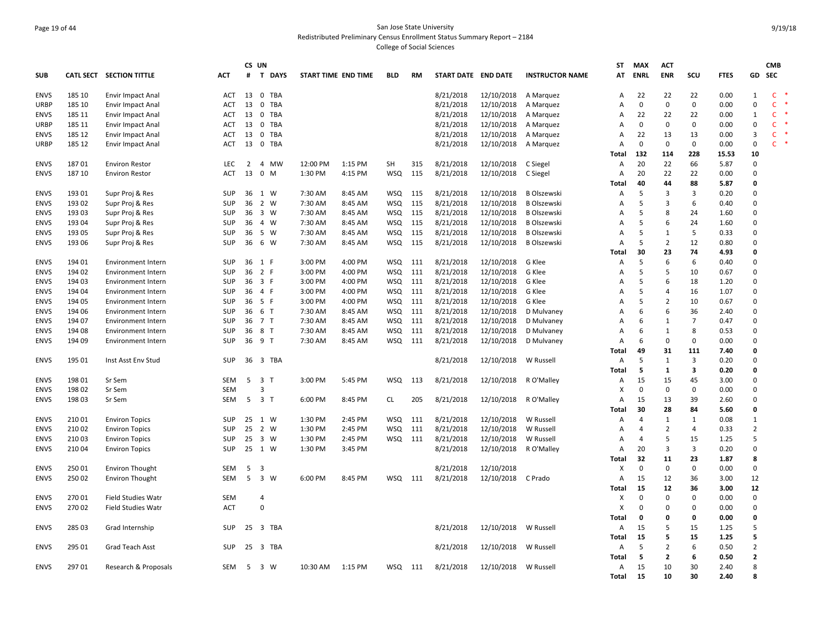## Page 19 of 44 San Jose State University Redistributed Preliminary Census Enrollment Status Summary Report – 2184 College of Social Sciences

|             |                  |                           |            |                | CS UN              |                     |         |            |     |                     |            |                        | ST    | <b>MAX</b>  | <b>ACT</b>     |                |             |                | <b>CMB</b>   |  |
|-------------|------------------|---------------------------|------------|----------------|--------------------|---------------------|---------|------------|-----|---------------------|------------|------------------------|-------|-------------|----------------|----------------|-------------|----------------|--------------|--|
| SUB         | <b>CATL SECT</b> | <b>SECTION TITTLE</b>     | <b>ACT</b> | #              | T DAYS             | START TIME END TIME |         | BLD        | RM  | START DATE END DATE |            | <b>INSTRUCTOR NAME</b> | AT    | <b>ENRL</b> | <b>ENR</b>     | SCU            | <b>FTES</b> | GD             | <b>SEC</b>   |  |
| <b>ENVS</b> | 185 10           | Envir Impact Anal         | <b>ACT</b> | 13             | 0 TBA              |                     |         |            |     | 8/21/2018           | 12/10/2018 | A Marquez              | А     | 22          | 22             | 22             | 0.00        | $\mathbf{1}$   | $\mathsf{C}$ |  |
| URBP        | 185 10           | Envir Impact Anal         | <b>ACT</b> | 13             | 0<br>TBA           |                     |         |            |     | 8/21/2018           | 12/10/2018 | A Marquez              | А     | 0           | $\mathbf 0$    | 0              | 0.00        | $\mathbf 0$    | $\mathsf{C}$ |  |
| <b>ENVS</b> | 185 11           | Envir Impact Anal         | <b>ACT</b> | 13             | 0 TBA              |                     |         |            |     | 8/21/2018           | 12/10/2018 | A Marquez              | A     | 22          | 22             | 22             | 0.00        | 1              | $\mathsf{C}$ |  |
| URBP        | 185 11           | Envir Impact Anal         | <b>ACT</b> | 13             | $\mathbf 0$<br>TBA |                     |         |            |     | 8/21/2018           | 12/10/2018 | A Marquez              | A     | 0           | 0              | $\mathbf 0$    | 0.00        | $\mathbf 0$    | C            |  |
| <b>ENVS</b> | 185 12           | Envir Impact Anal         | ACT        | 13             | 0 TBA              |                     |         |            |     | 8/21/2018           | 12/10/2018 | A Marguez              | А     | 22          | 13             | 13             | 0.00        | 3              | C.           |  |
| URBP        | 185 12           | Envir Impact Anal         | ACT        | 13             | 0 TBA              |                     |         |            |     | 8/21/2018           | 12/10/2018 | A Marquez              | A     | $\mathbf 0$ | $\mathbf 0$    | $\mathbf 0$    | 0.00        | $\mathbf 0$    | Ċ            |  |
|             |                  |                           |            |                |                    |                     |         |            |     |                     |            |                        | Total | 132         | 114            | 228            | 15.53       | 10             |              |  |
| <b>ENVS</b> | 18701            | <b>Environ Restor</b>     | LEC        | $\overline{2}$ | 4 MW               | 12:00 PM            | 1:15 PM | <b>SH</b>  | 315 | 8/21/2018           | 12/10/2018 | C Siegel               | A     | 20          | 22             | 66             | 5.87        | $\mathbf 0$    |              |  |
| <b>ENVS</b> | 187 10           | <b>Environ Restor</b>     | <b>ACT</b> | 13             | $0$ M              | 1:30 PM             | 4:15 PM | <b>WSQ</b> | 115 | 8/21/2018           | 12/10/2018 | C Siegel               | Α     | 20          | 22             | 22             | 0.00        | $\Omega$       |              |  |
|             |                  |                           |            |                |                    |                     |         |            |     |                     |            |                        | Total | 40          | 44             | 88             | 5.87        | $\mathbf 0$    |              |  |
| <b>ENVS</b> | 193 01           | Supr Proj & Res           | SUP        | 36             | 1 W                | 7:30 AM             | 8:45 AM | <b>WSQ</b> | 115 | 8/21/2018           | 12/10/2018 | <b>B</b> Olszewski     | A     | 5           | 3              | 3              | 0.20        | $\Omega$       |              |  |
| <b>ENVS</b> | 193 02           | Supr Proj & Res           | SUP        | 36             | 2 W                | 7:30 AM             | 8:45 AM | <b>WSQ</b> | 115 | 8/21/2018           | 12/10/2018 | <b>B Olszewski</b>     | А     | 5           | 3              | 6              | 0.40        | $\mathbf 0$    |              |  |
| <b>ENVS</b> | 193 03           | Supr Proj & Res           | <b>SUP</b> | 36             | 3 W                | 7:30 AM             | 8:45 AM | <b>WSQ</b> | 115 | 8/21/2018           | 12/10/2018 | <b>B Olszewski</b>     | А     | 5           | 8              | 24             | 1.60        | $\Omega$       |              |  |
| <b>ENVS</b> | 193 04           | Supr Proj & Res           | <b>SUP</b> | 36             | 4 W                | 7:30 AM             | 8:45 AM | <b>WSQ</b> | 115 | 8/21/2018           | 12/10/2018 | <b>B</b> Olszewski     | A     | 5           | 6              | 24             | 1.60        | $\mathbf 0$    |              |  |
|             | 193 05           |                           | <b>SUP</b> | 36             | 5 W                | 7:30 AM             | 8:45 AM | <b>WSQ</b> | 115 | 8/21/2018           | 12/10/2018 | <b>B Olszewski</b>     | А     | 5           | 1              | 5              | 0.33        | $\Omega$       |              |  |
| <b>ENVS</b> |                  | Supr Proj & Res           | SUP        | 36             | 6 W                | 7:30 AM             |         |            | 115 |                     |            |                        |       | 5           | $\overline{2}$ | 12             | 0.80        | $\mathbf 0$    |              |  |
| <b>ENVS</b> | 193 06           | Supr Proj & Res           |            |                |                    |                     | 8:45 AM | <b>WSQ</b> |     | 8/21/2018           | 12/10/2018 | <b>B Olszewski</b>     | A     |             |                |                |             |                |              |  |
|             |                  |                           |            |                |                    |                     |         |            |     |                     |            |                        | Total | 30          | 23             | 74             | 4.93        | 0              |              |  |
| <b>ENVS</b> | 194 01           | Environment Intern        | SUP        |                | 36 1 F             | 3:00 PM             | 4:00 PM | <b>WSQ</b> | 111 | 8/21/2018           | 12/10/2018 | G Klee                 | A     | 5           | 6              | 6              | 0.40        | $\mathbf 0$    |              |  |
| <b>ENVS</b> | 194 02           | Environment Intern        | <b>SUP</b> | 36             | 2 F                | 3:00 PM             | 4:00 PM | <b>WSQ</b> | 111 | 8/21/2018           | 12/10/2018 | G Klee                 | А     | 5           | 5              | 10             | 0.67        | $\Omega$       |              |  |
| <b>ENVS</b> | 194 03           | <b>Environment Intern</b> | <b>SUP</b> | 36             | 3 F                | 3:00 PM             | 4:00 PM | <b>WSQ</b> | 111 | 8/21/2018           | 12/10/2018 | G Klee                 | A     | 5           | 6              | 18             | 1.20        | $\mathbf 0$    |              |  |
| <b>ENVS</b> | 194 04           | <b>Environment Intern</b> | SUP        |                | 36 4 F             | 3:00 PM             | 4:00 PM | <b>WSQ</b> | 111 | 8/21/2018           | 12/10/2018 | G Klee                 | А     | 5           | 4              | 16             | 1.07        | $\Omega$       |              |  |
| <b>ENVS</b> | 194 05           | <b>Environment Intern</b> | SUP        | 36             | 5 F                | 3:00 PM             | 4:00 PM | <b>WSQ</b> | 111 | 8/21/2018           | 12/10/2018 | G Klee                 | А     | 5           | $\overline{2}$ | 10             | 0.67        | $\mathbf 0$    |              |  |
| <b>ENVS</b> | 194 06           | <b>Environment Intern</b> | <b>SUP</b> | 36             | 6 T                | 7:30 AM             | 8:45 AM | <b>WSQ</b> | 111 | 8/21/2018           | 12/10/2018 | D Mulvaney             | А     | 6           | 6              | 36             | 2.40        | $\Omega$       |              |  |
| <b>ENVS</b> | 194 07           | <b>Environment Intern</b> | SUP        | 36             | 7 T                | 7:30 AM             | 8:45 AM | <b>WSQ</b> | 111 | 8/21/2018           | 12/10/2018 | D Mulvaney             | A     | 6           | 1              | $\overline{7}$ | 0.47        | $\mathbf 0$    |              |  |
| <b>ENVS</b> | 194 08           | Environment Intern        | <b>SUP</b> | 36             | 8 T                | 7:30 AM             | 8:45 AM | <b>WSQ</b> | 111 | 8/21/2018           | 12/10/2018 | D Mulvaney             | A     | 6           | 1              | 8              | 0.53        | $\Omega$       |              |  |
| <b>ENVS</b> | 194 09           | Environment Intern        | SUP        |                | 36 9 T             | 7:30 AM             | 8:45 AM | <b>WSQ</b> | 111 | 8/21/2018           | 12/10/2018 | D Mulvaney             | A     | 6           | $\mathbf 0$    | 0              | 0.00        | $\mathbf 0$    |              |  |
|             |                  |                           |            |                |                    |                     |         |            |     |                     |            |                        | Total | 49          | 31             | 111            | 7.40        | 0              |              |  |
| <b>ENVS</b> | 195 01           | Inst Asst Env Stud        | SUP        |                | 36 3 TBA           |                     |         |            |     | 8/21/2018           | 12/10/2018 | W Russell              | A     | 5           | 1              | 3              | 0.20        | $\mathbf 0$    |              |  |
|             |                  |                           |            |                |                    |                     |         |            |     |                     |            |                        | Total | -5          | 1              | 3              | 0.20        | $\mathbf{0}$   |              |  |
| <b>ENVS</b> | 198 01           | Sr Sem                    | SEM        | 5              | 3 <sub>1</sub>     | 3:00 PM             | 5:45 PM | <b>WSQ</b> | 113 | 8/21/2018           | 12/10/2018 | R O'Malley             | Α     | 15          | 15             | 45             | 3.00        | $\Omega$       |              |  |
| <b>ENVS</b> | 198 02           | Sr Sem                    | <b>SEM</b> |                | 3                  |                     |         |            |     |                     |            |                        | x     | $\Omega$    | $\mathbf 0$    | $\mathbf 0$    | 0.00        | $\Omega$       |              |  |
| <b>ENVS</b> | 198 03           | Sr Sem                    | <b>SEM</b> | 5              | 3 <sub>1</sub>     | 6:00 PM             | 8:45 PM | <b>CL</b>  | 205 | 8/21/2018           | 12/10/2018 | R O'Malley             | A     | 15          | 13             | 39             | 2.60        | $\Omega$       |              |  |
|             |                  |                           |            |                |                    |                     |         |            |     |                     |            |                        | Total | 30          | 28             | 84             | 5.60        | $\mathbf{0}$   |              |  |
| <b>ENVS</b> | 210 01           | <b>Environ Topics</b>     | <b>SUP</b> | 25             | 1 W                | 1:30 PM             | 2:45 PM | WSQ        | 111 | 8/21/2018           | 12/10/2018 | W Russell              | A     | 4           | 1              | 1              | 0.08        | 1              |              |  |
| <b>ENVS</b> | 21002            | <b>Environ Topics</b>     | <b>SUP</b> | 25             | 2 W                | 1:30 PM             | 2:45 PM | <b>WSQ</b> | 111 | 8/21/2018           | 12/10/2018 | W Russell              | A     | 4           | $\overline{2}$ | 4              | 0.33        | $\overline{2}$ |              |  |
| <b>ENVS</b> | 21003            | <b>Environ Topics</b>     | SUP        | 25             | 3 W                | 1:30 PM             | 2:45 PM | WSQ        | 111 | 8/21/2018           | 12/10/2018 | W Russell              | A     | 4           | 5              | 15             | 1.25        | 5              |              |  |
| <b>ENVS</b> | 21004            | <b>Environ Topics</b>     | SUP        | 25             | 1 W                | 1:30 PM             | 3:45 PM |            |     | 8/21/2018           | 12/10/2018 | R O'Malley             | A     | 20          | 3              | 3              | 0.20        | $\Omega$       |              |  |
|             |                  |                           |            |                |                    |                     |         |            |     |                     |            |                        | Total | 32          | 11             | 23             | 1.87        | 8              |              |  |
| <b>ENVS</b> | 250 01           | <b>Environ Thought</b>    | <b>SEM</b> | 5              | 3                  |                     |         |            |     | 8/21/2018           | 12/10/2018 |                        | x     | $\mathbf 0$ | $\mathbf 0$    | $\mathbf 0$    | 0.00        | $\mathbf 0$    |              |  |
| <b>ENVS</b> | 250 02           | <b>Environ Thought</b>    | <b>SEM</b> | 5              | 3 W                | 6:00 PM             | 8:45 PM | <b>WSQ</b> | 111 | 8/21/2018           | 12/10/2018 | C Prado                | A     | 15          | 12             | 36             | 3.00        | 12             |              |  |
|             |                  |                           |            |                |                    |                     |         |            |     |                     |            |                        | Total | 15          | 12             | 36             | 3.00        | 12             |              |  |
| <b>ENVS</b> | 27001            | <b>Field Studies Watr</b> | <b>SEM</b> |                | 4                  |                     |         |            |     |                     |            |                        | x     | $\Omega$    | 0              | 0              | 0.00        | $\mathbf 0$    |              |  |
| <b>ENVS</b> | 27002            | <b>Field Studies Watr</b> | <b>ACT</b> |                | $\mathbf 0$        |                     |         |            |     |                     |            |                        | x     | $\Omega$    | $\Omega$       | $\mathbf 0$    | 0.00        | $\Omega$       |              |  |
|             |                  |                           |            |                |                    |                     |         |            |     |                     |            |                        | Total | 0           | 0              | 0              | 0.00        | $\mathbf 0$    |              |  |
| <b>ENVS</b> | 285 03           | Grad Internship           | <b>SUP</b> |                | 25 3 TBA           |                     |         |            |     | 8/21/2018           | 12/10/2018 | W Russell              | A     | 15          | 5              | 15             | 1.25        | 5              |              |  |
|             |                  |                           |            |                |                    |                     |         |            |     |                     |            |                        | Total | 15          | 5              | 15             | 1.25        | 5              |              |  |
| <b>ENVS</b> | 295 01           | Grad Teach Asst           | <b>SUP</b> | 25             | 3 TBA              |                     |         |            |     | 8/21/2018           | 12/10/2018 | W Russell              | A     | 5           | $\overline{2}$ | 6              | 0.50        | $\overline{2}$ |              |  |
|             |                  |                           |            |                |                    |                     |         |            |     |                     |            |                        | Total | -5          | $\overline{2}$ | 6              | 0.50        | $\overline{2}$ |              |  |
| <b>ENVS</b> | 29701            |                           | <b>SEM</b> | -5             | 3 W                | 10:30 AM            | 1:15 PM | WSQ        |     |                     | 12/10/2018 | W Russell              | A     | 15          | 10             | 30             | 2.40        | 8              |              |  |
|             |                  | Research & Proposals      |            |                |                    |                     |         |            | 111 | 8/21/2018           |            |                        |       | 15          | 10             | 30             | 2.40        | 8              |              |  |
|             |                  |                           |            |                |                    |                     |         |            |     |                     |            |                        | Total |             |                |                |             |                |              |  |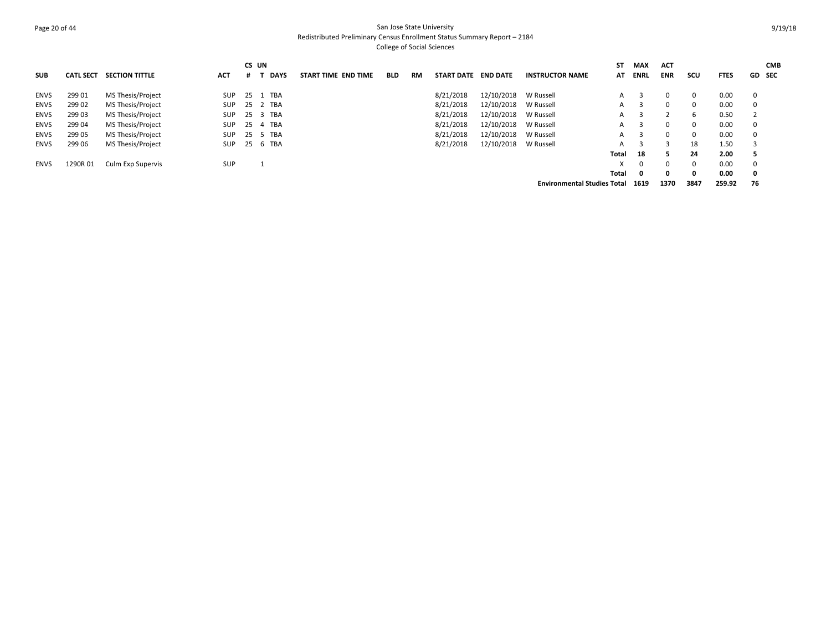## Page 20 of 44 San Jose State University Redistributed Preliminary Census Enrollment Status Summary Report – 2184 College of Social Sciences

| <b>SUB</b>  | <b>CATL SECT</b> | <b>SECTION TITTLE</b>    | ACT        | CS UN | <b>DAYS</b> | START TIME END TIME | <b>BLD</b> | <b>RM</b> | <b>START DATE</b> | <b>END DATE</b>      | <b>INSTRUCTOR NAME</b>             | <b>ST</b><br>AT | MAX<br>ENRL  | <b>ACT</b><br><b>ENR</b> | scu      | <b>FTES</b> | GD SEC      | <b>CMB</b> |
|-------------|------------------|--------------------------|------------|-------|-------------|---------------------|------------|-----------|-------------------|----------------------|------------------------------------|-----------------|--------------|--------------------------|----------|-------------|-------------|------------|
| <b>ENVS</b> | 299 01           | MS Thesis/Project        | SUP        |       | 25 1 TBA    |                     |            |           | 8/21/2018         | 12/10/2018           | W Russell                          | A               | -3           | $\Omega$                 | 0        | 0.00        | $\mathbf 0$ |            |
| <b>ENVS</b> | 299 02           | MS Thesis/Project        | SUP        |       | 25 2 TBA    |                     |            |           | 8/21/2018         | 12/10/2018           | W Russell                          | $\mathsf{A}$    | -3           | $\Omega$                 | $\Omega$ | 0.00        | $\mathbf 0$ |            |
| <b>ENVS</b> | 299 03           | MS Thesis/Project        | SUP        |       | 25 3 TBA    |                     |            |           | 8/21/2018         | 12/10/2018 W Russell |                                    | A               | 3            |                          | 6        | 0.50        |             |            |
| <b>ENVS</b> | 299 04           | MS Thesis/Project        | SUP        |       | 25 4 TBA    |                     |            |           | 8/21/2018         | 12/10/2018           | W Russell                          | A               | -3           | $\Omega$                 | $\Omega$ | 0.00        | 0           |            |
| <b>ENVS</b> | 299 05           | MS Thesis/Project        | SUP        |       | 25 5 TBA    |                     |            |           | 8/21/2018         | 12/10/2018           | W Russell                          |                 | $A \quad 3$  | $\Omega$                 | $\Omega$ | 0.00        | 0           |            |
| <b>ENVS</b> | 299 06           | MS Thesis/Project        | <b>SUP</b> |       | 25 6 TBA    |                     |            |           | 8/21/2018         | 12/10/2018           | W Russell                          | A               | -3           | 3                        | 18       | 1.50        |             |            |
|             |                  |                          |            |       |             |                     |            |           |                   |                      |                                    | Total           | 18           |                          | 24       | 2.00        |             |            |
| ENVS        | 1290R 01         | <b>Culm Exp Supervis</b> | <b>SUP</b> |       |             |                     |            |           |                   |                      |                                    |                 | $\Omega$     | $\Omega$                 | $\Omega$ | 0.00        | $\mathbf 0$ |            |
|             |                  |                          |            |       |             |                     |            |           |                   |                      |                                    | Total           | $\mathbf{0}$ | $\Omega$                 | 0        | 0.00        | $\mathbf 0$ |            |
|             |                  |                          |            |       |             |                     |            |           |                   |                      | <b>Environmental Studies Total</b> |                 | 1619         | 1370                     | 3847     | 259.92      | 76          |            |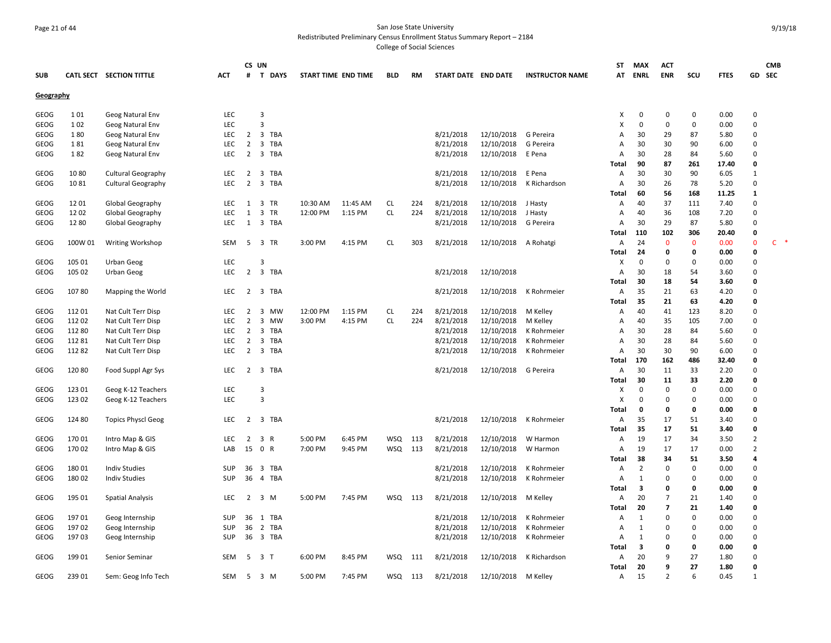## Page 21 of 44 San Jose State University Redistributed Preliminary Census Enrollment Status Summary Report – 2184

|            |         |                           |            | CS UN          |                |                     |          |            |      |                     |            |                        | <b>ST</b> | <b>MAX</b>  | ACT            |              |             |                | <b>CMB</b> |  |
|------------|---------|---------------------------|------------|----------------|----------------|---------------------|----------|------------|------|---------------------|------------|------------------------|-----------|-------------|----------------|--------------|-------------|----------------|------------|--|
| <b>SUB</b> |         | CATL SECT SECTION TITTLE  | <b>ACT</b> | #              | T DAYS         | START TIME END TIME |          | <b>BLD</b> | RM   | START DATE END DATE |            | <b>INSTRUCTOR NAME</b> | AT        | <b>ENRL</b> | <b>ENR</b>     | scu          | <b>FTES</b> | GD.            | SEC        |  |
| Geography  |         |                           |            |                |                |                     |          |            |      |                     |            |                        |           |             |                |              |             |                |            |  |
| GEOG       | 101     | Geog Natural Env          | LEC        |                | 3              |                     |          |            |      |                     |            |                        | x         | 0           | 0              | $\mathbf 0$  | 0.00        | $\mathbf 0$    |            |  |
| GEOG       | 102     | Geog Natural Env          | <b>LEC</b> |                | 3              |                     |          |            |      |                     |            |                        | X         | $\Omega$    | $\mathbf 0$    | 0            | 0.00        | $\Omega$       |            |  |
| GEOG       | 180     | Geog Natural Env          | <b>LEC</b> | $\overline{2}$ | 3 TBA          |                     |          |            |      | 8/21/2018           | 12/10/2018 | G Pereira              | A         | 30          | 29             | 87           | 5.80        | $\Omega$       |            |  |
| GEOG       | 181     | Geog Natural Env          | LEC        | 2              | 3 TBA          |                     |          |            |      | 8/21/2018           | 12/10/2018 | G Pereira              | A         | 30          | 30             | 90           | 6.00        | $\Omega$       |            |  |
| GEOG       | 182     | Geog Natural Env          | <b>LEC</b> | $\overline{2}$ | 3 TBA          |                     |          |            |      | 8/21/2018           | 12/10/2018 | E Pena                 | A         | 30          | 28             | 84           | 5.60        | $\Omega$       |            |  |
|            |         |                           |            |                |                |                     |          |            |      |                     |            |                        | Total     | 90          | 87             | 261          | 17.40       | 0              |            |  |
| GEOG       | 1080    | <b>Cultural Geography</b> | <b>LEC</b> | $\overline{2}$ | 3 TBA          |                     |          |            |      | 8/21/2018           | 12/10/2018 | E Pena                 | A         | 30          | 30             | 90           | 6.05        | $\mathbf{1}$   |            |  |
| GEOG       | 1081    | <b>Cultural Geography</b> | LEC        | $\overline{2}$ | 3 TBA          |                     |          |            |      | 8/21/2018           | 12/10/2018 | K Richardson           | Α         | 30          | 26             | 78           | 5.20        | $\mathbf 0$    |            |  |
|            |         |                           |            |                |                |                     |          |            |      |                     |            |                        | Total     | 60          | 56             | 168          | 11.25       | 1              |            |  |
| GEOG       | 1201    | Global Geography          | <b>LEC</b> | 1              | 3 TR           | 10:30 AM            | 11:45 AM | <b>CL</b>  | 224  | 8/21/2018           | 12/10/2018 | J Hasty                | A         | 40          | 37             | 111          | 7.40        | $\Omega$       |            |  |
| GEOG       | 12 02   | Global Geography          | <b>LEC</b> | 1              | 3<br>TR        | 12:00 PM            | 1:15 PM  | <b>CL</b>  | 224  | 8/21/2018           | 12/10/2018 | J Hasty                | A         | 40          | 36             | 108          | 7.20        | $\Omega$       |            |  |
| GEOG       | 12 80   | Global Geography          | <b>LEC</b> | 1              | 3 TBA          |                     |          |            |      | 8/21/2018           | 12/10/2018 | G Pereira              | A         | 30          | 29             | 87           | 5.80        | $\Omega$       |            |  |
|            |         |                           |            |                |                |                     |          |            |      |                     |            |                        | Total     | 110         | 102            | 306          | 20.40       | 0              |            |  |
| GEOG       | 100W 01 | <b>Writing Workshop</b>   | <b>SEM</b> | 5              | 3 TR           | 3:00 PM             | 4:15 PM  | <b>CL</b>  | 303  | 8/21/2018           | 12/10/2018 | A Rohatgi              | A         | 24          | $\mathbf{0}$   | $\mathbf{0}$ | 0.00        | $\mathbf 0$    | $C$ *      |  |
|            |         |                           |            |                |                |                     |          |            |      |                     |            |                        | Total     | 24          | $\mathbf 0$    | 0            | 0.00        | $\mathbf{0}$   |            |  |
| GEOG       | 105 01  | Urban Geog                | <b>LEC</b> |                | $\overline{3}$ |                     |          |            |      |                     |            |                        | Х         | $\mathbf 0$ | $\mathbf 0$    | $\Omega$     | 0.00        | $\Omega$       |            |  |
| GEOG       | 105 02  | Urban Geog                | <b>LEC</b> | $\overline{2}$ | 3 TBA          |                     |          |            |      | 8/21/2018           | 12/10/2018 |                        | A         | 30          | 18             | 54           | 3.60        | $\Omega$       |            |  |
|            |         |                           |            |                |                |                     |          |            |      |                     |            |                        | Total     | 30          | 18             | 54           | 3.60        | $\mathbf 0$    |            |  |
| GEOG       | 10780   | Mapping the World         | <b>LEC</b> | 2              | 3 TBA          |                     |          |            |      | 8/21/2018           | 12/10/2018 | K Rohrmeier            | Α         | 35          | 21             | 63           | 4.20        | $\Omega$       |            |  |
|            |         |                           |            |                |                |                     |          |            |      |                     |            |                        | Total     | 35          | 21             | 63           | 4.20        | 0              |            |  |
| GEOG       | 11201   | Nat Cult Terr Disp        | LEC        | 2              | 3<br>MW        | 12:00 PM            | 1:15 PM  | <b>CL</b>  | 224  | 8/21/2018           | 12/10/2018 | M Kelley               | A         | 40          | 41             | 123          | 8.20        | $\Omega$       |            |  |
| GEOG       | 11202   | Nat Cult Terr Disp        | <b>LEC</b> | $\overline{2}$ | 3 MW           | 3:00 PM             | 4:15 PM  | <b>CL</b>  | 224  | 8/21/2018           | 12/10/2018 | M Kelley               | A         | 40          | 35             | 105          | 7.00        | $\Omega$       |            |  |
| GEOG       | 11280   | Nat Cult Terr Disp        | <b>LEC</b> | $\overline{2}$ | 3<br>TBA       |                     |          |            |      | 8/21/2018           | 12/10/2018 | K Rohrmeier            | A         | 30          | 28             | 84           | 5.60        | $\Omega$       |            |  |
| GEOG       | 11281   | Nat Cult Terr Disp        | LEC        | 2              | 3 TBA          |                     |          |            |      | 8/21/2018           | 12/10/2018 | K Rohrmeier            | A         | 30          | 28             | 84           | 5.60        | $\mathbf 0$    |            |  |
| GEOG       | 11282   | Nat Cult Terr Disp        | LEC        | $\overline{2}$ | 3 TBA          |                     |          |            |      | 8/21/2018           | 12/10/2018 | K Rohrmeier            | A         | 30          | 30             | 90           | 6.00        | $\Omega$       |            |  |
|            |         |                           |            |                |                |                     |          |            |      |                     |            |                        | Total     | 170         | 162            | 486          | 32.40       | 0              |            |  |
| GEOG       | 12080   | Food Suppl Agr Sys        | LEC        |                | 2 3 TBA        |                     |          |            |      | 8/21/2018           | 12/10/2018 | G Pereira              | A         | 30          | 11             | 33           | 2.20        | $\Omega$       |            |  |
|            |         |                           |            |                |                |                     |          |            |      |                     |            |                        | Total     | 30          | 11             | 33           | 2.20        | $\mathbf{0}$   |            |  |
| GEOG       | 123 01  | Geog K-12 Teachers        | LEC        |                | 3              |                     |          |            |      |                     |            |                        | х         | $\Omega$    | $\Omega$       | $\mathbf 0$  | 0.00        | $\Omega$       |            |  |
| GEOG       | 123 02  | Geog K-12 Teachers        | LEC        |                | 3              |                     |          |            |      |                     |            |                        | X         | $\Omega$    | $\Omega$       | $\Omega$     | 0.00        | $\Omega$       |            |  |
|            |         |                           |            |                |                |                     |          |            |      |                     |            |                        | Total     | 0           | 0              | 0            | 0.00        | 0              |            |  |
| GEOG       | 124 80  | <b>Topics Physcl Geog</b> | <b>LEC</b> | 2              | 3 TBA          |                     |          |            |      | 8/21/2018           | 12/10/2018 | K Rohrmeier            | A         | 35          | 17             | 51           | 3.40        | $\Omega$       |            |  |
|            |         |                           |            |                |                |                     |          |            |      |                     |            |                        | Total     | 35          | 17             | 51           | 3.40        | $\mathbf{0}$   |            |  |
| GEOG       | 17001   | Intro Map & GIS           | <b>LEC</b> | 2              | 3 R            | 5:00 PM             | 6:45 PM  | WSQ        | 113  | 8/21/2018           | 12/10/2018 | W Harmon               | A         | 19          | 17             | 34           | 3.50        | $\overline{2}$ |            |  |
| GEOG       | 170 02  | Intro Map & GIS           | LAB        | 15             | 0 R            | 7:00 PM             | 9:45 PM  | <b>WSQ</b> | 113  | 8/21/2018           | 12/10/2018 | W Harmon               | Α         | 19          | 17             | 17           | 0.00        | $\overline{2}$ |            |  |
|            |         |                           |            |                |                |                     |          |            |      |                     |            |                        | Total     | 38          | 34             | 51           | 3.50        | 4              |            |  |
| GEOG       | 18001   | <b>Indiv Studies</b>      | <b>SUP</b> | 36             | 3 TBA          |                     |          |            |      | 8/21/2018           | 12/10/2018 | K Rohrmeier            | A         | 2           | 0              | $\mathbf 0$  | 0.00        | $\Omega$       |            |  |
| GEOG       | 18002   | <b>Indiv Studies</b>      | SUP        | 36             | 4 TBA          |                     |          |            |      | 8/21/2018           | 12/10/2018 | K Rohrmeier            | Α         | 1           | $\Omega$       | $\Omega$     | 0.00        | $\Omega$       |            |  |
|            |         |                           |            |                |                |                     |          |            |      |                     |            |                        | Total     | 3           | 0              | 0            | 0.00        | 0              |            |  |
| GEOG       | 195 01  | <b>Spatial Analysis</b>   | LEC        | 2              | 3 M            | 5:00 PM             | 7:45 PM  | <b>WSQ</b> | 113  | 8/21/2018           | 12/10/2018 | M Kelley               | Α         | 20          | $\overline{7}$ | 21           | 1.40        | $\Omega$       |            |  |
|            |         |                           |            |                |                |                     |          |            |      |                     |            |                        | Total     | 20          | $\overline{7}$ | 21           | 1.40        | 0              |            |  |
| GEOG       | 19701   | Geog Internship           | <b>SUP</b> | 36             | 1<br>TBA       |                     |          |            |      | 8/21/2018           | 12/10/2018 | K Rohrmeier            | A         | 1           | $\Omega$       | $\Omega$     | 0.00        | $\Omega$       |            |  |
| GEOG       | 19702   | Geog Internship           | SUP        | 36             | 2 TBA          |                     |          |            |      | 8/21/2018           | 12/10/2018 | K Rohrmeier            | A         | 1           | $\mathbf 0$    | $\mathbf 0$  | 0.00        | $\mathbf 0$    |            |  |
| GEOG       | 19703   | Geog Internship           | <b>SUP</b> |                | 36 3 TBA       |                     |          |            |      | 8/21/2018           | 12/10/2018 | K Rohrmeier            | A         | 1           | $\Omega$       | $\Omega$     | 0.00        | $\Omega$       |            |  |
|            |         |                           |            |                |                |                     |          |            |      |                     |            |                        | Total     | 3           | 0              | 0            | 0.00        | 0              |            |  |
| GEOG       | 19901   | Senior Seminar            | SEM        | 5              | 3 <sub>1</sub> | 6:00 PM             | 8:45 PM  | WSQ        | -111 | 8/21/2018           | 12/10/2018 | K Richardson           | Α         | 20          | 9              | 27           | 1.80        | $\mathbf 0$    |            |  |
|            |         |                           |            |                |                |                     |          |            |      |                     |            |                        | Total     | 20          | 9              | 27           | 1.80        | 0              |            |  |
| GEOG       | 239 01  | Sem: Geog Info Tech       | SEM        | -5             | 3 M            | 5:00 PM             | 7:45 PM  | <b>WSQ</b> | 113  | 8/21/2018           | 12/10/2018 | M Kelley               | Α         | 15          | $\overline{2}$ | 6            | 0.45        | 1              |            |  |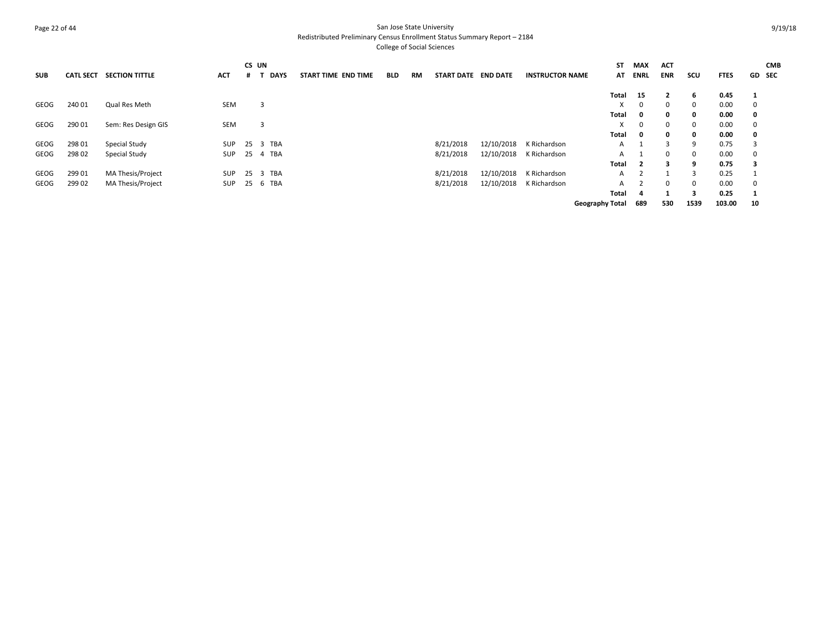## Page 22 of 44 San Jose State University Redistributed Preliminary Census Enrollment Status Summary Report – 2184

| <b>SUB</b> | <b>CATL SECT</b> | <b>SECTION TITTLE</b>    | <b>ACT</b> | CS UN<br>.# | DAYS     | START TIME END TIME | <b>BLD</b> | RM | START DATE END DATE |            | <b>INSTRUCTOR NAME</b> | SΤ<br>AT               | MAX<br><b>ENRL</b> | <b>ACT</b><br><b>ENR</b> | scu          | <b>FTES</b> |              | <b>CMB</b><br><b>GD</b> SEC |
|------------|------------------|--------------------------|------------|-------------|----------|---------------------|------------|----|---------------------|------------|------------------------|------------------------|--------------------|--------------------------|--------------|-------------|--------------|-----------------------------|
|            |                  |                          |            |             |          |                     |            |    |                     |            |                        | Total                  | 15                 |                          | 6            | 0.45        | -1           |                             |
| GEOG       | 240 01           | Qual Res Meth            | <b>SEM</b> |             | 3        |                     |            |    |                     |            |                        |                        | $\Omega$           | $\Omega$                 | $\Omega$     | 0.00        | $\mathbf{0}$ |                             |
|            |                  |                          |            |             |          |                     |            |    |                     |            |                        | Total                  | 0                  | 0                        | $\mathbf{0}$ | 0.00        | 0            |                             |
| GEOG       | 290 01           | Sem: Res Design GIS      | SEM        |             | 3        |                     |            |    |                     |            |                        |                        | 0                  | $\Omega$                 | $\Omega$     | 0.00        | $^{\circ}$   |                             |
|            |                  |                          |            |             |          |                     |            |    |                     |            |                        | Total                  | 0                  | $\mathbf{0}$             | $\mathbf{0}$ | 0.00        | 0            |                             |
| GEOG       | 298 01           | Special Study            | <b>SUP</b> |             | 25 3 TBA |                     |            |    | 8/21/2018           | 12/10/2018 | K Richardson           | A                      |                    | 3                        | 9            | 0.75        | 3            |                             |
| GEOG       | 298 02           | Special Study            | SUP        |             | 25 4 TBA |                     |            |    | 8/21/2018           | 12/10/2018 | K Richardson           | A                      |                    | $\Omega$                 | $\Omega$     | 0.00        | $\mathbf{0}$ |                             |
|            |                  |                          |            |             |          |                     |            |    |                     |            |                        | Total                  | $\overline{2}$     | 3                        | q            | 0.75        | 3            |                             |
| GEOG       | 299 01           | <b>MA Thesis/Project</b> | SUP        |             | 25 3 TBA |                     |            |    | 8/21/2018           | 12/10/2018 | K Richardson           | A                      |                    |                          | 3            | 0.25        |              |                             |
| GEOG       | 299 02           | <b>MA Thesis/Project</b> | SUP        |             | 25 6 TBA |                     |            |    | 8/21/2018           | 12/10/2018 | K Richardson           | А                      |                    | $\Omega$                 | $\Omega$     | 0.00        | $\mathbf{0}$ |                             |
|            |                  |                          |            |             |          |                     |            |    |                     |            |                        | Total                  | -4                 |                          | 3            | 0.25        | -1           |                             |
|            |                  |                          |            |             |          |                     |            |    |                     |            |                        | <b>Geography Total</b> | 689                | 530                      | 1539         | 103.00      | 10           |                             |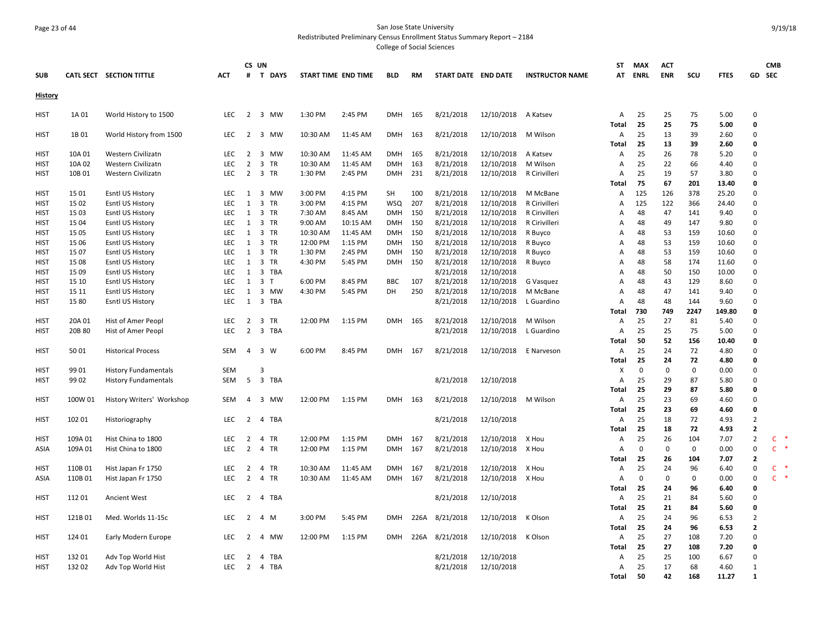## Page 23 of 44 San Jose State University Redistributed Preliminary Census Enrollment Status Summary Report – 2184

|                |                    |                                      |                          |                                  | CS UN                         |                      |                    |            |      |                        |                          |                        | ST             | <b>MAX</b>        | <b>ACT</b>     |                    |                |                                | <b>CMB</b>    |
|----------------|--------------------|--------------------------------------|--------------------------|----------------------------------|-------------------------------|----------------------|--------------------|------------|------|------------------------|--------------------------|------------------------|----------------|-------------------|----------------|--------------------|----------------|--------------------------------|---------------|
| <b>SUB</b>     |                    | CATL SECT SECTION TITTLE             | <b>ACT</b>               | Ħ                                | T DAYS                        | START TIME END TIME  |                    | <b>BLD</b> | RM   | START DATE END DATE    |                          | <b>INSTRUCTOR NAME</b> | AT             | ENRL              | ENR            | scu                | <b>FTES</b>    | GD SEC                         |               |
| <b>History</b> |                    |                                      |                          |                                  |                               |                      |                    |            |      |                        |                          |                        |                |                   |                |                    |                |                                |               |
| <b>HIST</b>    | 1A 01              | World History to 1500                | LEC                      | 2                                | 3 MW                          | 1:30 PM              | 2:45 PM            | <b>DMH</b> | 165  | 8/21/2018              | 12/10/2018               | A Katsev               | A<br>Total     | 25<br>25          | 25<br>25       | 75<br>75           | 5.00<br>5.00   | $\Omega$<br>$\mathbf 0$        |               |
| <b>HIST</b>    | 1B 01              | World History from 1500              | <b>LEC</b>               | 2                                | 3 MW                          | 10:30 AM             | 11:45 AM           | <b>DMH</b> | 163  | 8/21/2018              | 12/10/2018               | M Wilson               | A              | 25                | 13             | 39                 | 2.60           | $\Omega$                       |               |
|                |                    |                                      |                          |                                  |                               |                      |                    |            |      |                        |                          |                        | Total          | 25                | 13             | 39                 | 2.60           | $\mathbf 0$                    |               |
| <b>HIST</b>    | 10A 01             | Western Civilizatn                   | <b>LEC</b>               | 2                                | 3 MW                          | 10:30 AM             | 11:45 AM           | <b>DMH</b> | 165  | 8/21/2018              | 12/10/2018               | A Katsev               | Α              | 25                | 26             | 78                 | 5.20           | $\mathbf 0$                    |               |
| <b>HIST</b>    | 10A 02             | Western Civilizatn                   | <b>LEC</b>               | $\overline{2}$                   | 3 TR                          | 10:30 AM             | 11:45 AM           | <b>DMH</b> | 163  | 8/21/2018              | 12/10/2018               | M Wilson               | A              | 25                | 22             | 66                 | 4.40           | $\mathbf 0$                    |               |
| HIST           | 10B01              | Western Civilizatn                   | <b>LEC</b>               | $\overline{2}$                   | 3 TR                          | 1:30 PM              | 2:45 PM            | DMH        | 231  | 8/21/2018              | 12/10/2018               | R Cirivilleri          | A              | 25                | 19             | 57                 | 3.80           | $\Omega$                       |               |
|                |                    |                                      |                          |                                  |                               |                      |                    |            |      |                        |                          |                        | Total          | 75                | 67             | 201                | 13.40          | $\mathbf{0}$                   |               |
| <b>HIST</b>    | 15 01              | <b>Esntl US History</b>              | <b>LEC</b>               | 1                                | 3 MW                          | 3:00 PM              | 4:15 PM            | SH         | 100  | 8/21/2018              | 12/10/2018               | M McBane               | A              | 125               | 126            | 378                | 25.20          | $\Omega$                       |               |
| <b>HIST</b>    | 15 02              | Esntl US History                     | LEC                      | 1                                | 3 TR                          | 3:00 PM              | 4:15 PM            | WSQ        | 207  | 8/21/2018              | 12/10/2018               | R Cirivilleri          | A              | 125               | 122            | 366                | 24.40          | $\Omega$                       |               |
| HIST           | 15 03              | Esntl US History                     | <b>LEC</b>               | 1                                | 3 TR                          | 7:30 AM              | 8:45 AM            | <b>DMH</b> | 150  | 8/21/2018              | 12/10/2018               | R Cirivilleri          | A              | 48                | 47             | 141                | 9.40           | $\mathbf 0$                    |               |
| HIST           | 15 04              | Esntl US History                     | <b>LEC</b>               | 1                                | 3 TR                          | 9:00 AM              | 10:15 AM           | <b>DMH</b> | 150  | 8/21/2018              | 12/10/2018               | R Cirivilleri          | A              | 48                | 49             | 147                | 9.80           | $\Omega$                       |               |
| <b>HIST</b>    | 15 05              | Esntl US History                     | <b>LEC</b>               | 1                                | 3 TR                          | 10:30 AM             | 11:45 AM           | <b>DMH</b> | 150  | 8/21/2018              | 12/10/2018               | R Buyco                | Α              | 48                | 53             | 159                | 10.60          | $\mathbf 0$                    |               |
| <b>HIST</b>    | 15 06              | Esntl US History                     | <b>LEC</b>               | $\mathbf{1}$                     | 3 TR                          | 12:00 PM             | 1:15 PM            | <b>DMH</b> | 150  | 8/21/2018              | 12/10/2018               | R Buyco                | A              | 48                | 53             | 159                | 10.60          | $\Omega$                       |               |
| <b>HIST</b>    | 15 07              | Esntl US History                     | <b>LEC</b>               | 1                                | 3 TR                          | 1:30 PM              | 2:45 PM            | <b>DMH</b> | 150  | 8/21/2018              | 12/10/2018               | R Buyco                | A              | 48                | 53             | 159                | 10.60          | $\Omega$<br>$\mathbf 0$        |               |
| HIST<br>HIST   | 15 08<br>15 09     | Esntl US History<br>Esntl US History | <b>LEC</b><br><b>LEC</b> | 1<br>1                           | 3 TR<br>3 TBA                 | 4:30 PM              | 5:45 PM            | <b>DMH</b> | 150  | 8/21/2018<br>8/21/2018 | 12/10/2018<br>12/10/2018 | R Buyco                | A<br>A         | 48<br>48          | 58<br>50       | 174<br>150         | 11.60<br>10.00 | $\Omega$                       |               |
| HIST           | 15 10              | Esntl US History                     | <b>LEC</b>               | 1                                | 3 T                           | 6:00 PM              | 8:45 PM            | <b>BBC</b> | 107  | 8/21/2018              | 12/10/2018               | G Vasquez              | A              | 48                | 43             | 129                | 8.60           | $\mathbf 0$                    |               |
| <b>HIST</b>    | 15 11              | Esntl US History                     | LEC                      | 1                                | 3 MW                          | 4:30 PM              | 5:45 PM            | <b>DH</b>  | 250  | 8/21/2018              | 12/10/2018               | M McBane               | $\overline{A}$ | 48                | 47             | 141                | 9.40           | $\Omega$                       |               |
| HIST           | 1580               | Esntl US History                     | LEC                      | 1                                | 3 TBA                         |                      |                    |            |      | 8/21/2018              | 12/10/2018               | L Guardino             | Α              | 48                | 48             | 144                | 9.60           | $\mathbf 0$                    |               |
|                |                    |                                      |                          |                                  |                               |                      |                    |            |      |                        |                          |                        | Total          | 730               | 749            | 2247               | 149.80         | $\mathbf 0$                    |               |
| <b>HIST</b>    | 20A 01             | Hist of Amer Peopl                   | LEC                      | 2                                | $\overline{\mathbf{3}}$<br>TR | 12:00 PM             | 1:15 PM            | <b>DMH</b> | 165  | 8/21/2018              | 12/10/2018               | M Wilson               | A              | 25                | 27             | 81                 | 5.40           | $\mathbf 0$                    |               |
| HIST           | 20B 80             | Hist of Amer Peopl                   | <b>LEC</b>               | $\overline{2}$                   | 3 TBA                         |                      |                    |            |      | 8/21/2018              | 12/10/2018               | L Guardino             | Α              | 25                | 25             | 75                 | 5.00           | $\Omega$                       |               |
|                |                    |                                      |                          |                                  |                               |                      |                    |            |      |                        |                          |                        | Total          | 50                | 52             | 156                | 10.40          | $\mathbf{0}$                   |               |
| HIST           | 5001               | <b>Historical Process</b>            | <b>SEM</b>               | $\overline{4}$                   | 3 W                           | 6:00 PM              | 8:45 PM            | <b>DMH</b> | 167  | 8/21/2018              | 12/10/2018               | E Narveson             | A              | 25                | 24             | 72                 | 4.80           | $\Omega$                       |               |
|                |                    |                                      |                          |                                  |                               |                      |                    |            |      |                        |                          |                        | Total          | 25                | 24             | 72                 | 4.80           | $\mathbf{0}$                   |               |
| <b>HIST</b>    | 99 01              | <b>History Fundamentals</b>          | SEM                      |                                  | 3                             |                      |                    |            |      |                        |                          |                        | х              | 0                 | 0              | $\pmb{0}$          | 0.00           | $\mathbf 0$                    |               |
| HIST           | 99 02              | <b>History Fundamentals</b>          | <b>SEM</b>               | 5                                | 3 TBA                         |                      |                    |            |      | 8/21/2018              | 12/10/2018               |                        | A              | 25                | 29             | 87                 | 5.80           | $\Omega$                       |               |
|                |                    |                                      |                          |                                  |                               |                      |                    |            |      |                        |                          |                        | Total          | 25                | 29             | 87                 | 5.80           | $\mathbf 0$                    |               |
| <b>HIST</b>    | 100W 01            | History Writers' Workshop            | SEM                      | $\overline{a}$                   | 3 MW                          | 12:00 PM             | 1:15 PM            | <b>DMH</b> | 163  | 8/21/2018              | 12/10/2018               | M Wilson               | A              | 25                | 23             | 69                 | 4.60           | $\Omega$                       |               |
|                |                    |                                      |                          |                                  |                               |                      |                    |            |      |                        |                          |                        | Total          | 25                | 23             | 69                 | 4.60           | $\mathbf 0$                    |               |
| <b>HIST</b>    | 102 01             | Historiography                       | <b>LEC</b>               | 2                                | TBA<br>$\overline{4}$         |                      |                    |            |      | 8/21/2018              | 12/10/2018               |                        | Α              | 25                | 18             | 72                 | 4.93           | $\overline{2}$                 |               |
|                |                    |                                      |                          |                                  |                               |                      |                    |            |      |                        |                          |                        | Total          | 25                | 18             | 72                 | 4.93           | $\mathbf{2}$<br>$\overline{2}$ | $\rightarrow$ |
| HIST           | 109A 01<br>109A 01 | Hist China to 1800                   | <b>LEC</b><br><b>LEC</b> | $\overline{2}$<br>$\overline{2}$ | 4 TR<br>4 TR                  | 12:00 PM<br>12:00 PM | 1:15 PM<br>1:15 PM | <b>DMH</b> | 167  | 8/21/2018              | 12/10/2018<br>12/10/2018 | X Hou<br>X Hou         | Α<br>A         | 25<br>$\mathbf 0$ | 26<br>$\Omega$ | 104<br>$\mathbf 0$ | 7.07<br>0.00   | $\Omega$                       | C<br>$C$ *    |
| <b>ASIA</b>    |                    | Hist China to 1800                   |                          |                                  |                               |                      |                    | <b>DMH</b> | 167  | 8/21/2018              |                          |                        | Total          | 25                | 26             | 104                | 7.07           | $\mathbf{2}$                   |               |
| <b>HIST</b>    | 110B 01            | Hist Japan Fr 1750                   | <b>LEC</b>               | 2                                | 4 TR                          | 10:30 AM             | 11:45 AM           | <b>DMH</b> | 167  | 8/21/2018              | 12/10/2018               | X Hou                  | Α              | 25                | 24             | 96                 | 6.40           | $\mathbf 0$                    | $\mathsf{C}$  |
| <b>ASIA</b>    | 110B 01            | Hist Japan Fr 1750                   | <b>LEC</b>               | $\overline{2}$                   | 4 TR                          | 10:30 AM             | 11:45 AM           | <b>DMH</b> | 167  | 8/21/2018              | 12/10/2018               | X Hou                  | Α              | $\mathbf 0$       | $\mathbf 0$    | 0                  | 0.00           | $\mathbf 0$                    | $\mathsf{C}$  |
|                |                    |                                      |                          |                                  |                               |                      |                    |            |      |                        |                          |                        | Total          | 25                | 24             | 96                 | 6.40           | $\mathbf{0}$                   |               |
| <b>HIST</b>    | 11201              | <b>Ancient West</b>                  | LEC                      | $\overline{2}$                   | 4 TBA                         |                      |                    |            |      | 8/21/2018              | 12/10/2018               |                        | Α              | 25                | 21             | 84                 | 5.60           | $\Omega$                       |               |
|                |                    |                                      |                          |                                  |                               |                      |                    |            |      |                        |                          |                        | Total          | 25                | 21             | 84                 | 5.60           | 0                              |               |
| <b>HIST</b>    | 121B 01            | Med. Worlds 11-15c                   | <b>LEC</b>               | 2                                | 4 M                           | 3:00 PM              | 5:45 PM            | <b>DMH</b> | 226A | 8/21/2018              | 12/10/2018               | K Olson                | A              | 25                | 24             | 96                 | 6.53           | $\overline{2}$                 |               |
|                |                    |                                      |                          |                                  |                               |                      |                    |            |      |                        |                          |                        | Total          | 25                | 24             | 96                 | 6.53           | $\overline{2}$                 |               |
| <b>HIST</b>    | 124 01             | Early Modern Europe                  | <b>LEC</b>               | 2                                | $\overline{4}$<br><b>MW</b>   | 12:00 PM             | 1:15 PM            | <b>DMH</b> | 226A | 8/21/2018              | 12/10/2018               | K Olson                | A              | 25                | 27             | 108                | 7.20           | $\Omega$                       |               |
|                |                    |                                      |                          |                                  |                               |                      |                    |            |      |                        |                          |                        | Total          | 25                | 27             | 108                | 7.20           | $\mathbf 0$                    |               |
| <b>HIST</b>    | 13201              | Adv Top World Hist                   | <b>LEC</b>               | 2                                | $\overline{4}$<br>TBA         |                      |                    |            |      | 8/21/2018              | 12/10/2018               |                        | A              | 25                | 25             | 100                | 6.67           | $\Omega$                       |               |
| <b>HIST</b>    | 132 02             | Adv Top World Hist                   | LEC                      | $\overline{2}$                   | 4 TBA                         |                      |                    |            |      | 8/21/2018              | 12/10/2018               |                        | Α              | 25                | 17             | 68                 | 4.60           | $\mathbf{1}$                   |               |
|                |                    |                                      |                          |                                  |                               |                      |                    |            |      |                        |                          |                        | Total          | 50                | 42             | 168                | 11.27          | $\mathbf{1}$                   |               |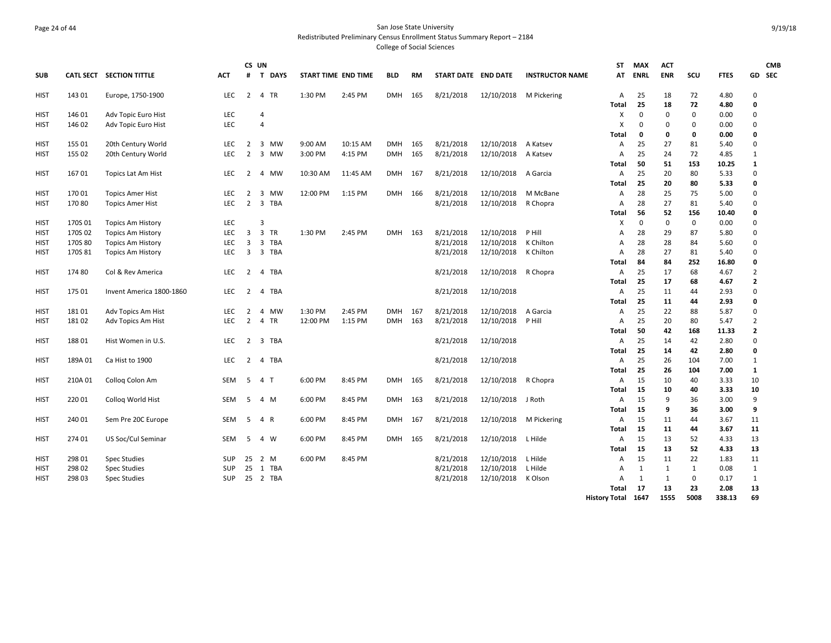## Page 24 of 44 San Jose State University Redistributed Preliminary Census Enrollment Status Summary Report – 2184 College of Social Sciences

| <b>SUB</b>  |         | CATL SECT SECTION TITTLE | <b>ACT</b> | CS UN<br>#     | T DAYS         | <b>START TIME END TIME</b> |          | <b>BLD</b> | RM         | START DATE END DATE |                        | <b>INSTRUCTOR NAME</b> | ST<br>AT           | <b>MAX</b><br><b>ENRL</b> | <b>ACT</b><br><b>ENR</b> | SCU       | <b>FTES</b>   |                | <b>CMB</b><br>GD SEC |
|-------------|---------|--------------------------|------------|----------------|----------------|----------------------------|----------|------------|------------|---------------------|------------------------|------------------------|--------------------|---------------------------|--------------------------|-----------|---------------|----------------|----------------------|
| HIST        | 143 01  | Europe, 1750-1900        | LEC        | $\overline{2}$ | 4 TR           | 1:30 PM                    | 2:45 PM  | <b>DMH</b> | 165        | 8/21/2018           | 12/10/2018 M Pickering |                        | A                  | 25                        | 18                       | 72        | 4.80          | $\Omega$       |                      |
|             |         |                          |            |                |                |                            |          |            |            |                     |                        |                        | Total              | 25                        | 18                       | 72        | 4.80          | 0              |                      |
| HIST        | 146 01  | Adv Topic Euro Hist      | <b>LEC</b> |                | $\overline{4}$ |                            |          |            |            |                     |                        |                        | X                  | $\mathbf 0$               | 0                        | 0         | 0.00          | 0              |                      |
| HIST        | 146 02  | Adv Topic Euro Hist      | <b>LEC</b> |                | $\overline{4}$ |                            |          |            |            |                     |                        |                        | X                  | 0                         | $\Omega$                 | 0         | 0.00          | $\Omega$       |                      |
|             |         |                          |            |                |                |                            |          |            |            |                     |                        |                        | <b>Total</b>       | 0                         | 0                        | 0         | 0.00          | 0              |                      |
| HIST        | 155 01  | 20th Century World       | <b>LEC</b> | 2              | 3 MW           | 9:00 AM                    | 10:15 AM | <b>DMH</b> | 165        | 8/21/2018           | 12/10/2018             | A Katsev               | A                  | 25                        | 27                       | 81        | 5.40          | $\mathbf 0$    |                      |
| <b>HIST</b> | 155 02  | 20th Century World       | <b>LEC</b> | 2              | 3 MW           | 3:00 PM                    | 4:15 PM  | <b>DMH</b> | 165        | 8/21/2018           | 12/10/2018             | A Katsev               | A                  | 25                        | 24                       | 72        | 4.85          | $\mathbf{1}$   |                      |
|             |         |                          |            |                |                |                            |          |            |            |                     |                        |                        | <b>Total</b>       | 50                        | 51                       | 153       | 10.25         | 1              |                      |
| HIST        | 167 01  | Topics Lat Am Hist       | <b>LEC</b> | 2              | 4 MW           | 10:30 AM                   | 11:45 AM | <b>DMH</b> | 167        | 8/21/2018           | 12/10/2018             | A Garcia               | A                  | 25                        | 20                       | 80        | 5.33          | 0              |                      |
|             |         |                          |            |                |                |                            |          |            |            |                     |                        |                        | <b>Total</b>       | 25                        | 20                       | 80        | 5.33          | 0              |                      |
| HIST        | 17001   | <b>Topics Amer Hist</b>  | <b>LEC</b> | 2              | 3 MW           | 12:00 PM                   | 1:15 PM  | <b>DMH</b> | 166        | 8/21/2018           | 12/10/2018             | M McBane               | $\overline{A}$     | 28                        | 25                       | 75        | 5.00          | $\Omega$       |                      |
| HIST        | 17080   | <b>Topics Amer Hist</b>  | LEC.       | $\overline{2}$ | 3 TBA          |                            |          |            |            | 8/21/2018           | 12/10/2018             | R Chopra               | Α                  | 28                        | 27                       | 81        | 5.40          | 0              |                      |
|             |         |                          |            |                |                |                            |          |            |            |                     |                        |                        | <b>Total</b>       | 56                        | 52                       | 156       | 10.40         | $\mathbf{0}$   |                      |
| HIST        | 170S 01 | <b>Topics Am History</b> | <b>LEC</b> |                | 3              |                            |          |            |            |                     |                        |                        | х                  | 0                         | 0                        | 0         | 0.00          | 0              |                      |
| HIST        | 170S 02 | <b>Topics Am History</b> | <b>LEC</b> | $\overline{3}$ | 3 TR           | 1:30 PM                    | 2:45 PM  | <b>DMH</b> | 163        | 8/21/2018           | 12/10/2018             | P Hill                 | A                  | 28                        | 29                       | 87        | 5.80          | $\Omega$       |                      |
| HIST        | 170S 80 | <b>Topics Am History</b> | <b>LEC</b> | 3              | 3 TBA          |                            |          |            |            | 8/21/2018           | 12/10/2018             | K Chilton              | Α                  | 28                        | 28                       | 84        | 5.60          | 0              |                      |
| HIST        | 170S 81 | <b>Topics Am History</b> | <b>LEC</b> | 3              | 3 TBA          |                            |          |            |            | 8/21/2018           | 12/10/2018 K Chilton   |                        | A                  | 28                        | 27                       | 81        | 5.40          | $\Omega$       |                      |
|             |         |                          |            |                |                |                            |          |            |            |                     |                        |                        | Total              | 84                        | 84                       | 252       | 16.80         | 0              |                      |
| HIST        | 174 80  | Col & Rev America        | <b>LEC</b> | $\overline{2}$ | 4 TBA          |                            |          |            |            | 8/21/2018           | 12/10/2018 R Chopra    |                        | Α                  | 25                        | 17                       | 68        | 4.67          | $\overline{2}$ |                      |
|             |         |                          |            |                |                |                            |          |            |            |                     |                        |                        | Total              | 25                        | 17                       | 68        | 4.67          | $\overline{2}$ |                      |
| HIST        | 175 01  | Invent America 1800-1860 | LEC.       | 2              | 4 TBA          |                            |          |            |            | 8/21/2018           | 12/10/2018             |                        | A                  | 25                        | 11                       | 44        | 2.93          | $\Omega$       |                      |
|             |         |                          | <b>LEC</b> |                |                | 1:30 PM                    |          |            |            |                     |                        |                        | Total              | 25<br>25                  | 11                       | 44        | 2.93          | 0<br>$\Omega$  |                      |
| HIST        | 18101   | Adv Topics Am Hist       | <b>LEC</b> | $\overline{2}$ | 4 MW           |                            | 2:45 PM  | <b>DMH</b> | 167<br>163 | 8/21/2018           | 12/10/2018             | A Garcia               | Α                  | 25                        | 22<br>20                 | 88        | 5.87          | $\overline{2}$ |                      |
| HIST        | 18102   | Adv Topics Am Hist       |            | $\overline{2}$ | 4 TR           | 12:00 PM                   | 1:15 PM  | DMH        |            | 8/21/2018           | 12/10/2018             | P Hill                 | Α<br><b>Total</b>  | 50                        | 42                       | 80<br>168 | 5.47<br>11.33 | $\overline{2}$ |                      |
| HIST        | 18801   | Hist Women in U.S.       | <b>LEC</b> | 2              | 3<br>TBA       |                            |          |            |            | 8/21/2018           | 12/10/2018             |                        | A                  | 25                        | 14                       | 42        | 2.80          | 0              |                      |
|             |         |                          |            |                |                |                            |          |            |            |                     |                        |                        | Total              | 25                        | 14                       | 42        | 2.80          | $\mathbf{0}$   |                      |
| HIST        | 189A 01 | Ca Hist to 1900          | <b>LEC</b> | $\overline{2}$ | 4 TBA          |                            |          |            |            | 8/21/2018           | 12/10/2018             |                        | A                  | 25                        | 26                       | 104       | 7.00          | $\mathbf{1}$   |                      |
|             |         |                          |            |                |                |                            |          |            |            |                     |                        |                        | <b>Total</b>       | 25                        | 26                       | 104       | 7.00          | 1              |                      |
| HIST        | 210A 01 | Colloq Colon Am          | SEM        | 5              | 4 T            | 6:00 PM                    | 8:45 PM  | DMH        | 165        | 8/21/2018           | 12/10/2018             | R Chopra               | Α                  | 15                        | 10                       | 40        | 3.33          | 10             |                      |
|             |         |                          |            |                |                |                            |          |            |            |                     |                        |                        | <b>Total</b>       | 15                        | 10                       | 40        | 3.33          | 10             |                      |
| HIST        | 220 01  | Collog World Hist        | SEM        | -5             | 4 M            | 6:00 PM                    | 8:45 PM  | <b>DMH</b> | 163        | 8/21/2018           | 12/10/2018             | J Roth                 | Α                  | 15                        | 9                        | 36        | 3.00          | 9              |                      |
|             |         |                          |            |                |                |                            |          |            |            |                     |                        |                        | <b>Total</b>       | 15                        | 9                        | 36        | 3.00          | 9              |                      |
| HIST        | 240 01  | Sem Pre 20C Europe       | SEM        | 5              | 4 R            | 6:00 PM                    | 8:45 PM  | <b>DMH</b> | 167        | 8/21/2018           | 12/10/2018 M Pickering |                        | Α                  | 15                        | 11                       | 44        | 3.67          | 11             |                      |
|             |         |                          |            |                |                |                            |          |            |            |                     |                        |                        | Total              | 15                        | 11                       | 44        | 3.67          | 11             |                      |
| HIST        | 274 01  | US Soc/Cul Seminar       | SEM        | 5              | 4 W            | 6:00 PM                    | 8:45 PM  | DMH        | 165        | 8/21/2018           | 12/10/2018             | L Hilde                | A                  | 15                        | 13                       | 52        | 4.33          | 13             |                      |
|             |         |                          |            |                |                |                            |          |            |            |                     |                        |                        | <b>Total</b>       | 15                        | 13                       | 52        | 4.33          | 13             |                      |
| HIST        | 298 01  | <b>Spec Studies</b>      | <b>SUP</b> | 25             | 2 M            | 6:00 PM                    | 8:45 PM  |            |            | 8/21/2018           | 12/10/2018             | L Hilde                | Α                  | 15                        | 11                       | 22        | 1.83          | 11             |                      |
| HIST        | 298 02  | <b>Spec Studies</b>      | <b>SUP</b> | 25             | 1 TBA          |                            |          |            |            | 8/21/2018           | 12/10/2018             | L Hilde                | Α                  | $\mathbf{1}$              | 1                        | 1         | 0.08          | 1              |                      |
| HIST        | 298 03  | <b>Spec Studies</b>      | <b>SUP</b> |                | 25 2 TBA       |                            |          |            |            | 8/21/2018           | 12/10/2018 K Olson     |                        | $\mathsf{A}$       | 1                         | 1                        | 0         | 0.17          | $\mathbf{1}$   |                      |
|             |         |                          |            |                |                |                            |          |            |            |                     |                        |                        | Total              | 17                        | 13                       | 23        | 2.08          | 13             |                      |
|             |         |                          |            |                |                |                            |          |            |            |                     |                        |                        | History Total 1647 |                           | 1555                     | 5008      | 338.13        | 69             |                      |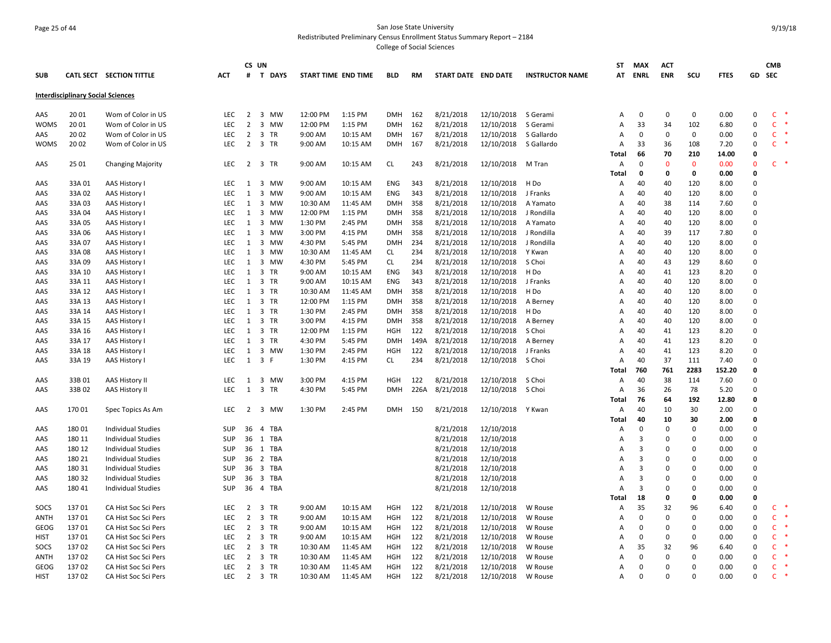## Page 25 of 44 San Jose State University Redistributed Preliminary Census Enrollment Status Summary Report – 2184

|             |                                          |                           |            |                | CS UN                          |          |                     |            |      |                     |            |                        | <b>ST</b>      | <b>MAX</b>     | ACT         |             |             |              | <b>CMB</b>   |  |
|-------------|------------------------------------------|---------------------------|------------|----------------|--------------------------------|----------|---------------------|------------|------|---------------------|------------|------------------------|----------------|----------------|-------------|-------------|-------------|--------------|--------------|--|
| <b>SUB</b>  |                                          | CATL SECT SECTION TITTLE  | <b>ACT</b> | #              | <b>T DAYS</b>                  |          | START TIME END TIME | <b>BLD</b> | RM   | START DATE END DATE |            | <b>INSTRUCTOR NAME</b> | AT             | <b>ENRL</b>    | <b>ENR</b>  | scu         | <b>FTES</b> | GD           | <b>SEC</b>   |  |
|             | <b>Interdisciplinary Social Sciences</b> |                           |            |                |                                |          |                     |            |      |                     |            |                        |                |                |             |             |             |              |              |  |
| AAS         | 20 01                                    | Wom of Color in US        | <b>LEC</b> | 2              | 3 MW                           | 12:00 PM | 1:15 PM             | DMH        | 162  | 8/21/2018           | 12/10/2018 | S Gerami               | Α              | $\Omega$       | $\Omega$    | $\mathbf 0$ | 0.00        | $\Omega$     | $\mathsf{C}$ |  |
| <b>WOMS</b> | 20 01                                    | Wom of Color in US        | <b>LEC</b> | $\overline{2}$ | 3 MW                           | 12:00 PM | 1:15 PM             | <b>DMH</b> | 162  | 8/21/2018           | 12/10/2018 | S Gerami               | Α              | 33             | 34          | 102         | 6.80        | $\mathbf 0$  | $\mathsf{C}$ |  |
| AAS         | 20 02                                    | Wom of Color in US        | <b>LEC</b> | $\overline{2}$ | 3 TR                           | 9:00 AM  | 10:15 AM            | <b>DMH</b> | 167  | 8/21/2018           | 12/10/2018 | S Gallardo             | Α              | $\Omega$       | $\Omega$    | 0           | 0.00        | $\Omega$     | $\mathsf{C}$ |  |
| <b>WOMS</b> | 20 02                                    | Wom of Color in US        | <b>LEC</b> | $\overline{2}$ | 3 TR                           | 9:00 AM  | 10:15 AM            | <b>DMH</b> | 167  | 8/21/2018           | 12/10/2018 | S Gallardo             | Α              | 33             | 36          | 108         | 7.20        | $\Omega$     | $\mathsf{C}$ |  |
|             |                                          |                           |            |                |                                |          |                     |            |      |                     |            |                        | Total          | 66             | 70          | 210         | 14.00       | $\Omega$     |              |  |
| AAS         | 25 01                                    | <b>Changing Majority</b>  | <b>LEC</b> | 2              | 3 TR                           | 9:00 AM  | 10:15 AM            | <b>CL</b>  | 243  | 8/21/2018           | 12/10/2018 | M Tran                 | $\overline{A}$ | $\Omega$       | $\Omega$    | $\mathbf 0$ | 0.00        | $\Omega$     | $\mathsf{C}$ |  |
|             |                                          |                           |            |                |                                |          |                     |            |      |                     |            |                        | Total          | 0              | 0           | $\mathbf 0$ | 0.00        | $\mathbf{0}$ |              |  |
| AAS         | 33A 01                                   | AAS History I             | <b>LEC</b> | 1              | 3 MW                           | 9:00 AM  | 10:15 AM            | <b>ENG</b> | 343  | 8/21/2018           | 12/10/2018 | H Do                   | A              | 40             | 40          | 120         | 8.00        | $\Omega$     |              |  |
| AAS         | 33A 02                                   | <b>AAS History I</b>      | LEC        | 1              | 3 MW                           | 9:00 AM  | 10:15 AM            | <b>ENG</b> | 343  | 8/21/2018           | 12/10/2018 | J Franks               | A              | 40             | 40          | 120         | 8.00        | $\Omega$     |              |  |
| AAS         | 33A 03                                   | AAS History I             | <b>LEC</b> | 1              | 3 MW                           | 10:30 AM | 11:45 AM            | <b>DMH</b> | 358  | 8/21/2018           | 12/10/2018 | A Yamato               | $\overline{A}$ | 40             | 38          | 114         | 7.60        | $\Omega$     |              |  |
| AAS         | 33A 04                                   | AAS History I             | <b>LEC</b> | 1              | 3 MW                           | 12:00 PM | 1:15 PM             | <b>DMH</b> | 358  | 8/21/2018           | 12/10/2018 | J Rondilla             | Α              | 40             | 40          | 120         | 8.00        | $\Omega$     |              |  |
| AAS         | 33A 05                                   | AAS History I             | <b>LEC</b> | 1              | 3 MW                           | 1:30 PM  | 2:45 PM             | <b>DMH</b> | 358  | 8/21/2018           | 12/10/2018 | A Yamato               | Α              | 40             | 40          | 120         | 8.00        | $\Omega$     |              |  |
| AAS         | 33A 06                                   | AAS History I             | LEC        | 1              | 3 MW                           | 3:00 PM  | 4:15 PM             | <b>DMH</b> | 358  | 8/21/2018           | 12/10/2018 | J Rondilla             | A              | 40             | 39          | 117         | 7.80        | $\Omega$     |              |  |
| AAS         | 33A 07                                   | <b>AAS History I</b>      | LEC        | 1              | 3 MW                           | 4:30 PM  | 5:45 PM             | <b>DMH</b> | 234  | 8/21/2018           | 12/10/2018 | J Rondilla             | A              | 40             | 40          | 120         | 8.00        | $\Omega$     |              |  |
| AAS         | 33A 08                                   | AAS History I             | LEC        | 1              | 3 MW                           | 10:30 AM | 11:45 AM            | <b>CL</b>  | 234  | 8/21/2018           | 12/10/2018 | Y Kwan                 | Α              | 40             | 40          | 120         | 8.00        | $\Omega$     |              |  |
| AAS         | 33A 09                                   | AAS History I             | <b>LEC</b> | 1              | 3 MW                           | 4:30 PM  | 5:45 PM             | <b>CL</b>  | 234  | 8/21/2018           | 12/10/2018 | S Choi                 | Α              | 40             | 43          | 129         | 8.60        | $\Omega$     |              |  |
| AAS         | 33A 10                                   | AAS History I             | <b>LEC</b> | 1              | 3 TR                           | 9:00 AM  | 10:15 AM            | <b>ENG</b> | 343  | 8/21/2018           | 12/10/2018 | H Do                   | $\overline{A}$ | 40             | 41          | 123         | 8.20        | $\Omega$     |              |  |
| AAS         | 33A 11                                   | AAS History I             | <b>LEC</b> | 1              | 3 TR                           | 9:00 AM  | 10:15 AM            | <b>ENG</b> | 343  | 8/21/2018           | 12/10/2018 | J Franks               | A              | 40             | 40          | 120         | 8.00        | $\Omega$     |              |  |
| AAS         | 33A 12                                   | <b>AAS History I</b>      | <b>LEC</b> | 1              | 3 TR                           | 10:30 AM | 11:45 AM            | <b>DMH</b> | 358  | 8/21/2018           | 12/10/2018 | H Do                   | Α              | 40             | 40          | 120         | 8.00        | $\Omega$     |              |  |
| AAS         | 33A 13                                   | AAS History I             | <b>LEC</b> | 1              | 3 TR                           | 12:00 PM | 1:15 PM             | <b>DMH</b> | 358  | 8/21/2018           | 12/10/2018 | A Berney               | A              | 40             | 40          | 120         | 8.00        | $\Omega$     |              |  |
| AAS         | 33A 14                                   | AAS History I             | <b>LEC</b> | 1              | 3 TR                           | 1:30 PM  | 2:45 PM             | <b>DMH</b> | 358  | 8/21/2018           | 12/10/2018 | H Do                   | Α              | 40             | 40          | 120         | 8.00        | $\Omega$     |              |  |
| AAS         | 33A 15                                   | AAS History I             | <b>LEC</b> | 1              | 3 TR                           | 3:00 PM  | 4:15 PM             | <b>DMH</b> | 358  | 8/21/2018           | 12/10/2018 | A Berney               | Α              | 40             | 40          | 120         | 8.00        | $\Omega$     |              |  |
| AAS         | 33A 16                                   | AAS History I             | <b>LEC</b> | 1              | 3 TR                           | 12:00 PM | 1:15 PM             | <b>HGH</b> | 122  | 8/21/2018           | 12/10/2018 | S Choi                 | А              | 40             | 41          | 123         | 8.20        | $\Omega$     |              |  |
| AAS         | 33A 17                                   | <b>AAS History I</b>      | <b>LEC</b> | 1              | 3 TR                           | 4:30 PM  | 5:45 PM             | <b>DMH</b> | 149A | 8/21/2018           | 12/10/2018 | A Berney               | Α              | 40             | 41          | 123         | 8.20        | $\Omega$     |              |  |
| AAS         | 33A 18                                   | <b>AAS History I</b>      | <b>LEC</b> | 1              | 3 MW                           | 1:30 PM  | 2:45 PM             | <b>HGH</b> | 122  | 8/21/2018           | 12/10/2018 | J Franks               | A              | 40             | 41          | 123         | 8.20        | $\Omega$     |              |  |
| AAS         | 33A 19                                   | AAS History I             | <b>LEC</b> | 1              | 3 F                            | 1:30 PM  | 4:15 PM             | CL.        | 234  | 8/21/2018           | 12/10/2018 | S Choi                 | $\overline{A}$ | 40             | 37          | 111         | 7.40        | $\Omega$     |              |  |
|             |                                          |                           |            |                |                                |          |                     |            |      |                     |            |                        | Total          | 760            | 761         | 2283        | 152.20      | 0            |              |  |
| AAS         | 33B01                                    | AAS History II            | LEC        | 1              | 3 MW                           | 3:00 PM  | 4:15 PM             | <b>HGH</b> | 122  | 8/21/2018           | 12/10/2018 | S Choi                 | A              | 40             | 38          | 114         | 7.60        | $\Omega$     |              |  |
| AAS         | 33B02                                    | <b>AAS History II</b>     | <b>LEC</b> | 1              | 3 TR                           | 4:30 PM  | 5:45 PM             | <b>DMH</b> | 226A | 8/21/2018           | 12/10/2018 | S Choi                 | $\overline{A}$ | 36             | 26          | 78          | 5.20        | $\Omega$     |              |  |
|             |                                          |                           |            |                |                                |          |                     |            |      |                     |            |                        | Total          | 76             | 64          | 192         | 12.80       | $\mathbf 0$  |              |  |
| AAS         | 170 01                                   | Spec Topics As Am         | <b>LEC</b> | 2              | 3 MW                           | 1:30 PM  | 2:45 PM             | <b>DMH</b> | 150  | 8/21/2018           | 12/10/2018 | Y Kwan                 | A              | 40             | 10          | 30          | 2.00        | $\Omega$     |              |  |
|             |                                          |                           |            |                |                                |          |                     |            |      |                     |            |                        | Total          | 40             | 10          | 30          | 2.00        | 0            |              |  |
| AAS         | 18001                                    | <b>Individual Studies</b> | <b>SUP</b> | 36             | TBA<br>4                       |          |                     |            |      | 8/21/2018           | 12/10/2018 |                        | A              | $\Omega$       | $\Omega$    | $\mathbf 0$ | 0.00        | $\Omega$     |              |  |
| AAS         | 180 11                                   | Individual Studies        | SUP        | 36             | 1<br>TBA                       |          |                     |            |      | 8/21/2018           | 12/10/2018 |                        | А              | 3              | $\Omega$    | $\Omega$    | 0.00        | $\Omega$     |              |  |
| AAS         | 180 12                                   | <b>Individual Studies</b> | <b>SUP</b> | 36             | 1 TBA                          |          |                     |            |      | 8/21/2018           | 12/10/2018 |                        | A              | $\overline{3}$ | $\Omega$    | $\Omega$    | 0.00        | $\Omega$     |              |  |
| AAS         | 180 21                                   | <b>Individual Studies</b> | SUP        | 36             | 2 TBA                          |          |                     |            |      | 8/21/2018           | 12/10/2018 |                        | A              | $\overline{3}$ | $\Omega$    | $\Omega$    | 0.00        | $\Omega$     |              |  |
| AAS         | 180 31                                   | Individual Studies        | <b>SUP</b> | 36             | 3 TBA                          |          |                     |            |      | 8/21/2018           | 12/10/2018 |                        | A              | 3              | $\Omega$    | $\Omega$    | 0.00        | $\Omega$     |              |  |
| AAS         | 180 32                                   | Individual Studies        | SUP        | 36             | $\overline{\mathbf{3}}$<br>TBA |          |                     |            |      | 8/21/2018           | 12/10/2018 |                        | A              | $\overline{3}$ | $\mathbf 0$ | $\mathbf 0$ | 0.00        | $\mathbf 0$  |              |  |
| AAS         | 180 41                                   | Individual Studies        | <b>SUP</b> |                | 36 4 TBA                       |          |                     |            |      | 8/21/2018           | 12/10/2018 |                        | A              | 3              | $\Omega$    | $\Omega$    | 0.00        | $\Omega$     |              |  |
|             |                                          |                           |            |                |                                |          |                     |            |      |                     |            |                        | <b>Total</b>   | 18             | $\mathbf 0$ | $\Omega$    | 0.00        | $\Omega$     |              |  |
| SOCS        | 13701                                    | CA Hist Soc Sci Pers      | <b>LEC</b> | $\overline{2}$ | 3 TR                           | 9:00 AM  | 10:15 AM            | <b>HGH</b> | 122  | 8/21/2018           | 12/10/2018 | W Rouse                | A              | 35             | 32          | 96          | 6.40        | $\Omega$     | C            |  |
| <b>ANTH</b> | 13701                                    | CA Hist Soc Sci Pers      | LEC        | $\overline{2}$ | 3 TR                           | 9:00 AM  | 10:15 AM            | <b>HGH</b> | 122  | 8/21/2018           | 12/10/2018 | W Rouse                | Α              | $\Omega$       | $\Omega$    | $\Omega$    | 0.00        | $\Omega$     | $\mathsf{C}$ |  |
| GEOG        | 13701                                    | CA Hist Soc Sci Pers      | LEC        | 2              | 3 TR                           | 9:00 AM  | 10:15 AM            | <b>HGH</b> | 122  | 8/21/2018           | 12/10/2018 | W Rouse                | A              | $\Omega$       | $\Omega$    | 0           | 0.00        | $\Omega$     | $\mathsf{C}$ |  |
| <b>HIST</b> | 13701                                    | CA Hist Soc Sci Pers      | LEC        | $\overline{2}$ | 3 TR                           | 9:00 AM  | 10:15 AM            | <b>HGH</b> | 122  | 8/21/2018           | 12/10/2018 | W Rouse                | Α              | $\Omega$       | $\Omega$    | $\mathbf 0$ | 0.00        | $\Omega$     | $\mathsf{C}$ |  |
| SOCS        | 13702                                    | CA Hist Soc Sci Pers      | LEC        | $\overline{2}$ | 3 TR                           | 10:30 AM | 11:45 AM            | <b>HGH</b> | 122  | 8/21/2018           | 12/10/2018 | W Rouse                | A              | 35             | 32          | 96          | 6.40        | $\Omega$     | $\mathsf{C}$ |  |
| <b>ANTH</b> | 13702                                    | CA Hist Soc Sci Pers      | <b>LEC</b> | 2              | 3 TR                           | 10:30 AM | 11:45 AM            | <b>HGH</b> | 122  | 8/21/2018           | 12/10/2018 | W Rouse                | A              | $\mathbf 0$    | $\Omega$    | $\mathbf 0$ | 0.00        | $\Omega$     | $\mathsf{C}$ |  |
| GEOG        | 13702                                    | CA Hist Soc Sci Pers      | <b>LEC</b> | $\overline{2}$ | 3 TR                           | 10:30 AM | 11:45 AM            | <b>HGH</b> | 122  | 8/21/2018           | 12/10/2018 | W Rouse                | A              | $\Omega$       | $\Omega$    | $\Omega$    | 0.00        | $\Omega$     | $\mathsf{C}$ |  |
| <b>HIST</b> | 13702                                    | CA Hist Soc Sci Pers      | <b>LEC</b> | 2              | 3 TR                           | 10:30 AM | 11:45 AM            | <b>HGH</b> | 122  | 8/21/2018           | 12/10/2018 | W Rouse                | A              | $\Omega$       | $\Omega$    | $\Omega$    | 0.00        | $\Omega$     | $\mathsf{C}$ |  |
|             |                                          |                           |            |                |                                |          |                     |            |      |                     |            |                        |                |                |             |             |             |              |              |  |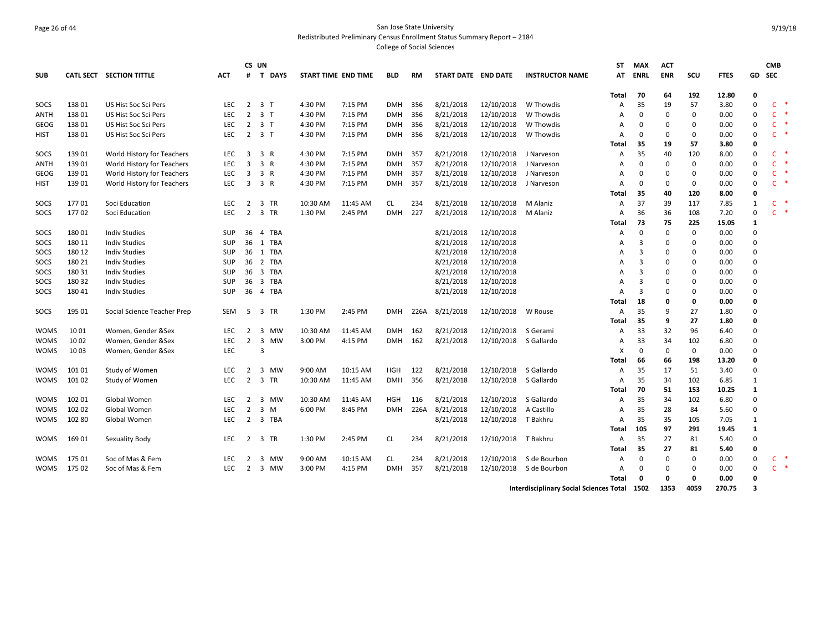# Page 26 of 44 San Jose State University Redistributed Preliminary Census Enrollment Status Summary Report – 2184

|             |        |                             |            |                         | CS UN                          |          |                            |            |      |                     |            |                                              | ST           | <b>MAX</b>              | <b>ACT</b> |              |             |              | <b>CMB</b>   |       |
|-------------|--------|-----------------------------|------------|-------------------------|--------------------------------|----------|----------------------------|------------|------|---------------------|------------|----------------------------------------------|--------------|-------------------------|------------|--------------|-------------|--------------|--------------|-------|
| <b>SUB</b>  |        | CATL SECT SECTION TITTLE    | <b>ACT</b> | #                       | <b>T DAYS</b>                  |          | <b>START TIME END TIME</b> | <b>BLD</b> | RM   | START DATE END DATE |            | <b>INSTRUCTOR NAME</b>                       | AT           | <b>ENRL</b>             | <b>ENR</b> | SCU          | <b>FTES</b> | GD           | <b>SEC</b>   |       |
|             |        |                             |            |                         |                                |          |                            |            |      |                     |            |                                              | Total        | -70                     | 64         | 192          | 12.80       | 0            |              |       |
| SOCS        | 13801  | US Hist Soc Sci Pers        | <b>LEC</b> |                         | 2 3 T                          | 4:30 PM  | 7:15 PM                    | <b>DMH</b> | 356  | 8/21/2018           | 12/10/2018 | W Thowdis                                    | А            | 35                      | 19         | 57           | 3.80        | $\mathbf 0$  | $\mathsf{C}$ | 慢     |
| <b>ANTH</b> | 13801  | US Hist Soc Sci Pers        | LEC        | $2^{\circ}$             | 3 <sub>1</sub>                 | 4:30 PM  | 7:15 PM                    | <b>DMH</b> | 356  | 8/21/2018           | 12/10/2018 | W Thowdis                                    | А            | $\Omega$                | $\Omega$   | $\mathbf 0$  | 0.00        | $\Omega$     | $\mathsf{C}$ |       |
| GEOG        | 13801  | US Hist Soc Sci Pers        | <b>LEC</b> | $\overline{2}$          | 3 <sub>T</sub>                 | 4:30 PM  | 7:15 PM                    | <b>DMH</b> | 356  | 8/21/2018           | 12/10/2018 | W Thowdis                                    | А            | 0                       | 0          | 0            | 0.00        | $\Omega$     | $\mathsf{C}$ |       |
| HIST        | 138 01 | US Hist Soc Sci Pers        | LEC.       | 2                       | 3 <sub>T</sub>                 | 4:30 PM  | 7:15 PM                    | <b>DMH</b> | 356  | 8/21/2018           | 12/10/2018 | W Thowdis                                    | А            | $\Omega$                | 0          | $\mathbf 0$  | 0.00        | $\Omega$     | $\mathsf{C}$ |       |
|             |        |                             |            |                         |                                |          |                            |            |      |                     |            |                                              | Total        | 35                      | 19         | 57           | 3.80        | $\mathbf{0}$ |              |       |
| SOCS        | 139 01 | World History for Teachers  | <b>LEC</b> | $\overline{\mathbf{3}}$ | 3 R                            | 4:30 PM  | 7:15 PM                    | <b>DMH</b> | 357  | 8/21/2018           | 12/10/2018 | J Narveson                                   | А            | 35                      | 40         | 120          | 8.00        | $\Omega$     | $\mathsf{C}$ |       |
| ANTH        | 139 01 | World History for Teachers  | <b>LEC</b> | 3                       | 3 R                            | 4:30 PM  | 7:15 PM                    | <b>DMH</b> | 357  | 8/21/2018           | 12/10/2018 | J Narveson                                   | А            | $\Omega$                | 0          | $\mathbf 0$  | 0.00        | $\Omega$     | $\mathsf{C}$ |       |
| GEOG        | 139 01 | World History for Teachers  | <b>LEC</b> | 3                       | 3 R                            | 4:30 PM  | 7:15 PM                    | <b>DMH</b> | 357  | 8/21/2018           | 12/10/2018 | J Narveson                                   | Α            | 0                       | 0          | $\mathbf 0$  | 0.00        | $\Omega$     | $\mathsf{C}$ |       |
| HIST        | 139 01 | World History for Teachers  | LEC.       |                         | 3 3 R                          | 4:30 PM  | 7:15 PM                    | <b>DMH</b> | 357  | 8/21/2018           | 12/10/2018 | J Narveson                                   | А            | $\Omega$                | 0          | $\mathbf{0}$ | 0.00        | $\Omega$     | $\mathsf{C}$ |       |
|             |        |                             |            |                         |                                |          |                            |            |      |                     |            |                                              | Total        | 35                      | 40         | 120          | 8.00        | $\Omega$     |              |       |
| SOCS        | 17701  | Soci Education              | <b>LEC</b> | $\overline{2}$          | 3 TR                           | 10:30 AM | 11:45 AM                   | <b>CL</b>  | 234  | 8/21/2018           | 12/10/2018 | M Alaniz                                     | А            | 37                      | 39         | 117          | 7.85        | $\mathbf{1}$ | $\mathsf{C}$ | 慢     |
| SOCS        | 17702  | Soci Education              | <b>LEC</b> | 2                       | 3 TR                           | 1:30 PM  | 2:45 PM                    | <b>DMH</b> | 227  | 8/21/2018           | 12/10/2018 | M Alaniz                                     | А            | 36                      | 36         | 108          | 7.20        | $\mathbf 0$  | $\mathsf{C}$ |       |
|             |        |                             |            |                         |                                |          |                            |            |      |                     |            |                                              | Total        | 73                      | 75         | 225          | 15.05       | 1            |              |       |
| SOCS        | 18001  | <b>Indiv Studies</b>        | <b>SUP</b> | 36                      | TBA<br>$\overline{4}$          |          |                            |            |      | 8/21/2018           | 12/10/2018 |                                              | А            | $\Omega$                | $\Omega$   | $\mathbf{0}$ | 0.00        | $\Omega$     |              |       |
| SOCS        | 180 11 | <b>Indiv Studies</b>        | SUP        | 36                      | 1 TBA                          |          |                            |            |      | 8/21/2018           | 12/10/2018 |                                              | А            | $\overline{3}$          | 0          | $\mathbf 0$  | 0.00        | $\Omega$     |              |       |
| SOCS        | 180 12 | <b>Indiv Studies</b>        | <b>SUP</b> | 36                      | 1 TBA                          |          |                            |            |      | 8/21/2018           | 12/10/2018 |                                              | А            | 3                       | 0          | $\mathbf 0$  | 0.00        | $\Omega$     |              |       |
| SOCS        | 180 21 | <b>Indiv Studies</b>        | <b>SUP</b> | 36                      | 2 TBA                          |          |                            |            |      | 8/21/2018           | 12/10/2018 |                                              | А            | 3                       | 0          | 0            | 0.00        | $\Omega$     |              |       |
| SOCS        | 180 31 | <b>Indiv Studies</b>        | <b>SUP</b> | 36                      | 3 TBA                          |          |                            |            |      | 8/21/2018           | 12/10/2018 |                                              | А            | 3                       | $\Omega$   | 0            | 0.00        | $\Omega$     |              |       |
| SOCS        | 180 32 | <b>Indiv Studies</b>        | <b>SUP</b> | 36                      | $\overline{\mathbf{3}}$<br>TBA |          |                            |            |      | 8/21/2018           | 12/10/2018 |                                              | А            | $\overline{\mathbf{3}}$ | $\Omega$   | $\mathbf 0$  | 0.00        | $\Omega$     |              |       |
| SOCS        | 180 41 | <b>Indiv Studies</b>        | <b>SUP</b> | 36                      | 4 TBA                          |          |                            |            |      | 8/21/2018           | 12/10/2018 |                                              | А            | $\overline{3}$          | 0          | $\mathbf 0$  | 0.00        | $\Omega$     |              |       |
|             |        |                             |            |                         |                                |          |                            |            |      |                     |            |                                              | Total        | 18                      | 0          | 0            | 0.00        | 0            |              |       |
| SOCS        | 195 01 | Social Science Teacher Prep | <b>SEM</b> | - 5                     | 3 TR                           | 1:30 PM  | 2:45 PM                    | <b>DMH</b> | 226A | 8/21/2018           | 12/10/2018 | W Rouse                                      | A            | 35                      | 9          | 27           | 1.80        | $\Omega$     |              |       |
|             |        |                             |            |                         |                                |          |                            |            |      |                     |            |                                              | <b>Total</b> | 35                      | 9          | 27           | 1.80        | $\Omega$     |              |       |
| <b>WOMS</b> | 10 01  | Women, Gender &Sex          | <b>LEC</b> | 2                       | 3 MW                           | 10:30 AM | 11:45 AM                   | <b>DMH</b> | 162  | 8/21/2018           | 12/10/2018 | S Gerami                                     | А            | 33                      | 32         | 96           | 6.40        | $\Omega$     |              |       |
| WOMS        | 10 02  | Women, Gender & Sex         | <b>LEC</b> | $\overline{2}$          | 3 MW                           | 3:00 PM  | 4:15 PM                    | <b>DMH</b> | 162  | 8/21/2018           | 12/10/2018 | S Gallardo                                   | А            | 33                      | 34         | 102          | 6.80        | $\mathbf 0$  |              |       |
| WOMS        | 10 03  | Women, Gender & Sex         | <b>LEC</b> |                         | 3                              |          |                            |            |      |                     |            |                                              | X            | $\Omega$                | 0          | $\mathbf 0$  | 0.00        | $\Omega$     |              |       |
|             |        |                             |            |                         |                                |          |                            |            |      |                     |            |                                              | <b>Total</b> | 66                      | 66         | 198          | 13.20       | $\Omega$     |              |       |
| <b>WOMS</b> | 101 01 | Study of Women              | LEC.       | 2                       | 3 MW                           | 9:00 AM  | 10:15 AM                   | HGH        | 122  | 8/21/2018           | 12/10/2018 | S Gallardo                                   | Α            | 35                      | 17         | 51           | 3.40        | $\Omega$     |              |       |
| <b>WOMS</b> | 101 02 | Study of Women              | <b>LEC</b> | 2                       | 3 TR                           | 10:30 AM | 11:45 AM                   | <b>DMH</b> | 356  | 8/21/2018           | 12/10/2018 | S Gallardo                                   | А            | 35                      | 34         | 102          | 6.85        | 1            |              |       |
|             |        |                             |            |                         |                                |          |                            |            |      |                     |            |                                              | Total        | -70                     | 51         | 153          | 10.25       | $\mathbf{1}$ |              |       |
| <b>WOMS</b> | 102 01 | Global Women                | <b>LEC</b> | $\overline{2}$          | 3 MW                           | 10:30 AM | 11:45 AM                   | <b>HGH</b> | 116  | 8/21/2018           | 12/10/2018 | S Gallardo                                   | А            | 35                      | 34         | 102          | 6.80        | $\Omega$     |              |       |
| WOMS        | 102 02 | Global Women                | LEC        | $\overline{2}$          | 3 M                            | 6:00 PM  | 8:45 PM                    | <b>DMH</b> | 226A | 8/21/2018           | 12/10/2018 | A Castillo                                   | А            | 35                      | 28         | 84           | 5.60        | $\mathbf 0$  |              |       |
| <b>WOMS</b> | 102 80 | Global Women                | <b>LEC</b> | 2                       | 3 TBA                          |          |                            |            |      | 8/21/2018           | 12/10/2018 | T Bakhru                                     | Α            | 35                      | 35         | 105          | 7.05        | 1            |              |       |
|             |        |                             |            |                         |                                |          |                            |            |      |                     |            |                                              | Total        | 105                     | 97         | 291          | 19.45       | 1            |              |       |
| <b>WOMS</b> | 169 01 | Sexuality Body              | <b>LEC</b> | 2                       | 3 TR                           | 1:30 PM  | 2:45 PM                    | <b>CL</b>  | 234  | 8/21/2018           | 12/10/2018 | T Bakhru                                     | А            | 35                      | 27         | 81           | 5.40        | $\Omega$     |              |       |
|             |        |                             |            |                         |                                |          |                            |            |      |                     |            |                                              | Total        | 35                      | 27         | 81           | 5.40        | $\mathbf{0}$ |              |       |
| <b>WOMS</b> | 175 01 | Soc of Mas & Fem            | LEC        | 2                       | 3 MW                           | 9:00 AM  | 10:15 AM                   | <b>CL</b>  | 234  | 8/21/2018           | 12/10/2018 | S de Bourbon                                 | А            | $\Omega$                | 0          | 0            | 0.00        | $\mathbf 0$  |              | $C^*$ |
| <b>WOMS</b> | 175 02 | Soc of Mas & Fem            | LEC.       | 2                       | 3 MW                           | 3:00 PM  | 4:15 PM                    | <b>DMH</b> | 357  | 8/21/2018           | 12/10/2018 | S de Bourbon                                 | A            | $\mathbf 0$             | 0          | $\mathbf 0$  | 0.00        | $\Omega$     | $\mathsf{C}$ | 一味    |
|             |        |                             |            |                         |                                |          |                            |            |      |                     |            |                                              | <b>Total</b> | $\Omega$                | $\Omega$   | $\mathbf{0}$ | 0.00        | $\Omega$     |              |       |
|             |        |                             |            |                         |                                |          |                            |            |      |                     |            | Interdisciplinary Social Sciences Total 1502 |              |                         | 1353       | 4059         | 270.75      | 3            |              |       |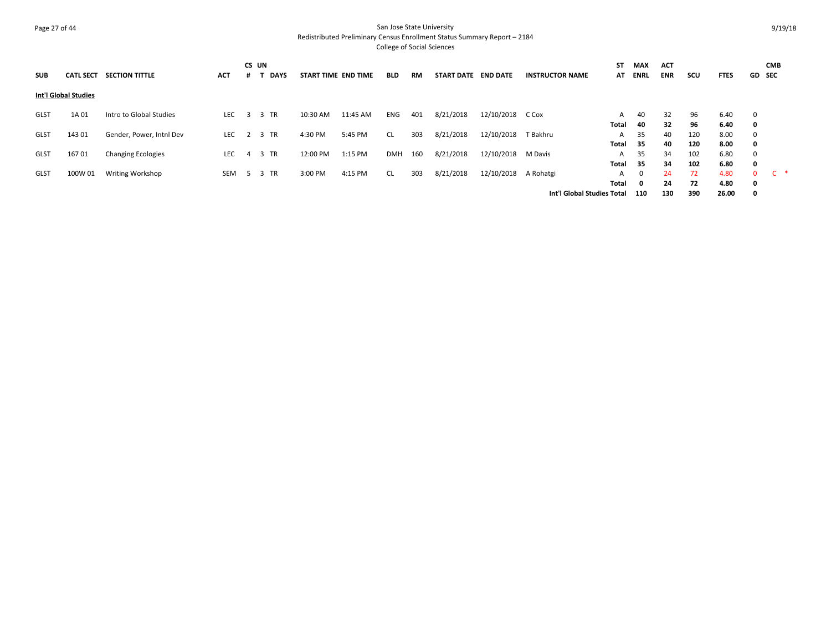# Page 27 of 44 San Jose State University Redistributed Preliminary Census Enrollment Status Summary Report – 2184

| <b>SUB</b>  | <b>CATL SECT</b>     | <b>SECTION TITTLE</b>     | <b>ACT</b> | CS UN          | <b>DAYS</b> | START TIME END TIME |          | <b>BLD</b> | RM  | <b>START DATE</b> | <b>END DATE</b> | <b>INSTRUCTOR NAME</b>     | ST<br>AT   | <b>MAX</b><br>ENRL  | <b>ACT</b><br><b>ENR</b> | scu        | <b>FTES</b>   | <b>GD</b> SEC    | <b>CMB</b> |  |
|-------------|----------------------|---------------------------|------------|----------------|-------------|---------------------|----------|------------|-----|-------------------|-----------------|----------------------------|------------|---------------------|--------------------------|------------|---------------|------------------|------------|--|
|             | Int'l Global Studies |                           |            |                |             |                     |          |            |     |                   |                 |                            |            |                     |                          |            |               |                  |            |  |
| <b>GLST</b> | 1A 01                | Intro to Global Studies   | <b>LEC</b> | $\mathbf{3}$   | 3 TR        | 10:30 AM            | 11:45 AM | ENG        | 401 | 8/21/2018         | 12/10/2018      | C Cox                      | A          | 40<br>40            | 32                       | 96<br>96   | 6.40<br>6.40  | $\mathbf 0$      |            |  |
| <b>GLST</b> | 143 01               | Gender, Power, Intnl Dev  | <b>LEC</b> | $\overline{2}$ | 3 TR        | 4:30 PM             | 5:45 PM  | <b>CL</b>  | 303 | 8/21/2018         | 12/10/2018      | T Bakhru                   | Total<br>A | 35                  | 32<br>40                 | 120        | 8.00          | 0<br>$\Omega$    |            |  |
| <b>GLST</b> | 16701                | <b>Changing Ecologies</b> | LEC        | 4              | 3 TR        | 12:00 PM            | 1:15 PM  | DMH        | 160 | 8/21/2018         | 12/10/2018      | M Davis                    | Total<br>A | 35<br>35            | 40<br>34                 | 120<br>102 | 8.00<br>6.80  | 0<br>0           |            |  |
| <b>GLST</b> | 100W 01              | <b>Writing Workshop</b>   | <b>SEM</b> | 5              | 3 TR        | 3:00 PM             | 4:15 PM  | <b>CL</b>  | 303 | 8/21/2018         | 12/10/2018      | A Rohatgi                  | Total<br>A | 35                  | 34<br>24                 | 102<br>72  | 6.80<br>4.80  | $\mathbf 0$<br>0 | $C^*$      |  |
|             |                      |                           |            |                |             |                     |          |            |     |                   |                 | Int'l Global Studies Total | Total      | $\mathbf{0}$<br>110 | 24<br>130                | 72<br>390  | 4.80<br>26.00 | 0<br>0           |            |  |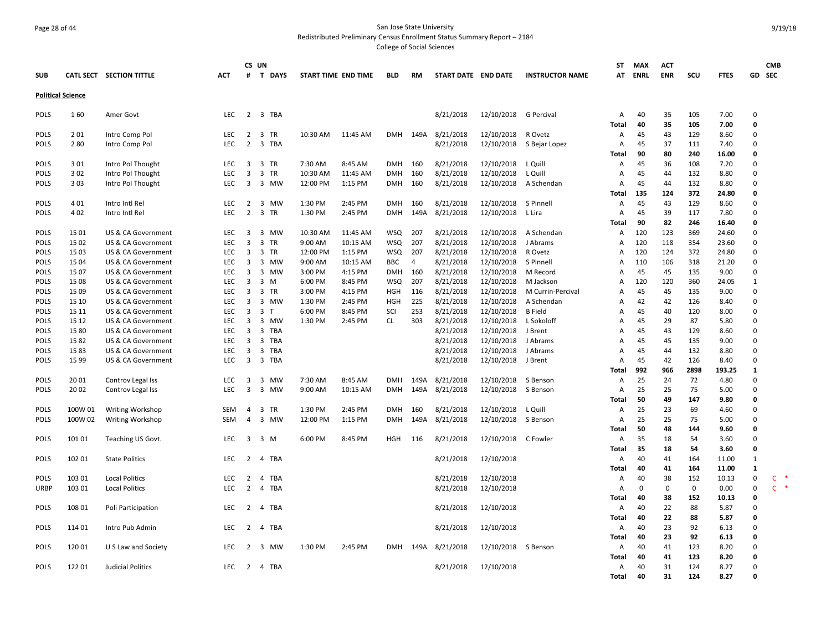## Page 28 of 44 San Jose State University Redistributed Preliminary Census Enrollment Status Summary Report – 2184

|                          |            |                          |                   |                         | CS UN                                 |                      |                     |            |                |                     |            |                        | ST             | <b>MAX</b>  | <b>ACT</b> |            |              |                         | <b>CMB</b>   |
|--------------------------|------------|--------------------------|-------------------|-------------------------|---------------------------------------|----------------------|---------------------|------------|----------------|---------------------|------------|------------------------|----------------|-------------|------------|------------|--------------|-------------------------|--------------|
| <b>SUB</b>               |            | CATL SECT SECTION TITTLE | <b>ACT</b>        | #                       | <b>T DAYS</b>                         | START TIME END TIME  |                     | <b>BLD</b> | RM             | START DATE END DATE |            | <b>INSTRUCTOR NAME</b> | AT             | <b>ENRL</b> | ENR        | SCU        | <b>FTES</b>  | GD                      | <b>SEC</b>   |
| <b>Political Science</b> |            |                          |                   |                         |                                       |                      |                     |            |                |                     |            |                        |                |             |            |            |              |                         |              |
| <b>POLS</b>              | 160        | Amer Govt                | LEC               | $\overline{2}$          | 3 TBA                                 |                      |                     |            |                | 8/21/2018           | 12/10/2018 | G Percival             | Α              | 40          | 35         | 105        | 7.00         | $\mathbf 0$             |              |
|                          |            |                          |                   |                         |                                       |                      |                     |            |                |                     |            |                        | Total          | 40          | 35         | 105        | 7.00         | 0                       |              |
| <b>POLS</b>              | 201        | Intro Comp Pol           | <b>LEC</b>        | 2                       | 3 TR                                  | 10:30 AM             | 11:45 AM            | <b>DMH</b> | 149A           | 8/21/2018           | 12/10/2018 | R Ovetz                | A              | 45          | 43         | 129        | 8.60         | $\Omega$                |              |
| <b>POLS</b>              | 280        | Intro Comp Pol           | LEC               | $\overline{2}$          | 3 TBA                                 |                      |                     |            |                | 8/21/2018           | 12/10/2018 | S Bejar Lopez          | Α              | 45          | 37         | 111        | 7.40         | $\mathbf 0$             |              |
|                          |            |                          |                   |                         |                                       |                      |                     |            |                |                     |            |                        | Total          | 90          | 80         | 240        | 16.00        | 0                       |              |
| POLS                     | 301        | Intro Pol Thought        | <b>LEC</b><br>LEC | $\overline{3}$          | 3 TR<br>3 TR                          | 7:30 AM              | 8:45 AM             | <b>DMH</b> | 160            | 8/21/2018           | 12/10/2018 | L Quill                | A              | 45          | 36<br>44   | 108        | 7.20         | $\Omega$<br>$\mathbf 0$ |              |
| POLS<br>POLS             | 302<br>303 | Intro Pol Thought        | <b>LEC</b>        | 3<br>3                  | 3 MW                                  | 10:30 AM<br>12:00 PM | 11:45 AM<br>1:15 PM | <b>DMH</b> | 160<br>160     | 8/21/2018           | 12/10/2018 | L Quill                | A              | 45<br>45    | 44         | 132<br>132 | 8.80<br>8.80 | $\Omega$                |              |
|                          |            | Intro Pol Thought        |                   |                         |                                       |                      |                     | <b>DMH</b> |                | 8/21/2018           | 12/10/2018 | A Schendan             | A<br>Total     | 135         | 124        | 372        | 24.80        | $\mathbf{0}$            |              |
| POLS                     | 401        | Intro Intl Rel           | <b>LEC</b>        | 2                       | 3 MW                                  | 1:30 PM              | 2:45 PM             | <b>DMH</b> | 160            | 8/21/2018           | 12/10/2018 | S Pinnell              | $\overline{A}$ | 45          | 43         | 129        | 8.60         | $\mathbf 0$             |              |
| POLS                     | 402        | Intro Intl Rel           | <b>LEC</b>        | 2                       | 3 TR                                  | 1:30 PM              | 2:45 PM             | <b>DMH</b> | 149A           | 8/21/2018           | 12/10/2018 | L Lira                 | A              | 45          | 39         | 117        | 7.80         | $\Omega$                |              |
|                          |            |                          |                   |                         |                                       |                      |                     |            |                |                     |            |                        | Total          | 90          | 82         | 246        | 16.40        | $\mathbf{0}$            |              |
| POLS                     | 15 01      | US & CA Government       | <b>LEC</b>        | 3                       | 3 MW                                  | 10:30 AM             | 11:45 AM            | <b>WSQ</b> | 207            | 8/21/2018           | 12/10/2018 | A Schendan             | A              | 120         | 123        | 369        | 24.60        | $\Omega$                |              |
| <b>POLS</b>              | 15 02      | US & CA Government       | <b>LEC</b>        | $\overline{3}$          | $\overline{3}$<br><b>TR</b>           | 9:00 AM              | 10:15 AM            | <b>WSQ</b> | 207            | 8/21/2018           | 12/10/2018 | J Abrams               | A              | 120         | 118        | 354        | 23.60        | $\Omega$                |              |
| <b>POLS</b>              | 15 03      | US & CA Government       | <b>LEC</b>        | $\overline{\mathbf{3}}$ | $\overline{3}$<br>TR                  | 12:00 PM             | 1:15 PM             | WSQ        | 207            | 8/21/2018           | 12/10/2018 | R Ovetz                | A              | 120         | 124        | 372        | 24.80        | $\Omega$                |              |
| POLS                     | 15 04      | US & CA Government       | <b>LEC</b>        | 3                       | 3 MW                                  | 9:00 AM              | 10:15 AM            | <b>BBC</b> | $\overline{4}$ | 8/21/2018           | 12/10/2018 | S Pinnell              | A              | 110         | 106        | 318        | 21.20        | $\Omega$                |              |
| POLS                     | 1507       | US & CA Government       | <b>LEC</b>        | $\overline{3}$          | 3 MW                                  | 3:00 PM              | 4:15 PM             | <b>DMH</b> | 160            | 8/21/2018           | 12/10/2018 | M Record               | A              | 45          | 45         | 135        | 9.00         | $\Omega$                |              |
| POLS                     | 15 08      | US & CA Government       | <b>LEC</b>        | 3                       | $3 \, M$                              | 6:00 PM              | 8:45 PM             | <b>WSQ</b> | 207            | 8/21/2018           | 12/10/2018 | M Jackson              | A              | 120         | 120        | 360        | 24.05        | 1                       |              |
| POLS                     | 15 09      | US & CA Government       | <b>LEC</b>        | 3                       | 3 TR                                  | 3:00 PM              | 4:15 PM             | <b>HGH</b> | 116            | 8/21/2018           | 12/10/2018 | M Currin-Percival      | A              | 45          | 45         | 135        | 9.00         | $\Omega$                |              |
| POLS                     | 15 10      | US & CA Government       | <b>LEC</b>        | $\overline{3}$          | 3 MW                                  | 1:30 PM              | 2:45 PM             | <b>HGH</b> | 225            | 8/21/2018           | 12/10/2018 | A Schendan             | A              | 42          | 42         | 126        | 8.40         | $\Omega$                |              |
| POLS                     | 15 11      | US & CA Government       | <b>LEC</b>        | 3                       | 3 <sub>1</sub>                        | 6:00 PM              | 8:45 PM             | SCI        | 253            | 8/21/2018           | 12/10/2018 | <b>B</b> Field         | A              | 45          | 40         | 120        | 8.00         | $\mathbf 0$             |              |
| POLS                     | 15 12      | US & CA Government       | <b>LEC</b>        | 3                       | 3 MW                                  | 1:30 PM              | 2:45 PM             | CL.        | 303            | 8/21/2018           | 12/10/2018 | L Sokoloff             | A              | 45          | 29         | 87         | 5.80         | $\Omega$                |              |
| POLS                     | 15 80      | US & CA Government       | <b>LEC</b>        | $\overline{3}$          | 3 TBA                                 |                      |                     |            |                | 8/21/2018           | 12/10/2018 | J Brent                | A              | 45          | 43         | 129        | 8.60         | $\Omega$                |              |
| POLS                     | 1582       | US & CA Government       | <b>LEC</b>        | 3                       | 3 TBA                                 |                      |                     |            |                | 8/21/2018           | 12/10/2018 | J Abrams               | A              | 45          | 45         | 135        | 9.00         | $\mathbf 0$             |              |
| POLS                     | 1583       | US & CA Government       | <b>LEC</b>        | 3                       | 3<br>TBA                              |                      |                     |            |                | 8/21/2018           | 12/10/2018 | J Abrams               | A              | 45          | 44         | 132        | 8.80         | $\Omega$                |              |
| POLS                     | 15 99      | US & CA Government       | LEC               | 3                       | 3 TBA                                 |                      |                     |            |                | 8/21/2018           | 12/10/2018 | J Brent                | A              | 45          | 42         | 126        | 8.40         | $\Omega$                |              |
|                          |            |                          |                   |                         |                                       |                      |                     |            |                |                     |            |                        | Total          | 992         | 966        | 2898       | 193.25       | 1                       |              |
| POLS                     | 20 01      | Controv Legal Iss        | <b>LEC</b>        | 3                       | $\overline{\mathbf{3}}$<br>MW<br>3 MW | 7:30 AM              | 8:45 AM             | <b>DMH</b> | 149A           | 8/21/2018           | 12/10/2018 | S Benson               | A              | 25<br>25    | 24         | 72<br>75   | 4.80         | $\Omega$<br>$\mathbf 0$ |              |
| <b>POLS</b>              | 20 02      | Controv Legal Iss        | LEC               | 3                       |                                       | 9:00 AM              | 10:15 AM            | <b>DMH</b> | 149A           | 8/21/2018           | 12/10/2018 | S Benson               | Α<br>Total     | 50          | 25<br>49   | 147        | 5.00<br>9.80 | 0                       |              |
| POLS                     | 100W 01    | <b>Writing Workshop</b>  | <b>SEM</b>        | $\overline{4}$          | 3<br>TR                               | 1:30 PM              | 2:45 PM             | <b>DMH</b> | 160            | 8/21/2018           | 12/10/2018 | L Quill                | A              | 25          | 23         | 69         | 4.60         | $\Omega$                |              |
| <b>POLS</b>              | 100W 02    | <b>Writing Workshop</b>  | SEM               | 4                       | 3 MW                                  | 12:00 PM             | 1:15 PM             | <b>DMH</b> | 149A           | 8/21/2018           | 12/10/2018 | S Benson               | A              | 25          | 25         | 75         | 5.00         | $\mathbf 0$             |              |
|                          |            |                          |                   |                         |                                       |                      |                     |            |                |                     |            |                        | Total          | 50          | 48         | 144        | 9.60         | 0                       |              |
| <b>POLS</b>              | 101 01     | Teaching US Govt.        | <b>LEC</b>        | 3                       | 3 M                                   | 6:00 PM              | 8:45 PM             | <b>HGH</b> | 116            | 8/21/2018           | 12/10/2018 | C Fowler               | A              | 35          | 18         | 54         | 3.60         | $\Omega$                |              |
|                          |            |                          |                   |                         |                                       |                      |                     |            |                |                     |            |                        | Total          | 35          | 18         | 54         | 3.60         | $\mathbf{0}$            |              |
| <b>POLS</b>              | 102 01     | <b>State Politics</b>    | LEC.              | 2                       | 4 TBA                                 |                      |                     |            |                | 8/21/2018           | 12/10/2018 |                        | A              | 40          | 41         | 164        | 11.00        | $\mathbf{1}$            |              |
|                          |            |                          |                   |                         |                                       |                      |                     |            |                |                     |            |                        | Total          | 40          | 41         | 164        | 11.00        | 1                       |              |
| <b>POLS</b>              | 103 01     | <b>Local Politics</b>    | LEC               | $\overline{2}$          | TBA<br>4                              |                      |                     |            |                | 8/21/2018           | 12/10/2018 |                        | A              | 40          | 38         | 152        | 10.13        | $\mathbf 0$             | $\mathsf{C}$ |
| <b>URBP</b>              | 103 01     | <b>Local Politics</b>    | <b>LEC</b>        | 2                       | 4 TBA                                 |                      |                     |            |                | 8/21/2018           | 12/10/2018 |                        | A              | $\Omega$    | 0          | 0          | 0.00         | $\Omega$                | $C$ $*$      |
|                          |            |                          |                   |                         |                                       |                      |                     |            |                |                     |            |                        | Total          | 40          | 38         | 152        | 10.13        | $\mathbf{0}$            |              |
| POLS                     | 108 01     | Poli Participation       | <b>LEC</b>        | 2                       | 4 TBA                                 |                      |                     |            |                | 8/21/2018           | 12/10/2018 |                        | Α              | 40          | 22         | 88         | 5.87         | $\mathbf 0$             |              |
|                          |            |                          |                   |                         |                                       |                      |                     |            |                |                     |            |                        | Total          | 40          | 22         | 88         | 5.87         | 0                       |              |
| <b>POLS</b>              | 114 01     | Intro Pub Admin          | <b>LEC</b>        | $\overline{2}$          | 4 TBA                                 |                      |                     |            |                | 8/21/2018           | 12/10/2018 |                        | Α              | 40          | 23         | 92         | 6.13         | $\Omega$                |              |
|                          |            |                          |                   |                         |                                       |                      |                     |            |                |                     |            |                        | Total          | 40          | 23         | 92         | 6.13         | 0                       |              |
| <b>POLS</b>              | 12001      | U S Law and Society      | <b>LEC</b>        | 2                       | 3 MW                                  | 1:30 PM              | 2:45 PM             | <b>DMH</b> | 149A           | 8/21/2018           | 12/10/2018 | S Benson               | A              | 40          | 41         | 123        | 8.20         | $\Omega$                |              |
|                          |            |                          |                   |                         |                                       |                      |                     |            |                |                     |            |                        | Total          | 40          | 41         | 123        | 8.20         | $\mathbf 0$             |              |
| <b>POLS</b>              | 12201      | Judicial Politics        | LEC.              | 2                       | 4 TBA                                 |                      |                     |            |                | 8/21/2018           | 12/10/2018 |                        | A              | 40          | 31<br>31   | 124        | 8.27         | $\Omega$<br>$\Omega$    |              |
|                          |            |                          |                   |                         |                                       |                      |                     |            |                |                     |            |                        | Total          | 40          |            | 124        | 8.27         |                         |              |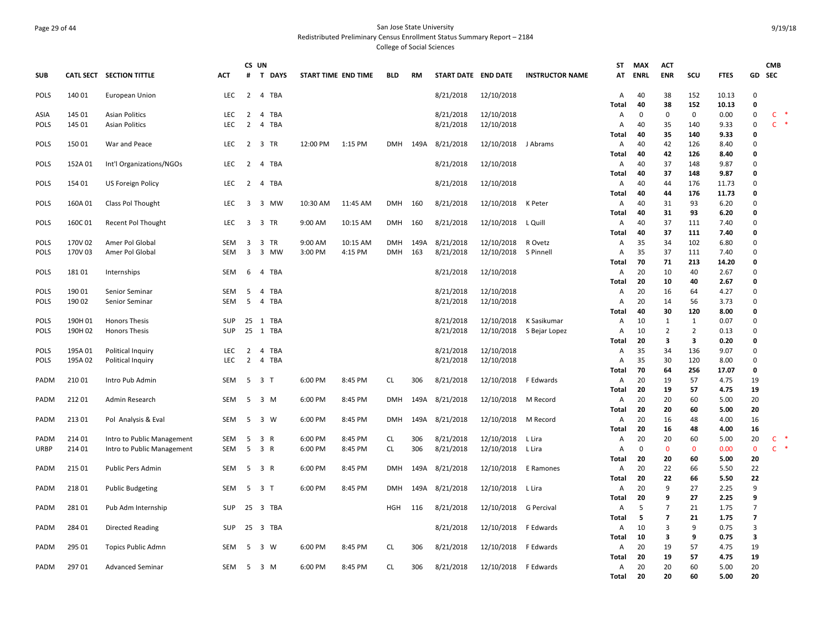## Page 29 of 44 San Jose State University Redistributed Preliminary Census Enrollment Status Summary Report – 2184 College of Social Sciences

| <b>SUB</b>                 |         | CATL SECT SECTION TITTLE               | <b>ACT</b> | CS UN<br>#              | <b>T DAYS</b>  | START TIME END TIME |          | <b>BLD</b> | RM   | START DATE END DATE    |                       | <b>INSTRUCTOR NAME</b> | <b>ST</b><br>AT | <b>MAX</b><br><b>ENRL</b> | <b>ACT</b><br><b>ENR</b> | scu            | <b>FTES</b>  | GD                      | <b>CMB</b><br><b>SEC</b> |
|----------------------------|---------|----------------------------------------|------------|-------------------------|----------------|---------------------|----------|------------|------|------------------------|-----------------------|------------------------|-----------------|---------------------------|--------------------------|----------------|--------------|-------------------------|--------------------------|
| POLS                       | 140 01  | European Union                         | LEC        |                         | 2 4 TBA        |                     |          |            |      | 8/21/2018              | 12/10/2018            |                        | Α               | 40                        | 38                       | 152            | 10.13        | $\Omega$                |                          |
|                            |         |                                        |            |                         |                |                     |          |            |      |                        |                       |                        | Total           | 40                        | 38                       | 152            | 10.13        | $\mathbf 0$             |                          |
| ASIA                       | 145 01  | <b>Asian Politics</b>                  | LEC.       | 2                       | 4 TBA          |                     |          |            |      | 8/21/2018              | 12/10/2018            |                        | А               | 0                         | $\mathbf 0$              | 0              | 0.00         | $\Omega$                | $\mathsf{C}$             |
| POLS                       | 145 01  | <b>Asian Politics</b>                  | <b>LEC</b> | $\overline{2}$          | 4 TBA          |                     |          |            |      | 8/21/2018              | 12/10/2018            |                        | A               | 40                        | 35                       | 140            | 9.33         | $\Omega$                | $\mathsf{C}$             |
|                            |         |                                        |            |                         |                |                     |          |            |      |                        |                       |                        | Total           | 40                        | 35                       | 140            | 9.33         | $\Omega$                |                          |
| <b>POLS</b>                | 150 01  | War and Peace                          | LEC        | $\overline{2}$          | 3 TR           | 12:00 PM            | 1:15 PM  | DMH        | 149A | 8/21/2018              | 12/10/2018            | J Abrams               | А               | 40                        | 42                       | 126            | 8.40         | $\Omega$                |                          |
|                            |         |                                        |            |                         |                |                     |          |            |      |                        |                       |                        | Total           | 40                        | 42                       | 126            | 8.40         | $\Omega$                |                          |
| <b>POLS</b>                | 152A 01 | Int'l Organizations/NGOs               | <b>LEC</b> | 2                       | 4 TBA          |                     |          |            |      | 8/21/2018              | 12/10/2018            |                        | А               | 40                        | 37                       | 148            | 9.87         | $\Omega$                |                          |
|                            |         |                                        |            |                         |                |                     |          |            |      |                        |                       |                        | Total           | 40                        | 37                       | 148            | 9.87         | $\Omega$                |                          |
| <b>POLS</b>                | 154 01  | <b>US Foreign Policy</b>               | <b>LEC</b> | $\overline{2}$          | 4 TBA          |                     |          |            |      | 8/21/2018              | 12/10/2018            |                        | А               | 40                        | 44                       | 176            | 11.73        | $\Omega$                |                          |
|                            |         |                                        | LEC.       | 3                       |                |                     |          | <b>DMH</b> |      |                        |                       |                        | <b>Total</b>    | 40                        | 44                       | 176<br>93      | 11.73        | $\Omega$<br>$\Omega$    |                          |
| <b>POLS</b>                | 160A 01 | Class Pol Thought                      |            |                         | 3 MW           | 10:30 AM            | 11:45 AM |            | 160  | 8/21/2018              | 12/10/2018            | K Peter                | Α<br>Total      | 40<br>40                  | 31<br>31                 | 93             | 6.20<br>6.20 | $\Omega$                |                          |
| <b>POLS</b>                | 160C01  | Recent Pol Thought                     | <b>LEC</b> | 3                       | 3 TR           | 9:00 AM             | 10:15 AM | <b>DMH</b> | 160  | 8/21/2018              | 12/10/2018            | L Quill                | Α               | 40                        | 37                       | 111            | 7.40         | $\Omega$                |                          |
|                            |         |                                        |            |                         |                |                     |          |            |      |                        |                       |                        | Total           | 40                        | 37                       | 111            | 7.40         | $\Omega$                |                          |
| <b>POLS</b>                | 170V 02 | Amer Pol Global                        | SEM        | $\overline{\mathbf{3}}$ | 3 TR           | 9:00 AM             | 10:15 AM | <b>DMH</b> | 149A | 8/21/2018              | 12/10/2018            | R Ovetz                | Α               | 35                        | 34                       | 102            | 6.80         | $\Omega$                |                          |
| <b>POLS</b>                | 170V 03 | Amer Pol Global                        | <b>SEM</b> | 3                       | 3 MW           | 3:00 PM             | 4:15 PM  | <b>DMH</b> | 163  | 8/21/2018              | 12/10/2018            | S Pinnell              | Α               | 35                        | 37                       | 111            | 7.40         | $\Omega$                |                          |
|                            |         |                                        |            |                         |                |                     |          |            |      |                        |                       |                        | Total           | 70                        | 71                       | 213            | 14.20        | 0                       |                          |
| POLS                       | 18101   | Internships                            | SEM        | 6                       | 4 TBA          |                     |          |            |      | 8/21/2018              | 12/10/2018            |                        | A               | 20                        | 10                       | 40             | 2.67         | $\Omega$                |                          |
|                            |         |                                        |            |                         |                |                     |          |            |      |                        |                       |                        | Total           | 20                        | 10                       | 40             | 2.67         | 0                       |                          |
| <b>POLS</b>                | 190 01  | Senior Seminar                         | SEM        | -5                      | 4 TBA          |                     |          |            |      | 8/21/2018              | 12/10/2018            |                        | А               | 20                        | 16                       | 64             | 4.27         | $\Omega$                |                          |
| <b>POLS</b>                | 190 02  | Senior Seminar                         | <b>SEM</b> | -5                      | 4<br>TBA       |                     |          |            |      | 8/21/2018              | 12/10/2018            |                        | Α               | 20                        | 14                       | 56             | 3.73         | $\Omega$                |                          |
|                            |         |                                        |            |                         |                |                     |          |            |      |                        |                       |                        | Total           | 40                        | 30                       | 120            | 8.00         | $\mathbf 0$             |                          |
| <b>POLS</b>                | 190H 01 | <b>Honors Thesis</b>                   | <b>SUP</b> | 25                      | 1 TBA          |                     |          |            |      | 8/21/2018              | 12/10/2018            | K Sasikumar            | Α               | 10                        | 1                        | 1              | 0.07         | $\Omega$                |                          |
| <b>POLS</b>                | 190H 02 | <b>Honors Thesis</b>                   | <b>SUP</b> |                         | 25 1 TBA       |                     |          |            |      | 8/21/2018              | 12/10/2018            | S Bejar Lopez          | Α               | 10                        | $\overline{2}$           | $\overline{2}$ | 0.13         | $\Omega$                |                          |
|                            | 195A 01 |                                        | LEC        | $\overline{2}$          | TBA<br>4       |                     |          |            |      |                        | 12/10/2018            |                        | Total           | 20<br>35                  | 3<br>34                  | 3<br>136       | 0.20<br>9.07 | $\mathbf 0$<br>$\Omega$ |                          |
| <b>POLS</b><br><b>POLS</b> | 195A 02 | Political Inquiry<br>Political Inquiry | LEC.       | 2                       | 4 TBA          |                     |          |            |      | 8/21/2018<br>8/21/2018 | 12/10/2018            |                        | A<br>A          | 35                        | 30                       | 120            | 8.00         | $\Omega$                |                          |
|                            |         |                                        |            |                         |                |                     |          |            |      |                        |                       |                        | Total           | 70                        | 64                       | 256            | 17.07        | 0                       |                          |
| PADM                       | 21001   | Intro Pub Admin                        | SEM        | 5                       | 3 <sub>1</sub> | 6:00 PM             | 8:45 PM  | CL         | 306  | 8/21/2018              | 12/10/2018            | F Edwards              | Α               | 20                        | 19                       | 57             | 4.75         | 19                      |                          |
|                            |         |                                        |            |                         |                |                     |          |            |      |                        |                       |                        | Total           | 20                        | 19                       | 57             | 4.75         | 19                      |                          |
| PADM                       | 21201   | Admin Research                         | SEM        | 5                       | 3 M            | 6:00 PM             | 8:45 PM  | <b>DMH</b> | 149A | 8/21/2018              | 12/10/2018            | M Record               | A               | 20                        | 20                       | 60             | 5.00         | 20                      |                          |
|                            |         |                                        |            |                         |                |                     |          |            |      |                        |                       |                        | Total           | 20                        | 20                       | 60             | 5.00         | 20                      |                          |
| PADM                       | 21301   | Pol Analysis & Eval                    | SEM        | 5                       | 3 W            | 6:00 PM             | 8:45 PM  | <b>DMH</b> | 149A | 8/21/2018              | 12/10/2018            | M Record               | Α               | 20                        | 16                       | 48             | 4.00         | 16                      |                          |
|                            |         |                                        |            |                         |                |                     |          |            |      |                        |                       |                        | <b>Total</b>    | 20                        | 16                       | 48             | 4.00         | 16                      |                          |
| <b>PADM</b>                | 214 01  | Intro to Public Management             | SEM        | 5                       | 3 R            | 6:00 PM             | 8:45 PM  | CL         | 306  | 8/21/2018              | 12/10/2018            | L Lira                 | Α               | 20                        | 20                       | 60             | 5.00         | 20                      | C                        |
| URBP                       | 214 01  | Intro to Public Management             | <b>SEM</b> | 5                       | 3 R            | 6:00 PM             | 8:45 PM  | <b>CL</b>  | 306  | 8/21/2018              | 12/10/2018            | L Lira                 | Α               | $\mathbf 0$               | $\mathbf{0}$             | $\Omega$       | 0.00         | $\mathbf{0}$            | $C$ *                    |
|                            |         |                                        |            |                         |                |                     |          |            |      |                        |                       |                        | Total           | 20                        | 20                       | 60             | 5.00         | 20                      |                          |
| PADM                       | 215 01  | <b>Public Pers Admin</b>               | SEM        | 5                       | 3 R            | 6:00 PM             | 8:45 PM  | <b>DMH</b> | 149A | 8/21/2018              | 12/10/2018            | E Ramones              | Α<br>Total      | 20<br>20                  | 22<br>22                 | 66<br>66       | 5.50<br>5.50 | 22<br>22                |                          |
| PADM                       | 21801   | <b>Public Budgeting</b>                | <b>SEM</b> |                         | 5 3 T          | 6:00 PM             | 8:45 PM  | DMH        | 149A | 8/21/2018              | 12/10/2018            | L Lira                 | А               | 20                        | 9                        | 27             | 2.25         | 9                       |                          |
|                            |         |                                        |            |                         |                |                     |          |            |      |                        |                       |                        | <b>Total</b>    | 20                        | 9                        | 27             | 2.25         | 9                       |                          |
| PADM                       | 28101   | Pub Adm Internship                     | <b>SUP</b> |                         | 25 3 TBA       |                     |          | HGH        | 116  | 8/21/2018              | 12/10/2018 G Percival |                        | A               | 5                         | $\overline{7}$           | 21             | 1.75         | $\overline{7}$          |                          |
|                            |         |                                        |            |                         |                |                     |          |            |      |                        |                       |                        | Total           | 5                         | $\overline{\mathbf{z}}$  | 21             | 1.75         | $\overline{\mathbf{z}}$ |                          |
| PADM                       | 284 01  | <b>Directed Reading</b>                | <b>SUP</b> |                         | 25 3 TBA       |                     |          |            |      | 8/21/2018              | 12/10/2018            | F Edwards              | Α               | 10                        | 3                        | 9              | 0.75         | 3                       |                          |
|                            |         |                                        |            |                         |                |                     |          |            |      |                        |                       |                        | Total           | 10                        | 3                        | 9              | 0.75         | 3                       |                          |
| PADM                       | 295 01  | Topics Public Admn                     | SEM        | 5                       | $3 \quad W$    | 6:00 PM             | 8:45 PM  | <b>CL</b>  | 306  | 8/21/2018              | 12/10/2018            | F Edwards              | Α               | 20                        | 19                       | 57             | 4.75         | 19                      |                          |
|                            |         |                                        |            |                         |                |                     |          |            |      |                        |                       |                        | Total           | 20                        | 19                       | 57             | 4.75         | 19                      |                          |
| PADM                       | 29701   | <b>Advanced Seminar</b>                | <b>SEM</b> | -5                      | 3 M            | 6:00 PM             | 8:45 PM  | CL.        | 306  | 8/21/2018              | 12/10/2018            | F Edwards              | Α               | 20                        | 20                       | 60             | 5.00         | 20                      |                          |
|                            |         |                                        |            |                         |                |                     |          |            |      |                        |                       |                        | <b>Total</b>    | 20                        | 20                       | 60             | 5.00         | 20                      |                          |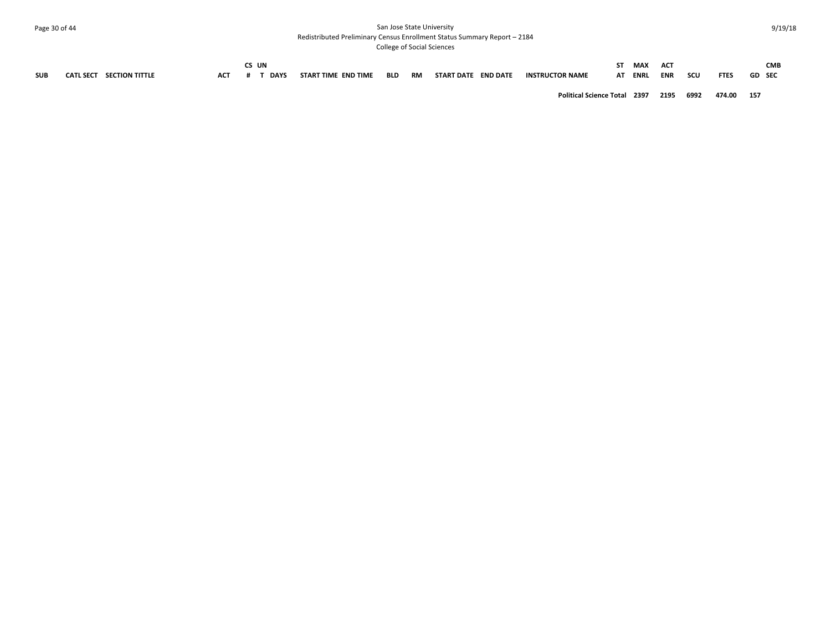## Page 30 of 44 San Jose State University Redistributed Preliminary Census Enrollment Status Summary Report – 2184

|            |                                           |            | CS UN |                     |            |           |                     |                              | ST | MAX  | ACT  |      |             | <b>CMB</b>    |  |
|------------|-------------------------------------------|------------|-------|---------------------|------------|-----------|---------------------|------------------------------|----|------|------|------|-------------|---------------|--|
| <b>SUB</b> | <b>CATL SECT</b><br><b>SECTION TITTLE</b> | <b>ACT</b> | DAYS  | START TIME END TIME | <b>BLD</b> | <b>RM</b> | START DATE END DATE | <b>INSTRUCTOR NAME</b>       | AT | ENRL | ENR  | scu  | <b>FTES</b> | <b>GD</b> SEC |  |
|            |                                           |            |       |                     |            |           |                     | Political Science Total 2397 |    |      | 2195 | 6992 | 474.00      | 157           |  |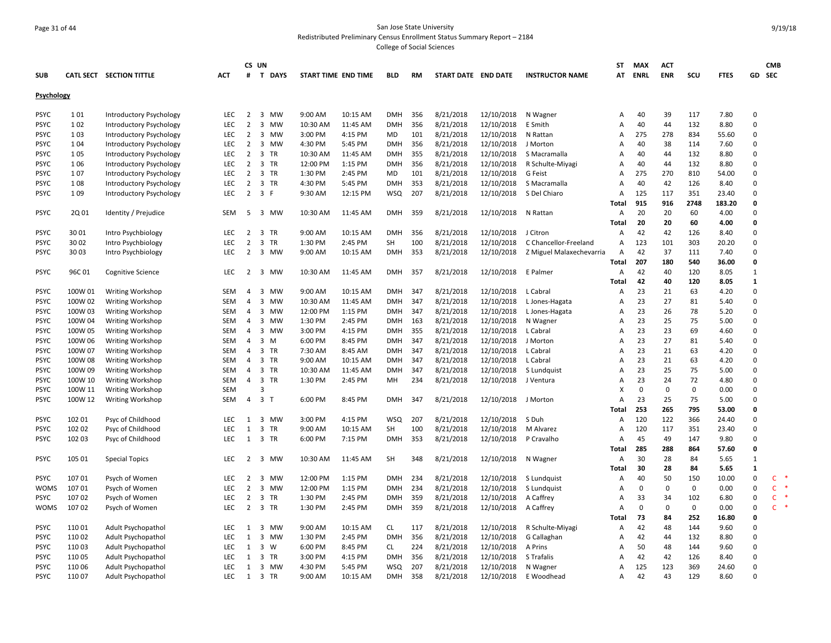## Page 31 of 44 San Jose State University Redistributed Preliminary Census Enrollment Status Summary Report – 2184

|                   |         |                          |            | CS UN          |                                      |                     |          |            |           |                     |            |                          | <b>ST</b>      | <b>MAX</b>  | <b>ACT</b>  |             |             |              | <b>CMB</b>         |
|-------------------|---------|--------------------------|------------|----------------|--------------------------------------|---------------------|----------|------------|-----------|---------------------|------------|--------------------------|----------------|-------------|-------------|-------------|-------------|--------------|--------------------|
| <b>SUB</b>        |         | CATL SECT SECTION TITTLE | <b>ACT</b> | #              | T DAYS                               | START TIME END TIME |          | <b>BLD</b> | <b>RM</b> | START DATE END DATE |            | <b>INSTRUCTOR NAME</b>   | AT             | <b>ENRL</b> | <b>ENR</b>  | SCU         | <b>FTES</b> | GD           | <b>SEC</b>         |
|                   |         |                          |            |                |                                      |                     |          |            |           |                     |            |                          |                |             |             |             |             |              |                    |
| <b>Psychology</b> |         |                          |            |                |                                      |                     |          |            |           |                     |            |                          |                |             |             |             |             |              |                    |
| <b>PSYC</b>       | 101     | Introductory Psychology  | LEC        | $\overline{2}$ | 3 MW                                 | 9:00 AM             | 10:15 AM | <b>DMH</b> | 356       | 8/21/2018           | 12/10/2018 | N Wagner                 | A              | 40          | 39          | 117         | 7.80        | $\mathbf 0$  |                    |
| <b>PSYC</b>       | 102     | Introductory Psychology  | LEC        | $\overline{2}$ | 3 MW                                 | 10:30 AM            | 11:45 AM | <b>DMH</b> | 356       | 8/21/2018           | 12/10/2018 | E Smith                  | A              | 40          | 44          | 132         | 8.80        | $\Omega$     |                    |
| PSYC              | 103     | Introductory Psychology  | <b>LEC</b> | 2              | 3 MW                                 | 3:00 PM             | 4:15 PM  | MD         | 101       | 8/21/2018           | 12/10/2018 | N Rattan                 | A              | 275         | 278         | 834         | 55.60       | $\mathbf 0$  |                    |
| <b>PSYC</b>       | 104     | Introductory Psychology  | <b>LEC</b> | $\overline{2}$ | 3 MW                                 | 4:30 PM             | 5:45 PM  | <b>DMH</b> | 356       | 8/21/2018           | 12/10/2018 | J Morton                 | A              | 40          | 38          | 114         | 7.60        | $\Omega$     |                    |
| <b>PSYC</b>       | 105     | Introductory Psychology  | <b>LEC</b> | $\overline{2}$ | 3 TR                                 | 10:30 AM            | 11:45 AM | <b>DMH</b> | 355       | 8/21/2018           | 12/10/2018 | S Macramalla             | A              | 40          | 44          | 132         | 8.80        | $\Omega$     |                    |
| <b>PSYC</b>       | 106     | Introductory Psychology  | LEC        | $\overline{2}$ | 3 TR                                 | 12:00 PM            | 1:15 PM  | <b>DMH</b> | 356       | 8/21/2018           | 12/10/2018 | R Schulte-Miyagi         | Α              | 40          | 44          | 132         | 8.80        | $\Omega$     |                    |
| <b>PSYC</b>       | 107     | Introductory Psychology  | <b>LEC</b> | $\overline{2}$ | 3 TR                                 | 1:30 PM             | 2:45 PM  | MD         | 101       | 8/21/2018           | 12/10/2018 | G Feist                  | A              | 275         | 270         | 810         | 54.00       | $\Omega$     |                    |
| PSYC              | 108     | Introductory Psychology  | <b>LEC</b> | 2              | 3 TR                                 | 4:30 PM             | 5:45 PM  | <b>DMH</b> | 353       | 8/21/2018           | 12/10/2018 | S Macramalla             | A              | 40          | 42          | 126         | 8.40        | $\Omega$     |                    |
| <b>PSYC</b>       | 109     | Introductory Psychology  | LEC        | $\overline{2}$ | 3 F                                  | 9:30 AM             | 12:15 PM | <b>WSQ</b> | 207       | 8/21/2018           | 12/10/2018 | S Del Chiaro             | Α              | 125         | 117         | 351         | 23.40       | $\mathbf 0$  |                    |
|                   |         |                          |            |                |                                      |                     |          |            |           |                     |            |                          | Total          | 915         | 916         | 2748        | 183.20      | $\mathbf 0$  |                    |
| <b>PSYC</b>       | 2Q 01   | Identity / Prejudice     | <b>SEM</b> | -5             | 3 MW                                 | 10:30 AM            | 11:45 AM | DMH        | 359       | 8/21/2018           | 12/10/2018 | N Rattan                 | A              | 20          | 20          | 60          | 4.00        | $\Omega$     |                    |
|                   |         |                          |            |                |                                      |                     |          |            |           |                     |            |                          | Total          | 20          | 20          | 60          | 4.00        | $\mathbf{0}$ |                    |
| <b>PSYC</b>       | 30 01   | Intro Psychbiology       | <b>LEC</b> | 2              | 3 TR                                 | 9:00 AM             | 10:15 AM | <b>DMH</b> | 356       | 8/21/2018           | 12/10/2018 | J Citron                 | A              | 42          | 42          | 126         | 8.40        | $\Omega$     |                    |
| <b>PSYC</b>       | 30 02   | Intro Psychbiology       | LEC        | $\overline{2}$ | $\overline{\mathbf{3}}$<br>TR        | 1:30 PM             | 2:45 PM  | SH         | 100       | 8/21/2018           | 12/10/2018 | C Chancellor-Freeland    | $\overline{A}$ | 123         | 101         | 303         | 20.20       | $\mathbf 0$  |                    |
| <b>PSYC</b>       | 30 03   | Intro Psychbiology       | <b>LEC</b> | 2              | 3 MW                                 | 9:00 AM             | 10:15 AM | <b>DMH</b> | 353       | 8/21/2018           | 12/10/2018 | Z Miguel Malaxechevarria | A              | 42          | 37          | 111         | 7.40        | $\Omega$     |                    |
|                   |         |                          |            |                |                                      |                     |          |            |           |                     |            |                          | Total          | 207         | 180         | 540         | 36.00       | $\mathbf 0$  |                    |
| <b>PSYC</b>       | 96C01   | <b>Cognitive Science</b> | <b>LEC</b> | 2              | 3 MW                                 | 10:30 AM            | 11:45 AM | <b>DMH</b> | 357       | 8/21/2018           | 12/10/2018 | E Palmer                 | A              | 42          | 40          | 120         | 8.05        | $\mathbf{1}$ |                    |
|                   |         |                          |            |                |                                      |                     |          |            |           |                     |            |                          | Total          | 42          | 40          | 120         | 8.05        | $\mathbf{1}$ |                    |
| <b>PSYC</b>       | 100W 01 | <b>Writing Workshop</b>  | SEM        | $\overline{4}$ | 3 MW                                 | 9:00 AM             | 10:15 AM | <b>DMH</b> | 347       | 8/21/2018           | 12/10/2018 | L Cabral                 | A              | 23          | 21          | 63          | 4.20        | $\mathbf 0$  |                    |
| <b>PSYC</b>       | 100W 02 | Writing Workshop         | <b>SEM</b> | $\overline{4}$ | 3 MW                                 | 10:30 AM            | 11:45 AM | <b>DMH</b> | 347       | 8/21/2018           | 12/10/2018 | L Jones-Hagata           | $\overline{A}$ | 23          | 27          | 81          | 5.40        | $\Omega$     |                    |
| <b>PSYC</b>       | 100W 03 | <b>Writing Workshop</b>  | <b>SEM</b> | 4              | 3 MW                                 | 12:00 PM            | 1:15 PM  | <b>DMH</b> | 347       | 8/21/2018           | 12/10/2018 | L Jones-Hagata           | A              | 23          | 26          | 78          | 5.20        | $\Omega$     |                    |
| <b>PSYC</b>       | 100W 04 | Writing Workshop         | SEM        | 4              | 3 MW                                 | 1:30 PM             | 2:45 PM  | <b>DMH</b> | 163       | 8/21/2018           | 12/10/2018 | N Wagner                 | A              | 23          | 25          | 75          | 5.00        | $\mathbf 0$  |                    |
| <b>PSYC</b>       | 100W 05 | Writing Workshop         | <b>SEM</b> | $\overline{4}$ | 3 MW                                 | 3:00 PM             | 4:15 PM  | <b>DMH</b> | 355       | 8/21/2018           | 12/10/2018 | L Cabral                 | A              | 23          | 23          | 69          | 4.60        | $\Omega$     |                    |
| <b>PSYC</b>       | 100W 06 | <b>Writing Workshop</b>  | SEM        | 4              | 3 M                                  | 6:00 PM             | 8:45 PM  | <b>DMH</b> | 347       | 8/21/2018           | 12/10/2018 | J Morton                 | A              | 23          | 27          | 81          | 5.40        | $\mathbf 0$  |                    |
| <b>PSYC</b>       | 100W 07 | Writing Workshop         | <b>SEM</b> | 4              | 3 TR                                 | 7:30 AM             | 8:45 AM  | <b>DMH</b> | 347       | 8/21/2018           | 12/10/2018 | L Cabral                 | $\overline{A}$ | 23          | 21          | 63          | 4.20        | $\Omega$     |                    |
| <b>PSYC</b>       | 100W 08 | <b>Writing Workshop</b>  | SEM        | 4              | 3 TR                                 | 9:00 AM             | 10:15 AM | DMH        | 347       | 8/21/2018           | 12/10/2018 | L Cabral                 | A              | 23          | 21          | 63          | 4.20        | $\mathbf 0$  |                    |
| <b>PSYC</b>       | 100W 09 | Writing Workshop         | SEM        | 4              | 3 TR                                 | 10:30 AM            | 11:45 AM | <b>DMH</b> | 347       | 8/21/2018           | 12/10/2018 | S Lundquist              | A              | 23          | 25          | 75          | 5.00        | $\Omega$     |                    |
| <b>PSYC</b>       | 100W 10 | <b>Writing Workshop</b>  | <b>SEM</b> | 4              | 3 TR                                 | 1:30 PM             | 2:45 PM  | MH         | 234       | 8/21/2018           | 12/10/2018 | J Ventura                | A              | 23          | 24          | 72          | 4.80        | $\Omega$     |                    |
| <b>PSYC</b>       | 100W 11 | <b>Writing Workshop</b>  | <b>SEM</b> |                | 3                                    |                     |          |            |           |                     |            |                          | X              | 0           | $\mathbf 0$ | $\pmb{0}$   | 0.00        | $\Omega$     |                    |
| <b>PSYC</b>       | 100W 12 | <b>Writing Workshop</b>  | <b>SEM</b> | $\overline{4}$ | $\overline{3}$<br>$\top$             | 6:00 PM             | 8:45 PM  | <b>DMH</b> | 347       | 8/21/2018           | 12/10/2018 | J Morton                 | A              | 23          | 25          | 75          | 5.00        | $\Omega$     |                    |
|                   |         |                          |            |                |                                      |                     |          |            |           |                     |            |                          | Total          | 253         | 265         | 795         | 53.00       | $\mathbf 0$  |                    |
| <b>PSYC</b>       | 102 01  | Psyc of Childhood        | <b>LEC</b> | 1              | 3 MW                                 | 3:00 PM             | 4:15 PM  | WSQ        | 207       | 8/21/2018           | 12/10/2018 | S Duh                    | Α              | 120         | 122         | 366         | 24.40       | $\Omega$     |                    |
| <b>PSYC</b>       | 102 02  | Psyc of Childhood        | LEC        | 1              | 3 TR                                 | 9:00 AM             | 10:15 AM | <b>SH</b>  | 100       | 8/21/2018           | 12/10/2018 | M Alvarez                | A              | 120         | 117         | 351         | 23.40       | $\mathbf 0$  |                    |
| <b>PSYC</b>       | 102 03  | Psyc of Childhood        | <b>LEC</b> | 1              | 3 TR                                 | 6:00 PM             | 7:15 PM  | DMH        | 353       | 8/21/2018           | 12/10/2018 | P Cravalho               | A              | 45          | 49          | 147         | 9.80        | $\Omega$     |                    |
|                   |         |                          |            |                |                                      |                     |          |            |           |                     |            |                          | Total          | 285         | 288         | 864         | 57.60       | $\mathbf 0$  |                    |
| <b>PSYC</b>       | 105 01  | <b>Special Topics</b>    | <b>LEC</b> | 2              | 3 MW                                 | 10:30 AM            | 11:45 AM | <b>SH</b>  | 348       | 8/21/2018           | 12/10/2018 | N Wagner                 | A              | 30          | 28          | 84          | 5.65        | $\mathbf{1}$ |                    |
|                   |         |                          |            |                |                                      |                     |          |            |           |                     |            |                          | Total          | 30          | 28          | 84          | 5.65        | $\mathbf{1}$ |                    |
| <b>PSYC</b>       | 10701   | Psych of Women           | <b>LEC</b> | $\overline{2}$ | 3<br><b>MW</b>                       | 12:00 PM            | 1:15 PM  | <b>DMH</b> | 234       | 8/21/2018           | 12/10/2018 | S Lundquist              | A              | 40          | 50          | 150         | 10.00       | $\Omega$     | $\mathsf{C}$       |
| <b>WOMS</b>       | 107 01  | Psych of Women           | LEC        | $\overline{2}$ | 3 MW                                 | 12:00 PM            | 1:15 PM  | <b>DMH</b> | 234       | 8/21/2018           | 12/10/2018 | S Lundquist              | A              | 0           | $\mathbf 0$ | $\mathbf 0$ | 0.00        | $\mathbf 0$  | $\mathsf{C}$<br>一味 |
| <b>PSYC</b>       | 10702   | Psych of Women           | <b>LEC</b> | 2              | 3 TR                                 | 1:30 PM             | 2:45 PM  | <b>DMH</b> | 359       | 8/21/2018           | 12/10/2018 | A Caffrey                | A              | 33          | 34          | 102         | 6.80        | $\mathbf 0$  | $\mathsf{C}$       |
| WOMS              | 10702   | Psych of Women           | <b>LEC</b> | $\overline{2}$ | 3 TR                                 | 1:30 PM             | 2:45 PM  | <b>DMH</b> | 359       | 8/21/2018           | 12/10/2018 | A Caffrey                | A              | $\mathbf 0$ | $\mathsf 0$ | $\mathbf 0$ | 0.00        | $\mathbf 0$  | C.                 |
|                   |         |                          |            |                |                                      |                     |          |            |           |                     |            |                          | Total          | 73          | 84          | 252         | 16.80       | $\mathbf{0}$ |                    |
| <b>PSYC</b>       | 11001   | Adult Psychopathol       | LEC        | 1              | $\overline{\mathbf{3}}$<br><b>MW</b> | 9:00 AM             | 10:15 AM | <b>CL</b>  | 117       | 8/21/2018           | 12/10/2018 | R Schulte-Miyagi         | $\overline{A}$ | 42          | 48          | 144         | 9.60        | $\Omega$     |                    |
| <b>PSYC</b>       | 110 02  | Adult Psychopathol       | LEC        | 1              | 3 MW                                 | 1:30 PM             | 2:45 PM  | <b>DMH</b> | 356       | 8/21/2018           | 12/10/2018 | G Callaghan              | A              | 42          | 44          | 132         | 8.80        | $\Omega$     |                    |
| <b>PSYC</b>       | 11003   | Adult Psychopathol       | LEC        | 1              | 3 W                                  | 6:00 PM             | 8:45 PM  | <b>CL</b>  | 224       | 8/21/2018           | 12/10/2018 | A Prins                  | Α              | 50          | 48          | 144         | 9.60        | $\mathbf 0$  |                    |
| <b>PSYC</b>       | 11005   | Adult Psychopathol       | <b>LEC</b> | 1              | 3 TR                                 | 3:00 PM             | 4:15 PM  | <b>DMH</b> | 356       | 8/21/2018           | 12/10/2018 | S Trafalis               | A              | 42          | 42          | 126         | 8.40        | $\Omega$     |                    |
| <b>PSYC</b>       | 110 06  | Adult Psychopathol       | <b>LEC</b> | 1              | 3 MW                                 | 4:30 PM             | 5:45 PM  | <b>WSQ</b> | 207       | 8/21/2018           | 12/10/2018 | N Wagner                 | A              | 125         | 123         | 369         | 24.60       | $\Omega$     |                    |
| <b>PSYC</b>       | 11007   | Adult Psychopathol       | LEC.       | 1              | 3 TR                                 | 9:00 AM             | 10:15 AM | <b>DMH</b> | 358       | 8/21/2018           | 12/10/2018 | E Woodhead               | $\overline{A}$ | 42          | 43          | 129         | 8.60        | $\Omega$     |                    |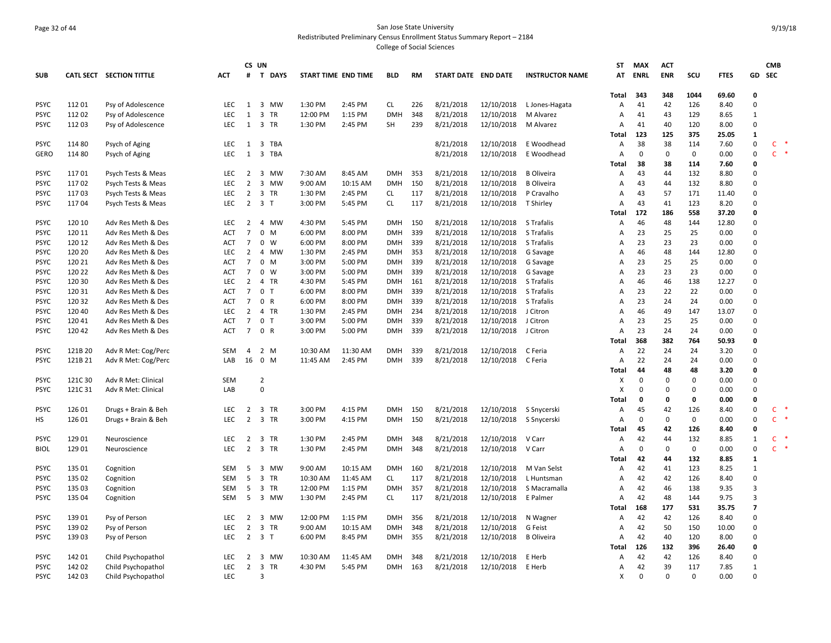## Page 32 of 44 San Jose State University Redistributed Preliminary Census Enrollment Status Summary Report – 2184

|             |         |                          |            | CS UN          |                  |                     |          |            |     |                     |            |                        | ST    | <b>MAX</b>  | <b>ACT</b>  |              |             |                | <b>CMB</b>   |        |
|-------------|---------|--------------------------|------------|----------------|------------------|---------------------|----------|------------|-----|---------------------|------------|------------------------|-------|-------------|-------------|--------------|-------------|----------------|--------------|--------|
| <b>SUB</b>  |         | CATL SECT SECTION TITTLE | <b>ACT</b> | #              | <b>T DAYS</b>    | START TIME END TIME |          | <b>BLD</b> | RM  | START DATE END DATE |            | <b>INSTRUCTOR NAME</b> | AT    | <b>ENRL</b> | <b>ENR</b>  | scu          | <b>FTES</b> | GD             | <b>SEC</b>   |        |
|             |         |                          |            |                |                  |                     |          |            |     |                     |            |                        |       |             |             |              |             |                |              |        |
|             |         |                          |            |                |                  |                     |          |            |     |                     |            |                        | Total | 343         | 348         | 1044         | 69.60       | $\Omega$       |              |        |
| <b>PSYC</b> | 11201   | Psy of Adolescence       | <b>LEC</b> | 1              | 3 MW             | 1:30 PM             | 2:45 PM  | <b>CL</b>  | 226 | 8/21/2018           | 12/10/2018 | L Jones-Hagata         | А     | 41          | 42          | 126          | 8.40        | $\Omega$       |              |        |
| <b>PSYC</b> | 11202   | Psy of Adolescence       | LEC        | 1              | 3 TR             | 12:00 PM            | 1:15 PM  | <b>DMH</b> | 348 | 8/21/2018           | 12/10/2018 | M Alvarez              | А     | 41          | 43          | 129          | 8.65        | $\mathbf{1}$   |              |        |
| <b>PSYC</b> | 112 03  | Psy of Adolescence       | <b>LEC</b> | 1              | 3 TR             | 1:30 PM             | 2:45 PM  | SH         | 239 | 8/21/2018           | 12/10/2018 | M Alvarez              | А     | 41          | 40          | 120          | 8.00        | $\Omega$       |              |        |
|             |         |                          |            |                |                  |                     |          |            |     |                     |            |                        | Total | 123         | 125         | 375          | 25.05       | 1              |              |        |
| <b>PSYC</b> | 114 80  | Psych of Aging           | <b>LEC</b> | 1              | 3 TBA            |                     |          |            |     | 8/21/2018           | 12/10/2018 | E Woodhead             | Α     | 38          | 38          | 114          | 7.60        | $\Omega$       | C.           |        |
| <b>GERO</b> | 114 80  | Psych of Aging           | <b>LEC</b> | 1              | 3 TBA            |                     |          |            |     | 8/21/2018           | 12/10/2018 | E Woodhead             | А     | $\Omega$    | $\mathbf 0$ | $\mathbf 0$  | 0.00        | $\Omega$       | C.           | $\ast$ |
|             |         |                          |            |                |                  |                     |          |            |     |                     |            |                        | Total | 38          | 38          | 114          | 7.60        | $\Omega$       |              |        |
| <b>PSYC</b> | 11701   | Psych Tests & Meas       | <b>LEC</b> | 2              | 3 MW             | 7:30 AM             | 8:45 AM  | <b>DMH</b> | 353 | 8/21/2018           | 12/10/2018 | <b>B</b> Oliveira      | А     | 43          | 44          | 132          | 8.80        | $\Omega$       |              |        |
| <b>PSYC</b> | 11702   | Psych Tests & Meas       | <b>LEC</b> | $\overline{2}$ | 3 MW             | 9:00 AM             | 10:15 AM | <b>DMH</b> | 150 | 8/21/2018           | 12/10/2018 | <b>B</b> Oliveira      | А     | 43          | 44          | 132          | 8.80        | $\Omega$       |              |        |
| <b>PSYC</b> | 11703   | Psych Tests & Meas       | <b>LEC</b> | 2              | 3 TR             | 1:30 PM             | 2:45 PM  | CL         | 117 | 8/21/2018           | 12/10/2018 | P Cravalho             | А     | 43          | 57          | 171          | 11.40       | $\Omega$       |              |        |
| <b>PSYC</b> | 11704   | Psych Tests & Meas       | <b>LEC</b> | $\overline{2}$ | 3 <sub>7</sub>   | 3:00 PM             | 5:45 PM  | <b>CL</b>  | 117 | 8/21/2018           | 12/10/2018 | T Shirley              | A     | 43          | 41          | 123          | 8.20        | $\Omega$       |              |        |
|             |         |                          |            |                |                  |                     |          |            |     |                     |            |                        | Total | 172         | 186         | 558          | 37.20       | $\Omega$       |              |        |
| <b>PSYC</b> | 120 10  | Adv Res Meth & Des       | LEC        | $\overline{2}$ | 4 MW             | 4:30 PM             | 5:45 PM  | <b>DMH</b> | 150 | 8/21/2018           | 12/10/2018 | S Trafalis             | Α     | 46          | 48          | 144          | 12.80       | $\Omega$       |              |        |
| <b>PSYC</b> | 120 11  | Adv Res Meth & Des       | <b>ACT</b> | 7              | $\mathbf 0$<br>M | 6:00 PM             | 8:00 PM  | <b>DMH</b> | 339 | 8/21/2018           | 12/10/2018 | S Trafalis             | A     | 23          | 25          | 25           | 0.00        | $\Omega$       |              |        |
| <b>PSYC</b> | 120 12  | Adv Res Meth & Des       | ACT        | 7              | $0 \quad W$      | 6:00 PM             | 8:00 PM  | <b>DMH</b> | 339 | 8/21/2018           | 12/10/2018 | S Trafalis             | А     | 23          | 23          | 23           | 0.00        | $\Omega$       |              |        |
| <b>PSYC</b> | 120 20  | Adv Res Meth & Des       | LEC.       | $\overline{2}$ | 4 MW             | 1:30 PM             | 2:45 PM  | <b>DMH</b> | 353 | 8/21/2018           | 12/10/2018 | G Savage               | А     | 46          | 48          | 144          | 12.80       | $\Omega$       |              |        |
| <b>PSYC</b> | 120 21  | Adv Res Meth & Des       | ACT        | 7              | $0$ M            | 3:00 PM             | 5:00 PM  | <b>DMH</b> | 339 | 8/21/2018           | 12/10/2018 | G Savage               | А     | 23          | 25          | 25           | 0.00        | $\Omega$       |              |        |
| <b>PSYC</b> | 120 22  | Adv Res Meth & Des       | <b>ACT</b> | $\overline{7}$ | $0 \quad W$      | 3:00 PM             | 5:00 PM  | <b>DMH</b> | 339 | 8/21/2018           | 12/10/2018 | G Savage               | Α     | 23          | 23          | 23           | 0.00        | $\Omega$       |              |        |
| <b>PSYC</b> | 120 30  | Adv Res Meth & Des       | <b>LEC</b> | 2              | 4 TR             | 4:30 PM             | 5:45 PM  | <b>DMH</b> | 161 | 8/21/2018           | 12/10/2018 | S Trafalis             | A     | 46          | 46          | 138          | 12.27       | $\Omega$       |              |        |
| <b>PSYC</b> | 120 31  | Adv Res Meth & Des       | <b>ACT</b> | 7              | 0 <sub>T</sub>   | 6:00 PM             | 8:00 PM  | <b>DMH</b> | 339 | 8/21/2018           | 12/10/2018 | S Trafalis             | А     | 23          | 22          | 22           | 0.00        | $\Omega$       |              |        |
| <b>PSYC</b> | 120 32  | Adv Res Meth & Des       | <b>ACT</b> | $\overline{7}$ | 0 R              | 6:00 PM             | 8:00 PM  | <b>DMH</b> | 339 | 8/21/2018           | 12/10/2018 | S Trafalis             | A     | 23          | 24          | 24           | 0.00        | $\Omega$       |              |        |
| <b>PSYC</b> | 120 40  | Adv Res Meth & Des       | <b>LEC</b> | 2              | 4 TR             | 1:30 PM             | 2:45 PM  | <b>DMH</b> | 234 | 8/21/2018           | 12/10/2018 | J Citron               | А     | 46          | 49          | 147          | 13.07       | $\Omega$       |              |        |
| <b>PSYC</b> | 12041   | Adv Res Meth & Des       | ACT        | $\overline{7}$ | 0 <sub>T</sub>   | 3:00 PM             | 5:00 PM  | <b>DMH</b> | 339 | 8/21/2018           | 12/10/2018 | J Citron               | Α     | 23          | 25          | 25           | 0.00        | $\Omega$       |              |        |
| <b>PSYC</b> | 12042   | Adv Res Meth & Des       | <b>ACT</b> | 7              | 0 R              | 3:00 PM             | 5:00 PM  | <b>DMH</b> | 339 | 8/21/2018           | 12/10/2018 | J Citron               | A     | 23          | 24          | 24           | 0.00        | $\Omega$       |              |        |
|             |         |                          |            |                |                  |                     |          |            |     |                     |            |                        | Total | 368         | 382         | 764          | 50.93       | $\Omega$       |              |        |
| <b>PSYC</b> | 121B 20 | Adv R Met: Cog/Perc      | <b>SEM</b> | $\overline{4}$ | 2 M              | 10:30 AM            | 11:30 AM | <b>DMH</b> | 339 | 8/21/2018           | 12/10/2018 | C Feria                | А     | 22          | 24          | 24           | 3.20        | $\Omega$       |              |        |
| <b>PSYC</b> | 121B 21 | Adv R Met: Cog/Perc      | LAB        | 16             | 0 M              | 11:45 AM            | 2:45 PM  | <b>DMH</b> | 339 | 8/21/2018           | 12/10/2018 | C Feria                | А     | 22          | 24          | 24           | 0.00        | $\Omega$       |              |        |
|             |         |                          |            |                |                  |                     |          |            |     |                     |            |                        | Total | 44          | 48          | 48           | 3.20        | $\Omega$       |              |        |
| <b>PSYC</b> | 121C 30 | Adv R Met: Clinical      | <b>SEM</b> |                | $\overline{2}$   |                     |          |            |     |                     |            |                        | x     | $\Omega$    | 0           | $\Omega$     | 0.00        | $\Omega$       |              |        |
| <b>PSYC</b> | 121C 31 | Adv R Met: Clinical      | LAB        |                | $\mathbf 0$      |                     |          |            |     |                     |            |                        | X     | $\mathbf 0$ | $\mathbf 0$ | $\Omega$     | 0.00        | $\Omega$       |              |        |
|             |         |                          |            |                |                  |                     |          |            |     |                     |            |                        | Total | 0           | 0           | $\mathbf{0}$ | 0.00        | $\Omega$       |              |        |
| <b>PSYC</b> | 126 01  | Drugs + Brain & Beh      | <b>LEC</b> | 2              | 3 TR             | 3:00 PM             | 4:15 PM  | <b>DMH</b> | 150 | 8/21/2018           | 12/10/2018 | S Snycerski            | Α     | 45          | 42          | 126          | 8.40        | $\Omega$       | C.           |        |
| HS          | 126 01  | Drugs + Brain & Beh      | LEC        | $\overline{2}$ | 3 TR             | 3:00 PM             | 4:15 PM  | <b>DMH</b> | 150 | 8/21/2018           | 12/10/2018 | S Snycerski            | А     | 0           | 0           | $\mathbf 0$  | 0.00        | $\Omega$       | $\mathsf{C}$ |        |
|             |         |                          |            |                |                  |                     |          |            |     |                     |            |                        | Total | 45          | 42          | 126          | 8.40        | $\Omega$       |              |        |
| <b>PSYC</b> | 129 01  | Neuroscience             | <b>LEC</b> | 2              | 3 TR             | 1:30 PM             | 2:45 PM  | DMH        | 348 | 8/21/2018           | 12/10/2018 | V Carr                 | А     | 42          | 44          | 132          | 8.85        | 1              | C.           |        |
| <b>BIOL</b> | 129 01  | Neuroscience             | LEC        | $\overline{2}$ | 3 TR             | 1:30 PM             | 2:45 PM  | <b>DMH</b> | 348 | 8/21/2018           | 12/10/2018 | V Carr                 | А     | $\mathbf 0$ | 0           | $\mathbf 0$  | 0.00        | $\Omega$       | C.           | $\ast$ |
|             |         |                          |            |                |                  |                     |          |            |     |                     |            |                        | Total | 42          | 44          | 132          | 8.85        | $\mathbf{1}$   |              |        |
| <b>PSYC</b> | 135 01  | Cognition                | <b>SEM</b> | 5              | 3 MW             | 9:00 AM             | 10:15 AM | <b>DMH</b> | 160 | 8/21/2018           | 12/10/2018 | M Van Selst            | Α     | 42          | 41          | 123          | 8.25        | 1              |              |        |
| <b>PSYC</b> | 135 02  | Cognition                | <b>SEM</b> | 5              | 3 TR             | 10:30 AM            | 11:45 AM | <b>CL</b>  | 117 | 8/21/2018           | 12/10/2018 | L Huntsman             | A     | 42          | 42          | 126          | 8.40        | $\Omega$       |              |        |
| <b>PSYC</b> | 135 03  | Cognition                | SEM        | 5              | 3 TR             | 12:00 PM            | 1:15 PM  | DMH        | 357 | 8/21/2018           | 12/10/2018 | S Macramalla           | А     | 42          | 46          | 138          | 9.35        | $\overline{3}$ |              |        |
| <b>PSYC</b> | 135 04  | Cognition                | <b>SEM</b> | 5              | 3 MW             | 1:30 PM             | 2:45 PM  | <b>CL</b>  | 117 | 8/21/2018           | 12/10/2018 | E Palmer               | A     | 42          | 48          | 144          | 9.75        | $\overline{3}$ |              |        |
|             |         |                          |            |                |                  |                     |          |            |     |                     |            |                        | Total | 168         | 177         | 531          | 35.75       | $\overline{7}$ |              |        |
| <b>PSYC</b> | 139 01  | Psy of Person            | LEC        | $\overline{2}$ | 3 MW             | 12:00 PM            | 1:15 PM  | <b>DMH</b> | 356 | 8/21/2018           | 12/10/2018 | N Wagner               | Α     | 42          | 42          | 126          | 8.40        | $\Omega$       |              |        |
| <b>PSYC</b> | 13902   | Psy of Person            | <b>LEC</b> | 2              | 3 TR             | 9:00 AM             | 10:15 AM | <b>DMH</b> | 348 | 8/21/2018           | 12/10/2018 | G Feist                | А     | 42          | 50          | 150          | 10.00       | $\Omega$       |              |        |
| <b>PSYC</b> | 13903   | Psy of Person            | LEC        | 2              | 3 <sub>1</sub>   | 6:00 PM             | 8:45 PM  | <b>DMH</b> | 355 | 8/21/2018           | 12/10/2018 | <b>B</b> Oliveira      | А     | 42          | 40          | 120          | 8.00        | $\Omega$       |              |        |
|             |         |                          |            |                |                  |                     |          |            |     |                     |            |                        | Total | 126         | 132         | 396          | 26.40       | $\Omega$       |              |        |
| <b>PSYC</b> | 142 01  | Child Psychopathol       | LEC        | 2              | 3 MW             | 10:30 AM            | 11:45 AM | DMH        | 348 | 8/21/2018           | 12/10/2018 | E Herb                 | А     | 42          | 42          | 126          | 8.40        | $\Omega$       |              |        |
| <b>PSYC</b> | 142 02  | Child Psychopathol       | LEC        | $\overline{2}$ | 3 TR             | 4:30 PM             | 5:45 PM  | <b>DMH</b> | 163 | 8/21/2018           | 12/10/2018 | E Herb                 | А     | 42          | 39          | 117          | 7.85        | 1              |              |        |
| <b>PSYC</b> | 142 03  | Child Psychopathol       | <b>LEC</b> |                | 3                |                     |          |            |     |                     |            |                        | X     | $\Omega$    | $\Omega$    | $\Omega$     | 0.00        | $\Omega$       |              |        |
|             |         |                          |            |                |                  |                     |          |            |     |                     |            |                        |       |             |             |              |             |                |              |        |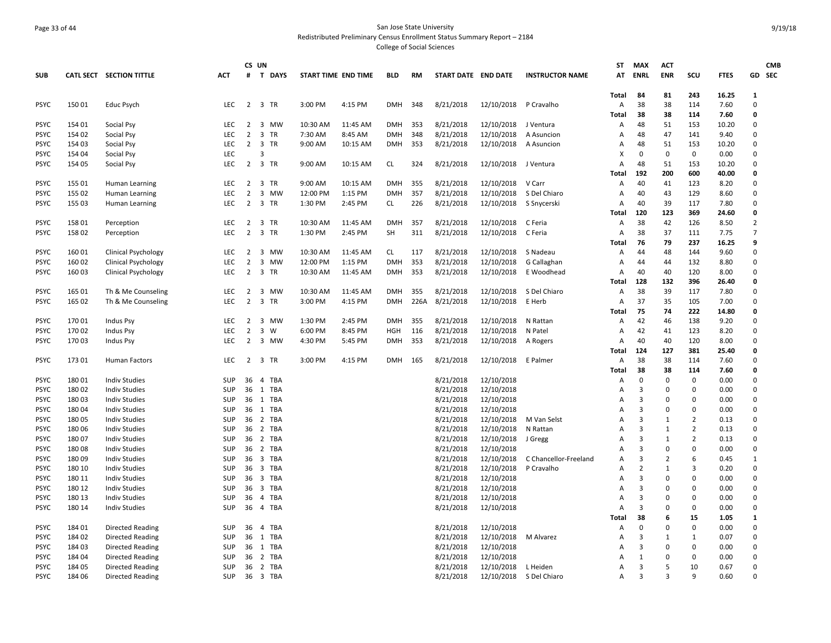# Page 33 of 44 San Jose State University Redistributed Preliminary Census Enrollment Status Summary Report – 2184

|                            |                |                                              |                   |                | CS UN               |                     |          |            |      |                        |                          |                         | ST           | <b>MAX</b>     | <b>ACT</b>     |                |              |                          | <b>CMB</b> |
|----------------------------|----------------|----------------------------------------------|-------------------|----------------|---------------------|---------------------|----------|------------|------|------------------------|--------------------------|-------------------------|--------------|----------------|----------------|----------------|--------------|--------------------------|------------|
| <b>SUB</b>                 |                | CATL SECT SECTION TITTLE                     | ACT               | #              | <b>T DAYS</b>       | START TIME END TIME |          | <b>BLD</b> | RM   | START DATE END DATE    |                          | <b>INSTRUCTOR NAME</b>  | AT           | <b>ENRL</b>    | <b>ENR</b>     | scu            | <b>FTES</b>  |                          | GD SEC     |
|                            |                |                                              |                   |                |                     |                     |          |            |      |                        |                          |                         | Total        | 84             | 81             | 243            | 16.25        | 1                        |            |
| <b>PSYC</b>                | 15001          | Educ Psych                                   | <b>LEC</b>        |                | 2 3 TR              | 3:00 PM             | 4:15 PM  | DMH        | 348  | 8/21/2018              | 12/10/2018 P Cravalho    |                         | Α            | 38             | 38             | 114            | 7.60         | $\Omega$                 |            |
|                            |                |                                              |                   |                |                     |                     |          |            |      |                        |                          |                         | Total        | 38             | 38             | 114            | 7.60         | $\mathbf{0}$             |            |
| <b>PSYC</b>                | 154 01         | Social Psy                                   | <b>LEC</b>        | $2^{\circ}$    | 3 MW                | 10:30 AM            | 11:45 AM | <b>DMH</b> | 353  | 8/21/2018              | 12/10/2018 J Ventura     |                         | Α            | 48             | 51             | 153            | 10.20        | $\Omega$                 |            |
| <b>PSYC</b>                | 154 02         | Social Psy                                   | LEC               | $\overline{2}$ | 3 TR                | 7:30 AM             | 8:45 AM  | <b>DMH</b> | 348  | 8/21/2018              | 12/10/2018               | A Asuncion              | Α            | 48             | 47             | 141            | 9.40         | $\Omega$                 |            |
| <b>PSYC</b>                | 154 03         | Social Psy                                   | <b>LEC</b>        | $\overline{2}$ | 3 TR                | 9:00 AM             | 10:15 AM | <b>DMH</b> | 353  | 8/21/2018              | 12/10/2018 A Asuncion    |                         | A            | 48             | 51             | 153            | 10.20        | $\Omega$                 |            |
| <b>PSYC</b>                | 154 04         | Social Psy                                   | LEC               |                | 3                   |                     |          |            |      |                        |                          |                         | X            | $\mathbf 0$    | 0              | $\mathbf 0$    | 0.00         | $\mathbf 0$              |            |
| <b>PSYC</b>                | 154 05         | Social Psy                                   | LEC.              | $\overline{2}$ | 3 TR                | 9:00 AM             | 10:15 AM | <b>CL</b>  | 324  | 8/21/2018              | 12/10/2018 J Ventura     |                         | Α            | 48             | 51             | 153            | 10.20        | $\mathbf 0$              |            |
|                            |                |                                              |                   |                |                     |                     |          |            |      |                        |                          |                         | Total        | 192            | 200            | 600            | 40.00        | $\mathbf{0}$             |            |
| <b>PSYC</b>                | 155 01         | Human Learning                               | <b>LEC</b>        |                | 2 3 TR              | 9:00 AM             | 10:15 AM | <b>DMH</b> | 355  | 8/21/2018              | 12/10/2018 V Carr        |                         | Α            | 40             | 41             | 123            | 8.20         | $\Omega$                 |            |
| <b>PSYC</b>                | 155 02         | Human Learning                               | LEC.              | $\overline{2}$ | 3 MW                | 12:00 PM            | 1:15 PM  | <b>DMH</b> | 357  | 8/21/2018              | 12/10/2018               | S Del Chiaro            | $\mathsf{A}$ | 40             | 43             | 129            | 8.60         | $\Omega$                 |            |
| <b>PSYC</b>                | 155 03         | Human Learning                               | <b>LEC</b>        |                | 2 3 TR              | 1:30 PM             | 2:45 PM  | CL         | 226  | 8/21/2018              | 12/10/2018 S Snycerski   |                         | Α            | 40             | 39             | 117            | 7.80         | $\Omega$                 |            |
|                            |                |                                              |                   |                |                     |                     |          |            |      |                        |                          |                         | Total        | 120            | 123            | 369            | 24.60        | $\mathbf{0}$             |            |
| <b>PSYC</b>                | 158 01         | Perception                                   | <b>LEC</b>        | $\overline{2}$ | 3 TR                | 10:30 AM            | 11:45 AM | <b>DMH</b> | 357  | 8/21/2018              | 12/10/2018 C Feria       |                         | Α            | 38             | 42             | 126            | 8.50         | $\overline{2}$           |            |
| <b>PSYC</b>                | 158 02         | Perception                                   | <b>LEC</b>        | $\overline{2}$ | 3 TR                | 1:30 PM             | 2:45 PM  | <b>SH</b>  | 311  | 8/21/2018              | 12/10/2018               | C Feria                 | Α            | 38             | 37             | 111            | 7.75         | $\overline{7}$           |            |
|                            |                |                                              |                   |                |                     |                     |          |            |      |                        |                          |                         | Total        | 76             | 79             | 237            | 16.25        | q                        |            |
| <b>PSYC</b>                | 160 01         | <b>Clinical Psychology</b>                   | LEC               |                | 2 3 MW              | 10:30 AM            | 11:45 AM | <b>CL</b>  | 117  | 8/21/2018              | 12/10/2018 S Nadeau      |                         | Α            | 44             | 48             | 144            | 9.60         | $\Omega$                 |            |
| <b>PSYC</b>                | 160 02         | <b>Clinical Psychology</b>                   | LEC               | $\overline{2}$ | 3 MW                | 12:00 PM            | 1:15 PM  | <b>DMH</b> | 353  | 8/21/2018              | 12/10/2018               | G Callaghan             | Α            | 44             | 44             | 132            | 8.80         | $\Omega$                 |            |
| <b>PSYC</b>                | 160 03         | <b>Clinical Psychology</b>                   | LEC.              |                | 2 3 TR              | 10:30 AM            | 11:45 AM | <b>DMH</b> | 353  | 8/21/2018              | 12/10/2018               | E Woodhead              | Α            | 40             | 40             | 120            | 8.00         | $\Omega$                 |            |
|                            |                |                                              |                   |                |                     |                     |          |            |      |                        |                          |                         | Total        | 128            | 132            | 396            | 26.40        | $\mathbf{0}$             |            |
| <b>PSYC</b>                | 165 01         | Th & Me Counseling                           | <b>LEC</b>        | $\overline{2}$ | 3 MW                | 10:30 AM            | 11:45 AM | <b>DMH</b> | 355  | 8/21/2018              | 12/10/2018               | S Del Chiaro            | Α            | 38             | 39             | 117            | 7.80         | $\Omega$                 |            |
| <b>PSYC</b>                | 165 02         | Th & Me Counseling                           | <b>LEC</b>        | $\overline{2}$ | 3 TR                | 3:00 PM             | 4:15 PM  | <b>DMH</b> | 226A | 8/21/2018              | 12/10/2018               | E Herb                  | A            | 37             | 35             | 105            | 7.00         | $\Omega$                 |            |
|                            |                |                                              |                   |                |                     |                     |          |            |      |                        |                          |                         | Total        | 75             | 74             | 222            | 14.80        | $\mathbf 0$              |            |
| <b>PSYC</b>                | 17001          | <b>Indus Psy</b>                             | LEC.              | 2              | 3 MW                | 1:30 PM             | 2:45 PM  | <b>DMH</b> | 355  | 8/21/2018              | 12/10/2018               | N Rattan                | Α            | 42             | 46             | 138            | 9.20         | $\Omega$                 |            |
| PSYC                       | 170 02         | Indus Psy                                    | LEC               | $\overline{2}$ | $\overline{3}$<br>W | 6:00 PM             | 8:45 PM  | HGH        | 116  | 8/21/2018              | 12/10/2018               | N Patel                 | Α            | 42             | 41             | 123            | 8.20         | $\Omega$                 |            |
| <b>PSYC</b>                | 17003          | Indus Psy                                    | <b>LEC</b>        | $\overline{2}$ | 3 MW                | 4:30 PM             | 5:45 PM  | <b>DMH</b> | 353  | 8/21/2018              | 12/10/2018               | A Rogers                | Α            | 40             | 40             | 120            | 8.00         | $\Omega$                 |            |
|                            |                |                                              |                   |                |                     |                     |          |            |      |                        |                          |                         | Total        | 124            | 127            | 381            | 25.40        | $\mathbf{0}$<br>$\Omega$ |            |
| <b>PSYC</b>                | 173 01         | Human Factors                                | <b>LEC</b>        | 2              | 3 TR                | 3:00 PM             | 4:15 PM  | DMH        | 165  | 8/21/2018              | 12/10/2018               | E Palmer                | Α            | 38             | 38             | 114            | 7.60         |                          |            |
|                            |                |                                              |                   |                |                     |                     |          |            |      |                        |                          |                         | Total        | 38             | 38             | 114            | 7.60         | $\mathbf 0$<br>$\Omega$  |            |
| <b>PSYC</b>                | 18001<br>18002 | <b>Indiv Studies</b>                         | <b>SUP</b><br>SUP | 36<br>36       | 4 TBA<br>1 TBA      |                     |          |            |      | 8/21/2018<br>8/21/2018 | 12/10/2018<br>12/10/2018 |                         | A            | 0<br>3         | 0<br>$\Omega$  | 0<br>0         | 0.00<br>0.00 | $\Omega$                 |            |
| <b>PSYC</b>                |                | <b>Indiv Studies</b>                         |                   |                |                     |                     |          |            |      |                        |                          |                         | Α            | 3              | $\Omega$       | 0              | 0.00         | $\Omega$                 |            |
| <b>PSYC</b><br><b>PSYC</b> | 18003<br>18004 | <b>Indiv Studies</b><br><b>Indiv Studies</b> | SUP<br>SUP        | 36<br>36       | 1 TBA<br>1 TBA      |                     |          |            |      | 8/21/2018<br>8/21/2018 | 12/10/2018<br>12/10/2018 |                         | A<br>A       | $\overline{3}$ | $\Omega$       | $\mathbf 0$    | 0.00         | $\Omega$                 |            |
| <b>PSYC</b>                | 18005          |                                              | SUP               | 36             | 2 TBA               |                     |          |            |      | 8/21/2018              | 12/10/2018               | M Van Selst             | Α            | 3              | 1              | $\overline{2}$ | 0.13         | $\mathbf 0$              |            |
| <b>PSYC</b>                | 18006          | <b>Indiv Studies</b><br><b>Indiv Studies</b> | <b>SUP</b>        | 36             | 2 TBA               |                     |          |            |      | 8/21/2018              | 12/10/2018               | N Rattan                | A            | 3              | 1              | $\overline{2}$ | 0.13         | $\Omega$                 |            |
| <b>PSYC</b>                | 18007          | <b>Indiv Studies</b>                         | SUP               | 36             | 2 TBA               |                     |          |            |      | 8/21/2018              | 12/10/2018               | J Gregg                 | Α            | $\overline{3}$ | $\mathbf{1}$   | $\overline{2}$ | 0.13         | $\mathbf 0$              |            |
| <b>PSYC</b>                | 18008          | <b>Indiv Studies</b>                         | SUP               | 36             | 2 TBA               |                     |          |            |      | 8/21/2018              | 12/10/2018               |                         | Α            | $\overline{3}$ | $\Omega$       | 0              | 0.00         | $\Omega$                 |            |
| PSYC                       | 18009          | <b>Indiv Studies</b>                         | SUP               | 36             | 3 TBA               |                     |          |            |      | 8/21/2018              | 12/10/2018               | C Chancellor-Freeland   | A            | $\overline{3}$ | $\overline{2}$ | 6              | 0.45         | $\mathbf{1}$             |            |
| <b>PSYC</b>                | 180 10         | <b>Indiv Studies</b>                         | SUP               | 36             | 3 TBA               |                     |          |            |      | 8/21/2018              | 12/10/2018               | P Cravalho              | Α            | $\overline{2}$ | $\mathbf{1}$   | 3              | 0.20         | $\mathbf 0$              |            |
| <b>PSYC</b>                | 180 11         | <b>Indiv Studies</b>                         | SUP               | 36             | 3 TBA               |                     |          |            |      | 8/21/2018              | 12/10/2018               |                         | Α            | $\overline{3}$ | $\mathbf 0$    | 0              | 0.00         | $\mathbf 0$              |            |
| <b>PSYC</b>                | 180 12         | <b>Indiv Studies</b>                         | SUP               | 36             | 3 TBA               |                     |          |            |      | 8/21/2018              | 12/10/2018               |                         | Α            | 3              | $\Omega$       | 0              | 0.00         | $\Omega$                 |            |
| <b>PSYC</b>                | 180 13         | <b>Indiv Studies</b>                         | SUP               | 36             | 4 TBA               |                     |          |            |      | 8/21/2018              | 12/10/2018               |                         | Α            | 3              | $\Omega$       | 0              | 0.00         | $\Omega$                 |            |
| <b>PSYC</b>                | 180 14         | <b>Indiv Studies</b>                         | SUP               | 36             | 4 TBA               |                     |          |            |      | 8/21/2018              | 12/10/2018               |                         | A            | $\overline{3}$ | $\Omega$       | 0              | 0.00         | $\Omega$                 |            |
|                            |                |                                              |                   |                |                     |                     |          |            |      |                        |                          |                         | Total        | 38             | 6              | 15             | 1.05         | $\mathbf{1}$             |            |
| <b>PSYC</b>                | 184 01         | <b>Directed Reading</b>                      | SUP               | 36             | 4 TBA               |                     |          |            |      | 8/21/2018              | 12/10/2018               |                         | Α            | 0              | $\Omega$       | 0              | 0.00         | $\mathbf 0$              |            |
| <b>PSYC</b>                | 184 02         | <b>Directed Reading</b>                      | <b>SUP</b>        | 36             | 1 TBA               |                     |          |            |      | 8/21/2018              | 12/10/2018               | M Alvarez               | A            | $\overline{3}$ | 1              | $\mathbf{1}$   | 0.07         | $\Omega$                 |            |
| <b>PSYC</b>                | 184 03         | Directed Reading                             | SUP               |                | 36 1 TBA            |                     |          |            |      | 8/21/2018              | 12/10/2018               |                         | Α            | $\overline{3}$ | $\Omega$       | 0              | 0.00         | $\Omega$                 |            |
| <b>PSYC</b>                | 184 04         | <b>Directed Reading</b>                      | <b>SUP</b>        | 36             | 2 TBA               |                     |          |            |      | 8/21/2018              | 12/10/2018               |                         | A            | 1              | $\Omega$       | 0              | 0.00         | $\Omega$                 |            |
| <b>PSYC</b>                | 184 05         | Directed Reading                             | SUP               | 36             | 2 TBA               |                     |          |            |      | 8/21/2018              | 12/10/2018               | L Heiden                | A            | $\overline{3}$ | .5             | 10             | 0.67         | $\mathbf 0$              |            |
| <b>PSYC</b>                | 184 06         | <b>Directed Reading</b>                      | SUP               |                | 36 3 TBA            |                     |          |            |      | 8/21/2018              |                          | 12/10/2018 S Del Chiaro | Α            | 3              | $\mathbf{a}$   | 9              | 0.60         | $\Omega$                 |            |
|                            |                |                                              |                   |                |                     |                     |          |            |      |                        |                          |                         |              |                |                |                |              |                          |            |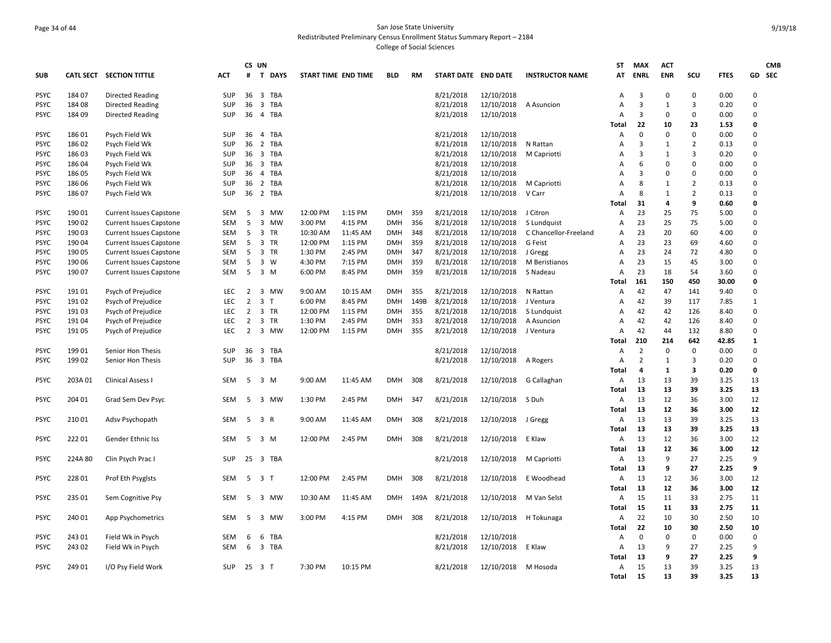## Page 34 of 44 San Jose State University Redistributed Preliminary Census Enrollment Status Summary Report – 2184 College of Social Sciences

|             |         |                                |            |                | CS UN                       |                     |          |            |      |                     |                        |                        | ST                | <b>MAX</b>        | <b>ACT</b>        |                   |              |                   | <b>CMB</b> |
|-------------|---------|--------------------------------|------------|----------------|-----------------------------|---------------------|----------|------------|------|---------------------|------------------------|------------------------|-------------------|-------------------|-------------------|-------------------|--------------|-------------------|------------|
| <b>SUB</b>  |         | CATL SECT SECTION TITTLE       | ACT        | #              | $\mathbf{T}$<br><b>DAYS</b> | START TIME END TIME |          | <b>BLD</b> | RM   | START DATE END DATE |                        | <b>INSTRUCTOR NAME</b> | AT                | ENRL              | <b>ENR</b>        | scu               | <b>FTES</b>  |                   | GD SEC     |
| PSYC        | 184 07  | <b>Directed Reading</b>        | SUP        | 36             | 3 TBA                       |                     |          |            |      | 8/21/2018           | 12/10/2018             |                        | $\overline{A}$    | 3                 | $\Omega$          | $\mathbf 0$       | 0.00         | $\Omega$          |            |
| PSYC        | 184 08  | <b>Directed Reading</b>        | <b>SUP</b> | 36             | 3 TBA                       |                     |          |            |      | 8/21/2018           | 12/10/2018             | A Asuncion             | A                 | 3                 | 1                 | 3                 | 0.20         | $\Omega$          |            |
| PSYC        | 184 09  | Directed Reading               | <b>SUP</b> | 36             | 4 TBA                       |                     |          |            |      | 8/21/2018           | 12/10/2018             |                        | A                 | 3                 | 0                 | 0                 | 0.00         | 0                 |            |
|             |         |                                |            |                |                             |                     |          |            |      |                     |                        |                        | <b>Total</b>      | 22                | 10                | 23                | 1.53         | $\mathbf{0}$      |            |
| PSYC        | 18601   | Psych Field Wk                 | <b>SUP</b> | 36             | 4 TBA                       |                     |          |            |      | 8/21/2018           | 12/10/2018             |                        | Α                 | $\mathbf 0$       | $\Omega$          | $\mathsf 0$       | 0.00         | $\Omega$          |            |
| <b>PSYC</b> | 186 02  | Psych Field Wk                 | SUP        |                | 36 2 TBA                    |                     |          |            |      | 8/21/2018           | 12/10/2018             | N Rattan               | A                 | 3                 | 1                 | $\overline{2}$    | 0.13         | $\Omega$          |            |
| PSYC        | 18603   | Psych Field Wk                 | SUP        |                | 36 3 TBA                    |                     |          |            |      | 8/21/2018           | 12/10/2018             | M Capriotti            | Α                 | 3                 | 1                 | 3                 | 0.20         | $\Omega$          |            |
| PSYC        | 186 04  | Psych Field Wk                 | <b>SUP</b> | 36             | 3 TBA                       |                     |          |            |      | 8/21/2018           | 12/10/2018             |                        | Α                 | 6                 | $\Omega$          | 0                 | 0.00         | $\mathbf 0$       |            |
| PSYC        | 186 05  | Psych Field Wk                 | SUP        | 36             | 4 TBA                       |                     |          |            |      | 8/21/2018           | 12/10/2018             |                        | A                 | $\overline{3}$    | $\Omega$          | 0                 | 0.00         | 0                 |            |
| PSYC        | 186 06  | Psych Field Wk                 | SUP        | 36             | 2 TBA                       |                     |          |            |      | 8/21/2018           | 12/10/2018             | M Capriotti            | A                 | 8                 | $\mathbf{1}$      | $\overline{2}$    | 0.13         | $\Omega$          |            |
| PSYC        | 18607   | Psych Field Wk                 | <b>SUP</b> |                | 36 2 TBA                    |                     |          |            |      | 8/21/2018           | 12/10/2018             | V Carr                 | Α                 | 8                 | 1                 | $\overline{2}$    | 0.13         | $\Omega$          |            |
|             |         |                                |            |                |                             |                     |          |            |      |                     |                        |                        | <b>Total</b>      | 31                | 4                 | 9                 | 0.60         | $\mathbf{0}$      |            |
| PSYC        | 190 01  | <b>Current Issues Capstone</b> | SEM        | -5             | 3 MW                        | 12:00 PM            | 1:15 PM  | <b>DMH</b> | 359  | 8/21/2018           | 12/10/2018             | J Citron               | Α                 | 23                | 25                | 75                | 5.00         | $\Omega$          |            |
| PSYC        | 190 02  | <b>Current Issues Capstone</b> | SEM        | - 5            | 3 MW                        | 3:00 PM             | 4:15 PM  | DMH        | 356  | 8/21/2018           | 12/10/2018             | S Lundquist            | Α                 | 23                | 25                | 75                | 5.00         | $\mathbf 0$       |            |
| PSYC        | 190 03  | <b>Current Issues Capstone</b> | <b>SEM</b> | -5             | 3 TR                        | 10:30 AM            | 11:45 AM | <b>DMH</b> | 348  | 8/21/2018           | 12/10/2018             | C Chancellor-Freeland  | Α                 | 23                | 20                | 60                | 4.00         | 0                 |            |
| <b>PSYC</b> | 190 04  | <b>Current Issues Capstone</b> | SEM        | -5             | 3 TR                        | 12:00 PM            | 1:15 PM  | <b>DMH</b> | 359  | 8/21/2018           | 12/10/2018             | G Feist                | $\overline{A}$    | 23                | 23                | 69                | 4.60         | $\Omega$          |            |
| PSYC        | 190 05  | <b>Current Issues Capstone</b> | SEM        | 5              | 3 TR                        | 1:30 PM             | 2:45 PM  | DMH        | 347  | 8/21/2018           | 12/10/2018             | J Gregg                | Α                 | 23                | 24                | 72                | 4.80         | $\Omega$          |            |
| PSYC        | 190 06  | <b>Current Issues Capstone</b> | <b>SEM</b> | -5             | 3 W                         | 4:30 PM             | 7:15 PM  | <b>DMH</b> | 359  | 8/21/2018           | 12/10/2018             | M Beristianos          | $\overline{A}$    | 23                | 15                | 45                | 3.00         | $\Omega$          |            |
| PSYC        | 190 07  | <b>Current Issues Capstone</b> | SEM        | - 5            | 3 M                         | 6:00 PM             | 8:45 PM  | <b>DMH</b> | 359  | 8/21/2018           | 12/10/2018 S Nadeau    |                        | A                 | 23                | 18                | 54                | 3.60         | $\Omega$          |            |
|             |         |                                |            |                |                             |                     |          |            |      |                     |                        |                        | Total             | 161               | 150               | 450               | 30.00        | 0                 |            |
| PSYC        | 19101   | Psych of Prejudice             | LEC.       | $\overline{2}$ | 3 MW                        | 9:00 AM             | 10:15 AM | <b>DMH</b> | 355  | 8/21/2018           | 12/10/2018             | N Rattan               | Α                 | 42                | 47                | 141               | 9.40         | 0                 |            |
| PSYC        | 191 02  | Psych of Prejudice             | LEC        | $\overline{2}$ | 3 <sub>7</sub>              | 6:00 PM             | 8:45 PM  | <b>DMH</b> | 149B | 8/21/2018           | 12/10/2018             | J Ventura              | Α                 | 42                | 39                | 117               | 7.85         | $\mathbf{1}$      |            |
| <b>PSYC</b> | 19103   | Psych of Prejudice             | <b>LEC</b> | 2              | 3 TR                        | 12:00 PM            | 1:15 PM  | DMH        | 355  | 8/21/2018           | 12/10/2018             | S Lundquist            | Α                 | 42                | 42                | 126               | 8.40         | $\Omega$          |            |
| PSYC        | 19104   | Psych of Prejudice             | LEC.       | $\overline{2}$ | 3 TR                        | 1:30 PM             | 2:45 PM  | <b>DMH</b> | 353  | 8/21/2018           | 12/10/2018             | A Asuncion             | Α                 | 42                | 42                | 126               | 8.40         | $\Omega$          |            |
| PSYC        | 191 05  | Psych of Prejudice             | LEC        | $\overline{2}$ | 3 MW                        | 12:00 PM            | 1:15 PM  | <b>DMH</b> | 355  | 8/21/2018           | 12/10/2018             | J Ventura              | Α                 | 42                | 44                | 132               | 8.80         | $\Omega$          |            |
|             |         |                                |            |                |                             |                     |          |            |      |                     |                        |                        | Total             | 210               | 214               | 642               | 42.85        | $\mathbf{1}$      |            |
| PSYC        | 19901   | Senior Hon Thesis              | <b>SUP</b> | 36             | 3 TBA                       |                     |          |            |      | 8/21/2018           | 12/10/2018             |                        | Α                 | $\overline{2}$    | $\mathbf 0$       | 0                 | 0.00         | 0                 |            |
| PSYC        | 199 02  | Senior Hon Thesis              | <b>SUP</b> | 36             | 3 TBA                       |                     |          |            |      | 8/21/2018           | 12/10/2018 A Rogers    |                        | A                 | $\overline{2}$    | 1                 | 3                 | 0.20         | $\mathbf 0$       |            |
|             |         |                                |            |                |                             |                     |          |            |      |                     |                        |                        | <b>Total</b>      | $\overline{a}$    | 1                 | $\mathbf{3}$      | 0.20         | $\mathbf{0}$      |            |
| PSYC        | 203A 01 | <b>Clinical Assess I</b>       | <b>SEM</b> | -5             | 3 M                         | 9:00 AM             | 11:45 AM | <b>DMH</b> | 308  | 8/21/2018           | 12/10/2018             | G Callaghan            | Α                 | 13                | 13                | 39                | 3.25         | 13                |            |
|             |         |                                |            |                |                             |                     |          |            |      |                     |                        |                        | Total             | 13                | 13                | 39                | 3.25         | 13                |            |
| PSYC        | 204 01  | Grad Sem Dev Psyc              | SEM        | - 5            | 3 MW                        | 1:30 PM             | 2:45 PM  | <b>DMH</b> | 347  | 8/21/2018           | 12/10/2018 S Duh       |                        | Α                 | 13                | 12                | 36                | 3.00         | 12                |            |
|             |         |                                |            |                |                             |                     |          |            |      |                     |                        |                        | Total             | 13                | 12                | 36                | 3.00         | 12                |            |
| PSYC        | 210 01  | Adsv Psychopath                | SEM        | 5              | 3 R                         | 9:00 AM             | 11:45 AM | <b>DMH</b> | 308  | 8/21/2018           | 12/10/2018             | J Gregg                | Α                 | 13                | 13                | 39                | 3.25         | 13                |            |
|             |         |                                |            |                |                             |                     |          |            |      |                     |                        |                        | <b>Total</b>      | 13                | 13                | 39                | 3.25         | 13                |            |
| PSYC        | 22201   | Gender Ethnic Iss              | <b>SEM</b> | - 5            | 3 M                         | 12:00 PM            | 2:45 PM  | <b>DMH</b> | 308  | 8/21/2018           | 12/10/2018 E Klaw      |                        | Α                 | 13                | 12                | 36                | 3.00         | 12                |            |
|             |         |                                |            |                |                             |                     |          |            |      |                     |                        |                        | <b>Total</b>      | 13                | 12                | 36                | 3.00         | 12                |            |
| PSYC        | 224A 80 | Clin Psych Prac I              | <b>SUP</b> |                | 25 3 TBA                    |                     |          |            |      | 8/21/2018           | 12/10/2018 M Capriotti |                        | Α                 | 13                | 9                 | 27                | 2.25         | 9<br>9            |            |
|             |         |                                |            |                |                             |                     |          |            |      |                     |                        |                        | Total             | 13                | 9                 | 27                | 2.25         | 12                |            |
| PSYC        | 228 01  | Prof Eth Psyglsts              | SEM        | 5              | 3 <sub>7</sub>              | 12:00 PM            | 2:45 PM  | <b>DMH</b> | 308  | 8/21/2018           | 12/10/2018             | E Woodhead             | A                 | 13                | 12                | 36                | 3.00         |                   |            |
|             |         |                                |            |                |                             |                     |          |            |      |                     |                        |                        | Total             | 13<br>15          | 12                | 36<br>33          | 3.00<br>2.75 | 12                |            |
| PSYC        | 235 01  | Sem Cognitive Psy              | <b>SEM</b> | -5             | 3 MW                        | 10:30 AM            | 11:45 AM | <b>DMH</b> | 149A | 8/21/2018           | 12/10/2018             | M Van Selst            | $\overline{A}$    |                   | 11                |                   |              | 11                |            |
|             |         |                                |            |                |                             |                     |          |            |      |                     |                        |                        | Total             | 15                | 11                | 33                | 2.75         | 11                |            |
| PSYC        | 240 01  | App Psychometrics              | <b>SEM</b> | -5             | 3 MW                        | 3:00 PM             | 4:15 PM  | <b>DMH</b> | 308  | 8/21/2018           | 12/10/2018             | H Tokunaga             | Α                 | 22                | 10                | 30                | 2.50         | 10                |            |
| PSYC        | 243 01  |                                | SEM        |                | TBA                         |                     |          |            |      | 8/21/2018           | 12/10/2018             |                        | <b>Total</b><br>A | 22<br>$\mathbf 0$ | 10<br>$\mathbf 0$ | 30<br>$\mathbf 0$ | 2.50<br>0.00 | 10<br>$\mathbf 0$ |            |
|             | 243 02  | Field Wk in Psych              | <b>SEM</b> | 6<br>6         | 6<br>3 TBA                  |                     |          |            |      | 8/21/2018           | 12/10/2018             | E Klaw                 | Α                 | 13                | 9                 | 27                | 2.25         | 9                 |            |
| PSYC        |         | Field Wk in Psych              |            |                |                             |                     |          |            |      |                     |                        |                        | Total             | 13                | 9                 | 27                | 2.25         | 9                 |            |
| PSYC        | 249 01  | I/O Psy Field Work             | SUP        |                | 25 3 T                      | 7:30 PM             | 10:15 PM |            |      | 8/21/2018           | 12/10/2018 M Hosoda    |                        | Α                 | 15                | 13                | 39                | 3.25         | 13                |            |
|             |         |                                |            |                |                             |                     |          |            |      |                     |                        |                        | Total             | 15                | 13                | 39                | 3.25         | 13                |            |
|             |         |                                |            |                |                             |                     |          |            |      |                     |                        |                        |                   |                   |                   |                   |              |                   |            |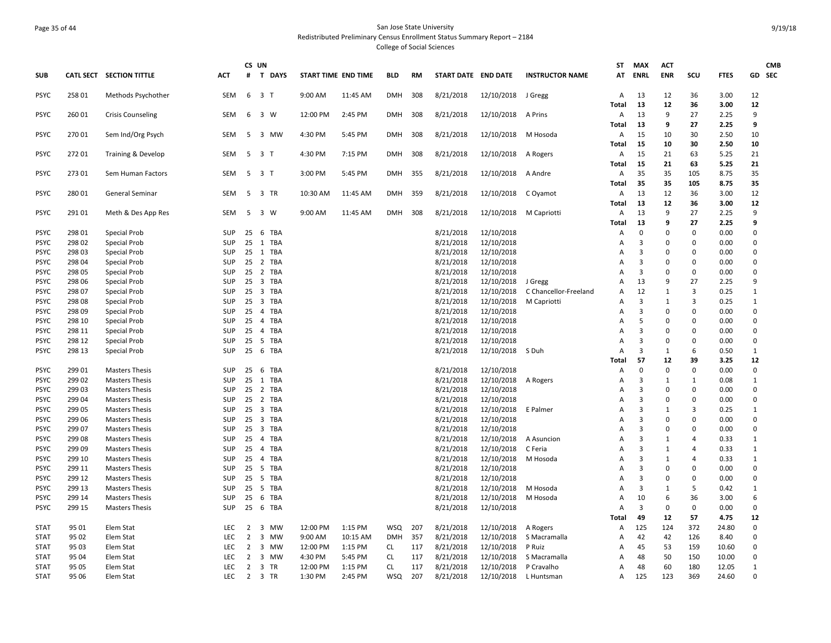## Page 35 of 44 San Jose State University Redistributed Preliminary Census Enrollment Status Summary Report – 2184 College of Social Sciences

| SUB         |        | CATL SECT SECTION TITTLE      | АСТ                      | CS UN<br>#     | T DAYS         | START TIME END TIME |          | BLD        | RM  | START DATE END DATE |                        | <b>INSTRUCTOR NAME</b> | <b>ST</b><br>AT     | MAX<br>ENRL    | <b>ACT</b><br><b>ENR</b> | SCU            | <b>FTES</b> | GD SEC       | <b>CMB</b> |
|-------------|--------|-------------------------------|--------------------------|----------------|----------------|---------------------|----------|------------|-----|---------------------|------------------------|------------------------|---------------------|----------------|--------------------------|----------------|-------------|--------------|------------|
| <b>PSYC</b> | 25801  | Methods Psychother            | <b>SEM</b>               |                | 6 3 T          | 9:00 AM             | 11:45 AM | <b>DMH</b> | 308 | 8/21/2018           | 12/10/2018 J Gregg     |                        | $\mathsf{A}$        | 13             | 12                       | 36             | 3.00        | 12           |            |
|             |        |                               |                          |                |                |                     |          |            |     |                     |                        |                        | Total               | 13             | 12                       | 36             | 3.00        | 12           |            |
| <b>PSYC</b> | 260 01 | <b>Crisis Counseling</b>      | SEM                      |                | 6 3 W          | 12:00 PM            | 2:45 PM  | DMH        | 308 | 8/21/2018           | 12/10/2018 A Prins     |                        | Α                   | 13             | 9                        | 27             | 2.25        | 9            |            |
|             |        |                               |                          |                |                |                     |          |            |     |                     |                        |                        | Total               | 13             | 9                        | 27             | 2.25        | 9            |            |
| <b>PSYC</b> | 27001  | Sem Ind/Org Psych             | <b>SEM</b>               |                | 5 3 MW         | 4:30 PM             | 5:45 PM  | <b>DMH</b> | 308 | 8/21/2018           | 12/10/2018 M Hosoda    |                        | $\mathsf{A}$        | 15             | 10                       | 30             | 2.50        | 10           |            |
|             |        |                               |                          |                |                |                     |          |            |     |                     |                        |                        | Total               | 15             | 10                       | 30             | 2.50        | 10           |            |
| <b>PSYC</b> | 27201  | <b>Training &amp; Develop</b> | SEM                      | 5              | 3 <sub>1</sub> | 4:30 PM             | 7:15 PM  | <b>DMH</b> | 308 | 8/21/2018           | 12/10/2018             | A Rogers               | Α                   | 15             | 21                       | 63             | 5.25        | 21           |            |
|             |        |                               |                          |                |                |                     |          |            |     |                     |                        |                        | Total               | -15            | 21                       | 63             | 5.25        | 21           |            |
| <b>PSYC</b> | 273 01 | Sem Human Factors             | SEM                      | 5              | 3 <sub>1</sub> | 3:00 PM             | 5:45 PM  | <b>DMH</b> | 355 | 8/21/2018           | 12/10/2018 A Andre     |                        | A                   | 35             | 35                       | 105            | 8.75        | 35           |            |
|             |        |                               |                          |                |                |                     |          |            |     |                     |                        |                        | Total               | 35             | 35                       | 105            | 8.75        | 35           |            |
| <b>PSYC</b> | 28001  | General Seminar               | <b>SEM</b>               | -5             | 3 TR           | 10:30 AM            | 11:45 AM | DMH        | 359 | 8/21/2018           | 12/10/2018 C Oyamot    |                        | Α                   | 13             | 12                       | 36             | 3.00        | 12           |            |
|             |        |                               |                          |                |                |                     |          |            |     |                     |                        |                        | <b>Total</b>        | 13             | 12                       | 36             | 3.00        | 12           |            |
| <b>PSYC</b> | 291 01 | Meth & Des App Res            | SEM                      |                | 5 3 W          | 9:00 AM             | 11:45 AM | DMH        | 308 | 8/21/2018           | 12/10/2018 M Capriotti |                        | Α                   | 13             | 9                        | 27             | 2.25        | $\mathsf{q}$ |            |
|             |        |                               |                          |                |                |                     |          |            |     |                     |                        |                        | <b>Total</b>        | 13             | 9                        | 27             | 2.25        | 9            |            |
| <b>PSYC</b> | 298 01 | Special Prob                  | SUP                      |                | 25 6 TBA       |                     |          |            |     | 8/21/2018           | 12/10/2018             |                        | Α                   | $\mathbf 0$    | 0                        | $\mathbf 0$    | 0.00        | $\Omega$     |            |
| <b>PSYC</b> | 298 02 | Special Prob                  | <b>SUP</b>               |                | 25 1 TBA       |                     |          |            |     | 8/21/2018           | 12/10/2018             |                        | Α                   | 3              | $\Omega$                 | 0              | 0.00        | $\Omega$     |            |
| PSYC        | 298 03 | <b>Special Prob</b>           | <b>SUP</b>               |                | 25 1 TBA       |                     |          |            |     | 8/21/2018           | 12/10/2018             |                        | A                   | 3              | $\Omega$                 | $\Omega$       | 0.00        | $\Omega$     |            |
| <b>PSYC</b> | 298 04 | Special Prob                  | <b>SUP</b>               |                | 25 2 TBA       |                     |          |            |     | 8/21/2018           | 12/10/2018             |                        | Α                   | $\overline{3}$ | 0                        | $\mathsf 0$    | 0.00        | $\mathbf 0$  |            |
| <b>PSYC</b> | 298 05 | Special Prob                  | <b>SUP</b>               |                | 25 2 TBA       |                     |          |            |     | 8/21/2018           | 12/10/2018             |                        | Α                   | 3              | $\Omega$                 | 0              | 0.00        | 0            |            |
| <b>PSYC</b> | 298 06 | Special Prob                  | <b>SUP</b>               |                | 25 3 TBA       |                     |          |            |     | 8/21/2018           | 12/10/2018 J Gregg     |                        | Α                   | 13             | 9                        | 27             | 2.25        | 9            |            |
| <b>PSYC</b> | 298 07 | Special Prob                  | <b>SUP</b>               |                | 25 3 TBA       |                     |          |            |     | 8/21/2018           | 12/10/2018             | C Chancellor-Freeland  | Α                   | 12             | 1                        | 3              | 0.25        | $\mathbf{1}$ |            |
| <b>PSYC</b> | 298 08 | Special Prob                  | <b>SUP</b>               | 25             | 3 TBA          |                     |          |            |     | 8/21/2018           | 12/10/2018             | M Capriotti            | Α                   | $\overline{3}$ | $\mathbf{1}$             | 3              | 0.25        | $\mathbf{1}$ |            |
| <b>PSYC</b> | 298 09 | Special Prob                  | SUP                      |                | 25 4 TBA       |                     |          |            |     | 8/21/2018           | 12/10/2018             |                        | Α                   | $\overline{3}$ | $\Omega$                 | 0              | 0.00        | $\Omega$     |            |
| PSYC        | 298 10 | Special Prob                  | <b>SUP</b>               | 25             | 4 TBA          |                     |          |            |     | 8/21/2018           | 12/10/2018             |                        | $\mathsf{A}$        | 5              | 0                        | 0              | 0.00        | $\Omega$     |            |
| PSYC        | 298 11 | Special Prob                  | <b>SUP</b>               | 25             | 4 TBA          |                     |          |            |     | 8/21/2018           | 12/10/2018             |                        | Α                   | 3              | $\Omega$                 | 0              | 0.00        | $\mathbf 0$  |            |
| <b>PSYC</b> | 298 12 | Special Prob                  | <b>SUP</b>               |                | 25 5 TBA       |                     |          |            |     | 8/21/2018           | 12/10/2018             |                        | A                   | 3              | $\Omega$                 | 0              | 0.00        | 0            |            |
| <b>PSYC</b> | 298 13 | <b>Special Prob</b>           | <b>SUP</b>               | 25             | 6<br>TBA       |                     |          |            |     | 8/21/2018           | 12/10/2018 S Duh       |                        | Α                   | 3              | 1                        | 6              | 0.50        | $\mathbf{1}$ |            |
|             |        |                               |                          |                |                |                     |          |            |     |                     |                        |                        | <b>Total</b>        | 57             | 12                       | 39             | 3.25        | 12           |            |
| <b>PSYC</b> | 299 01 | <b>Masters Thesis</b>         | <b>SUP</b>               |                | 25 6 TBA       |                     |          |            |     | 8/21/2018           | 12/10/2018             |                        | Α                   | $\mathbf 0$    | $\Omega$                 | 0              | 0.00        | $\mathbf 0$  |            |
| <b>PSYC</b> | 299 02 | <b>Masters Thesis</b>         | SUP                      |                | 25 1 TBA       |                     |          |            |     | 8/21/2018           | 12/10/2018             | A Rogers               | Α                   | 3              | 1                        | 1              | 0.08        | $\mathbf{1}$ |            |
| PSYC        | 299 03 | <b>Masters Thesis</b>         | <b>SUP</b>               |                | 25 2 TBA       |                     |          |            |     | 8/21/2018           | 12/10/2018             |                        | $\mathsf{A}$        | 3              | $\Omega$                 | $\Omega$       | 0.00        | $\Omega$     |            |
| <b>PSYC</b> | 299 04 | <b>Masters Thesis</b>         | SUP                      | 25             | 2 TBA          |                     |          |            |     | 8/21/2018           | 12/10/2018             |                        | Α                   | 3              | $\Omega$                 | 0              | 0.00        | 0            |            |
| <b>PSYC</b> | 299 05 | <b>Masters Thesis</b>         | <b>SUP</b>               |                | 25 3 TBA       |                     |          |            |     | 8/21/2018           | 12/10/2018             | E Palmer               | A                   | 3              | 1                        | 3              | 0.25        | $\mathbf{1}$ |            |
| PSYC        | 299 06 | <b>Masters Thesis</b>         | SUP                      |                | 25 3 TBA       |                     |          |            |     | 8/21/2018           | 12/10/2018             |                        | A                   | 3              | $\Omega$                 | $\Omega$       | 0.00        | $\Omega$     |            |
| <b>PSYC</b> | 299 07 | <b>Masters Thesis</b>         | <b>SUP</b>               |                | 25 3 TBA       |                     |          |            |     | 8/21/2018           | 12/10/2018             |                        | Α                   | $\overline{3}$ | $\Omega$                 | $\Omega$       | 0.00        | $\Omega$     |            |
| <b>PSYC</b> | 299 08 | <b>Masters Thesis</b>         | <b>SUP</b>               |                | 25 4 TBA       |                     |          |            |     | 8/21/2018           | 12/10/2018             | A Asuncion             | Α                   | 3              | $\mathbf{1}$             | 4              | 0.33        | $\mathbf{1}$ |            |
| <b>PSYC</b> | 299 09 | <b>Masters Thesis</b>         | <b>SUP</b>               | 25             | 4 TBA          |                     |          |            |     | 8/21/2018           | 12/10/2018             | C Feria                | Α                   | 3              | 1                        | $\overline{4}$ | 0.33        | 1            |            |
| <b>PSYC</b> | 299 10 | <b>Masters Thesis</b>         | SUP                      |                | 25 4 TBA       |                     |          |            |     | 8/21/2018           | 12/10/2018             | M Hosoda               | $\mathsf{A}$        | 3              | 1                        | 4              | 0.33        | $\mathbf{1}$ |            |
| <b>PSYC</b> | 299 11 | <b>Masters Thesis</b>         | <b>SUP</b>               |                | 25 5 TBA       |                     |          |            |     | 8/21/2018           | 12/10/2018             |                        | Α                   | $\overline{3}$ | $\Omega$                 | 0              | 0.00        | $\Omega$     |            |
| <b>PSYC</b> | 299 12 | <b>Masters Thesis</b>         | <b>SUP</b>               | 25             | -5<br>TBA      |                     |          |            |     | 8/21/2018           | 12/10/2018             |                        | A                   | 3              | $\Omega$                 | $\mathbf 0$    | 0.00        | $\Omega$     |            |
| <b>PSYC</b> | 299 13 | <b>Masters Thesis</b>         | <b>SUP</b>               |                | 25 5 TBA       |                     |          |            |     | 8/21/2018           | 12/10/2018             | M Hosoda               | Α                   | 3              | 1                        | 5              | 0.42        | $\mathbf{1}$ |            |
| <b>PSYC</b> | 299 14 | <b>Masters Thesis</b>         | <b>SUP</b>               | 25             | 6<br>TBA       |                     |          |            |     | 8/21/2018           | 12/10/2018             | M Hosoda               | Α                   | 10             | 6                        | 36             | 3.00        | 6            |            |
| <b>PSYC</b> | 299 15 | <b>Masters Thesis</b>         | <b>SUP</b>               | 25             | 6 TBA          |                     |          |            |     | 8/21/2018           | 12/10/2018             |                        | $\mathsf{A}$        | 3              | 0                        | $\mathbf 0$    | 0.00        | $\Omega$     |            |
|             |        |                               |                          |                |                |                     |          |            |     |                     |                        |                        | <b>Total</b>        | 49             | 12                       | 57             | 4.75        | 12           |            |
|             |        |                               |                          |                |                | 12:00 PM            | 1:15 PM  | <b>WSQ</b> |     |                     |                        |                        |                     | 125            | 124                      | 372            |             | 0            |            |
| <b>STAT</b> | 95 01  | Elem Stat                     | <b>LEC</b><br><b>LEC</b> | 2              | 3 MW           |                     |          | <b>DMH</b> | 207 | 8/21/2018           | 12/10/2018             | A Rogers               | A                   |                |                          |                | 24.80       | $\Omega$     |            |
| <b>STAT</b> | 95 02  | Elem Stat                     |                          | $\overline{2}$ | 3 MW           | 9:00 AM             | 10:15 AM |            | 357 | 8/21/2018           | 12/10/2018             | S Macramalla           | A                   | 42             | 42                       | 126            | 8.40        | $\Omega$     |            |
| STAT        | 95 03  | Elem Stat                     | <b>LEC</b>               | $\overline{2}$ | 3 MW           | 12:00 PM            | 1:15 PM  | CL         | 117 | 8/21/2018           | 12/10/2018             | P Ruiz                 | Α                   | 45             | 53                       | 159            | 10.60       | $\mathbf 0$  |            |
| <b>STAT</b> | 95 04  | Elem Stat                     | LEC<br>LEC.              | $\overline{2}$ | 3 MW           | 4:30 PM             | 5:45 PM  | <b>CL</b>  | 117 | 8/21/2018           | 12/10/2018             | S Macramalla           | Α<br>$\overline{A}$ | 48             | 50                       | 150            | 10.00       | 1            |            |
| <b>STAT</b> | 95 05  | Elem Stat                     |                          | $\overline{2}$ | 3 TR           | 12:00 PM            | 1:15 PM  | <b>CL</b>  | 117 | 8/21/2018           | 12/10/2018             | P Cravalho             |                     | 48             | 60                       | 180            | 12.05       | $\Omega$     |            |
| <b>STAT</b> | 95 06  | Elem Stat                     | <b>LEC</b>               | $\overline{2}$ | 3 TR           | 1:30 PM             | 2:45 PM  | <b>WSQ</b> | 207 | 8/21/2018           | 12/10/2018             | L Huntsman             | A                   | 125            | 123                      | 369            | 24.60       |              |            |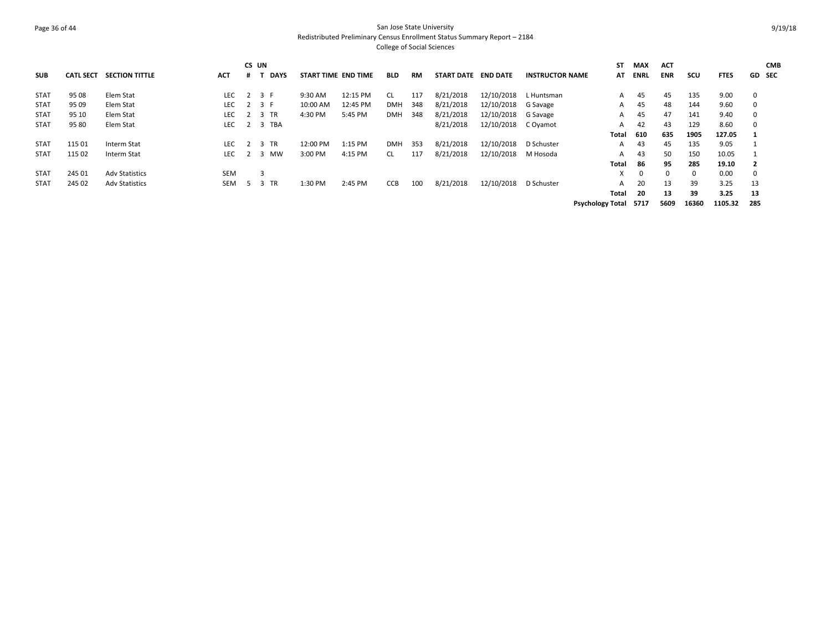## Page 36 of 44 San Jose State University Redistributed Preliminary Census Enrollment Status Summary Report – 2184 College of Social Sciences

| <b>SUB</b>  | <b>CATL SECT</b> | <b>SECTION TITTLE</b> | <b>ACT</b> | CS UN | <b>DAYS</b> | START TIME END TIME |          | <b>BLD</b> | RM  | <b>START DATE</b> | <b>END DATE</b> | <b>INSTRUCTOR NAME</b> | ST<br>AT                | <b>MAX</b><br><b>ENRL</b> | <b>ACT</b><br><b>ENR</b> | scu   | <b>FTES</b> |             | <b>CMB</b><br>GD SEC |
|-------------|------------------|-----------------------|------------|-------|-------------|---------------------|----------|------------|-----|-------------------|-----------------|------------------------|-------------------------|---------------------------|--------------------------|-------|-------------|-------------|----------------------|
| <b>STAT</b> | 95 08            | Elem Stat             | <b>LEC</b> |       | 2 3 F       | 9:30 AM             | 12:15 PM | CL         | 117 | 8/21/2018         | 12/10/2018      | L Huntsman             | A                       | 45                        | 45                       | 135   | 9.00        | $\mathbf 0$ |                      |
| <b>STAT</b> | 95 09            | Elem Stat             | <b>LEC</b> |       | 2 3 F       | 10:00 AM            | 12:45 PM | DMH        | 348 | 8/21/2018         | 12/10/2018      | G Savage               | A                       | 45                        | 48                       | 144   | 9.60        | $\mathbf 0$ |                      |
| <b>STAT</b> | 95 10            | Elem Stat             | <b>LEC</b> |       | 3 TR        | 4:30 PM             | 5:45 PM  | <b>DMH</b> | 348 | 8/21/2018         | 12/10/2018      | G Savage               | A                       | 45                        | 47                       | 141   | 9.40        | 0           |                      |
| <b>STAT</b> | 95 80            | Elem Stat             | <b>LEC</b> |       | 2 3 TBA     |                     |          |            |     | 8/21/2018         | 12/10/2018      | C Oyamot               | A                       | 42                        | 43                       | 129   | 8.60        | $\mathbf 0$ |                      |
|             |                  |                       |            |       |             |                     |          |            |     |                   |                 |                        | Total                   | 610                       | 635                      | 1905  | 127.05      |             |                      |
| <b>STAT</b> | 115 01           | Interm Stat           | <b>LEC</b> |       | 3 TR        | 12:00 PM            | 1:15 PM  | DMH        | 353 | 8/21/2018         | 12/10/2018      | D Schuster             | A                       | 43                        | 45                       | 135   | 9.05        |             |                      |
| <b>STAT</b> | 115 02           | Interm Stat           | <b>LEC</b> |       | 3 MW        | 3:00 PM             | 4:15 PM  | <b>CL</b>  | 117 | 8/21/2018         | 12/10/2018      | M Hosoda               | A                       | 43                        | 50                       | 150   | 10.05       |             |                      |
|             |                  |                       |            |       |             |                     |          |            |     |                   |                 |                        | Total                   | 86                        | 95                       | 285   | 19.10       |             |                      |
| <b>STAT</b> | 245 01           | <b>Adv Statistics</b> | <b>SEM</b> |       | 3           |                     |          |            |     |                   |                 |                        | X.                      | $\Omega$                  | $\Omega$                 |       | 0.00        | $\Omega$    |                      |
| <b>STAT</b> | 245 02           | <b>Adv Statistics</b> | SEM        | 5     | 3 TR        | 1:30 PM             | 2:45 PM  | <b>CCB</b> | 100 | 8/21/2018         | 12/10/2018      | D Schuster             | A                       | 20                        | 13                       | 39    | 3.25        | 13          |                      |
|             |                  |                       |            |       |             |                     |          |            |     |                   |                 |                        | Total                   | -20                       | 13                       | 39    | 3.25        | 13          |                      |
|             |                  |                       |            |       |             |                     |          |            |     |                   |                 |                        | <b>Psychology Total</b> | 5717                      | 5609                     | 16360 | 1105.32     | 285         |                      |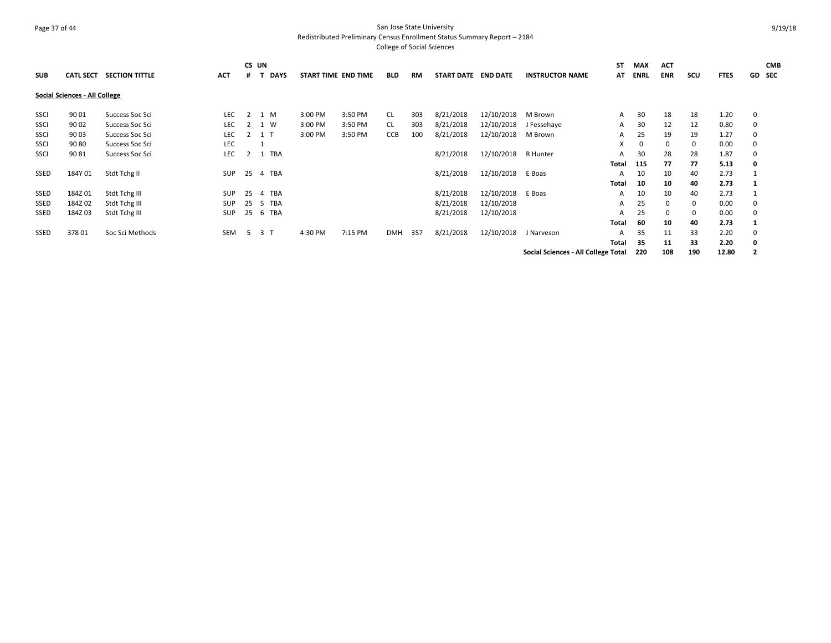## Page 37 of 44 San Jose State University Redistributed Preliminary Census Enrollment Status Summary Report – 2184

| <b>SUB</b> | <b>CATL SECT</b>              | <b>SECTION TITTLE</b> | ACT        | CS UN |                | <b>DAYS</b> | START TIME END TIME |         | <b>BLD</b> | <b>RM</b> | START DATE END DATE |            | <b>INSTRUCTOR NAME</b>              | <b>ST</b><br>AT | <b>MAX</b><br><b>ENRL</b> | <b>ACT</b><br><b>ENR</b> | scu | <b>FTES</b> |   | <b>CMB</b><br>GD SEC |
|------------|-------------------------------|-----------------------|------------|-------|----------------|-------------|---------------------|---------|------------|-----------|---------------------|------------|-------------------------------------|-----------------|---------------------------|--------------------------|-----|-------------|---|----------------------|
|            | Social Sciences - All College |                       |            |       |                |             |                     |         |            |           |                     |            |                                     |                 |                           |                          |     |             |   |                      |
| SSCI       | 90 01                         | Success Soc Sci       | LEC.       | 2     | 1 M            |             | 3:00 PM             | 3:50 PM | CL         | 303       | 8/21/2018           | 12/10/2018 | M Brown                             | A               | 30                        | 18                       | 18  | 1.20        | 0 |                      |
| SSCI       | 90 02                         | Success Soc Sci       | LEC        | 2     | 1 W            |             | 3:00 PM             | 3:50 PM | CL         | 303       | 8/21/2018           | 12/10/2018 | J Fessehaye                         | A               | 30                        | 12                       | 12  | 0.80        | 0 |                      |
| SSCI       | 90 03                         | Success Soc Sci       | LEC        |       | 1 T            |             | 3:00 PM             | 3:50 PM | CCB        | 100       | 8/21/2018           | 12/10/2018 | M Brown                             | A               | 25                        | 19                       | 19  | 1.27        | 0 |                      |
| SSCI       | 90 80                         | Success Soc Sci       | LEC        |       |                |             |                     |         |            |           |                     |            |                                     | X               | 0                         | 0                        | 0   | 0.00        | 0 |                      |
| SSCI       | 90 81                         | Success Soc Sci       | LEC        |       |                | 1 TBA       |                     |         |            |           | 8/21/2018           | 12/10/2018 | R Hunter                            | A               | 30                        | 28                       | 28  | 1.87        | 0 |                      |
|            |                               |                       |            |       |                |             |                     |         |            |           |                     |            |                                     | Total           | 115                       | 77                       | 77  | 5.13        | 0 |                      |
| SSED       | 184Y 01                       | Stdt Tchg II          | SUP        |       |                | 25 4 TBA    |                     |         |            |           | 8/21/2018           | 12/10/2018 | E Boas                              | A               | 10                        | 10                       | 40  | 2.73        |   |                      |
|            |                               |                       |            |       |                |             |                     |         |            |           |                     |            |                                     | Total           | 10                        | 10                       | 40  | 2.73        |   |                      |
| SSED       | 184Z01                        | Stdt Tchg III         | <b>SUP</b> | 25    | -4             | TBA         |                     |         |            |           | 8/21/2018           | 12/10/2018 | E Boas                              | A               | 10                        | 10                       | 40  | 2.73        |   |                      |
| SSED       | 184Z 02                       | Stdt Tchg III         | SUP        | 25    |                | 5 TBA       |                     |         |            |           | 8/21/2018           | 12/10/2018 |                                     | A               | 25                        | $\Omega$                 | 0   | 0.00        | 0 |                      |
| SSED       | 184Z03                        | Stdt Tchg III         | <b>SUP</b> | 25    |                | 6 TBA       |                     |         |            |           | 8/21/2018           | 12/10/2018 |                                     | A               | 25                        | 0                        | 0   | 0.00        | 0 |                      |
|            |                               |                       |            |       |                |             |                     |         |            |           |                     |            |                                     | Total           | 60                        | 10                       | 40  | 2.73        |   |                      |
| SSED       | 37801                         | Soc Sci Methods       | <b>SEM</b> | -5    | 3 <sub>1</sub> |             | 4:30 PM             | 7:15 PM | <b>DMH</b> | 357       | 8/21/2018           | 12/10/2018 | J Narveson                          | A               | 35                        | 11                       | 33  | 2.20        | 0 |                      |
|            |                               |                       |            |       |                |             |                     |         |            |           |                     |            |                                     | Total           | -35                       | 11                       | 33  | 2.20        | 0 |                      |
|            |                               |                       |            |       |                |             |                     |         |            |           |                     |            | Social Sciences - All College Total |                 | 220                       | 108                      | 190 | 12.80       |   |                      |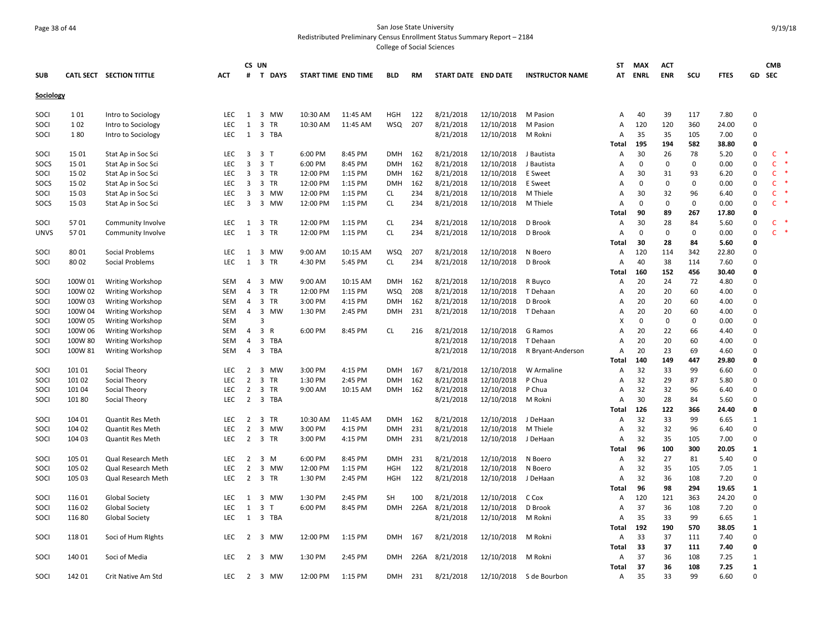## Page 38 of 44 San Jose State University Redistributed Preliminary Census Enrollment Status Summary Report – 2184

|             |         |                           |            | CS UN                   |                |                     |          |            |      |                     |            |                         | ST             | <b>MAX</b> | <b>ACT</b>   |             |             |              | <b>CMB</b>   |        |
|-------------|---------|---------------------------|------------|-------------------------|----------------|---------------------|----------|------------|------|---------------------|------------|-------------------------|----------------|------------|--------------|-------------|-------------|--------------|--------------|--------|
| <b>SUB</b>  |         | CATL SECT SECTION TITTLE  | <b>ACT</b> | #                       | <b>T DAYS</b>  | START TIME END TIME |          | <b>BLD</b> | RM   | START DATE END DATE |            | <b>INSTRUCTOR NAME</b>  | AT             | ENRL       | <b>ENR</b>   | scu         | <b>FTES</b> | GD SEC       |              |        |
| Sociology   |         |                           |            |                         |                |                     |          |            |      |                     |            |                         |                |            |              |             |             |              |              |        |
| SOCI        | 101     | Intro to Sociology        | LEC        | 1                       | 3 MW           | 10:30 AM            | 11:45 AM | <b>HGH</b> | 122  | 8/21/2018           | 12/10/2018 | M Pasion                | Α              | 40         | 39           | 117         | 7.80        | $\Omega$     |              |        |
| SOCI        | 102     | Intro to Sociology        | <b>LEC</b> | $\mathbf{1}$            | 3 TR           | 10:30 AM            | 11:45 AM | <b>WSQ</b> | 207  | 8/21/2018           | 12/10/2018 | M Pasion                | Α              | 120        | 120          | 360         | 24.00       | $\mathbf 0$  |              |        |
| SOCI        | 180     | Intro to Sociology        | LEC.       | 1                       | 3 TBA          |                     |          |            |      | 8/21/2018           | 12/10/2018 | M Rokni                 | Α              | 35         | 35           | 105         | 7.00        | $\Omega$     |              |        |
|             |         |                           |            |                         |                |                     |          |            |      |                     |            |                         | <b>Total</b>   | 195        | 194          | 582         | 38.80       | $\Omega$     |              |        |
| SOCI        | 15 01   | Stat Ap in Soc Sci        | <b>LEC</b> |                         | 3 3 T          | 6:00 PM             | 8:45 PM  | <b>DMH</b> | 162  | 8/21/2018           | 12/10/2018 | J Bautista              | A              | 30         | 26           | 78          | 5.20        | $\Omega$     | $\mathsf{C}$ | $\ast$ |
| SOCS        | 15 01   | Stat Ap in Soc Sci        | <b>LEC</b> | 3                       | 3 <sub>1</sub> | 6:00 PM             | 8:45 PM  | <b>DMH</b> | 162  | 8/21/2018           | 12/10/2018 | J Bautista              | A              | $\Omega$   | $\mathbf{0}$ | 0           | 0.00        | $\Omega$     | C            |        |
| SOCI        | 15 02   | Stat Ap in Soc Sci        | <b>LEC</b> | $\overline{\mathbf{3}}$ | 3 TR           | 12:00 PM            | 1:15 PM  | <b>DMH</b> | 162  | 8/21/2018           | 12/10/2018 | E Sweet                 | A              | 30         | 31           | 93          | 6.20        | $\Omega$     | $\mathsf{C}$ |        |
| SOCS        | 15 02   | Stat Ap in Soc Sci        | LEC        | 3                       | 3 TR           | 12:00 PM            | 1:15 PM  | <b>DMH</b> | 162  | 8/21/2018           | 12/10/2018 | E Sweet                 | A              | $\Omega$   | $\mathbf 0$  | $\Omega$    | 0.00        | $\Omega$     | C            |        |
| SOCI        | 15 03   | Stat Ap in Soc Sci        | <b>LEC</b> | 3                       | 3 MW           | 12:00 PM            | 1:15 PM  | CL         | 234  | 8/21/2018           | 12/10/2018 | M Thiele                | $\overline{A}$ | 30         | 32           | 96          | 6.40        | $\Omega$     | C            |        |
| SOCS        | 15 03   | Stat Ap in Soc Sci        | <b>LEC</b> | $\overline{3}$          | 3 MW           | 12:00 PM            | 1:15 PM  | <b>CL</b>  | 234  | 8/21/2018           | 12/10/2018 | M Thiele                | $\overline{A}$ | $\Omega$   | $\mathbf 0$  | $\mathbf 0$ | 0.00        | $\Omega$     | $\mathsf{C}$ |        |
|             |         |                           |            |                         |                |                     |          |            |      |                     |            |                         | <b>Total</b>   | 90         | 89           | 267         | 17.80       | $\Omega$     |              |        |
| SOCI        | 5701    | Community Involve         | <b>LEC</b> | 1                       | 3 TR           | 12:00 PM            | 1:15 PM  | <b>CL</b>  | 234  | 8/21/2018           | 12/10/2018 | D Brook                 | A              | 30         | 28           | 84          | 5.60        | $\pmb{0}$    | C            |        |
| <b>UNVS</b> | 5701    | Community Involve         | LEC.       | 1                       | 3 TR           | 12:00 PM            | 1:15 PM  | <b>CL</b>  | 234  | 8/21/2018           | 12/10/2018 | D Brook                 | A              | $\Omega$   | $\mathbf 0$  | $\Omega$    | 0.00        | $\Omega$     | C            |        |
|             |         |                           |            |                         |                |                     |          |            |      |                     |            |                         | Total          | 30         | 28           | 84          | 5.60        | $\Omega$     |              |        |
| SOCI        | 80 01   | Social Problems           | LEC        | 1                       | 3 MW           | 9:00 AM             | 10:15 AM | WSQ        | 207  | 8/21/2018           | 12/10/2018 | N Boero                 | Α              | 120        | 114          | 342         | 22.80       | $\Omega$     |              |        |
| SOCI        | 80 02   | Social Problems           | <b>LEC</b> | 1                       | 3 TR           | 4:30 PM             | 5:45 PM  | <b>CL</b>  | 234  | 8/21/2018           | 12/10/2018 | D Brook                 | $\overline{A}$ | 40         | 38           | 114         | 7.60        | $\Omega$     |              |        |
|             |         |                           |            |                         |                |                     |          |            |      |                     |            |                         | <b>Total</b>   | 160        | 152          | 456         | 30.40       | $\mathbf 0$  |              |        |
| SOCI        | 100W 01 | Writing Workshop          | <b>SEM</b> | 4                       | 3 MW           | 9:00 AM             | 10:15 AM | <b>DMH</b> | 162  | 8/21/2018           | 12/10/2018 | R Buyco                 | A              | 20         | 24           | 72          | 4.80        | $\Omega$     |              |        |
| SOCI        | 100W 02 | <b>Writing Workshop</b>   | <b>SEM</b> | 4                       | 3 TR           | 12:00 PM            | 1:15 PM  | WSQ        | 208  | 8/21/2018           | 12/10/2018 | T Dehaan                | A              | 20         | 20           | 60          | 4.00        | $\Omega$     |              |        |
| SOCI        | 100W 03 | Writing Workshop          | <b>SEM</b> | $\overline{4}$          | 3 TR           | 3:00 PM             | 4:15 PM  | <b>DMH</b> | 162  | 8/21/2018           | 12/10/2018 | D Brook                 | $\overline{A}$ | 20         | 20           | 60          | 4.00        | $\Omega$     |              |        |
| SOCI        | 100W 04 | <b>Writing Workshop</b>   | <b>SEM</b> | $\overline{4}$          | 3 MW           | 1:30 PM             | 2:45 PM  | <b>DMH</b> | 231  | 8/21/2018           | 12/10/2018 | T Dehaan                | A              | 20         | 20           | 60          | 4.00        | $\Omega$     |              |        |
| SOCI        | 100W 05 | <b>Writing Workshop</b>   | <b>SEM</b> |                         | $\overline{3}$ |                     |          |            |      |                     |            |                         | X              | $\Omega$   | $\mathbf 0$  | 0           | 0.00        | $\Omega$     |              |        |
| SOCI        | 100W 06 | <b>Writing Workshop</b>   | <b>SEM</b> | $\overline{4}$          | 3 R            | 6:00 PM             | 8:45 PM  | <b>CL</b>  | 216  | 8/21/2018           | 12/10/2018 | G Ramos                 | $\overline{A}$ | 20         | 22           | 66          | 4.40        | $\Omega$     |              |        |
| SOCI        | 100W 80 | <b>Writing Workshop</b>   | <b>SEM</b> | 4                       | 3 TBA          |                     |          |            |      | 8/21/2018           | 12/10/2018 | T Dehaan                | A              | 20         | 20           | 60          | 4.00        | $\Omega$     |              |        |
| SOCI        | 100W 81 | <b>Writing Workshop</b>   | <b>SEM</b> | $\overline{4}$          | 3 TBA          |                     |          |            |      | 8/21/2018           | 12/10/2018 | R Bryant-Anderson       | $\overline{A}$ | 20         | 23           | 69          | 4.60        | $\Omega$     |              |        |
|             |         |                           |            |                         |                |                     |          |            |      |                     |            |                         | Total          | 140        | 149          | 447         | 29.80       | $\mathbf 0$  |              |        |
| SOCI        | 101 01  | Social Theory             | <b>LEC</b> | 2                       | 3 MW           | 3:00 PM             | 4:15 PM  | <b>DMH</b> | 167  | 8/21/2018           | 12/10/2018 | W Armaline              | $\overline{A}$ | 32         | 33           | 99          | 6.60        | $\Omega$     |              |        |
| SOCI        | 101 02  | Social Theory             | <b>LEC</b> | $\overline{2}$          | 3 TR           | 1:30 PM             | 2:45 PM  | <b>DMH</b> | 162  | 8/21/2018           | 12/10/2018 | P Chua                  | A              | 32         | 29           | 87          | 5.80        | $\Omega$     |              |        |
| SOCI        | 101 04  | Social Theory             | <b>LEC</b> | $\overline{2}$          | 3 TR           | 9:00 AM             | 10:15 AM | <b>DMH</b> | 162  | 8/21/2018           | 12/10/2018 | P Chua                  | $\overline{A}$ | 32         | 32           | 96          | 6.40        | $\Omega$     |              |        |
| SOCI        | 10180   | Social Theory             | <b>LEC</b> | 2                       | 3 TBA          |                     |          |            |      | 8/21/2018           | 12/10/2018 | M Rokni                 | $\overline{A}$ | 30         | 28           | 84          | 5.60        | $\Omega$     |              |        |
|             |         |                           |            |                         |                |                     |          |            |      |                     |            |                         | <b>Total</b>   | 126        | 122          | 366         | 24.40       | $\Omega$     |              |        |
| SOCI        | 104 01  | <b>Quantit Res Meth</b>   | <b>LEC</b> | 2                       | 3 TR           | 10:30 AM            | 11:45 AM | <b>DMH</b> | 162  | 8/21/2018           | 12/10/2018 | J DeHaan                | Α              | 32         | 33           | 99          | 6.65        | $\mathbf{1}$ |              |        |
| SOCI        | 104 02  | Quantit Res Meth          | LEC        | $\overline{2}$          | 3 MW           | 3:00 PM             | 4:15 PM  | <b>DMH</b> | 231  | 8/21/2018           | 12/10/2018 | M Thiele                | A              | 32         | 32           | 96          | 6.40        | $\Omega$     |              |        |
| SOCI        | 104 03  | <b>Quantit Res Meth</b>   | <b>LEC</b> | 2                       | 3 TR           | 3:00 PM             | 4:15 PM  | <b>DMH</b> | 231  | 8/21/2018           | 12/10/2018 | J DeHaan                | $\overline{A}$ | 32         | 35           | 105         | 7.00        | $\Omega$     |              |        |
|             |         |                           |            |                         |                |                     |          |            |      |                     |            |                         | Total          | 96         | 100          | 300         | 20.05       | 1            |              |        |
| SOCI        | 105 01  | Qual Research Meth        | LEC.       | $\overline{2}$          | 3 M            | 6:00 PM             | 8:45 PM  | <b>DMH</b> | 231  | 8/21/2018           | 12/10/2018 | N Boero                 | $\overline{A}$ | 32         | 27           | 81          | 5.40        | $\Omega$     |              |        |
| SOCI        | 105 02  | Qual Research Meth        | LEC        | $\overline{2}$          | 3 MW           | 12:00 PM            | 1:15 PM  | <b>HGH</b> | 122  | 8/21/2018           | 12/10/2018 | N Boero                 | A              | 32         | 35           | 105         | 7.05        | $\mathbf{1}$ |              |        |
| SOCI        | 105 03  | <b>Qual Research Meth</b> | LEC.       | 2                       | 3 TR           | 1:30 PM             | 2:45 PM  | <b>HGH</b> | 122  | 8/21/2018           | 12/10/2018 | J DeHaan                | $\overline{A}$ | 32         | 36           | 108         | 7.20        | $\Omega$     |              |        |
|             |         |                           |            |                         |                |                     |          |            |      |                     |            |                         | Total          | 96         | 98           | 294         | 19.65       | 1            |              |        |
| SOCI        |         |                           | LEC        | 1                       | 3 MW           | 1:30 PM             | 2:45 PM  | <b>SH</b>  | 100  |                     |            | C Cox                   |                | 120        | 121          | 363         | 24.20       | $\Omega$     |              |        |
|             | 116 01  | <b>Global Society</b>     |            |                         |                |                     |          |            |      | 8/21/2018           | 12/10/2018 |                         | Α              |            | 36           |             |             | $\Omega$     |              |        |
| SOCI        | 116 02  | <b>Global Society</b>     | LEC.       | 1                       | 3<br>$\top$    | 6:00 PM             | 8:45 PM  | <b>DMH</b> | 226A | 8/21/2018           | 12/10/2018 | D Brook                 | $\overline{A}$ | 37         |              | 108         | 7.20        |              |              |        |
| SOCI        | 11680   | <b>Global Society</b>     | LEC        | 1                       | 3 TBA          |                     |          |            |      | 8/21/2018           | 12/10/2018 | M Rokni                 | A              | 35         | 33           | 99          | 6.65        | 1            |              |        |
|             |         |                           |            |                         |                |                     |          |            |      |                     |            |                         | Total          | 192        | 190          | 570         | 38.05       | 1            |              |        |
| SOCI        | 11801   | Soci of Hum Rights        | <b>LEC</b> | $\overline{2}$          | 3 MW           | 12:00 PM            | 1:15 PM  | <b>DMH</b> | 167  | 8/21/2018           | 12/10/2018 | M Rokni                 | A              | 33         | 37           | 111         | 7.40        | $\Omega$     |              |        |
|             |         |                           |            |                         |                |                     |          |            |      |                     |            |                         | <b>Total</b>   | 33         | 37           | 111         | 7.40        | $\Omega$     |              |        |
| SOCI        | 140 01  | Soci of Media             | <b>LEC</b> | 2                       | 3 MW           | 1:30 PM             | 2:45 PM  | DMH        | 226A | 8/21/2018           | 12/10/2018 | M Rokni                 | A              | 37         | 36           | 108         | 7.25        | 1            |              |        |
|             |         |                           |            |                         |                |                     |          |            |      |                     |            |                         | <b>Total</b>   | 37         | 36           | 108         | 7.25        | 1            |              |        |
| SOCI        | 142 01  | Crit Native Am Std        | LEC.       | $2^{\circ}$             | 3 MW           | 12:00 PM            | 1:15 PM  | <b>DMH</b> | 231  | 8/21/2018           |            | 12/10/2018 S de Bourbon | Α              | 35         | 33           | 99          | 6.60        | $\Omega$     |              |        |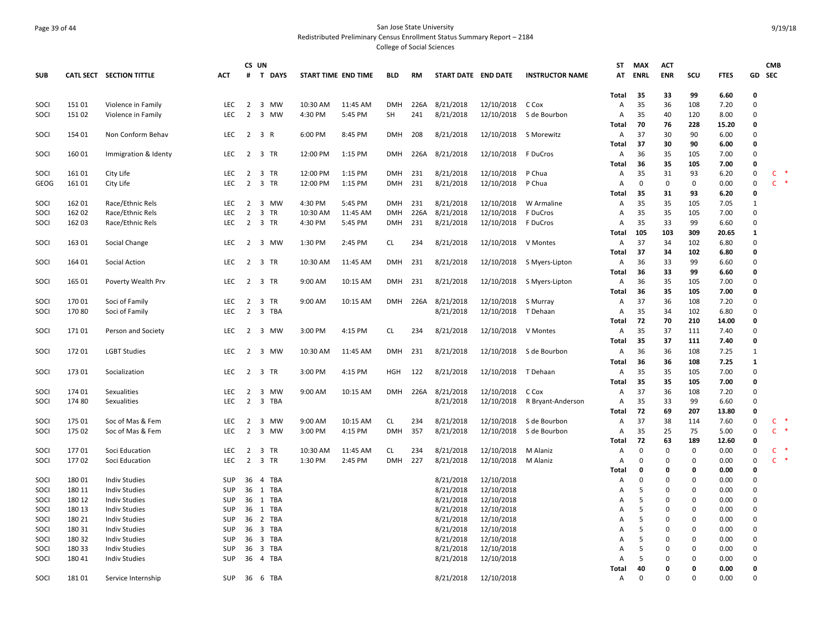# Page 39 of 44 San Jose State University Redistributed Preliminary Census Enrollment Status Summary Report – 2184

|              |        |                          |                   |                                  | CS UN        |                     |                    |                          |            |                     |                       |                           | ST           | MAX               | <b>ACT</b>        |                   |              |              | <b>CMB</b>   |        |
|--------------|--------|--------------------------|-------------------|----------------------------------|--------------|---------------------|--------------------|--------------------------|------------|---------------------|-----------------------|---------------------------|--------------|-------------------|-------------------|-------------------|--------------|--------------|--------------|--------|
| <b>SUB</b>   |        | CATL SECT SECTION TITTLE | <b>ACT</b>        |                                  | # T DAYS     | START TIME END TIME |                    | <b>BLD</b>               | RM         | START DATE END DATE |                       | <b>INSTRUCTOR NAME</b>    | AT           | <b>ENRL</b>       | <b>ENR</b>        | SCU               | <b>FTES</b>  |              | GD SEC       |        |
|              |        |                          |                   |                                  |              |                     |                    |                          |            |                     |                       |                           |              |                   |                   |                   |              |              |              |        |
|              |        |                          |                   |                                  |              |                     |                    |                          |            |                     |                       |                           | Total        | 35                | 33                | 99                | 6.60         | $\Omega$     |              |        |
| SOCI         | 15101  | Violence in Family       | LEC               |                                  | 2 3 MW       | 10:30 AM            | 11:45 AM           | <b>DMH</b>               | 226A       | 8/21/2018           | 12/10/2018            | C Cox                     | Α            | 35                | 36                | 108               | 7.20         | $\Omega$     |              |        |
| SOCI         | 15102  | Violence in Family       | <b>LEC</b>        | $\overline{2}$                   | 3 MW         | 4:30 PM             | 5:45 PM            | <b>SH</b>                | 241        | 8/21/2018           | 12/10/2018            | S de Bourbon              | Α            | 35                | 40                | 120               | 8.00         | $\Omega$     |              |        |
|              |        |                          |                   |                                  |              |                     |                    |                          |            |                     |                       |                           | Total        | 70                | 76                | 228               | 15.20        | $\Omega$     |              |        |
| SOCI         | 154 01 | Non Conform Behav        | LEC.              | $\overline{2}$                   | 3 R          | 6:00 PM             | 8:45 PM            | <b>DMH</b>               | 208        | 8/21/2018           | 12/10/2018 S Morewitz |                           | А            | 37                | 30                | 90                | 6.00         | $\Omega$     |              |        |
|              |        |                          |                   |                                  |              |                     |                    |                          |            |                     |                       |                           | Total        | 37                | 30                | 90                | 6.00         | $\Omega$     |              |        |
| SOCI         | 16001  | Immigration & Identy     | <b>LEC</b>        |                                  | 2 3 TR       | 12:00 PM            | 1:15 PM            | <b>DMH</b>               | 226A       | 8/21/2018           | 12/10/2018 F DuCros   |                           | Α            | 36                | 35                | 105               | 7.00         | $\Omega$     |              |        |
|              |        |                          |                   |                                  |              |                     |                    |                          |            |                     |                       |                           | Total        | -36               | 35                | 105               | 7.00         | 0<br>0       | $\mathsf{C}$ |        |
| SOCI<br>GEOG | 16101  | City Life                | LEC<br><b>LEC</b> | $\overline{2}$<br>$\overline{2}$ | 3 TR<br>3 TR | 12:00 PM            | 1:15 PM<br>1:15 PM | <b>DMH</b><br><b>DMH</b> | 231<br>231 | 8/21/2018           | 12/10/2018            | P Chua                    | A<br>А       | 35<br>$\mathbf 0$ | 31<br>$\mathbf 0$ | 93<br>$\mathbf 0$ | 6.20         | $\Omega$     | $\mathsf{C}$ | $\ast$ |
|              | 16101  | City Life                |                   |                                  |              | 12:00 PM            |                    |                          |            | 8/21/2018           | 12/10/2018            | P Chua                    |              | 35                | 31                | 93                | 0.00         | 0            |              |        |
| SOCI         | 162 01 | Race/Ethnic Rels         | LEC               |                                  | 2 3 MW       | 4:30 PM             | 5:45 PM            | <b>DMH</b>               | 231        | 8/21/2018           | 12/10/2018            | W Armaline                | Total<br>Α   | 35                | 35                | 105               | 6.20<br>7.05 | $\mathbf{1}$ |              |        |
| SOCI         | 162 02 | Race/Ethnic Rels         | <b>LEC</b>        | $\overline{2}$                   | 3 TR         | 10:30 AM            | 11:45 AM           | <b>DMH</b>               | 226A       | 8/21/2018           | 12/10/2018            | F DuCros                  | А            | 35                | 35                | 105               | 7.00         | $\Omega$     |              |        |
| SOCI         | 162 03 | Race/Ethnic Rels         | LEC               | $\overline{2}$                   | 3 TR         | 4:30 PM             | 5:45 PM            | DMH                      | 231        | 8/21/2018           | 12/10/2018            | F DuCros                  | А            | 35                | 33                | 99                | 6.60         | 0            |              |        |
|              |        |                          |                   |                                  |              |                     |                    |                          |            |                     |                       |                           | Total        | 105               | 103               | 309               | 20.65        | $\mathbf{1}$ |              |        |
| SOCI         | 163 01 | Social Change            | LEC               | 2                                | 3 MW         | 1:30 PM             | 2:45 PM            | CL                       | 234        | 8/21/2018           | 12/10/2018            | V Montes                  | Α            | 37                | 34                | 102               | 6.80         | $\Omega$     |              |        |
|              |        |                          |                   |                                  |              |                     |                    |                          |            |                     |                       |                           | Total        | 37                | 34                | 102               | 6.80         | $\Omega$     |              |        |
| SOCI         | 164 01 | Social Action            | <b>LEC</b>        | $\overline{2}$                   | 3 TR         | 10:30 AM            | 11:45 AM           | <b>DMH</b>               | 231        | 8/21/2018           |                       | 12/10/2018 S Myers-Lipton | А            | 36                | 33                | 99                | 6.60         | 0            |              |        |
|              |        |                          |                   |                                  |              |                     |                    |                          |            |                     |                       |                           | Total        | 36                | 33                | 99                | 6.60         | 0            |              |        |
| SOCI         | 165 01 | Poverty Wealth Prv       | LEC               | $\overline{2}$                   | 3 TR         | 9:00 AM             | 10:15 AM           | <b>DMH</b>               | 231        | 8/21/2018           |                       | 12/10/2018 S Myers-Lipton | Α            | 36                | 35                | 105               | 7.00         | $\Omega$     |              |        |
|              |        |                          |                   |                                  |              |                     |                    |                          |            |                     |                       |                           | Total        | -36               | 35                | 105               | 7.00         | O            |              |        |
| SOCI         | 170 01 | Soci of Family           | LEC               | $\overline{2}$                   | 3 TR         | 9:00 AM             | 10:15 AM           | <b>DMH</b>               | 226A       | 8/21/2018           | 12/10/2018 S Murray   |                           | Α            | 37                | 36                | 108               | 7.20         | $\Omega$     |              |        |
| SOCI         | 17080  | Soci of Family           | <b>LEC</b>        | $\overline{2}$                   | 3 TBA        |                     |                    |                          |            | 8/21/2018           | 12/10/2018 T Dehaan   |                           | Α            | 35                | 34                | 102               | 6.80         | $\Omega$     |              |        |
|              |        |                          |                   |                                  |              |                     |                    |                          |            |                     |                       |                           | Total        | 72                | 70                | 210               | 14.00        | $\Omega$     |              |        |
| SOCI         | 17101  | Person and Society       | LEC               | $\overline{2}$                   | 3 MW         | 3:00 PM             | 4:15 PM            | <b>CL</b>                | 234        | 8/21/2018           | 12/10/2018 V Montes   |                           | Α            | 35                | 37                | 111               | 7.40         | $\Omega$     |              |        |
|              |        |                          |                   |                                  |              |                     |                    |                          |            |                     |                       |                           | Total        | 35                | 37                | 111               | 7.40         | $\Omega$     |              |        |
| SOCI         | 17201  | <b>LGBT Studies</b>      | <b>LEC</b>        | 2                                | 3 MW         | 10:30 AM            | 11:45 AM           | <b>DMH</b>               | 231        | 8/21/2018           |                       | 12/10/2018 S de Bourbon   | Α            | 36                | 36                | 108               | 7.25         | $\mathbf{1}$ |              |        |
|              |        |                          |                   |                                  |              |                     |                    |                          |            |                     |                       |                           | <b>Total</b> | 36                | 36                | 108               | 7.25         | $\mathbf{1}$ |              |        |
| SOCI         | 17301  | Socialization            | <b>LEC</b>        | 2                                | 3 TR         | 3:00 PM             | 4:15 PM            | HGH                      | 122        | 8/21/2018           | 12/10/2018            | T Dehaan                  | Α            | 35                | 35                | 105               | 7.00         | $\Omega$     |              |        |
|              |        |                          |                   |                                  |              |                     |                    |                          |            |                     |                       |                           | <b>Total</b> | 35                | 35                | 105               | 7.00         | 0            |              |        |
| SOCI         | 174 01 | Sexualities              | <b>LEC</b>        | $\overline{2}$                   | 3 MW         | 9:00 AM             | 10:15 AM           | <b>DMH</b>               | 226A       | 8/21/2018           | 12/10/2018            | C Cox                     | Α            | 37                | 36                | 108               | 7.20         | $\Omega$     |              |        |
| SOCI         | 174 80 | Sexualities              | LEC               | $\overline{2}$                   | 3 TBA        |                     |                    |                          |            | 8/21/2018           | 12/10/2018            | R Bryant-Anderson         | А            | 35                | 33                | 99                | 6.60         | $\Omega$     |              |        |
|              |        |                          |                   |                                  |              |                     |                    |                          |            |                     |                       |                           | Total        | 72                | 69                | 207               | 13.80        | 0            |              |        |
| SOCI         | 175 01 | Soc of Mas & Fem         | LEC               | $\overline{2}$                   | 3 MW         | 9:00 AM             | 10:15 AM           | <b>CL</b>                | 234        | 8/21/2018           | 12/10/2018            | S de Bourbon              | Α            | 37                | 38                | 114               | 7.60         | 0            | $\mathsf{C}$ |        |
| SOCI         | 175 02 | Soc of Mas & Fem         | <b>LEC</b>        | $\overline{2}$                   | 3 MW         | 3:00 PM             | 4:15 PM            | <b>DMH</b>               | 357        | 8/21/2018           | 12/10/2018            | S de Bourbon              | А            | 35                | 25                | 75                | 5.00         | 0            | $\mathsf{C}$ |        |
|              |        |                          |                   |                                  |              |                     |                    |                          |            |                     |                       |                           | Total        | 72                | 63                | 189               | 12.60        | 0            |              |        |
| SOCI         | 17701  | Soci Education           | <b>LEC</b>        | 2                                | 3 TR         | 10:30 AM            | 11:45 AM           | CL                       | 234        | 8/21/2018           | 12/10/2018            | M Alaniz                  | А            | 0                 | $\mathbf 0$       | 0                 | 0.00         | $\Omega$     | $\mathsf{C}$ |        |
| SOCI         | 17702  | Soci Education           | <b>LEC</b>        | $\overline{2}$                   | 3 TR         | 1:30 PM             | 2:45 PM            | <b>DMH</b>               | 227        | 8/21/2018           | 12/10/2018            | M Alaniz                  | A            | $\mathbf 0$       | $\mathbf 0$       | 0                 | 0.00         | 0            | $\mathsf{C}$ |        |
|              |        |                          |                   |                                  |              |                     |                    |                          |            |                     |                       |                           | Total        | 0                 | 0                 | 0                 | 0.00         | $\Omega$     |              |        |
| SOCI         | 18001  | <b>Indiv Studies</b>     | <b>SUP</b>        | 36                               | 4 TBA        |                     |                    |                          |            | 8/21/2018           | 12/10/2018            |                           | A            | $\mathbf 0$       | $\Omega$          | $\Omega$          | 0.00         | $\Omega$     |              |        |
| SOCI         | 180 11 | <b>Indiv Studies</b>     | <b>SUP</b>        |                                  | 36 1 TBA     |                     |                    |                          |            | 8/21/2018           | 12/10/2018            |                           | A            | 5                 | $\mathbf 0$       | $\Omega$          | 0.00         | $\Omega$     |              |        |
| SOCI         | 180 12 | <b>Indiv Studies</b>     | <b>SUP</b>        |                                  | 36 1 TBA     |                     |                    |                          |            | 8/21/2018           | 12/10/2018            |                           | A            | 5                 | $\mathbf 0$       | $\Omega$          | 0.00         | $\Omega$     |              |        |
| SOCI         | 180 13 | <b>Indiv Studies</b>     | SUP               |                                  | 36 1 TBA     |                     |                    |                          |            | 8/21/2018           | 12/10/2018            |                           | А            | 5                 | $\mathbf 0$       | $\Omega$          | 0.00         | $\Omega$     |              |        |
| SOCI         | 180 21 | <b>Indiv Studies</b>     | SUP               | 36                               | 2 TBA        |                     |                    |                          |            | 8/21/2018           | 12/10/2018            |                           | Α            | 5                 | $\mathbf 0$       | $\Omega$          | 0.00         | $\Omega$     |              |        |
| SOCI         | 180 31 | <b>Indiv Studies</b>     | SUP               | 36                               | 3 TBA        |                     |                    |                          |            | 8/21/2018           | 12/10/2018            |                           | Α            | 5                 | $\pmb{0}$         | $\Omega$          | 0.00         | $\Omega$     |              |        |
| SOCI         | 180 32 | <b>Indiv Studies</b>     | SUP               | 36                               | 3 TBA        |                     |                    |                          |            | 8/21/2018           | 12/10/2018            |                           | A            | 5                 | $\mathbf 0$       | $\Omega$          | 0.00         | $\Omega$     |              |        |
| SOCI         | 180 33 | <b>Indiv Studies</b>     | SUP               | 36                               | 3 TBA        |                     |                    |                          |            | 8/21/2018           | 12/10/2018            |                           | А            | 5                 | $\mathbf 0$       | $\Omega$          | 0.00         | $\Omega$     |              |        |
| SOCI         | 180 41 | <b>Indiv Studies</b>     | <b>SUP</b>        |                                  | 36 4 TBA     |                     |                    |                          |            | 8/21/2018           | 12/10/2018            |                           | A            | 5                 | $\Omega$          | 0                 | 0.00         | $\Omega$     |              |        |
|              |        |                          |                   |                                  |              |                     |                    |                          |            |                     |                       |                           | Total        | 40                | $\mathbf 0$       | $\Omega$          | 0.00         | $\Omega$     |              |        |
| SOCI         | 18101  | Service Internship       | <b>SUP</b>        |                                  | 36 6 TBA     |                     |                    |                          |            | 8/21/2018           | 12/10/2018            |                           | A            | $\Omega$          | $\Omega$          | $\Omega$          | 0.00         | U            |              |        |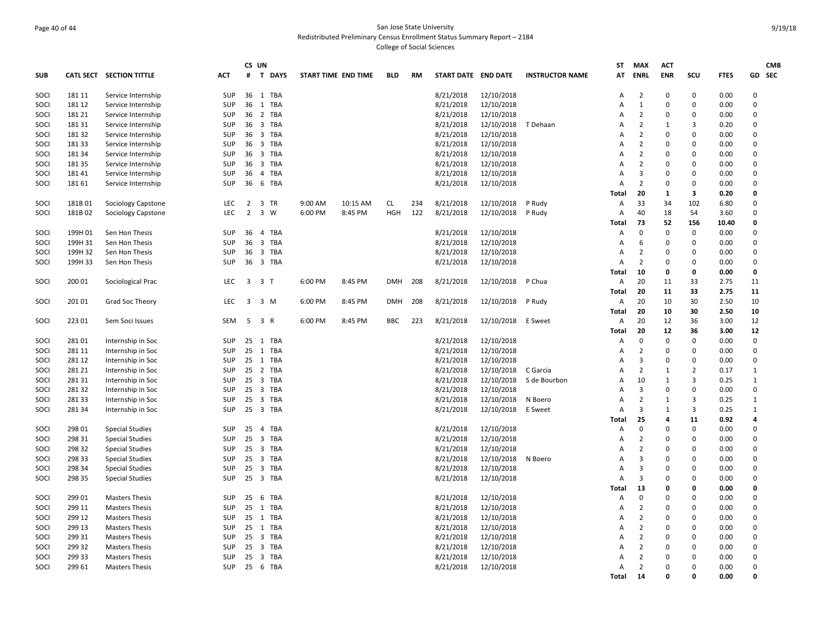## Page 40 of 44 San Jose State University Redistributed Preliminary Census Enrollment Status Summary Report – 2184 College of Social Sciences

|      |         |                          |            |                         | CS UN          |         |                     |            |     |                     |                    |                        | ST             | <b>MAX</b>     | <b>ACT</b>   |                |             |              | <b>CMB</b> |
|------|---------|--------------------------|------------|-------------------------|----------------|---------|---------------------|------------|-----|---------------------|--------------------|------------------------|----------------|----------------|--------------|----------------|-------------|--------------|------------|
| SUB  |         | CATL SECT SECTION TITTLE | <b>ACT</b> |                         | # T DAYS       |         | START TIME END TIME | <b>BLD</b> | RM  | START DATE END DATE |                    | <b>INSTRUCTOR NAME</b> | AT             | ENRL           | <b>ENR</b>   | scu            | <b>FTES</b> |              | GD SEC     |
| SOCI | 181 11  | Service Internship       | <b>SUP</b> |                         | 36 1 TBA       |         |                     |            |     | 8/21/2018           | 12/10/2018         |                        | Α              | $\overline{2}$ | $\mathbf 0$  | 0              | 0.00        | $\Omega$     |            |
| soci | 181 12  | Service Internship       | SUP        |                         | 36 1 TBA       |         |                     |            |     | 8/21/2018           | 12/10/2018         |                        | A              | $\mathbf{1}$   | $\mathbf 0$  | $\mathsf 0$    | 0.00        | $\Omega$     |            |
| SOCI | 181 21  | Service Internship       | SUP        |                         | 36 2 TBA       |         |                     |            |     | 8/21/2018           | 12/10/2018         |                        | $\overline{A}$ | $\overline{2}$ | $\Omega$     | $\mathbf 0$    | 0.00        | $\Omega$     |            |
| soci | 181 31  | Service Internship       | <b>SUP</b> |                         | 36 3 TBA       |         |                     |            |     | 8/21/2018           | 12/10/2018         | T Dehaan               | Α              | $\overline{2}$ | 1            | 3              | 0.20        | $\Omega$     |            |
| SOCI | 18132   | Service Internship       | SUP        |                         | 36 3 TBA       |         |                     |            |     | 8/21/2018           | 12/10/2018         |                        | Α              | $\overline{2}$ | $\Omega$     | 0              | 0.00        | $\Omega$     |            |
| soci | 18133   | Service Internship       | <b>SUP</b> |                         | 36 3 TBA       |         |                     |            |     | 8/21/2018           | 12/10/2018         |                        | A              | $\overline{2}$ | 0            | 0              | 0.00        | $\Omega$     |            |
| soci | 181 34  | Service Internship       | SUP        |                         | 36 3 TBA       |         |                     |            |     | 8/21/2018           | 12/10/2018         |                        | $\overline{A}$ | $\overline{2}$ | $\mathbf 0$  | $\mathbf 0$    | 0.00        | $\Omega$     |            |
| SOCI | 18135   | Service Internship       | <b>SUP</b> |                         | 36 3 TBA       |         |                     |            |     | 8/21/2018           | 12/10/2018         |                        | Α              | $\overline{2}$ | $\Omega$     | $\mathbf 0$    | 0.00        | $\Omega$     |            |
| soci | 18141   | Service Internship       | <b>SUP</b> |                         | 36 4 TBA       |         |                     |            |     | 8/21/2018           | 12/10/2018         |                        | $\overline{A}$ | $\overline{3}$ | $\mathbf 0$  | $\mathbf 0$    | 0.00        | $\Omega$     |            |
| SOCI | 181 61  | Service Internship       | <b>SUP</b> | 36                      | 6 TBA          |         |                     |            |     | 8/21/2018           | 12/10/2018         |                        | A              | $\overline{2}$ | 0            | $\mathsf 0$    | 0.00        | $\mathbf 0$  |            |
|      |         |                          |            |                         |                |         |                     |            |     |                     |                    |                        | <b>Total</b>   | 20             | 1            | 3              | 0.20        | $\mathbf{0}$ |            |
| soci | 181B01  | Sociology Capstone       | <b>LEC</b> |                         | 2 3 TR         | 9:00 AM | 10:15 AM            | CL         | 234 | 8/21/2018           | 12/10/2018         | P Rudy                 | Α              | 33             | 34           | 102            | 6.80        | $\Omega$     |            |
| SOCI | 181B02  | Sociology Capstone       | <b>LEC</b> | $\overline{2}$          | 3 W            | 6:00 PM | 8:45 PM             | <b>HGH</b> | 122 | 8/21/2018           | 12/10/2018         | P Rudy                 | A              | 40             | 18           | 54             | 3.60        | $\Omega$     |            |
|      |         |                          |            |                         |                |         |                     |            |     |                     |                    |                        | Total          | 73             | 52           | 156            | 10.40       | $\mathbf{0}$ |            |
| SOCI | 199H 01 | Sen Hon Thesis           | SUP        |                         | 36 4 TBA       |         |                     |            |     | 8/21/2018           | 12/10/2018         |                        | A              | $\mathbf 0$    | $\mathbf 0$  | $\mathbf 0$    | 0.00        | 0            |            |
| soci | 199H 31 | Sen Hon Thesis           | SUP        |                         | 36 3 TBA       |         |                     |            |     | 8/21/2018           | 12/10/2018         |                        | A              | 6              | $\mathbf 0$  | $\mathbf 0$    | 0.00        | 0            |            |
| soci | 199H 32 | Sen Hon Thesis           | <b>SUP</b> | 36                      | 3 TBA          |         |                     |            |     | 8/21/2018           | 12/10/2018         |                        | A              | $\overline{2}$ | $\mathbf 0$  | $\mathbf 0$    | 0.00        | $\Omega$     |            |
| SOCI | 199H 33 | Sen Hon Thesis           | <b>SUP</b> |                         | 36 3 TBA       |         |                     |            |     | 8/21/2018           | 12/10/2018         |                        | A              | $\overline{2}$ | $\Omega$     | $\mathbf 0$    | 0.00        | $\Omega$     |            |
|      |         |                          |            |                         |                |         |                     |            |     |                     |                    |                        | Total          | 10             | 0            | $\mathbf 0$    | 0.00        | $\mathbf{0}$ |            |
| SOCI | 200 01  | Sociological Prac        | LEC        | $\overline{\mathbf{3}}$ | 3 <sub>1</sub> | 6:00 PM | 8:45 PM             | <b>DMH</b> | 208 | 8/21/2018           | 12/10/2018         | P Chua                 | A              | 20             | 11           | 33             | 2.75        | 11           |            |
|      |         |                          |            |                         |                |         |                     |            |     |                     |                    |                        | Total          | 20             | 11           | 33             | 2.75        | 11           |            |
| soci | 201 01  | Grad Soc Theory          | LEC        |                         | 3 3 M          | 6:00 PM | 8:45 PM             | <b>DMH</b> | 208 | 8/21/2018           | 12/10/2018         | P Rudy                 | Α              | 20             | 10           | 30             | 2.50        | 10           |            |
|      |         |                          |            |                         |                |         |                     |            |     |                     |                    |                        | Total          | 20             | 10           | 30             | 2.50        | 10           |            |
| SOCI | 223 01  | Sem Soci Issues          | SEM        |                         | 5 3 R          | 6:00 PM | 8:45 PM             | <b>BBC</b> | 223 | 8/21/2018           | 12/10/2018 E Sweet |                        | Α              | 20             | 12           | 36             | 3.00        | 12           |            |
|      |         |                          |            |                         |                |         |                     |            |     |                     |                    |                        | Total          | 20             | 12           | 36             | 3.00        | 12           |            |
| SOCI | 28101   | Internship in Soc        | SUP        |                         | 25 1 TBA       |         |                     |            |     | 8/21/2018           | 12/10/2018         |                        | A              | 0              | $\mathbf 0$  | 0              | 0.00        | 0            |            |
| soci | 281 11  | Internship in Soc        | <b>SUP</b> |                         | 25 1 TBA       |         |                     |            |     | 8/21/2018           | 12/10/2018         |                        | Α              | $\overline{2}$ | 0            | 0              | 0.00        | $\Omega$     |            |
| soci | 281 12  | Internship in Soc        | SUP        |                         | 25 1 TBA       |         |                     |            |     | 8/21/2018           | 12/10/2018         |                        | A              | 3              | $\mathbf 0$  | $\mathsf 0$    | 0.00        | $\mathbf 0$  |            |
| soci | 281 21  | Internship in Soc        | <b>SUP</b> |                         | 25 2 TBA       |         |                     |            |     | 8/21/2018           | 12/10/2018         | C Garcia               | $\overline{A}$ | $\overline{2}$ | 1            | $\overline{2}$ | 0.17        | $\mathbf{1}$ |            |
| SOCI | 281 31  | Internship in Soc        | SUP        |                         | 25 3 TBA       |         |                     |            |     | 8/21/2018           | 12/10/2018         | S de Bourbon           | A              | 10             | $\mathbf{1}$ | 3              | 0.25        | $\mathbf{1}$ |            |
| soci | 28132   | Internship in Soc        | SUP        |                         | 25 3 TBA       |         |                     |            |     | 8/21/2018           | 12/10/2018         |                        | A              | 3              | $\mathbf 0$  | 0              | 0.00        | 0            |            |
| SOCI | 281 33  | Internship in Soc        | <b>SUP</b> | 25                      | 3 TBA          |         |                     |            |     | 8/21/2018           | 12/10/2018         | N Boero                | A              | $\overline{2}$ | 1            | 3              | 0.25        | 1            |            |
| soci | 281 34  | Internship in Soc        | <b>SUP</b> | 25                      | 3 TBA          |         |                     |            |     | 8/21/2018           | 12/10/2018         | E Sweet                | A              | 3              | $\mathbf{1}$ | 3              | 0.25        | $\mathbf{1}$ |            |
|      |         |                          |            |                         |                |         |                     |            |     |                     |                    |                        | <b>Total</b>   | 25             | 4            | 11             | 0.92        | 4            |            |
| SOCI | 298 01  | <b>Special Studies</b>   | <b>SUP</b> |                         | 25 4 TBA       |         |                     |            |     | 8/21/2018           | 12/10/2018         |                        | $\overline{A}$ | $\mathbf 0$    | 0            | $\mathbf 0$    | 0.00        | $\Omega$     |            |
| soci | 298 31  | <b>Special Studies</b>   | <b>SUP</b> | 25                      | 3 TBA          |         |                     |            |     | 8/21/2018           | 12/10/2018         |                        | A              | $\overline{2}$ | 0            | $\mathsf 0$    | 0.00        | $\mathbf 0$  |            |
| SOCI | 298 32  | <b>Special Studies</b>   | <b>SUP</b> |                         | 25 3 TBA       |         |                     |            |     | 8/21/2018           | 12/10/2018         |                        | Α              | $\overline{2}$ | 0            | 0              | 0.00        | 0            |            |
| soci | 298 33  | <b>Special Studies</b>   | <b>SUP</b> |                         | 25 3 TBA       |         |                     |            |     | 8/21/2018           | 12/10/2018         | N Boero                | A              | 3              | $\mathbf 0$  | 0              | 0.00        | $\mathbf 0$  |            |
| soci | 298 34  | <b>Special Studies</b>   | <b>SUP</b> | 25                      | 3 TBA          |         |                     |            |     | 8/21/2018           | 12/10/2018         |                        | A              | $\overline{3}$ | $\Omega$     | $\mathbf 0$    | 0.00        | $\Omega$     |            |
| SOCI | 298 35  | <b>Special Studies</b>   | <b>SUP</b> |                         | 25 3 TBA       |         |                     |            |     | 8/21/2018           | 12/10/2018         |                        | A              | $\overline{3}$ | $\Omega$     | $\mathbf 0$    | 0.00        | $\Omega$     |            |
|      |         |                          |            |                         |                |         |                     |            |     |                     |                    |                        | Total          | 13             | 0            | 0              | 0.00        | $\mathbf{0}$ |            |
| SOCI | 299 01  | <b>Masters Thesis</b>    | <b>SUP</b> |                         | 25 6 TBA       |         |                     |            |     | 8/21/2018           | 12/10/2018         |                        | A              | $\pmb{0}$      | $\Omega$     | $\Omega$       | 0.00        | $\Omega$     |            |
| soci | 299 11  | <b>Masters Thesis</b>    | <b>SUP</b> |                         | 25 1 TBA       |         |                     |            |     | 8/21/2018           | 12/10/2018         |                        | A              | $\overline{2}$ | 0            | 0              | 0.00        | $\Omega$     |            |
| soci | 299 12  | <b>Masters Thesis</b>    | SUP        |                         | 25 1 TBA       |         |                     |            |     | 8/21/2018           | 12/10/2018         |                        | Α              | $\overline{2}$ | $\Omega$     | 0              | 0.00        | $\Omega$     |            |
| SOCI | 299 13  | <b>Masters Thesis</b>    | <b>SUP</b> |                         | 25 1 TBA       |         |                     |            |     | 8/21/2018           | 12/10/2018         |                        | $\overline{A}$ | $\overline{2}$ | 0            | $\mathbf 0$    | 0.00        | $\Omega$     |            |
| soci | 299 31  | <b>Masters Thesis</b>    | SUP        |                         | 25 3 TBA       |         |                     |            |     | 8/21/2018           | 12/10/2018         |                        | A              | $\overline{2}$ | 0            | 0              | 0.00        | $\Omega$     |            |
| SOCI | 299 32  | <b>Masters Thesis</b>    | <b>SUP</b> | 25                      | 3 TBA          |         |                     |            |     | 8/21/2018           | 12/10/2018         |                        | Α              | $\overline{2}$ | 0            | 0              | 0.00        | 0            |            |
| soci | 299 33  | <b>Masters Thesis</b>    | <b>SUP</b> | 25                      | 3 TBA          |         |                     |            |     | 8/21/2018           | 12/10/2018         |                        | A              | $\overline{2}$ | $\Omega$     | 0              | 0.00        | $\Omega$     |            |
| soci | 299 61  | <b>Masters Thesis</b>    | <b>SUP</b> |                         | 25 6 TBA       |         |                     |            |     | 8/21/2018           | 12/10/2018         |                        | A              | $\overline{2}$ | $\Omega$     | $\mathbf 0$    | 0.00        | $\Omega$     |            |
|      |         |                          |            |                         |                |         |                     |            |     |                     |                    |                        | Total          | 14             | $\Omega$     | 0              | 0.00        | $\Omega$     |            |
|      |         |                          |            |                         |                |         |                     |            |     |                     |                    |                        |                |                |              |                |             |              |            |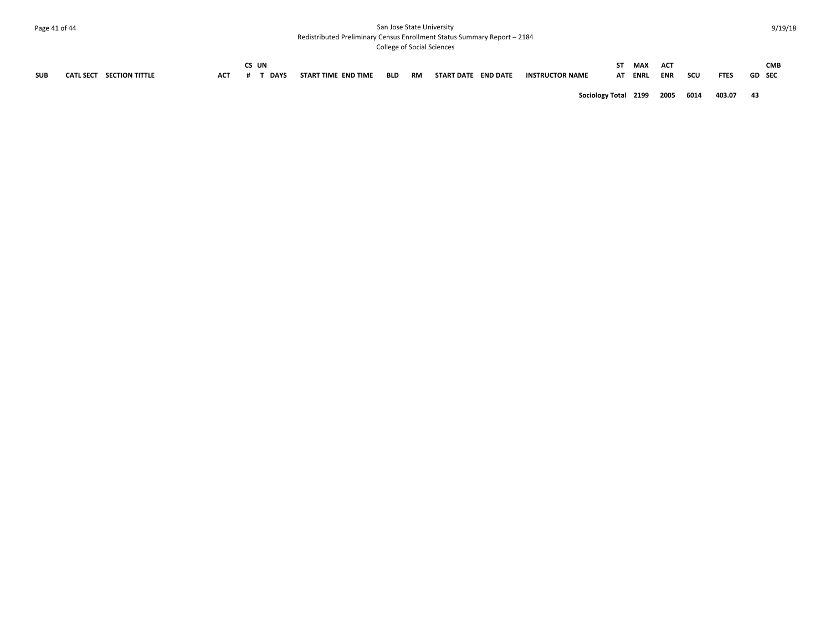## Page 41 of 44 San Jose State University Redistributed Preliminary Census Enrollment Status Summary Report – 2184

|            |                                    |            | CS UN       |                     |     |           |                     |                        | ST.                       | MAX     | <b>ACT</b> |      |             |               | <b>CMB</b> |
|------------|------------------------------------|------------|-------------|---------------------|-----|-----------|---------------------|------------------------|---------------------------|---------|------------|------|-------------|---------------|------------|
| <b>SUB</b> | CATL SECT<br><b>SECTION TITTLE</b> | <b>ACT</b> | <b>DAYS</b> | START TIME END TIME | BLD | <b>RM</b> | START DATE END DATE | <b>INSTRUCTOR NAME</b> |                           | AT ENRL | ENR        | scu  | <b>FTES</b> | <b>GD</b> SEC |            |
|            |                                    |            |             |                     |     |           |                     |                        | Sociology Total 2199 2005 |         |            | 6014 | 403.07      | 43            |            |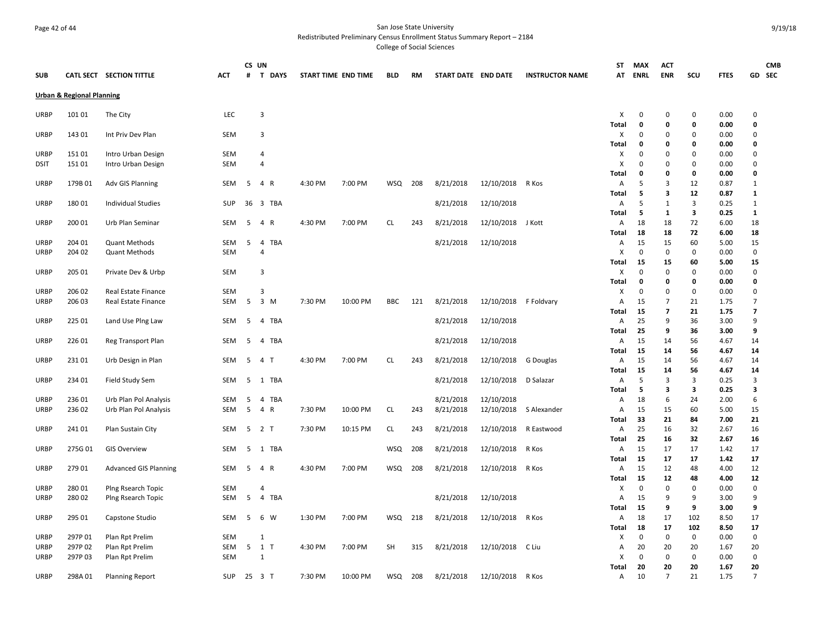## Page 42 of 44 San Jose State University Redistributed Preliminary Census Enrollment Status Summary Report – 2184

|             |                                      |                              |            | CS UN |                                  |                     |          |            |     |                     |                      |                        | ST         | <b>MAX</b>                    | <b>ACT</b>           |          |              |                  | <b>CMB</b> |
|-------------|--------------------------------------|------------------------------|------------|-------|----------------------------------|---------------------|----------|------------|-----|---------------------|----------------------|------------------------|------------|-------------------------------|----------------------|----------|--------------|------------------|------------|
| <b>SUB</b>  |                                      | CATL SECT SECTION TITTLE     | ACT        | #     | <b>T DAYS</b>                    | START TIME END TIME |          | BLD        | RM  | START DATE END DATE |                      | <b>INSTRUCTOR NAME</b> | AT         | ENRL                          | <b>ENR</b>           | scu      | <b>FTES</b>  |                  | GD SEC     |
|             | <b>Urban &amp; Regional Planning</b> |                              |            |       |                                  |                     |          |            |     |                     |                      |                        |            |                               |                      |          |              |                  |            |
| <b>URBP</b> | 101 01                               | The City                     | LEC        |       | 3                                |                     |          |            |     |                     |                      |                        | Χ          | 0                             | 0                    | 0        | 0.00         | 0                |            |
|             |                                      |                              |            |       |                                  |                     |          |            |     |                     |                      |                        | Total      | $\mathbf 0$                   | 0                    | 0        | 0.00         | 0                |            |
| <b>URBP</b> | 143 01                               | Int Priv Dev Plan            | SEM        |       | 3                                |                     |          |            |     |                     |                      |                        | х          | 0                             | $\Omega$             | 0        | 0.00         | $\Omega$         |            |
|             |                                      |                              |            |       |                                  |                     |          |            |     |                     |                      |                        | Total      | 0                             | 0                    | 0        | 0.00         | 0                |            |
| <b>URBP</b> | 15101                                | Intro Urban Design           | SEM<br>SEM |       | $\overline{4}$<br>$\overline{4}$ |                     |          |            |     |                     |                      |                        | х          | $\mathbf 0$<br>$\overline{0}$ | $\Omega$<br>$\Omega$ | 0<br>0   | 0.00<br>0.00 | 0<br>$\mathbf 0$ |            |
| <b>DSIT</b> | 15101                                | Intro Urban Design           |            |       |                                  |                     |          |            |     |                     |                      |                        | X<br>Total | $\mathbf 0$                   | $\Omega$             | 0        | 0.00         | $\mathbf{0}$     |            |
| <b>URBP</b> | 179B 01                              | Adv GIS Planning             | SEM        | 5     | 4 R                              | 4:30 PM             | 7:00 PM  | WSQ        | 208 | 8/21/2018           | 12/10/2018           | R Kos                  | Α          | 5                             | 3                    | 12       | 0.87         | 1                |            |
|             |                                      |                              |            |       |                                  |                     |          |            |     |                     |                      |                        | Total      | 5                             | 3                    | 12       | 0.87         | 1                |            |
| <b>URBP</b> | 18001                                | <b>Individual Studies</b>    | SUP        | 36    | 3 TBA                            |                     |          |            |     | 8/21/2018           | 12/10/2018           |                        | Α          | -5                            | 1                    | 3        | 0.25         | 1                |            |
|             |                                      |                              |            |       |                                  |                     |          |            |     |                     |                      |                        | Total      | 5                             | 1                    | 3        | 0.25         | 1                |            |
| <b>URBP</b> | 200 01                               | Urb Plan Seminar             | SEM        | 5     | 4 R                              | 4:30 PM             | 7:00 PM  | <b>CL</b>  | 243 | 8/21/2018           | 12/10/2018 J Kott    |                        | Α          | 18                            | 18                   | 72       | 6.00         | 18               |            |
|             |                                      |                              |            |       |                                  |                     |          |            |     |                     |                      |                        | Total      | 18                            | 18                   | 72       | 6.00         | 18               |            |
| <b>URBP</b> | 204 01                               | <b>Quant Methods</b>         | SEM        | 5     | 4<br>TBA                         |                     |          |            |     | 8/21/2018           | 12/10/2018           |                        | Α          | 15                            | 15                   | 60       | 5.00         | 15               |            |
| URBP        | 204 02                               | <b>Quant Methods</b>         | SEM        |       | $\overline{4}$                   |                     |          |            |     |                     |                      |                        | X          | $\mathbf 0$                   | $\mathbf 0$          | 0        | 0.00         | 0                |            |
|             |                                      |                              |            |       |                                  |                     |          |            |     |                     |                      |                        | Total      | 15                            | 15                   | 60       | 5.00         | 15               |            |
| URBP        | 205 01                               | Private Dev & Urbp           | SEM        |       | 3                                |                     |          |            |     |                     |                      |                        | X          | $\mathbf 0$                   | $\mathbf 0$          | 0        | 0.00         | 0                |            |
|             |                                      |                              |            |       |                                  |                     |          |            |     |                     |                      |                        | Total      | 0                             | 0                    | 0        | 0.00         | 0                |            |
| URBP        | 206 02                               | Real Estate Finance          | SEM        |       | 3                                |                     |          |            |     |                     |                      |                        | Х          | $\mathbf 0$                   | $\mathbf 0$          | 0        | 0.00         | $\mathbf 0$      |            |
| URBP        | 206 03                               | Real Estate Finance          | SEM        | 5     | 3 M                              | 7:30 PM             | 10:00 PM | <b>BBC</b> | 121 | 8/21/2018           | 12/10/2018           | F Foldvary             | Α          | 15                            | $\overline{7}$       | 21       | 1.75         | $\overline{7}$   |            |
|             |                                      |                              |            |       |                                  |                     |          |            |     |                     |                      |                        | Total      | 15                            | 7                    | 21       | 1.75         | 7                |            |
| <b>URBP</b> | 225 01                               | Land Use Ping Law            | SEM        | 5     | 4 TBA                            |                     |          |            |     | 8/21/2018           | 12/10/2018           |                        | Α          | 25                            | $\mathbf{q}$         | 36       | 3.00         | 9                |            |
|             |                                      |                              |            |       |                                  |                     |          |            |     |                     |                      |                        | Total      | 25                            | 9                    | 36       | 3.00         | 9                |            |
| <b>URBP</b> | 226 01                               | Reg Transport Plan           | SEM        | 5     | 4 TBA                            |                     |          |            |     | 8/21/2018           | 12/10/2018           |                        | Α          | 15                            | 14                   | 56       | 4.67         | 14               |            |
|             | 23101                                |                              | SEM        | 5     | 4 <sub>T</sub>                   | 4:30 PM             | 7:00 PM  | <b>CL</b>  | 243 |                     |                      |                        | Total      | 15                            | 14                   | 56       | 4.67         | 14               |            |
| <b>URBP</b> |                                      | Urb Design in Plan           |            |       |                                  |                     |          |            |     | 8/21/2018           | 12/10/2018 G Douglas |                        | Α<br>Total | 15<br>15                      | 14<br>14             | 56<br>56 | 4.67<br>4.67 | 14<br>14         |            |
| <b>URBP</b> | 234 01                               | Field Study Sem              | SEM        | 5     | 1 TBA                            |                     |          |            |     | 8/21/2018           | 12/10/2018           | D Salazar              | Α          | 5                             | 3                    | 3        | 0.25         | 3                |            |
|             |                                      |                              |            |       |                                  |                     |          |            |     |                     |                      |                        | Total      | 5                             | 3                    | 3        | 0.25         | 3                |            |
| URBP        | 23601                                | Urb Plan Pol Analysis        | SEM        | 5     | 4 TBA                            |                     |          |            |     | 8/21/2018           | 12/10/2018           |                        | Α          | 18                            | 6                    | 24       | 2.00         | 6                |            |
| <b>URBP</b> | 23602                                | Urb Plan Pol Analysis        | SEM        | 5     | 4<br>R                           | 7:30 PM             | 10:00 PM | <b>CL</b>  | 243 | 8/21/2018           | 12/10/2018           | S Alexander            | A          | 15                            | 15                   | 60       | 5.00         | 15               |            |
|             |                                      |                              |            |       |                                  |                     |          |            |     |                     |                      |                        | Total      | 33                            | 21                   | 84       | 7.00         | 21               |            |
| <b>URBP</b> | 24101                                | Plan Sustain City            | SEM        | 5     | 2 <sub>T</sub>                   | 7:30 PM             | 10:15 PM | <b>CL</b>  | 243 | 8/21/2018           | 12/10/2018           | R Eastwood             | Α          | 25                            | 16                   | 32       | 2.67         | 16               |            |
|             |                                      |                              |            |       |                                  |                     |          |            |     |                     |                      |                        | Total      | 25                            | 16                   | 32       | 2.67         | 16               |            |
| <b>URBP</b> | 275G 01                              | <b>GIS Overview</b>          | SEM        | 5     | 1 TBA                            |                     |          | <b>WSQ</b> | 208 | 8/21/2018           | 12/10/2018           | R Kos                  | Α          | 15                            | 17                   | 17       | 1.42         | 17               |            |
|             |                                      |                              |            |       |                                  |                     |          |            |     |                     |                      |                        | Total      | 15                            | 17                   | 17       | 1.42         | 17               |            |
| <b>URBP</b> | 279 01                               | <b>Advanced GIS Planning</b> | SEM        | 5     | 4 R                              | 4:30 PM             | 7:00 PM  | <b>WSQ</b> | 208 | 8/21/2018           | 12/10/2018           | R Kos                  | Α          | 15                            | 12                   | 48       | 4.00         | 12               |            |
|             |                                      |                              |            |       |                                  |                     |          |            |     |                     |                      |                        | Total      | 15                            | 12                   | 48       | 4.00         | 12               |            |
| <b>URBP</b> | 28001                                | Plng Rsearch Topic           | SEM        |       | 4                                |                     |          |            |     |                     |                      |                        | Χ          | $\mathbf 0$                   | 0                    | 0        | 0.00         | 0                |            |
| URBP        | 28002                                | Ping Rsearch Topic           | SEM        | 5     | TBA<br>4                         |                     |          |            |     | 8/21/2018           | 12/10/2018           |                        | Α          | 15                            | 9                    | 9        | 3.00         | 9                |            |
|             |                                      |                              |            |       |                                  |                     |          |            |     |                     |                      |                        | Total      | 15                            | 9                    | 9        | 3.00         | 9                |            |
| <b>URBP</b> | 295 01                               | Capstone Studio              | SEM        | 5     | 6 W                              | 1:30 PM             | 7:00 PM  | <b>WSQ</b> | 218 | 8/21/2018           | 12/10/2018           | R Kos                  | Α          | 18                            | 17                   | 102      | 8.50         | 17               |            |
|             |                                      |                              |            |       |                                  |                     |          |            |     |                     |                      |                        | Total      | 18                            | 17                   | 102      | 8.50         | 17               |            |
| <b>URBP</b> | 297P 01                              | Plan Rpt Prelim              | SEM        |       | 1                                |                     |          |            |     |                     |                      |                        | х          | $\mathbf 0$                   | 0                    | 0        | 0.00         | 0                |            |
| URBP        | 297P 02                              | Plan Rpt Prelim              | SEM        | 5     | 1 T                              | 4:30 PM             | 7:00 PM  | <b>SH</b>  | 315 | 8/21/2018           | 12/10/2018           | C Liu                  | Α          | 20                            | 20<br>$\Omega$       | 20       | 1.67         | 20               |            |
| <b>URBP</b> | 297P03                               | Plan Rpt Prelim              | SEM        |       | 1                                |                     |          |            |     |                     |                      |                        | х<br>Total | $\mathbf 0$<br>20             | 20                   | 0<br>20  | 0.00<br>1.67 | 0<br>20          |            |
| URBP        | 298A 01                              | <b>Planning Report</b>       | SUP        |       | 25 3 T                           | 7:30 PM             | 10:00 PM | <b>WSQ</b> | 208 | 8/21/2018           | 12/10/2018           | R Kos                  | Α          | 10                            | $\overline{7}$       | 21       | 1.75         | $\overline{7}$   |            |
|             |                                      |                              |            |       |                                  |                     |          |            |     |                     |                      |                        |            |                               |                      |          |              |                  |            |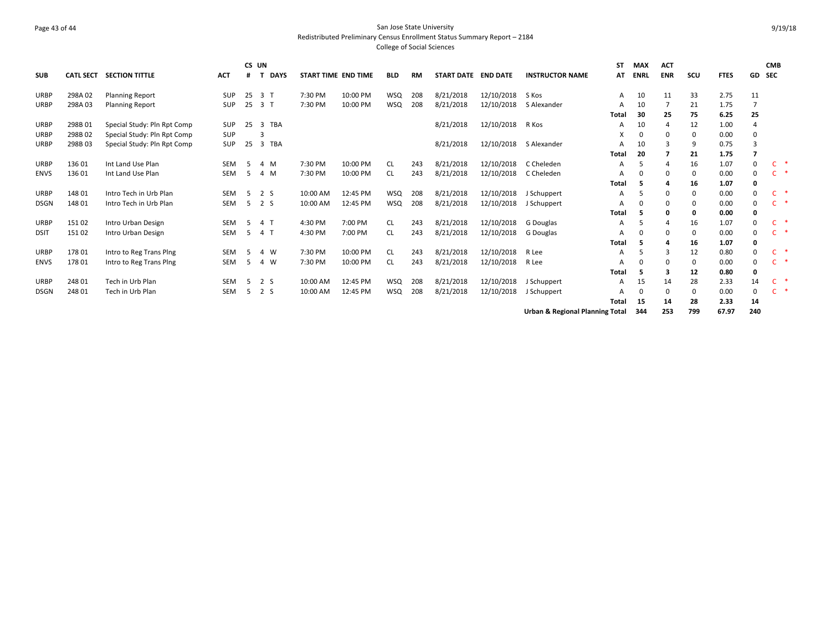## Page 43 of 44 San Jose State University Redistributed Preliminary Census Enrollment Status Summary Report – 2184 College of Social Sciences

|             |                  |                             |            | CS UN |             |                     |          |            |     |                     |            |                                 | SΤ    | <b>MAX</b>   | <b>ACT</b> |     |             |          | <b>CMB</b> |  |
|-------------|------------------|-----------------------------|------------|-------|-------------|---------------------|----------|------------|-----|---------------------|------------|---------------------------------|-------|--------------|------------|-----|-------------|----------|------------|--|
| <b>SUB</b>  | <b>CATL SECT</b> | <b>SECTION TITTLE</b>       | <b>ACT</b> | #     | <b>DAYS</b> | START TIME END TIME |          | <b>BLD</b> | RM  | START DATE END DATE |            | <b>INSTRUCTOR NAME</b>          | AT    | ENRL         | <b>ENR</b> | scu | <b>FTES</b> | GD       | <b>SEC</b> |  |
| <b>URBP</b> | 298A02           | <b>Planning Report</b>      | <b>SUP</b> | 25    | 3 T         | 7:30 PM             | 10:00 PM | WSQ        | 208 | 8/21/2018           | 12/10/2018 | S Kos                           | Α     | 10           | 11         | 33  | 2.75        | 11       |            |  |
| URBP        | 298A03           | <b>Planning Report</b>      | <b>SUP</b> | 25    | 3 T         | 7:30 PM             | 10:00 PM | <b>WSQ</b> | 208 | 8/21/2018           | 12/10/2018 | S Alexander                     | A     | 10           | 7          | 21  | 1.75        | 7        |            |  |
|             |                  |                             |            |       |             |                     |          |            |     |                     |            |                                 | Total | 30           | 25         | 75  | 6.25        | 25       |            |  |
| <b>URBP</b> | 298B01           | Special Study: Pln Rpt Comp | <b>SUP</b> | 25    | 3 TBA       |                     |          |            |     | 8/21/2018           | 12/10/2018 | R Kos                           | А     | 10           | 4          | 12  | 1.00        |          |            |  |
| <b>URBP</b> | 298B02           | Special Study: Pln Rpt Comp | <b>SUP</b> |       | 3           |                     |          |            |     |                     |            |                                 | X     | U            | $\Omega$   | 0   | 0.00        | 0        |            |  |
| URBP        | 298B03           | Special Study: Pln Rpt Comp | <b>SUP</b> | 25    | 3 TBA       |                     |          |            |     | 8/21/2018           | 12/10/2018 | S Alexander                     | А     | 10           | 3          | 9   | 0.75        | 3        |            |  |
|             |                  |                             |            |       |             |                     |          |            |     |                     |            |                                 | Total | 20           |            | 21  | 1.75        | 7        |            |  |
| <b>URBP</b> | 13601            | Int Land Use Plan           | <b>SEM</b> | -5    | 4 M         | 7:30 PM             | 10:00 PM | <b>CL</b>  | 243 | 8/21/2018           | 12/10/2018 | C Cheleden                      | А     |              | 4          | 16  | 1.07        | 0        | C.         |  |
| <b>ENVS</b> | 13601            | Int Land Use Plan           | <b>SEM</b> | -5    | 4 M         | 7:30 PM             | 10:00 PM | <b>CL</b>  | 243 | 8/21/2018           | 12/10/2018 | C Cheleden                      | А     |              | $\Omega$   | 0   | 0.00        | 0        | <b>C</b>   |  |
|             |                  |                             |            |       |             |                     |          |            |     |                     |            |                                 | Total | 5            | 4          | 16  | 1.07        | 0        |            |  |
| <b>URBP</b> | 148 01           | Intro Tech in Urb Plan      | <b>SEM</b> | 5     | 2 S         | 10:00 AM            | 12:45 PM | <b>WSQ</b> | 208 | 8/21/2018           | 12/10/2018 | J Schuppert                     | А     |              | $\Omega$   | 0   | 0.00        | 0        | C.         |  |
| <b>DSGN</b> | 148 01           | Intro Tech in Urb Plan      | <b>SEM</b> | 5     | 2S          | 10:00 AM            | 12:45 PM | <b>WSQ</b> | 208 | 8/21/2018           | 12/10/2018 | J Schuppert                     | A     |              | $\Omega$   | 0   | 0.00        | 0        |            |  |
|             |                  |                             |            |       |             |                     |          |            |     |                     |            |                                 | Total |              | $\Omega$   | 0   | 0.00        | 0        |            |  |
| <b>URBP</b> | 15102            | Intro Urban Design          | <b>SEM</b> | -5    | 4 T         | 4:30 PM             | 7:00 PM  | CL         | 243 | 8/21/2018           | 12/10/2018 | G Douglas                       | A     |              | 4          | 16  | 1.07        | $\Omega$ | C.         |  |
| <b>DSIT</b> | 151 02           | Intro Urban Design          | <b>SEM</b> | 5     | 4 T         | 4:30 PM             | 7:00 PM  | CL         | 243 | 8/21/2018           | 12/10/2018 | G Douglas                       | А     |              | $\Omega$   | 0   | 0.00        | 0        |            |  |
|             |                  |                             |            |       |             |                     |          |            |     |                     |            |                                 | Total |              | 4          | 16  | 1.07        | 0        |            |  |
| URBP        | 17801            | Intro to Reg Trans Ping     | <b>SEM</b> | 5     | 4 W         | 7:30 PM             | 10:00 PM | <b>CL</b>  | 243 | 8/21/2018           | 12/10/2018 | R Lee                           | A     |              | 3          | 12  | 0.80        | 0        | C.         |  |
| <b>ENVS</b> | 17801            | Intro to Reg Trans Ping     | SEM        | .5    | 4 W         | 7:30 PM             | 10:00 PM | <b>CL</b>  | 243 | 8/21/2018           | 12/10/2018 | R Lee                           | А     | <sup>0</sup> |            | 0   | 0.00        | 0        |            |  |
|             |                  |                             |            |       |             |                     |          |            |     |                     |            |                                 | Total | 5            | 3          | 12  | 0.80        | 0        |            |  |
| <b>URBP</b> | 24801            | Tech in Urb Plan            | <b>SEM</b> | .5    | 2 S         | 10:00 AM            | 12:45 PM | WSQ        | 208 | 8/21/2018           | 12/10/2018 | J Schuppert                     | A     | 15           | 14         | 28  | 2.33        | 14       | C.         |  |
| <b>DSGN</b> | 248 01           | Tech in Urb Plan            | <b>SEM</b> | 5     | 2 S         | 10:00 AM            | 12:45 PM | <b>WSQ</b> | 208 | 8/21/2018           | 12/10/2018 | J Schuppert                     | А     | 0            | $\Omega$   | 0   | 0.00        | 0        | C.         |  |
|             |                  |                             |            |       |             |                     |          |            |     |                     |            |                                 | Total | 15           | 14         | 28  | 2.33        | 14       |            |  |
|             |                  |                             |            |       |             |                     |          |            |     |                     |            | Urban & Regional Planning Total |       | 344          | 253        | 799 | 67.97       | 240      |            |  |